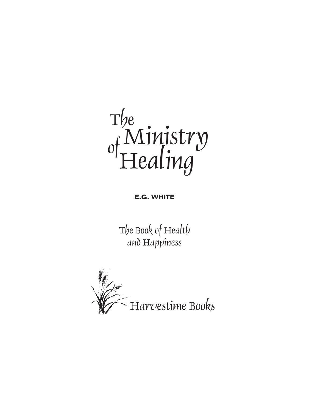Ministry The  $\sigma$ Healing

### **E.G. WHITE**

# The Book of Health and Happiness

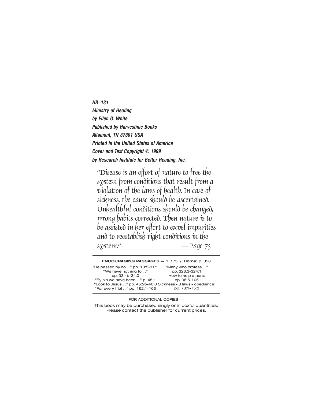*HB–131 Ministry of Healing by Ellen G. White Published by Harvestime Books Altamont, TN 37301 USA Printed in the United States of America Cover and Text Copyright © 1999 by Research Institute for Better Reading, Inc.*

"Disease is an effort of nature to free the system from conditions that result from a violation of the laws of health. In case of sickness, the cause should be ascertained. Unhealthful conditions should be changed, wrong habits corrected. Then nature is to be assisted in her effort to expel impurities and to reestablish right conditions in the  $s$ ystem." — Page 73

| <b>ENCOURAGING PASSAGES - p. 175 / Home: p. 358</b>           |                     |
|---------------------------------------------------------------|---------------------|
| "He passed by no" pp. 10:5-11:1                               | "Many who profess"  |
| "We have nothing to"                                          | pp. 323:3-324:1     |
| pp. 33:4b-34:0                                                | How to help others: |
| "By sin we have been" p. 45:1                                 | pp. 96:5-105        |
| "Look to Jesus" pp. 45:2b-46:0 Sickness - 8 laws - obedience: |                     |
| "For every trial" pp. 162:1-163                               | pp. 73:1-75:3       |

FOR ADDITIONAL COPIES —

This book may be purchased singly or in boxful quantities. Please contact the publisher for current prices.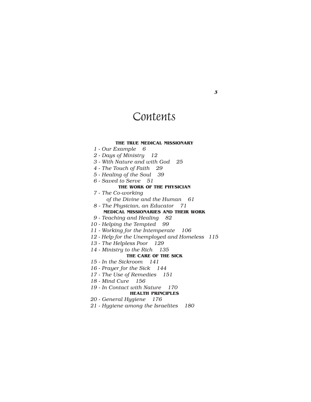## Contents

**THE TRUE MEDICAL MISSIONARY**

*1 - Our Example 6*

 *2 - Days of Ministry 12*

 *3 - With Nature and with God 25*

 *4 - The Touch of Faith 29*

 *5 - Healing of the Soul 39*

 *6 - Saved to Serve 51*

#### **THE WORK OF THE PHYSICIAN**

- *7 The Co-working of the Divine and the Human 61*
- *8 The Physician, an Educator 71* **MEDICAL MISSIONARIES AND THEIR WORK**
- *9 Teaching and Healing 82*
- *10 Helping the Tempted 99*
- *11 Working for the Intemperate 106*
- *12 Help for the Unemployed and Homeless 115*
- *13 The Helpless Poor 129*
- *14 Ministry to the Rich 135* **THE CARE OF THE SICK**
- *15 In the Sickroom 141*
- *16 Prayer for the Sick 144*
- *17 The Use of Remedies 151*
- *18 Mind Cure 156*
- *19 In Contact with Nature 170* **HEALTH PRINCIPLES**
- *20 General Hygiene 176*
- *21 Hygiene among the Israelites 180*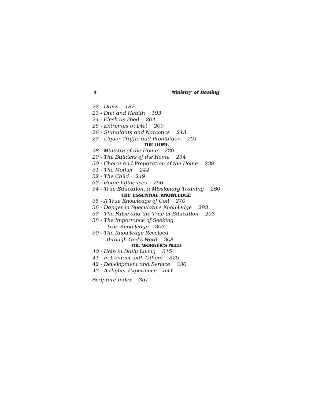- 
- *22 Dress 187*
- *23 Diet and Health 193*
- *24 Flesh as Food 204*
- *25 Extremes in Diet 209*
- *26 Stimulants and Narcotics 213*
- *27 Liquor Traffic and Prohibition 221*

#### **THE HOME**

- *28 Ministry of the Home 229*
- *29 The Builders of the Home 234*
- *30 Choice and Preparation of the Home 239*
- *31 The Mother 244*
- *32 The Child 249*
- *33 Home Influences 256*
- *34 True Education, a Missionary Training 260* **THE ESSENTIAL KNOWLEDGE**
- *35 A True Knowledge of God 270*
- *36 Danger in Speculative Knowledge 283*
- *37 The False and the True in Education 293*
- *38 The Importance of Seeking True Knowledge 303*
- *39 The Knowledge Received through God's Word 308*

### **THE WORKER'S NEED**

- *40 Help in Daily Living 315*
- *41 In Contact with Others 325*
- *42 Development and Service 336*
- *43 A Higher Experience 341*

*Scripture Index 351*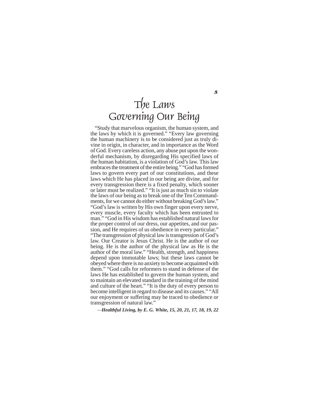## The Laws Governing Our Being

 "Study that marvelous organism, the human system, and the laws by which it is governed." "Every law governing the human machinery is to be considered just as truly divine in origin, in character, and in importance as the Word of God. Every careless action, any abuse put upon the wonderful mechanism, by disregarding His specified laws of the human habitation, is a violation of God's law. This law embraces the treatment of the entire being." "God has formed laws to govern every part of our constitutions, and these laws which He has placed in our being are divine, and for every transgression there is a fixed penalty, which sooner or later must be realized." "It is just as much sin to violate the laws of our being as to break one of the Ten Commandments, for we cannot do either without breaking God's law." "God's law is written by His own finger upon every nerve, every muscle, every faculty which has been entrusted to man." "God in His wisdom has established natural laws for the proper control of our dress, our appetites, and our passion, and He requires of us obedience in every particular." "The transgression of physical law is transgression of God's law. Our Creator is Jesus Christ. He is the author of our being. He is the author of the physical law as He is the author of the moral law." "Health, strength, and happiness depend upon immutable laws; but these laws cannot be obeyed where there is no anxiety to become acquainted with them." "God calls for reformers to stand in defense of the laws He has established to govern the human system, and to maintain an elevated standard in the training of the mind and culture of the heart." "It is the duty of every person to become intelligent in regard to disease and its causes." "All our enjoyment or suffering may be traced to obedience or transgression of natural law."

*—Healthful Living, by E. G. White, 15, 20, 21, 17, 18, 19, 22*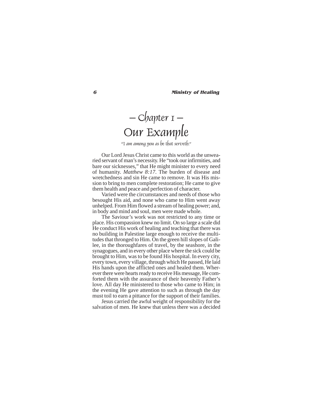– Chapter 1 – Our Example

"I am among you as be that serveth."

Our Lord Jesus Christ came to this world as the unwearied servant of man's necessity. He "took our infirmities, and bare our sicknesses," that He might minister to every need of humanity. *Matthew 8:17*. The burden of disease and wretchedness and sin He came to remove. It was His mission to bring to men complete restoration; He came to give them health and peace and perfection of character.

Varied were the circumstances and needs of those who besought His aid, and none who came to Him went away unhelped. From Him flowed a stream of healing power; and, in body and mind and soul, men were made whole.

The Saviour's work was not restricted to any time or place. His compassion knew no limit. On so large a scale did He conduct His work of healing and teaching that there was no building in Palestine large enough to receive the multitudes that thronged to Him. On the green hill slopes of Galilee, in the thoroughfares of travel, by the seashore, in the synagogues, and in every other place where the sick could be brought to Him, was to be found His hospital. In every city, every town, every village, through which He passed, He laid His hands upon the afflicted ones and healed them. Wherever there were hearts ready to receive His message, He comforted them with the assurance of their heavenly Father's love. All day He ministered to those who came to Him; in the evening He gave attention to such as through the day must toil to earn a pittance for the support of their families.

Jesus carried the awful weight of responsibility for the salvation of men. He knew that unless there was a decided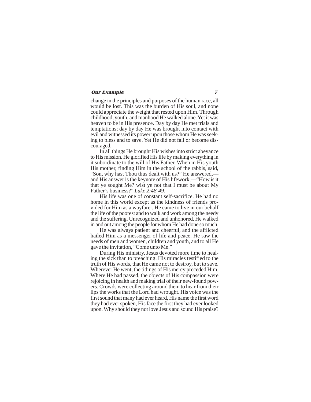#### **Our Example**

change in the principles and purposes of the human race, all would be lost. This was the burden of His soul, and none could appreciate the weight that rested upon Him. Through childhood, youth, and manhood He walked alone. Yet it was heaven to be in His presence. Day by day He met trials and temptations; day by day He was brought into contact with evil and witnessed its power upon those whom He was seeking to bless and to save. Yet He did not fail or become discouraged.

In all things He brought His wishes into strict abeyance to His mission. He glorified His life by making everything in it subordinate to the will of His Father. When in His youth His mother, finding Him in the school of the rabbis, said, "Son, why hast Thou thus dealt with us?" He answered, and His answer is the keynote of His lifework,—"How is it that ye sought Me? wist ye not that I must be about My Father's business?" *Luke 2:48-49*.

His life was one of constant self-sacrifice. He had no home in this world except as the kindness of friends provided for Him as a wayfarer. He came to live in our behalf the life of the poorest and to walk and work among the needy and the suffering. Unrecognized and unhonored, He walked in and out among the people for whom He had done so much.

He was always patient and cheerful, and the afflicted hailed Him as a messenger of life and peace. He saw the needs of men and women, children and youth, and to all He gave the invitation, "Come unto Me."

During His ministry, Jesus devoted more time to healing the sick than to preaching. His miracles testified to the truth of His words, that He came not to destroy, but to save. Wherever He went, the tidings of His mercy preceded Him. Where He had passed, the objects of His compassion were rejoicing in health and making trial of their new-found powers. Crowds were collecting around them to hear from their lips the works that the Lord had wrought. His voice was the first sound that many had ever heard, His name the first word they had ever spoken, His face the first they had ever looked upon. Why should they not love Jesus and sound His praise?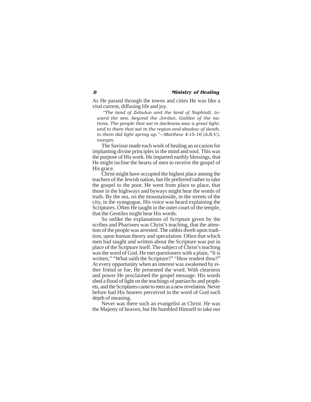As He passed through the towns and cities He was like a vital current, diffusing life and joy.

*"The land of Zebulun and the land of Naphtali, toward the sea, beyond the Jordan, Galilee of the nations. The people that sat in darkness saw a great light, and to them that sat in the region and shadow of death, to them did light spring up."—Matthew 4:15-16 (A.R.V.), margin.*

The Saviour made each work of healing an occasion for implanting divine principles in the mind and soul. This was the purpose of His work. He imparted earthly blessings, that He might incline the hearts of men to receive the gospel of His grace.

Christ might have occupied the highest place among the teachers of the Jewish nation, but He preferred rather to take the gospel to the poor. He went from place to place, that those in the highways and byways might hear the words of truth. By the sea, on the mountainside, in the streets of the city, in the synagogue, His voice was heard explaining the Scriptures. Often He taught in the outer court of the temple, that the Gentiles might hear His words.

So unlike the explanations of Scripture given by the scribes and Pharisees was Christ's teaching, that the attention of the people was arrested. The rabbis dwelt upon tradition, upon human theory and speculation. Often that which men had taught and written about the Scripture was put in place of the Scripture itself. The subject of Christ's teaching was the word of God. He met questioners with a plain, "It is written," "What saith the Scripture?" "How readest thou?" At every opportunity when an interest was awakened by either friend or foe, He presented the word. With clearness and power He proclaimed the gospel message. His words shed a flood of light on the teachings of patriarchs and prophets, and the Scriptures came to men as a new revelation. Never before had His hearers perceived in the word of God such depth of meaning.

Never was there such an evangelist as Christ. He was the Majesty of heaven, but He humbled Himself to take our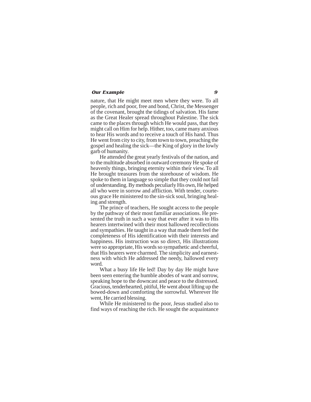#### **Our Example**

nature, that He might meet men where they were. To all people, rich and poor, free and bond, Christ, the Messenger of the covenant, brought the tidings of salvation. His fame as the Great Healer spread throughout Palestine. The sick came to the places through which He would pass, that they might call on Him for help. Hither, too, came many anxious to hear His words and to receive a touch of His hand. Thus He went from city to city, from town to town, preaching the gospel and healing the sick—the King of glory in the lowly garb of humanity.

He attended the great yearly festivals of the nation, and to the multitude absorbed in outward ceremony He spoke of heavenly things, bringing eternity within their view. To all He brought treasures from the storehouse of wisdom. He spoke to them in language so simple that they could not fail of understanding. By methods peculiarly His own, He helped all who were in sorrow and affliction. With tender, courteous grace He ministered to the sin-sick soul, bringing healing and strength.

The prince of teachers, He sought access to the people by the pathway of their most familiar associations. He presented the truth in such a way that ever after it was to His hearers intertwined with their most hallowed recollections and sympathies. He taught in a way that made them feel the completeness of His identification with their interests and happiness. His instruction was so direct, His illustrations were so appropriate, His words so sympathetic and cheerful, that His hearers were charmed. The simplicity and earnestness with which He addressed the needy, hallowed every word.

What a busy life He led! Day by day He might have been seen entering the humble abodes of want and sorrow, speaking hope to the downcast and peace to the distressed. Gracious, tenderhearted, pitiful, He went about lifting up the bowed-down and comforting the sorrowful. Wherever He went, He carried blessing.

While He ministered to the poor, Jesus studied also to find ways of reaching the rich. He sought the acquaintance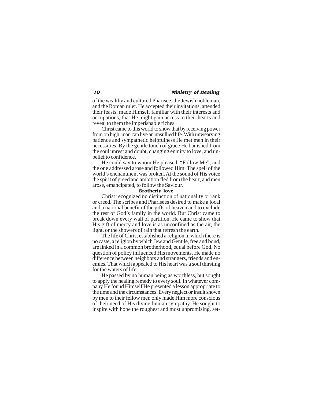of the wealthy and cultured Pharisee, the Jewish nobleman, and the Roman ruler. He accepted their invitations, attended their feasts, made Himself familiar with their interests and occupations, that He might gain access to their hearts and reveal to them the imperishable riches.

Christ came to this world to show that by receiving power from on high, man can live an unsullied life. With unwearying patience and sympathetic helpfulness He met men in their necessities. By the gentle touch of grace He banished from the soul unrest and doubt, changing enmity to love, and unbelief to confidence.

He could say to whom He pleased, "Follow Me"; and the one addressed arose and followed Him. The spell of the world's enchantment was broken. At the sound of His voice the spirit of greed and ambition fled from the heart, and men arose, emancipated, to follow the Saviour.

#### **Brotherly love**

Christ recognized no distinction of nationality or rank or creed. The scribes and Pharisees desired to make a local and a national benefit of the gifts of heaven and to exclude the rest of God's family in the world. But Christ came to break down every wall of partition. He came to show that His gift of mercy and love is as unconfined as the air, the light, or the showers of rain that refresh the earth.

The life of Christ established a religion in which there is no caste, a religion by which Jew and Gentile, free and bond, are linked in a common brotherhood, equal before God. No question of policy influenced His movements. He made no difference between neighbors and strangers, friends and enemies. That which appealed to His heart was a soul thirsting for the waters of life.

He passed by no human being as worthless, but sought to apply the healing remedy to every soul. In whatever company He found Himself He presented a lesson appropriate to the time and the circumstances. Every neglect or insult shown by men to their fellow men only made Him more conscious of their need of His divine-human sympathy. He sought to inspire with hope the roughest and most unpromising, set-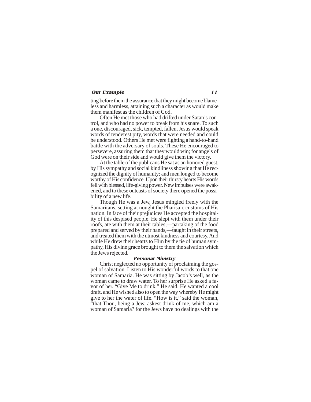#### **Our Example**

ting before them the assurance that they might become blameless and harmless, attaining such a character as would make them manifest as the children of God.

Often He met those who had drifted under Satan's control, and who had no power to break from his snare. To such a one, discouraged, sick, tempted, fallen, Jesus would speak words of tenderest pity, words that were needed and could be understood. Others He met were fighting a hand-to-hand battle with the adversary of souls. These He encouraged to persevere, assuring them that they would win; for angels of God were on their side and would give them the victory.

At the table of the publicans He sat as an honored guest, by His sympathy and social kindliness showing that He recognized the dignity of humanity; and men longed to become worthy of His confidence. Upon their thirsty hearts His words fell with blessed, life-giving power. New impulses were awakened, and to these outcasts of society there opened the possibility of a new life.

Though He was a Jew, Jesus mingled freely with the Samaritans, setting at nought the Pharisaic customs of His nation. In face of their prejudices He accepted the hospitality of this despised people. He slept with them under their roofs, ate with them at their tables,—partaking of the food prepared and served by their hands,—taught in their streets, and treated them with the utmost kindness and courtesy. And while He drew their hearts to Him by the tie of human sympathy, His divine grace brought to them the salvation which the Jews rejected.

#### **Personal Ministry**

Christ neglected no opportunity of proclaiming the gospel of salvation. Listen to His wonderful words to that one woman of Samaria. He was sitting by Jacob's well, as the woman came to draw water. To her surprise He asked a favor of her. "Give Me to drink," He said. He wanted a cool draft, and He wished also to open the way whereby He might give to her the water of life. "How is it," said the woman, "that Thou, being a Jew, askest drink of me, which am a woman of Samaria? for the Jews have no dealings with the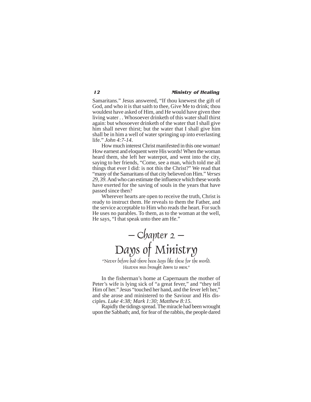Samaritans." Jesus answered, "If thou knewest the gift of God, and who it is that saith to thee, Give Me to drink; thou wouldest have asked of Him, and He would have given thee living water . . Whosoever drinketh of this water shall thirst again: but whosoever drinketh of the water that I shall give him shall never thirst; but the water that I shall give him shall be in him a well of water springing up into everlasting life." *John 4:7-14*.

How much interest Christ manifested in this one woman! How earnest and eloquent were His words! When the woman heard them, she left her waterpot, and went into the city, saying to her friends, "Come, see a man, which told me all things that ever I did: is not this the Christ?" We read that "many of the Samaritans of that city believed on Him." *Verses 29, 39*. And who can estimate the influence which these words have exerted for the saving of souls in the years that have passed since then?

Wherever hearts are open to receive the truth, Christ is ready to instruct them. He reveals to them the Father, and the service acceptable to Him who reads the heart. For such He uses no parables. To them, as to the woman at the well, He says, "I that speak unto thee am He."

> – Chapter 2 – Days of Ministry

"Never before had there been days like these for the world. Heaven was brought down to men."

In the fisherman's home at Capernaum the mother of Peter's wife is lying sick of "a great fever," and "they tell Him of her." Jesus "touched her hand, and the fever left her," and she arose and ministered to the Saviour and His disciples. *Luke 4:38; Mark 1:30; Matthew 8:15.*

Rapidly the tidings spread. The miracle had been wrought upon the Sabbath; and, for fear of the rabbis, the people dared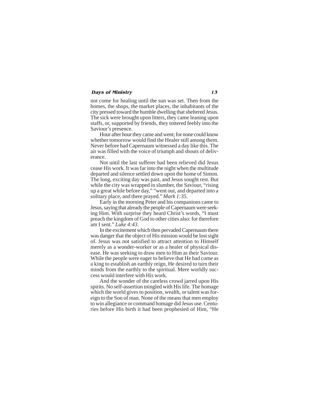### **Days of Ministry**

not come for healing until the sun was set. Then from the homes, the shops, the market places, the inhabitants of the city pressed toward the humble dwelling that sheltered Jesus. The sick were brought upon litters, they came leaning upon staffs, or, supported by friends, they tottered feebly into the Saviour's presence.

Hour after hour they came and went; for none could know whether tomorrow would find the Healer still among them. Never before had Capernaum witnessed a day like this. The air was filled with the voice of triumph and shouts of deliverance.

Not until the last sufferer had been relieved did Jesus cease His work. It was far into the night when the multitude departed and silence settled down upon the home of Simon. The long, exciting day was past, and Jesus sought rest. But while the city was wrapped in slumber, the Saviour, "rising" up a great while before day," "went out, and departed into a solitary place, and there prayed." *Mark 1:35*.

Early in the morning Peter and his companions came to Jesus, saying that already the people of Capernaum were seeking Him. With surprise they heard Christ's words, "I must preach the kingdom of God to other cities also: for therefore am I sent." *Luke 4:43*.

In the excitement which then pervaded Capernaum there was danger that the object of His mission would be lost sight of. Jesus was not satisfied to attract attention to Himself merely as a wonder-worker or as a healer of physical disease. He was seeking to draw men to Him as their Saviour. While the people were eager to believe that He had come as a king to establish an earthly reign, He desired to turn their minds from the earthly to the spiritual. Mere worldly success would interfere with His work.

And the wonder of the careless crowd jarred upon His spirits. No self-assertion mingled with His life. The homage which the world gives to position, wealth, or talent was foreign to the Son of man. None of the means that men employ to win allegiance or command homage did Jesus use. Centuries before His birth it had been prophesied of Him, "He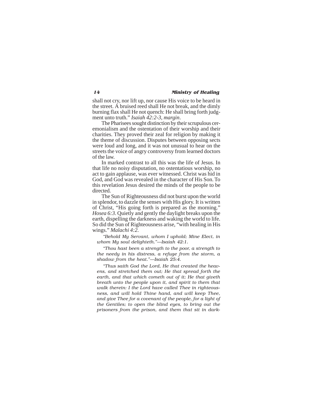shall not cry, nor lift up, nor cause His voice to be heard in the street. A bruised reed shall He not break, and the dimly burning flax shall He not quench: He shall bring forth judgment unto truth." *Isaiah 42:2-3, margin*.

The Pharisees sought distinction by their scrupulous ceremonialism and the ostentation of their worship and their charities. They proved their zeal for religion by making it the theme of discussion. Disputes between opposing sects were loud and long, and it was not unusual to hear on the streets the voice of angry controversy from learned doctors of the law.

In marked contrast to all this was the life of Jesus. In that life no noisy disputation, no ostentatious worship, no act to gain applause, was ever witnessed. Christ was hid in God, and God was revealed in the character of His Son. To this revelation Jesus desired the minds of the people to be directed.

The Sun of Righteousness did not burst upon the world in splendor, to dazzle the senses with His glory. It is written of Christ, "His going forth is prepared as the morning." *Hosea 6:3*. Quietly and gently the daylight breaks upon the earth, dispelling the darkness and waking the world to life. So did the Sun of Righteousness arise, "with healing in His wings." *Malachi 4:2.*

*"Behold My Servant, whom I uphold; Mine Elect, in whom My soul delighteth."—Isaiah 42:1.*

*"Thou hast been a strength to the poor, a strength to the needy in his distress, a refuge from the storm, a shadow from the heat."—Isaiah 25:4.*

*"Thus saith God the Lord, He that created the heavens, and stretched them out; He that spread forth the earth, and that which cometh out of it; He that giveth breath unto the people upon it, and spirit to them that walk therein: I the Lord have called Thee in righteousness, and will hold Thine hand, and will keep Thee, and give Thee for a covenant of the people, for a light of the Gentiles; to open the blind eyes, to bring out the prisoners from the prison, and them that sit in dark-*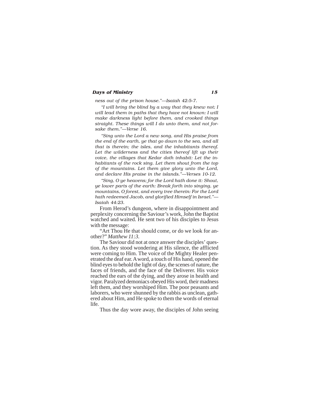#### **Days of Ministry**

*ness out of the prison house."—Isaiah 42:5-7.*

*"I will bring the blind by a way that they knew not; I will lead them in paths that they have not known: I will make darkness light before them, and crooked things straight. These things will I do unto them, and not forsake them."—Verse 16.*

*"Sing unto the Lord a new song, and His praise from the end of the earth, ye that go down to the sea, and all that is therein; the isles, and the inhabitants thereof. Let the wilderness and the cities thereof lift up their voice, the villages that Kedar doth inhabit: Let the inhabitants of the rock sing. Let them shout from the top of the mountains. Let them give glory unto the Lord, and declare His praise in the islands."—Verses 10-12.*

*"Sing, O ye heavens; for the Lord hath done it: Shout, ye lower parts of the earth: Break forth into singing, ye mountains, O forest, and every tree therein: For the Lord hath redeemed Jacob, and glorified Himself in Israel."— Isaiah 44:23.*

From Herod's dungeon, where in disappointment and perplexity concerning the Saviour's work, John the Baptist watched and waited. He sent two of his disciples to Jesus with the message:

"Art Thou He that should come, or do we look for another?" *Matthew 11:3*.

The Saviour did not at once answer the disciples' question. As they stood wondering at His silence, the afflicted were coming to Him. The voice of the Mighty Healer penetrated the deaf ear. A word, a touch of His hand, opened the blind eyes to behold the light of day, the scenes of nature, the faces of friends, and the face of the Deliverer. His voice reached the ears of the dying, and they arose in health and vigor. Paralyzed demoniacs obeyed His word, their madness left them, and they worshiped Him. The poor peasants and laborers, who were shunned by the rabbis as unclean, gathered about Him, and He spoke to them the words of eternal life.

Thus the day wore away, the disciples of John seeing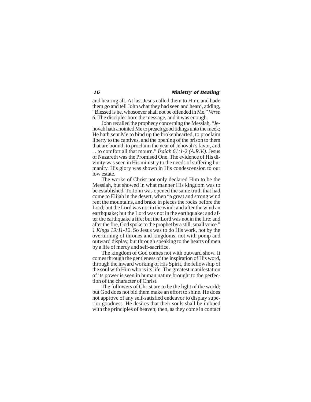and hearing all. At last Jesus called them to Him, and bade them go and tell John what they had seen and heard, adding, "Blessed is he, whosoever shall not be offended in Me." *Verse 6*. The disciples bore the message, and it was enough.

John recalled the prophecy concerning the Messiah, "Jehovah hath anointed Me to preach good tidings unto the meek; He hath sent Me to bind up the brokenhearted, to proclaim liberty to the captives, and the opening of the prison to them that are bound; to proclaim the year of Jehovah's favor, and . . to comfort all that mourn." *Isaiah 61:1-2 (A.R.V.)*. Jesus of Nazareth was the Promised One. The evidence of His divinity was seen in His ministry to the needs of suffering humanity. His glory was shown in His condescension to our low estate.

The works of Christ not only declared Him to be the Messiah, but showed in what manner His kingdom was to be established. To John was opened the same truth that had come to Elijah in the desert, when "a great and strong wind rent the mountains, and brake in pieces the rocks before the Lord; but the Lord was not in the wind: and after the wind an earthquake; but the Lord was not in the earthquake: and after the earthquake a fire; but the Lord was not in the fire: and after the fire, God spoke to the prophet by a still, small voice." *1 Kings 19:11-12*. So Jesus was to do His work, not by the overturning of thrones and kingdoms, not with pomp and outward display, but through speaking to the hearts of men by a life of mercy and self-sacrifice.

The kingdom of God comes not with outward show. It comes through the gentleness of the inspiration of His word, through the inward working of His Spirit, the fellowship of the soul with Him who is its life. The greatest manifestation of its power is seen in human nature brought to the perfection of the character of Christ.

The followers of Christ are to be the light of the world; but God does not bid them make an effort to shine. He does not approve of any self-satisfied endeavor to display superior goodness. He desires that their souls shall be imbued with the principles of heaven; then, as they come in contact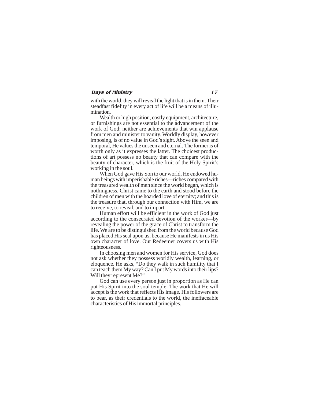### **Days of Ministry**

with the world, they will reveal the light that is in them. Their steadfast fidelity in every act of life will be a means of illumination.

Wealth or high position, costly equipment, architecture, or furnishings are not essential to the advancement of the work of God; neither are achievements that win applause from men and minister to vanity. Worldly display, however imposing, is of no value in God's sight. Above the seen and temporal, He values the unseen and eternal. The former is of worth only as it expresses the latter. The choicest productions of art possess no beauty that can compare with the beauty of character, which is the fruit of the Holy Spirit's working in the soul.

When God gave His Son to our world, He endowed human beings with imperishable riches—riches compared with the treasured wealth of men since the world began, which is nothingness. Christ came to the earth and stood before the children of men with the hoarded love of eternity; and this is the treasure that, through our connection with Him, we are to receive, to reveal, and to impart.

Human effort will be efficient in the work of God just according to the consecrated devotion of the worker—by revealing the power of the grace of Christ to transform the life. We are to be distinguished from the world because God has placed His seal upon us, because He manifests in us His own character of love. Our Redeemer covers us with His righteousness.

In choosing men and women for His service, God does not ask whether they possess worldly wealth, learning, or eloquence. He asks, "Do they walk in such humility that I can teach them My way? Can I put My words into their lips? Will they represent Me?"

God can use every person just in proportion as He can put His Spirit into the soul temple. The work that He will accept is the work that reflects His image. His followers are to bear, as their credentials to the world, the ineffaceable characteristics of His immortal principles.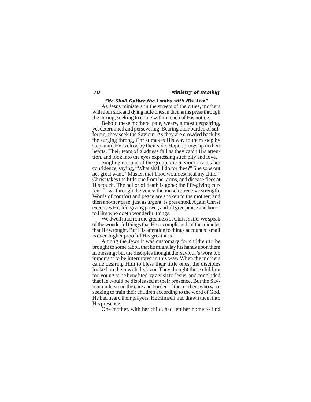#### **"He Shall Gather the Lambs with His Arm"**

As Jesus ministers in the streets of the cities, mothers with their sick and dying little ones in their arms press through the throng, seeking to come within reach of His notice.

Behold these mothers, pale, weary, almost despairing, yet determined and persevering. Bearing their burden of suffering, they seek the Saviour. As they are crowded back by the surging throng, Christ makes His way to them step by step, until He is close by their side. Hope springs up in their hearts. Their tears of gladness fall as they catch His attention, and look into the eyes expressing such pity and love.

Singling out one of the group, the Saviour invites her confidence, saying, "What shall I do for thee?" She sobs out her great want, "Master, that Thou wouldest heal my child." Christ takes the little one from her arms, and disease flees at His touch. The pallor of death is gone; the life-giving current flows through the veins; the muscles receive strength. Words of comfort and peace are spoken to the mother; and then another case, just as urgent, is presented. Again Christ exercises His life-giving power, and all give praise and honor to Him who doeth wonderful things.

We dwell much on the greatness of Christ's life. We speak of the wonderful things that He accomplished, of the miracles that He wrought. But His attention to things accounted small is even higher proof of His greatness.

Among the Jews it was customary for children to be brought to some rabbi, that he might lay his hands upon them in blessing; but the disciples thought the Saviour's work too important to be interrupted in this way. When the mothers came desiring Him to bless their little ones, the disciples looked on them with disfavor. They thought these children too young to be benefited by a visit to Jesus, and concluded that He would be displeased at their presence. But the Saviour understood the care and burden of the mothers who were seeking to train their children according to the word of God. He had heard their prayers. He Himself had drawn them into His presence.

One mother, with her child, had left her home to find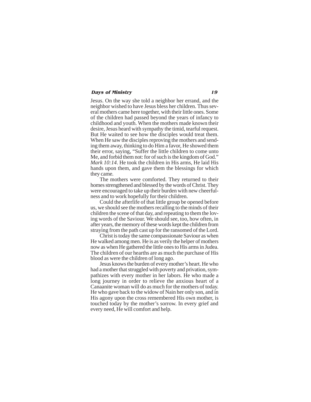#### **Days of Ministry**

Jesus. On the way she told a neighbor her errand, and the neighbor wished to have Jesus bless her children. Thus several mothers came here together, with their little ones. Some of the children had passed beyond the years of infancy to childhood and youth. When the mothers made known their desire, Jesus heard with sympathy the timid, tearful request. But He waited to see how the disciples would treat them. When He saw the disciples reproving the mothers and sending them away, thinking to do Him a favor, He showed them their error, saying, "Suffer the little children to come unto Me, and forbid them not: for of such is the kingdom of God." *Mark 10:14*. He took the children in His arms, He laid His hands upon them, and gave them the blessings for which they came.

The mothers were comforted. They returned to their homes strengthened and blessed by the words of Christ. They were encouraged to take up their burden with new cheerfulness and to work hopefully for their children.

Could the afterlife of that little group be opened before us, we should see the mothers recalling to the minds of their children the scene of that day, and repeating to them the loving words of the Saviour. We should see, too, how often, in after years, the memory of these words kept the children from straying from the path cast up for the ransomed of the Lord.

Christ is today the same compassionate Saviour as when He walked among men. He is as verily the helper of mothers now as when He gathered the little ones to His arms in Judea. The children of our hearths are as much the purchase of His blood as were the children of long ago.

Jesus knows the burden of every mother's heart. He who had a mother that struggled with poverty and privation, sympathizes with every mother in her labors. He who made a long journey in order to relieve the anxious heart of a Canaanite woman will do as much for the mothers of today. He who gave back to the widow of Nain her only son, and in His agony upon the cross remembered His own mother, is touched today by the mother's sorrow. In every grief and every need, He will comfort and help.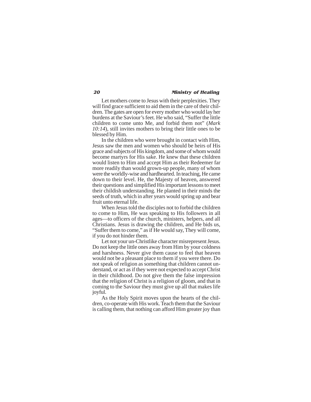Let mothers come to Jesus with their perplexities. They will find grace sufficient to aid them in the care of their children. The gates are open for every mother who would lay her burdens at the Saviour's feet. He who said, "Suffer the little children to come unto Me, and forbid them not" (*Mark 10:14*), still invites mothers to bring their little ones to be blessed by Him.

In the children who were brought in contact with Him, Jesus saw the men and women who should be heirs of His grace and subjects of His kingdom, and some of whom would become martyrs for His sake. He knew that these children would listen to Him and accept Him as their Redeemer far more readily than would grown-up people, many of whom were the worldly-wise and hardhearted. In teaching, He came down to their level. He, the Majesty of heaven, answered their questions and simplified His important lessons to meet their childish understanding. He planted in their minds the seeds of truth, which in after years would spring up and bear fruit unto eternal life.

When Jesus told the disciples not to forbid the children to come to Him, He was speaking to His followers in all ages—to officers of the church, ministers, helpers, and all Christians. Jesus is drawing the children, and He bids us, "Suffer them to come," as if He would say, They will come, if you do not hinder them.

Let not your un-Christlike character misrepresent Jesus. Do not keep the little ones away from Him by your coldness and harshness. Never give them cause to feel that heaven would not be a pleasant place to them if you were there. Do not speak of religion as something that children cannot understand, or act as if they were not expected to accept Christ in their childhood. Do not give them the false impression that the religion of Christ is a religion of gloom, and that in coming to the Saviour they must give up all that makes life joyful.

As the Holy Spirit moves upon the hearts of the children, co-operate with His work. Teach them that the Saviour is calling them, that nothing can afford Him greater joy than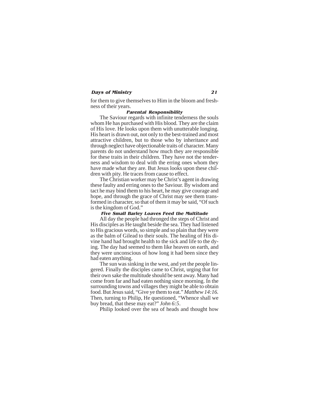#### **Days of Ministry**

for them to give themselves to Him in the bloom and freshness of their years.

#### **Parental Responsibility**

The Saviour regards with infinite tenderness the souls whom He has purchased with His blood. They are the claim of His love. He looks upon them with unutterable longing. His heart is drawn out, not only to the best-trained and most attractive children, but to those who by inheritance and through neglect have objectionable traits of character. Many parents do not understand how much they are responsible for these traits in their children. They have not the tenderness and wisdom to deal with the erring ones whom they have made what they are. But Jesus looks upon these children with pity. He traces from cause to effect.

The Christian worker may be Christ's agent in drawing these faulty and erring ones to the Saviour. By wisdom and tact he may bind them to his heart, he may give courage and hope, and through the grace of Christ may see them transformed in character, so that of them it may be said, "Of such is the kingdom of God."

### **Five Small Barley Loaves Feed the Multitude**

All day the people had thronged the steps of Christ and His disciples as He taught beside the sea. They had listened to His gracious words, so simple and so plain that they were as the balm of Gilead to their souls. The healing of His divine hand had brought health to the sick and life to the dying. The day had seemed to them like heaven on earth, and they were unconscious of how long it had been since they had eaten anything.

The sun was sinking in the west, and yet the people lingered. Finally the disciples came to Christ, urging that for their own sake the multitude should be sent away. Many had come from far and had eaten nothing since morning. In the surrounding towns and villages they might be able to obtain food. But Jesus said, "Give ye them to eat." *Matthew 14:16.* Then, turning to Philip, He questioned, "Whence shall we buy bread, that these may eat?" *John 6:5*.

Philip looked over the sea of heads and thought how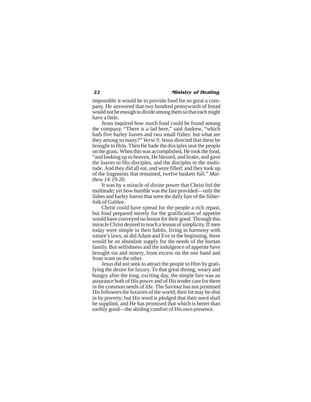impossible it would be to provide food for so great a company. He answered that two hundred pennyworth of bread would not be enough to divide among them so that each might have a little.

Jesus inquired how much food could be found among the company. "There is a lad here," said Andrew, "which hath five barley loaves and two small fishes: but what are they among so many?" *Verse 9*. Jesus directed that these be brought to Him. Then He bade the disciples seat the people on the grass. When this was accomplished, He took the food, "and looking up to heaven, He blessed, and brake, and gave the loaves to His disciples, and the disciples to the multitude. And they did all eat, and were filled: and they took up of the fragments that remained, twelve baskets full." *Matthew 14:19-20.*

It was by a miracle of divine power that Christ fed the multitude; yet how humble was the fare provided—only the fishes and barley loaves that were the daily fare of the fisherfolk of Galilee.

Christ could have spread for the people a rich repast, but food prepared merely for the gratification of appetite would have conveyed no lesson for their good. Through this miracle Christ desired to teach a lesson of simplicity. If men today were simple in their habits, living in harmony with nature's laws, as did Adam and Eve in the beginning, there would be an abundant supply for the needs of the human family. But selfishness and the indulgence of appetite have brought sin and misery, from excess on the one hand and from want on the other.

Jesus did not seek to attract the people to Him by gratifying the desire for luxury. To that great throng, weary and hungry after the long, exciting day, the simple fare was an assurance both of His power and of His tender care for them in the common needs of life. The Saviour has not promised His followers the luxuries of the world; their lot may be shut in by poverty; but His word is pledged that their need shall be supplied, and He has promised that which is better than earthly good—the abiding comfort of His own presence.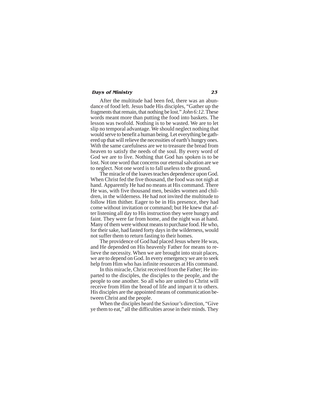#### **Days of Ministry**

After the multitude had been fed, there was an abundance of food left. Jesus bade His disciples, "Gather up the fragments that remain, that nothing be lost." *John 6:12*. These words meant more than putting the food into baskets. The lesson was twofold. Nothing is to be wasted. We are to let slip no temporal advantage. We should neglect nothing that would serve to benefit a human being. Let everything be gathered up that will relieve the necessities of earth's hungry ones. With the same carefulness are we to treasure the bread from heaven to satisfy the needs of the soul. By every word of God we are to live. Nothing that God has spoken is to be lost. Not one word that concerns our eternal salvation are we to neglect. Not one word is to fall useless to the ground.

The miracle of the loaves teaches dependence upon God. When Christ fed the five thousand, the food was not nigh at hand. Apparently He had no means at His command. There He was, with five thousand men, besides women and children, in the wilderness. He had not invited the multitude to follow Him thither. Eager to be in His presence, they had come without invitation or command; but He knew that after listening all day to His instruction they were hungry and faint. They were far from home, and the night was at hand. Many of them were without means to purchase food. He who, for their sake, had fasted forty days in the wilderness, would not suffer them to return fasting to their homes.

The providence of God had placed Jesus where He was, and He depended on His heavenly Father for means to relieve the necessity. When we are brought into strait places, we are to depend on God. In every emergency we are to seek help from Him who has infinite resources at His command.

In this miracle, Christ received from the Father; He imparted to the disciples, the disciples to the people, and the people to one another. So all who are united to Christ will receive from Him the bread of life and impart it to others. His disciples are the appointed means of communication between Christ and the people.

When the disciples heard the Saviour's direction, "Give ye them to eat," all the difficulties arose in their minds. They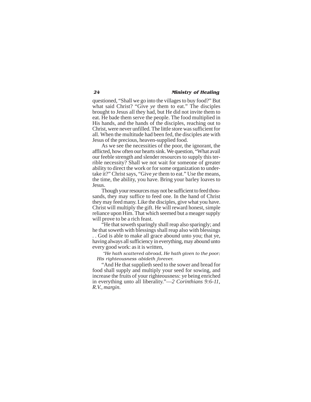questioned, "Shall we go into the villages to buy food?" But what said Christ? "Give *ye* them to eat." The disciples brought to Jesus all they had, but He did not invite them to eat. He bade them serve the people. The food multiplied in His hands, and the hands of the disciples, reaching out to Christ, were never unfilled. The little store was sufficient for all. When the multitude had been fed, the disciples ate with Jesus of the precious, heaven-supplied food.

As we see the necessities of the poor, the ignorant, the afflicted, how often our hearts sink. We question, "What avail our feeble strength and slender resources to supply this terrible necessity? Shall we not wait for someone of greater ability to direct the work or for some organization to undertake it?" Christ says, "Give *ye* them to eat." Use the means, the time, the ability, you have. Bring your barley loaves to Jesus.

Though your resources may not be sufficient to feed thousands, they may suffice to feed one. In the hand of Christ they may feed many. Like the disciples, give what you have. Christ will multiply the gift. He will reward honest, simple reliance upon Him. That which seemed but a meager supply will prove to be a rich feast.

"He that soweth sparingly shall reap also sparingly; and he that soweth with blessings shall reap also with blessings . . God is able to make all grace abound unto you; that ye, having always all sufficiency in everything, may abound unto every good work: as it is written,

*"He hath scattered abroad, He hath given to the poor; His righteousness abideth forever.*

"And He that supplieth seed to the sower and bread for food shall supply and multiply your seed for sowing, and increase the fruits of your righteousness: ye being enriched in everything unto all liberality."—*2 Corinthians 9:6-11, R.V., margin.*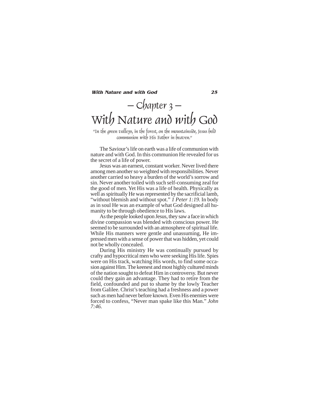**With Nature and with God**

 $-\mathsf{C}$ hapter 3  $-$ With Nature and with God

"In the green valleys, in the forest, on the mountainside, Jesus held communion with His Father in heaven."

The Saviour's life on earth was a life of communion with nature and with God. In this communion He revealed for us the secret of a life of power.

Jesus was an earnest, constant worker. Never lived there among men another so weighted with responsibilities. Never another carried so heavy a burden of the world's sorrow and sin. Never another toiled with such self-consuming zeal for the good of men. Yet His was a life of health. Physically as well as spiritually He was represented by the sacrificial lamb, "without blemish and without spot." *1 Peter 1:19*. In body as in soul He was an example of what God designed all humanity to be through obedience to His laws.

As the people looked upon Jesus, they saw a face in which divine compassion was blended with conscious power. He seemed to be surrounded with an atmosphere of spiritual life. While His manners were gentle and unassuming, He impressed men with a sense of power that was hidden, yet could not be wholly concealed.

During His ministry He was continually pursued by crafty and hypocritical men who were seeking His life. Spies were on His track, watching His words, to find some occasion against Him. The keenest and most highly cultured minds of the nation sought to defeat Him in controversy. But never could they gain an advantage. They had to retire from the field, confounded and put to shame by the lowly Teacher from Galilee. Christ's teaching had a freshness and a power such as men had never before known. Even His enemies were forced to confess, "Never man spake like this Man." *John 7:46.*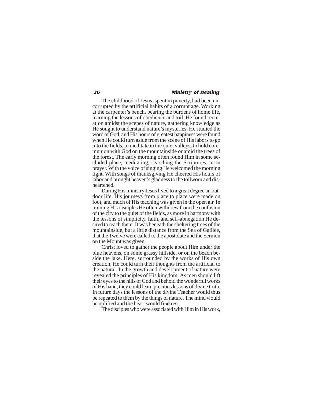The childhood of Jesus, spent in poverty, had been uncorrupted by the artificial habits of a corrupt age. Working at the carpenter's bench, bearing the burdens of home life, learning the lessons of obedience and toil, He found recreation amidst the scenes of nature, gathering knowledge as He sought to understand nature's mysteries. He studied the word of God, and His hours of greatest happiness were found when He could turn aside from the scene of His labors to go into the fields, to meditate in the quiet valleys, to hold communion with God on the mountainside or amid the trees of the forest. The early morning often found Him in some secluded place, meditating, searching the Scriptures, or in prayer. With the voice of singing He welcomed the morning light. With songs of thanksgiving He cheered His hours of labor and brought heaven's gladness to the toilworn and disheartened.

During His ministry Jesus lived to a great degree an outdoor life. His journeys from place to place were made on foot, and much of His teaching was given in the open air. In training His disciples He often withdrew from the confusion of the city to the quiet of the fields, as more in harmony with the lessons of simplicity, faith, and self-abnegation He desired to teach them. It was beneath the sheltering trees of the mountainside, but a little distance from the Sea of Galilee, that the Twelve were called to the apostolate and the Sermon on the Mount was given.

Christ loved to gather the people about Him under the blue heavens, on some grassy hillside, or on the beach beside the lake. Here, surrounded by the works of His own creation, He could turn their thoughts from the artificial to the natural. In the growth and development of nature were revealed the principles of His kingdom. As men should lift their eyes to the hills of God and behold the wonderful works of His hand, they could learn precious lessons of divine truth. In future days the lessons of the divine Teacher would thus be repeated to them by the things of nature. The mind would be uplifted and the heart would find rest.

The disciples who were associated with Him in His work,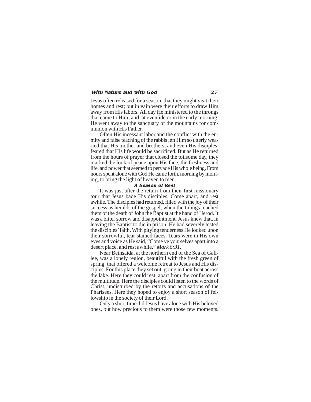#### **With Nature and with God**

Jesus often released for a season, that they might visit their homes and rest; but in vain were their efforts to draw Him away from His labors. All day He ministered to the throngs that came to Him; and, at eventide or in the early morning, He went away to the sanctuary of the mountains for communion with His Father.

Often His incessant labor and the conflict with the enmity and false teaching of the rabbis left Him so utterly wearied that His mother and brothers, and even His disciples, feared that His life would be sacrificed. But as He returned from the hours of prayer that closed the toilsome day, they marked the look of peace upon His face, the freshness and life, and power that seemed to pervade His whole being. From hours spent alone with God He came forth, morning by morning, to bring the light of heaven to men.

#### **A Season of Rest**

It was just after the return from their first missionary tour that Jesus bade His disciples, Come apart, and rest awhile. The disciples had returned, filled with the joy of their success as heralds of the gospel, when the tidings reached them of the death of John the Baptist at the hand of Herod. It was a bitter sorrow and disappointment. Jesus knew that, in leaving the Baptist to die in prison, He had severely tested the disciples' faith. With pitying tenderness He looked upon their sorrowful, tear-stained faces. Tears were in His own eyes and voice as He said, "Come ye yourselves apart into a desert place, and rest awhile." *Mark 6:31*.

Near Bethsaida, at the northern end of the Sea of Galilee, was a lonely region, beautiful with the fresh green of spring, that offered a welcome retreat to Jesus and His disciples. For this place they set out, going in their boat across the lake. Here they could rest, apart from the confusion of the multitude. Here the disciples could listen to the words of Christ, undisturbed by the retorts and accusations of the Pharisees. Here they hoped to enjoy a short season of fellowship in the society of their Lord.

Only a short time did Jesus have alone with His beloved ones, but how precious to them were those few moments.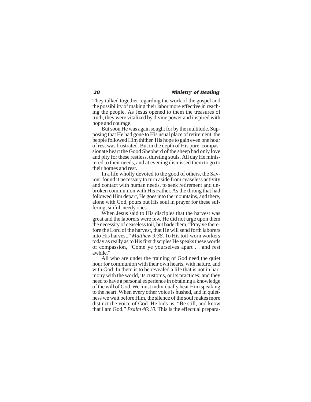They talked together regarding the work of the gospel and the possibility of making their labor more effective in reaching the people. As Jesus opened to them the treasures of truth, they were vitalized by divine power and inspired with hope and courage.

But soon He was again sought for by the multitude. Supposing that He had gone to His usual place of retirement, the people followed Him thither. His hope to gain even one hour of rest was frustrated. But in the depth of His pure, compassionate heart the Good Shepherd of the sheep had only love and pity for these restless, thirsting souls. All day He ministered to their needs, and at evening dismissed them to go to their homes and rest.

In a life wholly devoted to the good of others, the Saviour found it necessary to turn aside from ceaseless activity and contact with human needs, to seek retirement and unbroken communion with His Father. As the throng that had followed Him depart, He goes into the mountains, and there, alone with God, pours out His soul in prayer for these suffering, sinful, needy ones.

When Jesus said to His disciples that the harvest was great and the laborers were few, He did not urge upon them the necessity of ceaseless toil, but bade them, "Pray ye therefore the Lord of the harvest, that He will send forth laborers into His harvest." *Matthew 9:38*. To His toil-worn workers today as really as to His first disciples He speaks these words of compassion, "Come ye yourselves apart . . and rest awhile."

All who are under the training of God need the quiet hour for communion with their own hearts, with nature, and with God. In them is to be revealed a life that is not in harmony with the world, its customs, or its practices; and they need to have a personal experience in obtaining a knowledge of the will of God. We must individually hear Him speaking to the heart. When every other voice is hushed, and in quietness we wait before Him, the silence of the soul makes more distinct the voice of God. He bids us, "Be still, and know that I am God." *Psalm 46:10*. This is the effectual prepara-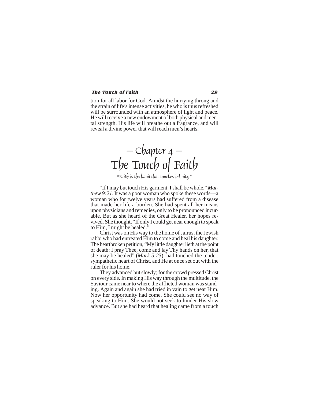#### **The Touch of Faith**

tion for all labor for God. Amidst the hurrying throng and the strain of life's intense activities, he who is thus refreshed will be surrounded with an atmosphere of light and peace. He will receive a new endowment of both physical and mental strength. His life will breathe out a fragrance, and will reveal a divine power that will reach men's hearts.

– Chapter 4 – The Touch of Faith

"Faith is the hand that touches infinity."

"If I may but touch His garment, I shall be whole." *Matthew 9:21*. It was a poor woman who spoke these words—a woman who for twelve years had suffered from a disease that made her life a burden. She had spent all her means upon physicians and remedies, only to be pronounced incurable. But as she heard of the Great Healer, her hopes revived. She thought, "If only I could get near enough to speak to Him, I might be healed."

Christ was on His way to the home of Jairus, the Jewish rabbi who had entreated Him to come and heal his daughter. The heartbroken petition, "My little daughter lieth at the point of death: I pray Thee, come and lay Thy hands on her, that she may be healed" (*Mark 5:23*), had touched the tender, sympathetic heart of Christ, and He at once set out with the ruler for his home.

They advanced but slowly; for the crowd pressed Christ on every side. In making His way through the multitude, the Saviour came near to where the afflicted woman was standing. Again and again she had tried in vain to get near Him. Now her opportunity had come. She could see no way of speaking to Him. She would not seek to hinder His slow advance. But she had heard that healing came from a touch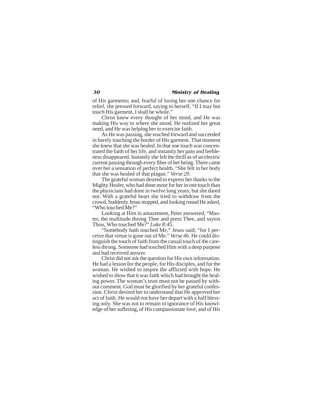of His garments; and, fearful of losing her one chance for relief, she pressed forward, saying to herself, "If I may but touch His garment, I shall be whole."

Christ knew every thought of her mind, and He was making His way to where she stood. He realized her great need, and He was helping her to exercise faith.

As He was passing, she reached forward and succeeded in barely touching the border of His garment. That moment she knew that she was healed. In that one touch was concentrated the faith of her life, and instantly her pain and feebleness disappeared. Instantly she felt the thrill as of an electric current passing through every fiber of her being. There came over her a sensation of perfect health. "She felt in her body that she was healed of that plague." *Verse 29*.

The grateful woman desired to express her thanks to the Mighty Healer, who had done more for her in one touch than the physicians had done in twelve long years; but she dared not. With a grateful heart she tried to withdraw from the crowd. Suddenly Jesus stopped, and looking round He asked, "Who touched Me?"

Looking at Him in amazement, Peter answered, "Master, the multitude throng Thee and press Thee, and sayest Thou, Who touched Me?" *Luke 8:45*.

"Somebody hath touched Me," Jesus said; "for I perceive that virtue is gone out of Me." *Verse 46*. He could distinguish the touch of faith from the casual touch of the careless throng. Someone had touched Him with a deep purpose and had received answer.

Christ did not ask the question for His own information. He had a lesson for the people, for His disciples, and for the woman. He wished to inspire the afflicted with hope. He wished to show that it was faith which had brought the healing power. The woman's trust must not be passed by without comment. God must be glorified by her grateful confession. Christ desired her to understand that He approved her act of faith. He would not have her depart with a half blessing only. She was not to remain in ignorance of His knowledge of her suffering, of His compassionate love, and of His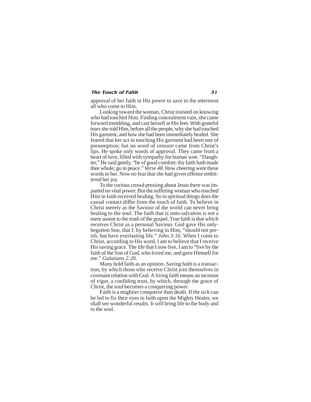#### **The Touch of Faith**

approval of her faith in His power to save to the uttermost all who come to Him.

Looking toward the woman, Christ insisted on knowing who had touched Him. Finding concealment vain, she came forward trembling, and cast herself at His feet. With grateful tears she told Him, before all the people, why she had touched His garment, and how she had been immediately healed. She feared that her act in touching His garment had been one of presumption; but no word of censure came from Christ's lips. He spoke only words of approval. They came from a heart of love, filled with sympathy for human woe. "Daughter," He said gently, "be of good comfort: thy faith hath made thee whole; go in peace." *Verse 48*. How cheering were these words to her. Now no fear that she had given offense embittered her joy.

To the curious crowd pressing about Jesus there was imparted no vital power. But the suffering woman who touched Him in faith received healing. So in spiritual things does the casual contact differ from the touch of faith. To believe in Christ merely as the Saviour of the world can never bring healing to the soul. The faith that is unto salvation is not a mere assent to the truth of the gospel. True faith is that which receives Christ as a personal Saviour. God gave His onlybegotten Son, that *I*, by believing in Him, "should not perish, but have everlasting life." *John 3:16*. When I come to Christ, according to His word, I am to believe that I receive His saving grace. The life that I now live, I am to "live by the faith of the Son of God, who loved me, and gave Himself for me." *Galatians 2:20*.

Many hold faith as an opinion. Saving faith is a transaction, by which those who receive Christ join themselves in covenant relation with God. A living faith means an increase of vigor, a confiding trust, by which, through the grace of Christ, the soul becomes a conquering power.

Faith is a mightier conqueror than death. If the sick can be led to fix their eyes in faith upon the Mighty Healer, we shall see wonderful results. It will bring life to the body and to the soul.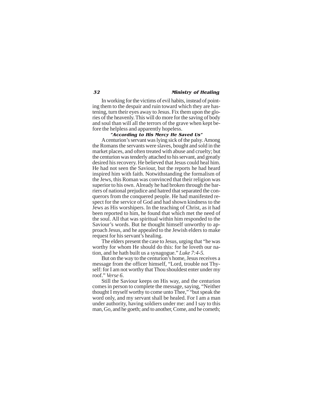In working for the victims of evil habits, instead of pointing them to the despair and ruin toward which they are hastening, turn their eyes away to Jesus. Fix them upon the glories of the heavenly. This will do more for the saving of body and soul than will all the terrors of the grave when kept before the helpless and apparently hopeless.

#### **"According to His Mercy He Saved Us"**

A centurion's servant was lying sick of the palsy. Among the Romans the servants were slaves, bought and sold in the market places, and often treated with abuse and cruelty; but the centurion was tenderly attached to his servant, and greatly desired his recovery. He believed that Jesus could heal him. He had not seen the Saviour, but the reports he had heard inspired him with faith. Notwithstanding the formalism of the Jews, this Roman was convinced that their religion was superior to his own. Already he had broken through the barriers of national prejudice and hatred that separated the conquerors from the conquered people. He had manifested respect for the service of God and had shown kindness to the Jews as His worshipers. In the teaching of Christ, as it had been reported to him, he found that which met the need of the soul. All that was spiritual within him responded to the Saviour's words. But he thought himself unworthy to approach Jesus, and he appealed to the Jewish elders to make request for his servant's healing.

The elders present the case to Jesus, urging that "he was worthy for whom He should do this: for he loveth our nation, and he hath built us a synagogue." *Luke 7:4-5.*

But on the way to the centurion's home, Jesus receives a message from the officer himself, "Lord, trouble not Thyself: for I am not worthy that Thou shouldest enter under my roof." *Verse 6*.

Still the Saviour keeps on His way, and the centurion comes in person to complete the message, saying, "Neither thought I myself worthy to come unto Thee," "but speak the word only, and my servant shall be healed. For I am a man under authority, having soldiers under me: and I say to this man, Go, and he goeth; and to another, Come, and he cometh;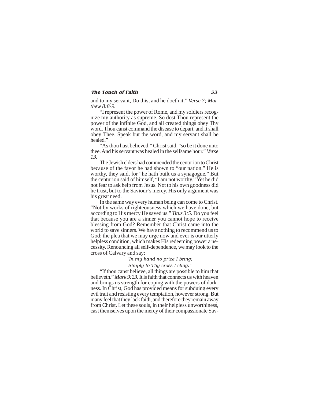#### **The Touch of Faith**

and to my servant, Do this, and he doeth it." *Verse 7; Matthew 8:8-9.*

"I represent the power of Rome, and my soldiers recognize my authority as supreme. So dost Thou represent the power of the infinite God, and all created things obey Thy word. Thou canst command the disease to depart, and it shall obey Thee. Speak but the word, and my servant shall be healed."

"As thou hast believed," Christ said, "so be it done unto thee. And his servant was healed in the selfsame hour." *Verse 13.*

The Jewish elders had commended the centurion to Christ because of the favor he had shown to "our nation." He is worthy, they said, for "he hath built us a synagogue." But the centurion said of himself, "I am not worthy." Yet he did not fear to ask help from Jesus. Not to his own goodness did he trust, but to the Saviour's mercy. His only argument was his great need.

In the same way every human being can come to Christ. "Not by works of righteousness which we have done, but according to His mercy He saved us." *Titus 3:5.* Do you feel that because you are a sinner you cannot hope to receive blessing from God? Remember that Christ came into the world to save sinners. We have nothing to recommend us to God; the plea that we may urge now and ever is our utterly helpless condition, which makes His redeeming power a necessity. Renouncing all self-dependence, we may look to the cross of Calvary and say:

*"In my hand no price I bring;*

*Simply to Thy cross I cling."*

"If thou canst believe, all things are possible to him that believeth." *Mark 9:23*. It is faith that connects us with heaven and brings us strength for coping with the powers of darkness. In Christ, God has provided means for subduing every evil trait and resisting every temptation, however strong. But many feel that they lack faith, and therefore they remain away from Christ. Let these souls, in their helpless unworthiness, cast themselves upon the mercy of their compassionate Sav-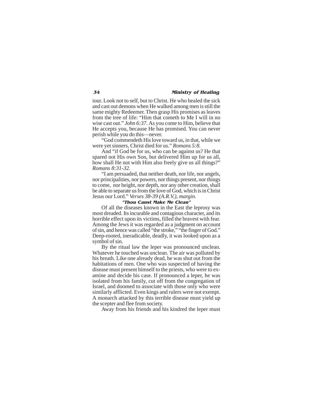iour. Look not to self, but to Christ. He who healed the sick and cast out demons when He walked among men is still the same mighty Redeemer. Then grasp His promises as leaves from the tree of life: "Him that cometh to Me I will in no wise cast out." *John 6:37*. As you come to Him, believe that He accepts you, because He has promised. You can never perish while you do this—never.

"God commendeth His love toward us, in that, while we were yet sinners, Christ died for us." *Romans 5:8*.

And "if God be for us, who can be against us? He that spared not His own Son, but delivered Him up for us all, how shall He not with Him also freely give us all things?" *Romans 8:31-32.*

"I am persuaded, that neither death, nor life, nor angels, nor principalities, nor powers, nor things present, nor things to come, nor height, nor depth, nor any other creation, shall be able to separate us from the love of God, which is in Christ Jesus our Lord." *Verses 38-39 (A.R.V.), margin.*

### **"Thou Canst Make Me Clean"**

Of all the diseases known in the East the leprosy was most dreaded. Its incurable and contagious character, and its horrible effect upon its victims, filled the bravest with fear. Among the Jews it was regarded as a judgment on account of sin, and hence was called "the stroke," "the finger of God." Deep-rooted, ineradicable, deadly, it was looked upon as a symbol of sin.

By the ritual law the leper was pronounced unclean. Whatever he touched was unclean. The air was polluted by his breath. Like one already dead, he was shut out from the habitations of men. One who was suspected of having the disease must present himself to the priests, who were to examine and decide his case. If pronounced a leper, he was isolated from his family, cut off from the congregation of Israel, and doomed to associate with those only who were similarly afflicted. Even kings and rulers were not exempt. A monarch attacked by this terrible disease must yield up the scepter and flee from society.

Away from his friends and his kindred the leper must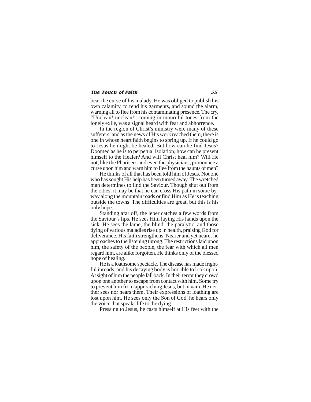### **The Touch of Faith**

bear the curse of his malady. He was obliged to publish his own calamity, to rend his garments, and sound the alarm, warning all to flee from his contaminating presence. The cry, "Unclean! unclean!" coming in mournful tones from the lonely exile, was a signal heard with fear and abhorrence.

In the region of Christ's ministry were many of these sufferers; and as the news of His work reached them, there is one in whose heart faith begins to spring up. If he could go to Jesus he might be healed. But how can he find Jesus? Doomed as he is to perpetual isolation, how can he present himself to the Healer? And will Christ heal him? Will He not, like the Pharisees and even the physicians, pronounce a curse upon him and warn him to flee from the haunts of men?

He thinks of all that has been told him of Jesus. Not one who has sought His help has been turned away. The wretched man determines to find the Saviour. Though shut out from the cities, it may be that he can cross His path in some byway along the mountain roads or find Him as He is teaching outside the towns. The difficulties are great, but this is his only hope.

Standing afar off, the leper catches a few words from the Saviour's lips. He sees Him laying His hands upon the sick. He sees the lame, the blind, the paralytic, and those dying of various maladies rise up in health, praising God for deliverance. His faith strengthens. Nearer and yet nearer he approaches to the listening throng. The restrictions laid upon him, the safety of the people, the fear with which all men regard him, are alike forgotten. He thinks only of the blessed hope of healing.

He is a loathsome spectacle. The disease has made frightful inroads, and his decaying body is horrible to look upon. At sight of him the people fall back. In their terror they crowd upon one another to escape from contact with him. Some try to prevent him from approaching Jesus, but in vain. He neither sees nor hears them. Their expressions of loathing are lost upon him. He sees only the Son of God, he hears only the voice that speaks life to the dying.

Pressing to Jesus, he casts himself at His feet with the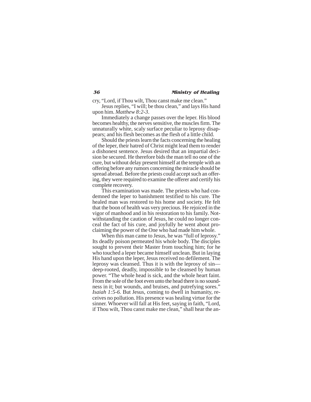cry, "Lord, if Thou wilt, Thou canst make me clean."

Jesus replies, "I will; be thou clean," and lays His hand upon him. *Matthew 8:2-3*.

Immediately a change passes over the leper. His blood becomes healthy, the nerves sensitive, the muscles firm. The unnaturally white, scaly surface peculiar to leprosy disappears; and his flesh becomes as the flesh of a little child.

Should the priests learn the facts concerning the healing of the leper, their hatred of Christ might lead them to render a dishonest sentence. Jesus desired that an impartial decision be secured. He therefore bids the man tell no one of the cure, but without delay present himself at the temple with an offering before any rumors concerning the miracle should be spread abroad. Before the priests could accept such an offering, they were required to examine the offerer and certify his complete recovery.

This examination was made. The priests who had condemned the leper to banishment testified to his cure. The healed man was restored to his home and society. He felt that the boon of health was very precious. He rejoiced in the vigor of manhood and in his restoration to his family. Notwithstanding the caution of Jesus, he could no longer conceal the fact of his cure, and joyfully he went about proclaiming the power of the One who had made him whole.

When this man came to Jesus, he was "full of leprosy." Its deadly poison permeated his whole body. The disciples sought to prevent their Master from touching him; for he who touched a leper became himself unclean. But in laying His hand upon the leper, Jesus received no defilement. The leprosy was cleansed. Thus it is with the leprosy of sin deep-rooted, deadly, impossible to be cleansed by human power. "The whole head is sick, and the whole heart faint. From the sole of the foot even unto the head there is no soundness in it; but wounds, and bruises, and putrefying sores." *Isaiah 1:5-6.* But Jesus, coming to dwell in humanity, receives no pollution. His presence was healing virtue for the sinner. Whoever will fall at His feet, saying in faith, "Lord, if Thou wilt, Thou canst make me clean," shall hear the an-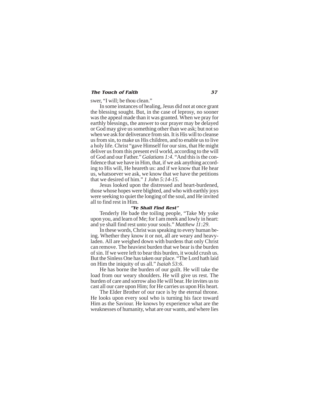#### **The Touch of Faith**

swer, "I will; be thou clean."

In some instances of healing, Jesus did not at once grant the blessing sought. But, in the case of leprosy, no sooner was the appeal made than it was granted. When we pray for earthly blessings, the answer to our prayer may be delayed or God may give us something other than we ask; but not so when we ask for deliverance from sin. It is His will to cleanse us from sin, to make us His children, and to enable us to live a holy life. Christ "gave Himself for our sins, that He might deliver us from this present evil world, according to the will of God and our Father." *Galatians 1:4*. "And this is the confidence that we have in Him, that, if we ask anything according to His will, He heareth us: and if we know that He hear us, whatsoever we ask, we know that we have the petitions that we desired of him." *1 John 5:14-15*.

Jesus looked upon the distressed and heart-burdened, those whose hopes were blighted, and who with earthly joys were seeking to quiet the longing of the soul, and He invited all to find rest in Him.

#### **"Ye Shall Find Rest"**

Tenderly He bade the toiling people, "Take My yoke upon you, and learn of Me; for I am meek and lowly in heart: and ye shall find rest unto your souls." *Matthew 11:29*.

In these words, Christ was speaking to every human being. Whether they know it or not, all are weary and heavyladen. All are weighed down with burdens that only Christ can remove. The heaviest burden that we bear is the burden of sin. If we were left to bear this burden, it would crush us. But the Sinless One has taken our place. "The Lord hath laid on Him the iniquity of us all." *Isaiah 53:6*.

He has borne the burden of our guilt. He will take the load from our weary shoulders. He will give us rest. The burden of care and sorrow also He will bear. He invites us to cast all our care upon Him; for He carries us upon His heart.

The Elder Brother of our race is by the eternal throne. He looks upon every soul who is turning his face toward Him as the Saviour. He knows by experience what are the weaknesses of humanity, what are our wants, and where lies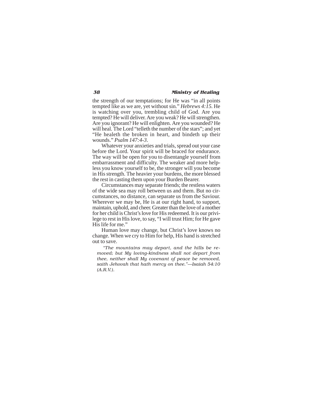the strength of our temptations; for He was "in all points tempted like as we are, yet without sin." *Hebrews 4:15*. He is watching over you, trembling child of God. Are you tempted? He will deliver. Are you weak? He will strengthen. Are you ignorant? He will enlighten. Are you wounded? He will heal. The Lord "telleth the number of the stars"; and yet "He healeth the broken in heart, and bindeth up their wounds." *Psalm 147:4-3*.

Whatever your anxieties and trials, spread out your case before the Lord. Your spirit will be braced for endurance. The way will be open for you to disentangle yourself from embarrassment and difficulty. The weaker and more helpless you know yourself to be, the stronger will you become in His strength. The heavier your burdens, the more blessed the rest in casting them upon your Burden Bearer.

Circumstances may separate friends; the restless waters of the wide sea may roll between us and them. But no circumstances, no distance, can separate us from the Saviour. Wherever we may be, He is at our right hand, to support, maintain, uphold, and cheer. Greater than the love of a mother for her child is Christ's love for His redeemed. It is our privilege to rest in His love, to say, "I will trust Him; for He gave His life for me."

Human love may change, but Christ's love knows no change. When we cry to Him for help, His hand is stretched out to save.

*"The mountains may depart, and the hills be removed; but My loving-kindness shall not depart from thee, neither shall My covenant of peace be removed, saith Jehovah that hath mercy on thee."—Isaiah 54:10 (A.R.V.).*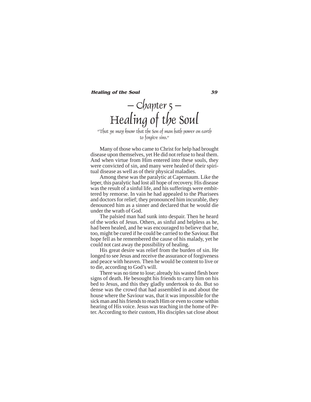**Healing of the Soul**

 $-\mathsf{C}$ hapter 5 – Healing of the Soul

"That ye may know that the Son of man hath power on earth to forgive sins."

Many of those who came to Christ for help had brought disease upon themselves, yet He did not refuse to heal them. And when virtue from Him entered into these souls, they were convicted of sin, and many were healed of their spiritual disease as well as of their physical maladies.

Among these was the paralytic at Capernaum. Like the leper, this paralytic had lost all hope of recovery. His disease was the result of a sinful life, and his sufferings were embittered by remorse. In vain he had appealed to the Pharisees and doctors for relief; they pronounced him incurable, they denounced him as a sinner and declared that he would die under the wrath of God.

The palsied man had sunk into despair. Then he heard of the works of Jesus. Others, as sinful and helpless as he, had been healed, and he was encouraged to believe that he, too, might be cured if he could be carried to the Saviour. But hope fell as he remembered the cause of his malady, yet he could not cast away the possibility of healing.

His great desire was relief from the burden of sin. He longed to see Jesus and receive the assurance of forgiveness and peace with heaven. Then he would be content to live or to die, according to God's will.

There was no time to lose; already his wasted flesh bore signs of death. He besought his friends to carry him on his bed to Jesus, and this they gladly undertook to do. But so dense was the crowd that had assembled in and about the house where the Saviour was, that it was impossible for the sick man and his friends to reach Him or even to come within hearing of His voice. Jesus was teaching in the home of Peter. According to their custom, His disciples sat close about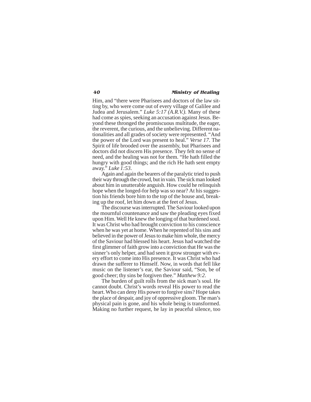Him, and "there were Pharisees and doctors of the law sitting by, who were come out of every village of Galilee and Judea and Jerusalem." *Luke 5:17 (A.R.V.).* Many of these had come as spies, seeking an accusation against Jesus. Beyond these thronged the promiscuous multitude, the eager, the reverent, the curious, and the unbelieving. Different nationalities and all grades of society were represented. "And the power of the Lord was present to heal." *Verse 17*. The Spirit of life brooded over the assembly, but Pharisees and doctors did not discern His presence. They felt no sense of need, and the healing was not for them. "He hath filled the hungry with good things; and the rich He hath sent empty away." *Luke 1:53*.

Again and again the bearers of the paralytic tried to push their way through the crowd, but in vain. The sick man looked about him in unutterable anguish. How could he relinquish hope when the longed-for help was so near? At his suggestion his friends bore him to the top of the house and, breaking up the roof, let him down at the feet of Jesus.

The discourse was interrupted. The Saviour looked upon the mournful countenance and saw the pleading eyes fixed upon Him. Well He knew the longing of that burdened soul. It was Christ who had brought conviction to his conscience when he was yet at home. When he repented of his sins and believed in the power of Jesus to make him whole, the mercy of the Saviour had blessed his heart. Jesus had watched the first glimmer of faith grow into a conviction that He was the sinner's only helper, and had seen it grow stronger with every effort to come into His presence. It was Christ who had drawn the sufferer to Himself. Now, in words that fell like music on the listener's ear, the Saviour said, "Son, be of good cheer; thy sins be forgiven thee." *Matthew 9:2*.

The burden of guilt rolls from the sick man's soul. He cannot doubt. Christ's words reveal His power to read the heart. Who can deny His power to forgive sins? Hope takes the place of despair, and joy of oppressive gloom. The man's physical pain is gone, and his whole being is transformed. Making no further request, he lay in peaceful silence, too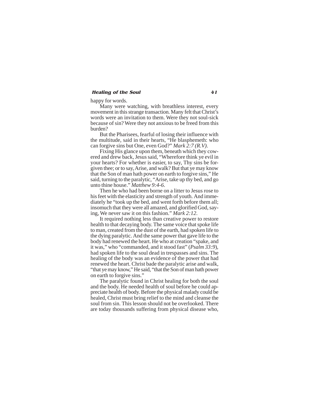#### **Healing of the Soul**

happy for words.

Many were watching, with breathless interest, every movement in this strange transaction. Many felt that Christ's words were an invitation to them. Were they not soul-sick because of sin? Were they not anxious to be freed from this burden?

But the Pharisees, fearful of losing their influence with the multitude, said in their hearts, "He blasphemeth: who can forgive sins but One, even God?" *Mark 2:7 (R.V)*.

Fixing His glance upon them, beneath which they cowered and drew back, Jesus said, "Wherefore think ye evil in your hearts? For whether is easier, to say, Thy sins be forgiven thee; or to say, Arise, and walk? But that ye may know that the Son of man hath power on earth to forgive sins," He said, turning to the paralytic, "Arise, take up thy bed, and go unto thine house." *Matthew 9:4-6*.

Then he who had been borne on a litter to Jesus rose to his feet with the elasticity and strength of youth. And immediately he "took up the bed, and went forth before them all; insomuch that they were all amazed, and glorified God, saying, We never saw it on this fashion." *Mark 2:12*.

It required nothing less than creative power to restore health to that decaying body. The same voice that spoke life to man, created from the dust of the earth, had spoken life to the dying paralytic. And the same power that gave life to the body had renewed the heart. He who at creation "spake, and it was," who "commanded, and it stood fast" (*Psalm 33:9*), had spoken life to the soul dead in trespasses and sins. The healing of the body was an evidence of the power that had renewed the heart. Christ bade the paralytic arise and walk, "that ye may know," He said, "that the Son of man hath power on earth to forgive sins."

The paralytic found in Christ healing for both the soul and the body. He needed health of soul before he could appreciate health of body. Before the physical malady could be healed, Christ must bring relief to the mind and cleanse the soul from sin. This lesson should not be overlooked. There are today thousands suffering from physical disease who,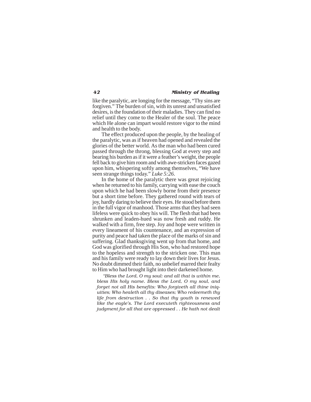like the paralytic, are longing for the message, "Thy sins are forgiven." The burden of sin, with its unrest and unsatisfied desires, is the foundation of their maladies. They can find no relief until they come to the Healer of the soul. The peace which He alone can impart would restore vigor to the mind and health to the body.

The effect produced upon the people, by the healing of the paralytic, was as if heaven had opened and revealed the glories of the better world. As the man who had been cured passed through the throng, blessing God at every step and bearing his burden as if it were a feather's weight, the people fell back to give him room and with awe-stricken faces gazed upon him, whispering softly among themselves, "We have seen strange things today." *Luke 5:26*.

In the home of the paralytic there was great rejoicing when he returned to his family, carrying with ease the couch upon which he had been slowly borne from their presence but a short time before. They gathered round with tears of joy, hardly daring to believe their eyes. He stood before them in the full vigor of manhood. Those arms that they had seen lifeless were quick to obey his will. The flesh that had been shrunken and leaden-hued was now fresh and ruddy. He walked with a firm, free step. Joy and hope were written in every lineament of his countenance, and an expression of purity and peace had taken the place of the marks of sin and suffering. Glad thanksgiving went up from that home, and God was glorified through His Son, who had restored hope to the hopeless and strength to the stricken one. This man and his family were ready to lay down their lives for Jesus. No doubt dimmed their faith, no unbelief marred their fealty to Him who had brought light into their darkened home.

*"Bless the Lord, O my soul: and all that is within me, bless His holy name. Bless the Lord, O my soul, and forget not all His benefits: Who forgiveth all thine iniquities; Who healeth all thy diseases; Who redeemeth thy life from destruction . . So that thy youth is renewed like the eagle's. The Lord executeth righteousness and judgment for all that are oppressed . . He hath not dealt*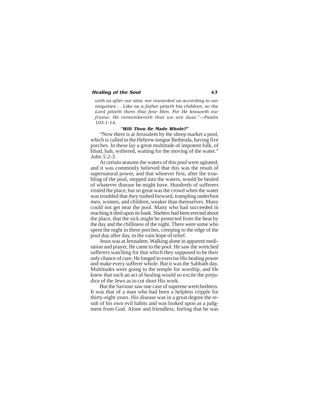#### **Healing of the Soul**

*with us after our sins; nor rewarded us according to our iniquities . . Like as a father pitieth his children, so the Lord pitieth them that fear Him. For He knoweth our frame; He remembereth that we are dust."—Psalm 103:1-14.*

#### **"Wilt Thou Be Made Whole?"**

"Now there is at Jerusalem by the sheep market a pool, which is called in the Hebrew tongue Bethesda, having five porches. In these lay a great multitude of impotent folk, of blind, halt, withered, waiting for the moving of the water." *John 5:2-3.*

At certain seasons the waters of this pool were agitated; and it was commonly believed that this was the result of supernatural power, and that whoever first, after the troubling of the pool, stepped into the waters, would be healed of whatever disease he might have. Hundreds of sufferers visited the place; but so great was the crowd when the water was troubled that they rushed forward, trampling underfoot men, women, and children, weaker than themselves. Many could not get near the pool. Many who had succeeded in reaching it died upon its bank. Shelters had been erected about the place, that the sick might be protected from the heat by the day and the chilliness of the night. There were some who spent the night in these porches, creeping to the edge of the pool day after day, in the vain hope of relief.

Jesus was at Jerusalem. Walking alone in apparent meditation and prayer, He came to the pool. He saw the wretched sufferers watching for that which they supposed to be their only chance of cure. He longed to exercise His healing power and make every sufferer whole. But it was the Sabbath day. Multitudes were going to the temple for worship, and He knew that such an act of healing would so excite the prejudice of the Jews as to cut short His work.

But the Saviour saw one case of supreme wretchedness. It was that of a man who had been a helpless cripple for thirty-eight years. His disease was in a great degree the result of his own evil habits and was looked upon as a judgment from God. Alone and friendless, feeling that he was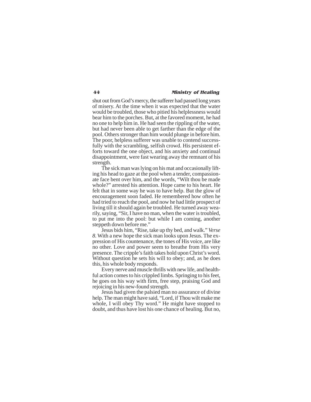shut out from God's mercy, the sufferer had passed long years of misery. At the time when it was expected that the water would be troubled, those who pitied his helplessness would bear him to the porches. But, at the favored moment, he had no one to help him in. He had seen the rippling of the water, but had never been able to get farther than the edge of the pool. Others stronger than him would plunge in before him. The poor, helpless sufferer was unable to contend successfully with the scrambling, selfish crowd. His persistent efforts toward the one object, and his anxiety and continual disappointment, were fast wearing away the remnant of his strength.

The sick man was lying on his mat and occasionally lifting his head to gaze at the pool when a tender, compassionate face bent over him, and the words, "Wilt thou be made whole?" arrested his attention. Hope came to his heart. He felt that in some way he was to have help. But the glow of encouragement soon faded. He remembered how often he had tried to reach the pool, and now he had little prospect of living till it should again be troubled. He turned away wearily, saying, "Sir, I have no man, when the water is troubled, to put me into the pool: but while I am coming, another steppeth down before me."

Jesus bids him, "Rise, take up thy bed, and walk." *Verse 8*. With a new hope the sick man looks upon Jesus. The expression of His countenance, the tones of His voice, are like no other. Love and power seem to breathe from His very presence. The cripple's faith takes hold upon Christ's word. Without question he sets his will to obey; and, as he does this, his whole body responds.

Every nerve and muscle thrills with new life, and healthful action comes to his crippled limbs. Springing to his feet, he goes on his way with firm, free step, praising God and rejoicing in his new-found strength.

Jesus had given the palsied man no assurance of divine help. The man might have said, "Lord, if Thou wilt make me whole, I will obey Thy word." He might have stopped to doubt, and thus have lost his one chance of healing. But no,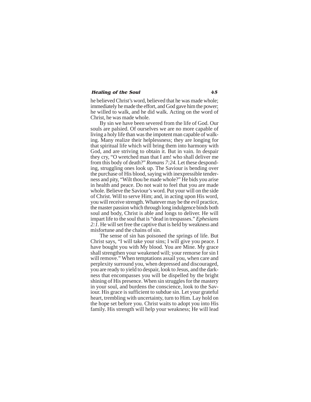#### **Healing of the Soul**

he believed Christ's word, believed that he was made whole; immediately he made the effort, and God gave him the power; he willed to walk, and he did walk. Acting on the word of Christ, he was made whole.

By sin we have been severed from the life of God. Our souls are palsied. Of ourselves we are no more capable of living a holy life than was the impotent man capable of walking. Many realize their helplessness; they are longing for that spiritual life which will bring them into harmony with God, and are striving to obtain it. But in vain. In despair they cry, "O wretched man that I am! who shall deliver me from this body of death?" *Romans 7:24*. Let these desponding, struggling ones look up. The Saviour is bending over the purchase of His blood, saying with inexpressible tenderness and pity, "Wilt thou be made whole?" He bids you arise in health and peace. Do not wait to feel that you are made whole. Believe the Saviour's word. Put your will on the side of Christ. Will to serve Him; and, in acting upon His word, you will receive strength. Whatever may be the evil practice, the master passion which through long indulgence binds both soul and body, Christ is able and longs to deliver. He will impart life to the soul that is "dead in trespasses." *Ephesians 2:1.* He will set free the captive that is held by weakness and misfortune and the chains of sin.

The sense of sin has poisoned the springs of life. But Christ says, "I will take your sins; I will give you peace. I have bought you with My blood. You are Mine. My grace shall strengthen your weakened will; your remorse for sin I will remove." When temptations assail you, when care and perplexity surround you, when depressed and discouraged, you are ready to yield to despair, look to Jesus, and the darkness that encompasses you will be dispelled by the bright shining of His presence. When sin struggles for the mastery in your soul, and burdens the conscience, look to the Saviour. His grace is sufficient to subdue sin. Let your grateful heart, trembling with uncertainty, turn to Him. Lay hold on the hope set before you. Christ waits to adopt you into His family. His strength will help your weakness; He will lead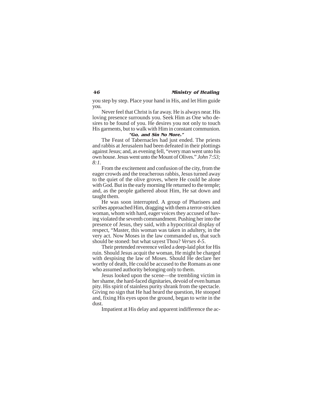you step by step. Place your hand in His, and let Him guide you.

Never feel that Christ is far away. He is always near. His loving presence surrounds you. Seek Him as One who desires to be found of you. He desires you not only to touch His garments, but to walk with Him in constant communion.

### **"Go, and Sin No More."**

The Feast of Tabernacles had just ended. The priests and rabbis at Jerusalem had been defeated in their plottings against Jesus; and, as evening fell, "every man went unto his own house. Jesus went unto the Mount of Olives." *John 7:53; 8:1.*

From the excitement and confusion of the city, from the eager crowds and the treacherous rabbis, Jesus turned away to the quiet of the olive groves, where He could be alone with God. But in the early morning He returned to the temple; and, as the people gathered about Him, He sat down and taught them.

He was soon interrupted. A group of Pharisees and scribes approached Him, dragging with them a terror-stricken woman, whom with hard, eager voices they accused of having violated the seventh commandment. Pushing her into the presence of Jesus, they said, with a hypocritical display of respect, "Master, this woman was taken in adultery, in the very act. Now Moses in the law commanded us, that such should be stoned: but what sayest Thou? *Verses 4-5*.

Their pretended reverence veiled a deep-laid plot for His ruin. Should Jesus acquit the woman, He might be charged with despising the law of Moses. Should He declare her worthy of death, He could be accused to the Romans as one who assumed authority belonging only to them.

Jesus looked upon the scene—the trembling victim in her shame, the hard-faced dignitaries, devoid of even human pity. His spirit of stainless purity shrank from the spectacle. Giving no sign that He had heard the question, He stooped and, fixing His eyes upon the ground, began to write in the dust.

Impatient at His delay and apparent indifference the ac-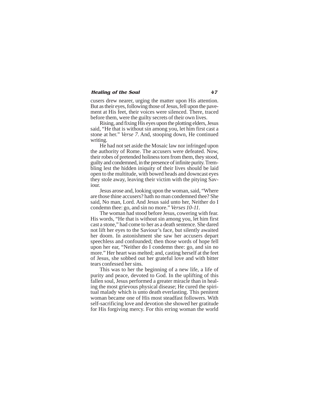### **Healing of the Soul**

cusers drew nearer, urging the matter upon His attention. But as their eyes, following those of Jesus, fell upon the pavement at His feet, their voices were silenced. There, traced before them, were the guilty secrets of their own lives.

Rising, and fixing His eyes upon the plotting elders, Jesus said, "He that is without sin among you, let him first cast a stone at her." *Verse 7*. And, stooping down, He continued writing.

He had not set aside the Mosaic law nor infringed upon the authority of Rome. The accusers were defeated. Now, their robes of pretended holiness torn from them, they stood, guilty and condemned, in the presence of infinite purity. Trembling lest the hidden iniquity of their lives should be laid open to the multitude, with bowed heads and downcast eyes they stole away, leaving their victim with the pitying Saviour.

Jesus arose and, looking upon the woman, said, "Where are those thine accusers? hath no man condemned thee? She said, No man, Lord. And Jesus said unto her, Neither do I condemn thee: go, and sin no more." *Verses 10-11*.

The woman had stood before Jesus, cowering with fear. His words, "He that is without sin among you, let him first cast a stone," had come to her as a death sentence. She dared not lift her eyes to the Saviour's face, but silently awaited her doom. In astonishment she saw her accusers depart speechless and confounded; then those words of hope fell upon her ear, "Neither do I condemn thee: go, and sin no more." Her heart was melted; and, casting herself at the feet of Jesus, she sobbed out her grateful love and with bitter tears confessed her sins.

This was to her the beginning of a new life, a life of purity and peace, devoted to God. In the uplifting of this fallen soul, Jesus performed a greater miracle than in healing the most grievous physical disease; He cured the spiritual malady which is unto death everlasting. This penitent woman became one of His most steadfast followers. With self-sacrificing love and devotion she showed her gratitude for His forgiving mercy. For this erring woman the world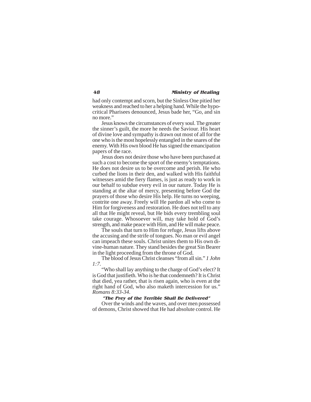had only contempt and scorn, but the Sinless One pitied her weakness and reached to her a helping hand. While the hypocritical Pharisees denounced, Jesus bade her, "Go, and sin no more."

Jesus knows the circumstances of every soul. The greater the sinner's guilt, the more he needs the Saviour. His heart of divine love and sympathy is drawn out most of all for the one who is the most hopelessly entangled in the snares of the enemy. With His own blood He has signed the emancipation papers of the race.

Jesus does not desire those who have been purchased at such a cost to become the sport of the enemy's temptations. He does not desire us to be overcome and perish. He who curbed the lions in their den, and walked with His faithful witnesses amid the fiery flames, is just as ready to work in our behalf to subdue every evil in our nature. Today He is standing at the altar of mercy, presenting before God the prayers of those who desire His help. He turns no weeping, contrite one away. Freely will He pardon all who come to Him for forgiveness and restoration. He does not tell to any all that He might reveal, but He bids every trembling soul take courage. Whosoever will, may take hold of God's strength, and make peace with Him, and He will make peace.

The souls that turn to Him for refuge, Jesus lifts above the accusing and the strife of tongues. No man or evil angel can impeach these souls. Christ unites them to His own divine-human nature. They stand besides the great Sin Bearer in the light proceeding from the throne of God.

The blood of Jesus Christ cleanses "from all sin." *1 John 1:7.*

"Who shall lay anything to the charge of God's elect? It is God that justifieth. Who is he that condemneth? It is Christ that died, yea rather, that is risen again, who is even at the right hand of God, who also maketh intercession for us." *Romans 8:33-34*.

### **"The Prey of the Terrible Shall Be Delivered"**

Over the winds and the waves, and over men possessed of demons, Christ showed that He had absolute control. He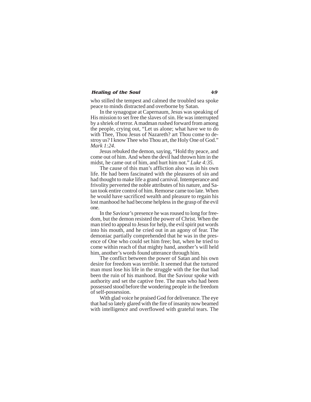### **Healing of the Soul**

who stilled the tempest and calmed the troubled sea spoke peace to minds distracted and overborne by Satan.

In the synagogue at Capernaum, Jesus was speaking of His mission to set free the slaves of sin. He was interrupted by a shriek of terror. A madman rushed forward from among the people, crying out, "Let us alone; what have we to do with Thee, Thou Jesus of Nazareth? art Thou come to destroy us? I know Thee who Thou art, the Holy One of God." *Mark 1:24*.

Jesus rebuked the demon, saying, "Hold thy peace, and come out of him. And when the devil had thrown him in the midst, he came out of him, and hurt him not." *Luke 4:35*.

The cause of this man's affliction also was in his own life. He had been fascinated with the pleasures of sin and had thought to make life a grand carnival. Intemperance and frivolity perverted the noble attributes of his nature, and Satan took entire control of him. Remorse came too late. When he would have sacrificed wealth and pleasure to regain his lost manhood he had become helpless in the grasp of the evil one.

In the Saviour's presence he was roused to long for freedom, but the demon resisted the power of Christ. When the man tried to appeal to Jesus for help, the evil spirit put words into his mouth, and he cried out in an agony of fear. The demoniac partially comprehended that he was in the presence of One who could set him free; but, when he tried to come within reach of that mighty hand, another's will held him, another's words found utterance through him.

The conflict between the power of Satan and his own desire for freedom was terrible. It seemed that the tortured man must lose his life in the struggle with the foe that had been the ruin of his manhood. But the Saviour spoke with authority and set the captive free. The man who had been possessed stood before the wondering people in the freedom of self-possession.

With glad voice he praised God for deliverance. The eye that had so lately glared with the fire of insanity now beamed with intelligence and overflowed with grateful tears. The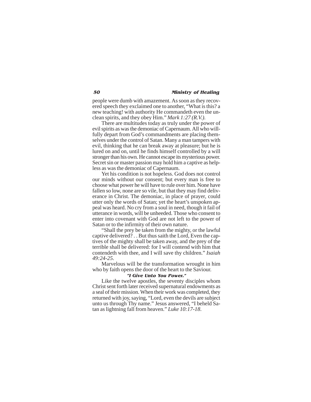people were dumb with amazement. As soon as they recovered speech they exclaimed one to another, "What is this? a new teaching! with authority He commandeth even the unclean spirits, and they obey Him." *Mark 1:27 (R.V.).*

There are multitudes today as truly under the power of evil spirits as was the demoniac of Capernaum. All who willfully depart from God's commandments are placing themselves under the control of Satan. Many a man tampers with evil, thinking that he can break away at pleasure; but he is lured on and on, until he finds himself controlled by a will stronger than his own. He cannot escape its mysterious power. Secret sin or master passion may hold him a captive as helpless as was the demoniac of Capernaum.

Yet his condition is not hopeless. God does not control our minds without our consent; but every man is free to choose what power he will have to rule over him. None have fallen so low, none are so vile, but that they may find deliverance in Christ. The demoniac, in place of prayer, could utter only the words of Satan; yet the heart's unspoken appeal was heard. No cry from a soul in need, though it fail of utterance in words, will be unheeded. Those who consent to enter into covenant with God are not left to the power of Satan or to the infirmity of their own nature.

"Shall the prey be taken from the mighty, or the lawful captive delivered? . . But thus saith the Lord, Even the captives of the mighty shall be taken away, and the prey of the terrible shall be delivered: for I will contend with him that contendeth with thee, and I will save thy children." *Isaiah 49:24-25.*

Marvelous will be the transformation wrought in him who by faith opens the door of the heart to the Saviour.

### **"I Give Unto You Power."**

Like the twelve apostles, the seventy disciples whom Christ sent forth later received supernatural endowments as a seal of their mission. When their work was completed, they returned with joy, saying, "Lord, even the devils are subject unto us through Thy name." Jesus answered, "I beheld Satan as lightning fall from heaven." *Luke 10:17-18*.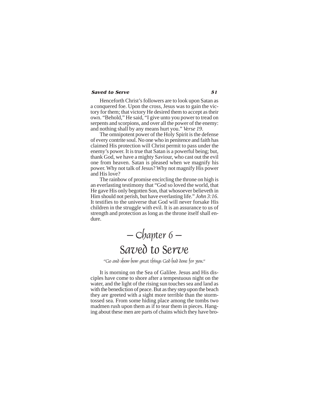#### **Saved to Serve**

Henceforth Christ's followers are to look upon Satan as a conquered foe. Upon the cross, Jesus was to gain the victory for them; that victory He desired them to accept as their own. "Behold," He said, "I give unto you power to tread on serpents and scorpions, and over all the power of the enemy: and nothing shall by any means hurt you." *Verse 19*.

The omnipotent power of the Holy Spirit is the defense of every contrite soul. No one who in penitence and faith has claimed His protection will Christ permit to pass under the enemy's power. It is true that Satan is a powerful being; but, thank God, we have a mighty Saviour, who cast out the evil one from heaven. Satan is pleased when we magnify his power. Why not talk of Jesus? Why not magnify His power and His love?

The rainbow of promise encircling the throne on high is an everlasting testimony that "God so loved the world, that He gave His only begotten Son, that whosoever believeth in Him should not perish, but have everlasting life." *John 3:16*. It testifies to the universe that God will never forsake His children in the struggle with evil. It is an assurance to us of strength and protection as long as the throne itself shall endure.

 $-\mathsf{C}$ hapter 6 –

## Saved to Serve

"Go and show how great things God had done for you."

It is morning on the Sea of Galilee. Jesus and His disciples have come to shore after a tempestuous night on the water, and the light of the rising sun touches sea and land as with the benediction of peace. But as they step upon the beach they are greeted with a sight more terrible than the stormtossed sea. From some hiding place among the tombs two madmen rush upon them as if to tear them in pieces. Hanging about these men are parts of chains which they have bro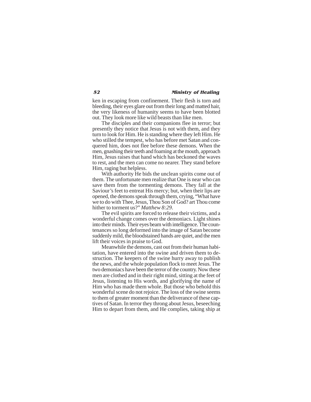ken in escaping from confinement. Their flesh is torn and bleeding, their eyes glare out from their long and matted hair, the very likeness of humanity seems to have been blotted out. They look more like wild beasts than like men.

The disciples and their companions flee in terror; but presently they notice that Jesus is not with them, and they turn to look for Him. He is standing where they left Him. He who stilled the tempest, who has before met Satan and conquered him, does not flee before these demons. When the men, gnashing their teeth and foaming at the mouth, approach Him, Jesus raises that hand which has beckoned the waves to rest, and the men can come no nearer. They stand before Him, raging but helpless.

With authority He bids the unclean spirits come out of them. The unfortunate men realize that One is near who can save them from the tormenting demons. They fall at the Saviour's feet to entreat His mercy; but, when their lips are opened, the demons speak through them, crying, "What have we to do with Thee, Jesus, Thou Son of God? art Thou come hither to torment us?" *Matthew 8:29*.

The evil spirits are forced to release their victims, and a wonderful change comes over the demoniacs. Light shines into their minds. Their eyes beam with intelligence. The countenances so long deformed into the image of Satan become suddenly mild, the bloodstained hands are quiet, and the men lift their voices in praise to God.

Meanwhile the demons, cast out from their human habitation, have entered into the swine and driven them to destruction. The keepers of the swine hurry away to publish the news, and the whole population flock to meet Jesus. The two demoniacs have been the terror of the country. Now these men are clothed and in their right mind, sitting at the feet of Jesus, listening to His words, and glorifying the name of Him who has made them whole. But those who behold this wonderful scene do not rejoice. The loss of the swine seems to them of greater moment than the deliverance of these captives of Satan. In terror they throng about Jesus, beseeching Him to depart from them, and He complies, taking ship at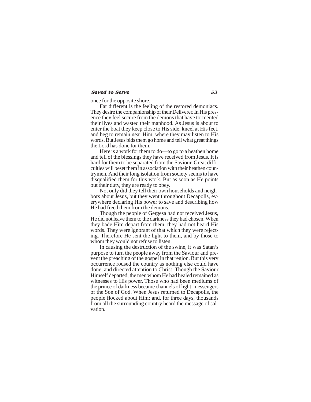#### **Saved to Serve**

once for the opposite shore.

Far different is the feeling of the restored demoniacs. They desire the companionship of their Deliverer. In His presence they feel secure from the demons that have tormented their lives and wasted their manhood. As Jesus is about to enter the boat they keep close to His side, kneel at His feet, and beg to remain near Him, where they may listen to His words. But Jesus bids them go home and tell what great things the Lord has done for them.

Here is a work for them to do—to go to a heathen home and tell of the blessings they have received from Jesus. It is hard for them to be separated from the Saviour. Great difficulties will beset them in association with their heathen countrymen. And their long isolation from society seems to have disqualified them for this work. But as soon as He points out their duty, they are ready to obey.

Not only did they tell their own households and neighbors about Jesus, but they went throughout Decapolis, everywhere declaring His power to save and describing how He had freed them from the demons.

Though the people of Gergesa had not received Jesus, He did not leave them to the darkness they had chosen. When they bade Him depart from them, they had not heard His words. They were ignorant of that which they were rejecting. Therefore He sent the light to them, and by those to whom they would not refuse to listen.

In causing the destruction of the swine, it was Satan's purpose to turn the people away from the Saviour and prevent the preaching of the gospel in that region. But this very occurrence roused the country as nothing else could have done, and directed attention to Christ. Though the Saviour Himself departed, the men whom He had healed remained as witnesses to His power. Those who had been mediums of the prince of darkness became channels of light, messengers of the Son of God. When Jesus returned to Decapolis, the people flocked about Him; and, for three days, thousands from all the surrounding country heard the message of salvation.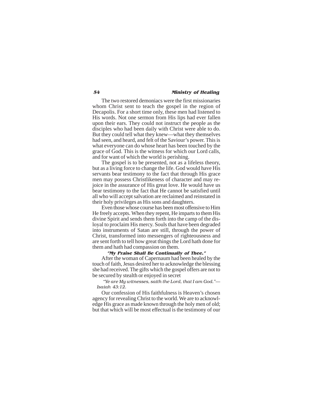The two restored demoniacs were the first missionaries whom Christ sent to teach the gospel in the region of Decapolis. For a short time only, these men had listened to His words. Not one sermon from His lips had ever fallen upon their ears. They could not instruct the people as the disciples who had been daily with Christ were able to do. But they could tell what they knew—what they themselves had seen, and heard, and felt of the Saviour's power. This is what everyone can do whose heart has been touched by the grace of God. This is the witness for which our Lord calls, and for want of which the world is perishing.

The gospel is to be presented, not as a lifeless theory, but as a living force to change the life. God would have His servants bear testimony to the fact that through His grace men may possess Christlikeness of character and may rejoice in the assurance of His great love. He would have us bear testimony to the fact that He cannot be satisfied until all who will accept salvation are reclaimed and reinstated in their holy privileges as His sons and daughters.

Even those whose course has been most offensive to Him He freely accepts. When they repent, He imparts to them His divine Spirit and sends them forth into the camp of the disloyal to proclaim His mercy. Souls that have been degraded into instruments of Satan are still, through the power of Christ, transformed into messengers of righteousness and are sent forth to tell how great things the Lord hath done for them and hath had compassion on them.

### **"My Praise Shall Be Continually of Thee."**

After the woman of Capernaum had been healed by the touch of faith, Jesus desired her to acknowledge the blessing she had received. The gifts which the gospel offers are not to be secured by stealth or enjoyed in secret

*"Ye are My witnesses, saith the Lord, that I am God."— Isaiah 43:12.*

Our confession of His faithfulness is Heaven's chosen agency for revealing Christ to the world. We are to acknowledge His grace as made known through the holy men of old; but that which will be most effectual is the testimony of our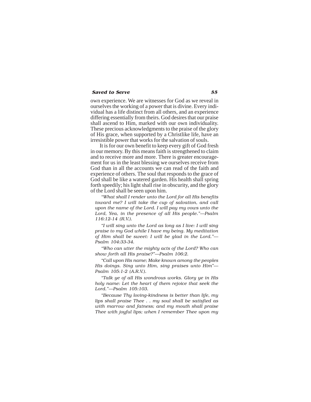#### **Saved to Serve**

own experience. We are witnesses for God as we reveal in ourselves the working of a power that is divine. Every individual has a life distinct from all others, and an experience differing essentially from theirs. God desires that our praise shall ascend to Him, marked with our own individuality. These precious acknowledgments to the praise of the glory of His grace, when supported by a Christlike life, have an irresistible power that works for the salvation of souls.

It is for our own benefit to keep every gift of God fresh in our memory. By this means faith is strengthened to claim and to receive more and more. There is greater encouragement for us in the least blessing we ourselves receive from God than in all the accounts we can read of the faith and experience of others. The soul that responds to the grace of God shall be like a watered garden. His health shall spring forth speedily; his light shall rise in obscurity, and the glory of the Lord shall be seen upon him.

*"What shall I render unto the Lord for all His benefits toward me? I will take the cup of salvation, and call upon the name of the Lord. I will pay my vows unto the Lord, Yea, in the presence of all His people."—Psalm 116:12-14 (R.V.).*

*"I will sing unto the Lord as long as I live: I will sing praise to my God while I have my being. My meditation of Him shall be sweet: I will be glad in the Lord."— Psalm 104:33-34.*

*"Who can utter the mighty acts of the Lord? Who can show forth all His praise?"—Psalm 106:2.*

*"Call upon His name; Make known among the peoples His doings. Sing unto Him, sing praises unto Him"— Psalm 105:1-2 (A.R.V.).*

*"Talk ye of all His wondrous works. Glory ye in His holy name: Let the heart of them rejoice that seek the Lord."—Psalm 105:103.*

*"Because Thy loving-kindness is better than life, my lips shall praise Thee . . my soul shall be satisfied as with marrow and fatness; and my mouth shall praise Thee with joyful lips; when I remember Thee upon my*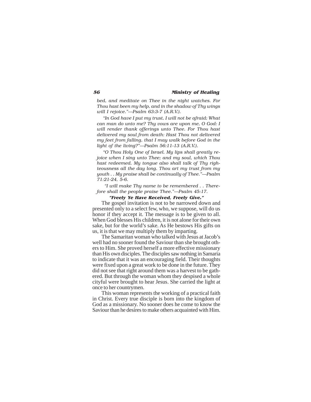*bed, and meditate on Thee in the night watches. For Thou hast been my help, and in the shadow of Thy wings will I rejoice."—Psalm 63:3-7 (A.R.V.).*

*"In God have I put my trust, I will not be afraid; What can man do unto me? Thy vows are upon me, O God: I will render thank offerings unto Thee. For Thou hast delivered my soul from death: Hast Thou not delivered my feet from falling, that I may walk before God in the light of the living?"—Psalm 56:11-13 (A.R.V.).*

*"O Thou Holy One of Israel. My lips shall greatly rejoice when I sing unto Thee; and my soul, which Thou hast redeemed. My tongue also shall talk of Thy righteousness all the day long. Thou art my trust from my youth . . My praise shall be continually of Thee."—Psalm 71:21-24, 5-6.*

 *"I will make Thy name to be remembered . . Therefore shall the people praise Thee."—Psalm 45:17.*

#### **"Freely Ye Have Received, Freely Give."**

The gospel invitation is not to be narrowed down and presented only to a select few, who, we suppose, will do us honor if they accept it. The message is to be given to all. When God blesses His children, it is not alone for their own sake, but for the world's sake. As He bestows His gifts on us, it is that we may multiply them by imparting.

The Samaritan woman who talked with Jesus at Jacob's well had no sooner found the Saviour than she brought others to Him. She proved herself a more effective missionary than His own disciples. The disciples saw nothing in Samaria to indicate that it was an encouraging field. Their thoughts were fixed upon a great work to be done in the future. They did not see that right around them was a harvest to be gathered. But through the woman whom they despised a whole cityful were brought to hear Jesus. She carried the light at once to her countrymen.

This woman represents the working of a practical faith in Christ. Every true disciple is born into the kingdom of God as a missionary. No sooner does he come to know the Saviour than he desires to make others acquainted with Him.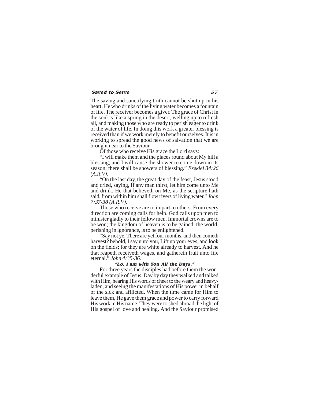### **Saved to Serve**

The saving and sanctifying truth cannot be shut up in his heart. He who drinks of the living water becomes a fountain of life. The receiver becomes a giver. The grace of Christ in the soul is like a spring in the desert, welling up to refresh all, and making those who are ready to perish eager to drink of the water of life. In doing this work a greater blessing is received than if we work merely to benefit ourselves. It is in working to spread the good news of salvation that we are brought near to the Saviour.

Of those who receive His grace the Lord says:

"I will make them and the places round about My hill a blessing; and I will cause the shower to come down in its season; there shall be showers of blessing." *Ezekiel 34:26 (A.R.V).*

"On the last day, the great day of the feast, Jesus stood and cried, saying, If any man thirst, let him come unto Me and drink. He that believeth on Me, as the scripture hath said, from within him shall flow rivers of living water." *John 7:37-38 (A.R.V).*

Those who receive are to impart to others. From every direction are coming calls for help. God calls upon men to minister gladly to their fellow men. Immortal crowns are to be won; the kingdom of heaven is to be gained; the world, perishing in ignorance, is to be enlightened.

"Say not ye, There are yet four months, and then cometh harvest? behold, I say unto you, Lift up your eyes, and look on the fields; for they are white already to harvest. And he that reapeth receiveth wages, and gathereth fruit unto life eternal." *John 4:35-36*.

### **"Lo, I am with You All the Days."**

For three years the disciples had before them the wonderful example of Jesus. Day by day they walked and talked with Him, hearing His words of cheer to the weary and heavyladen, and seeing the manifestations of His power in behalf of the sick and afflicted. When the time came for Him to leave them, He gave them grace and power to carry forward His work in His name. They were to shed abroad the light of His gospel of love and healing. And the Saviour promised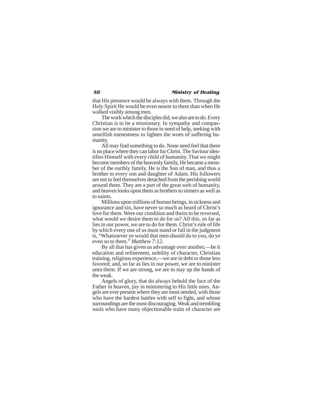that His presence would be always with them. Through the Holy Spirit He would be even nearer to them than when He walked visibly among men.

The work which the disciples did, we also are to do. Every Christian is to be a missionary. In sympathy and compassion we are to minister to those in need of help, seeking with unselfish earnestness to lighten the woes of suffering humanity.

All may find something to do. None need feel that there is no place where they can labor for Christ. The Saviour identifies Himself with every child of humanity. That we might become members of the heavenly family, He became a member of the earthly family. He is the Son of man, and thus a brother to every son and daughter of Adam. His followers are not to feel themselves detached from the perishing world around them. They are a part of the great web of humanity, and heaven looks upon them as brothers to sinners as well as to saints.

Millions upon millions of human beings, in sickness and ignorance and sin, have never so much as heard of Christ's love for them. Were our condition and theirs to be reversed, what would we desire them to do for us? All this, so far as lies in our power, we are to do for them. Christ's rule of life by which every one of us must stand or fall in the judgment is, "Whatsoever ye would that men should do to you, do ye even so to them." *Matthew 7:12*.

By all that has given us advantage over another,—be it education and refinement, nobility of character, Christian training, religious experience,—we are in debt to those less favored; and, so far as lies in our power, we are to minister unto them. If we are strong, we are to stay up the hands of the weak.

Angels of glory, that do always behold the face of the Father in heaven, joy in ministering to His little ones. Angels are ever present where they are most needed, with those who have the hardest battles with self to fight, and whose surroundings are the most discouraging. Weak and trembling souls who have many objectionable traits of character are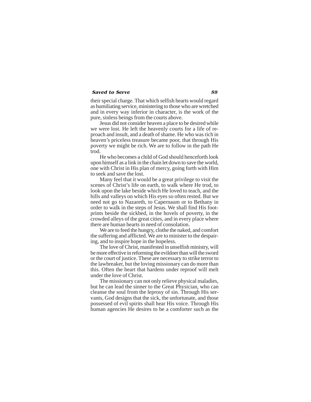### **Saved to Serve**

their special charge. That which selfish hearts would regard as humiliating service, ministering to those who are wretched and in every way inferior in character, is the work of the pure, sinless beings from the courts above.

Jesus did not consider heaven a place to be desired while we were lost. He left the heavenly courts for a life of reproach and insult, and a death of shame. He who was rich in heaven's priceless treasure became poor, that through His poverty we might be rich. We are to follow in the path He trod.

He who becomes a child of God should henceforth look upon himself as a link in the chain let down to save the world, one with Christ in His plan of mercy, going forth with Him to seek and save the lost.

Many feel that it would be a great privilege to visit the scenes of Christ's life on earth, to walk where He trod, to look upon the lake beside which He loved to teach, and the hills and valleys on which His eyes so often rested. But we need not go to Nazareth, to Capernaum or to Bethany in order to walk in the steps of Jesus. We shall find His footprints beside the sickbed, in the hovels of poverty, in the crowded alleys of the great cities, and in every place where there are human hearts in need of consolation.

We are to feed the hungry, clothe the naked, and comfort the suffering and afflicted. We are to minister to the despairing, and to inspire hope in the hopeless.

The love of Christ, manifested in unselfish ministry, will be more effective in reforming the evildoer than will the sword or the court of justice. These are necessary to strike terror to the lawbreaker, but the loving missionary can do more than this. Often the heart that hardens under reproof will melt under the love of Christ.

The missionary can not only relieve physical maladies, but he can lead the sinner to the Great Physician, who can cleanse the soul from the leprosy of sin. Through His servants, God designs that the sick, the unfortunate, and those possessed of evil spirits shall hear His voice. Through His human agencies He desires to be a comforter such as the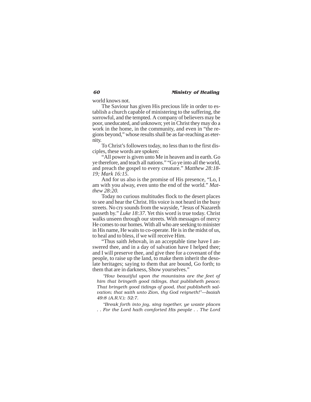world knows not.

The Saviour has given His precious life in order to establish a church capable of ministering to the suffering, the sorrowful, and the tempted. A company of believers may be poor, uneducated, and unknown; yet in Christ they may do a work in the home, in the community, and even in "the regions beyond," whose results shall be as far-reaching as eternity.

To Christ's followers today, no less than to the first disciples, these words are spoken:

"All power is given unto Me in heaven and in earth. Go ye therefore, and teach all nations." "Go ye into all the world, and preach the gospel to every creature." *Matthew 28:18- 19; Mark 16:15.*

And for us also is the promise of His presence, "Lo, I am with you alway, even unto the end of the world." *Matthew 28:20.*

Today no curious multitudes flock to the desert places to see and hear the Christ. His voice is not heard in the busy streets. No cry sounds from the wayside, "Jesus of Nazareth passeth by." *Luke 18:37*. Yet this word is true today. Christ walks unseen through our streets. With messages of mercy He comes to our homes. With all who are seeking to minister in His name, He waits to co-operate. He is in the midst of us, to heal and to bless, if we will receive Him.

"Thus saith Jehovah, in an acceptable time have I answered thee, and in a day of salvation have I helped thee; and I will preserve thee, and give thee for a covenant of the people, to raise up the land, to make them inherit the desolate heritages; saying to them that are bound, Go forth; to them that are in darkness, Show yourselves."

*"How beautiful upon the mountains are the feet of him that bringeth good tidings, that publisheth peace; That bringeth good tidings of good, that publisheth salvation; that saith unto Zion, thy God reigneth!"—Isaiah 49:8 (A.R.V.); 52:7.*

*"Break forth into joy, sing together, ye waste places . . For the Lord hath comforted His people . . The Lord*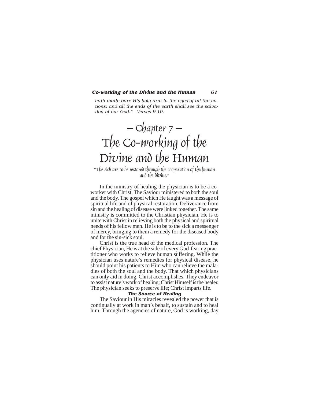#### **Co-working of the Divine and the Human**

*hath made bare His holy arm in the eyes of all the nations; and all the ends of the earth shall see the salvation of our God."—Verses 9-10.*

# $-\mathsf{C}$ hapter 7  $-$ The Co-working of the Divine and the Human

"The sick are to be restored through the cooperation of the human and the divine."

In the ministry of healing the physician is to be a coworker with Christ. The Saviour ministered to both the soul and the body. The gospel which He taught was a message of spiritual life and of physical restoration. Deliverance from sin and the healing of disease were linked together. The same ministry is committed to the Christian physician. He is to unite with Christ in relieving both the physical and spiritual needs of his fellow men. He is to be to the sick a messenger of mercy, bringing to them a remedy for the diseased body and for the sin-sick soul.

Christ is the true head of the medical profession. The chief Physician, He is at the side of every God-fearing practitioner who works to relieve human suffering. While the physician uses nature's remedies for physical disease, he should point his patients to Him who can relieve the maladies of both the soul and the body. That which physicians can only aid in doing, Christ accomplishes. They endeavor to assist nature's work of healing; Christ Himself is the healer. The physician seeks to preserve life; Christ imparts life.

#### **The Source of Healing**

The Saviour in His miracles revealed the power that is continually at work in man's behalf, to sustain and to heal him. Through the agencies of nature, God is working, day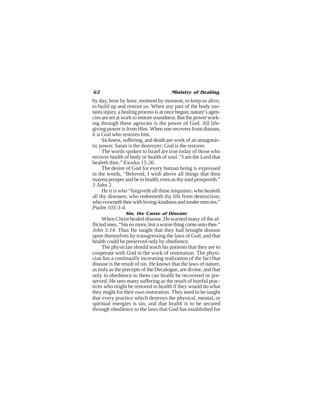by day, hour by hour, moment by moment, to keep us alive, to build up and restore us. When any part of the body sustains injury, a healing process is at once begun; nature's agencies are set at work to restore soundness. But the power working through these agencies is the power of God. All lifegiving power is from Him. When one recovers from disease, it is God who restores him.

Sickness, suffering, and death are work of an antagonistic power. Satan is the destroyer; God is the restorer.

The words spoken to Israel are true today of those who recover health of body or health of soul. "I am the Lord that healeth thee." *Exodus 15:26*.

The desire of God for every human being is expressed in the words, "Beloved, I wish above all things that thou mayest prosper and be in health, even as thy soul prospereth." *3 John 2*.

He it is who "forgiveth all thine iniquities; who healeth all thy diseases; who redeemeth thy life from destruction; who crowneth thee with loving-kindness and tender mercies." *Psalm 103:3-4*.

#### **Sin, the Cause of Disease**

When Christ healed disease, He warned many of the afflicted ones, "Sin no more, lest a worse thing come unto thee." *John 5:14*. Thus He taught that they had brought disease upon themselves by transgressing the laws of God, and that health could be preserved only by obedience.

The physician should teach his patients that they are to cooperate with God in the work of restoration. The physician has a continually increasing realization of the fact that disease is the result of sin. He knows that the laws of nature, as truly as the precepts of the Decalogue, are divine, and that only in obedience to them can health be recovered or preserved. He sees many suffering as the result of hurtful practices who might be restored to health if they would do what they might for their own restoration. They need to be taught that every practice which destroys the physical, mental, or spiritual energies is sin, and that health is to be secured through obedience to the laws that God has established for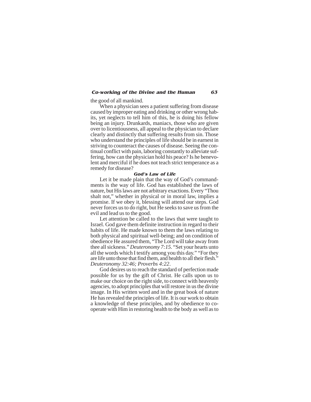the good of all mankind.

When a physician sees a patient suffering from disease caused by improper eating and drinking or other wrong habits, yet neglects to tell him of this, he is doing his fellow being an injury. Drunkards, maniacs, those who are given over to licentiousness, all appeal to the physician to declare clearly and distinctly that suffering results from sin. Those who understand the principles of life should be in earnest in striving to counteract the causes of disease. Seeing the continual conflict with pain, laboring constantly to alleviate suffering, how can the physician hold his peace? Is he benevolent and merciful if he does not teach strict temperance as a remedy for disease?

#### **God's Law of Life**

Let it be made plain that the way of God's commandments is the way of life. God has established the laws of nature, but His laws are not arbitrary exactions. Every "Thou shalt not," whether in physical or in moral law, implies a promise. If we obey it, blessing will attend our steps. God never forces us to do right, but He seeks to save us from the evil and lead us to the good.

Let attention be called to the laws that were taught to Israel. God gave them definite instruction in regard to their habits of life. He made known to them the laws relating to both physical and spiritual well-being; and on condition of obedience He assured them, "The Lord will take away from thee all sickness." *Deuteronomy 7:15*. "Set your hearts unto all the words which I testify among you this day." "For they are life unto those that find them, and health to all their flesh." *Deuteronomy 32:46; Proverbs 4:22*.

God desires us to reach the standard of perfection made possible for us by the gift of Christ. He calls upon us to make our choice on the right side, to connect with heavenly agencies, to adopt principles that will restore in us the divine image. In His written word and in the great book of nature He has revealed the principles of life. It is our work to obtain a knowledge of these principles, and by obedience to cooperate with Him in restoring health to the body as well as to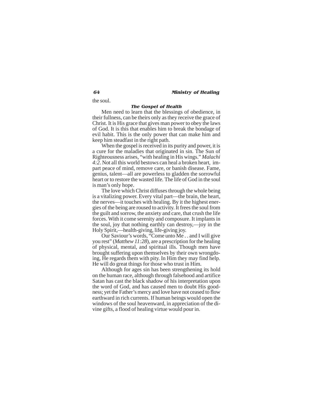the soul.

### **The Gospel of Health**

Men need to learn that the blessings of obedience, in their fullness, can be theirs only as they receive the grace of Christ. It is His grace that gives man power to obey the laws of God. It is this that enables him to break the bondage of evil habit. This is the only power that can make him and keep him steadfast in the right path.

When the gospel is received in its purity and power, it is a cure for the maladies that originated in sin. The Sun of Righteousness arises, "with healing in His wings." *Malachi 4:2*. Not all this world bestows can heal a broken heart, impart peace of mind, remove care, or banish disease. Fame, genius, talent—all are powerless to gladden the sorrowful heart or to restore the wasted life. The life of God in the soul is man's only hope.

The love which Christ diffuses through the whole being is a vitalizing power. Every vital part—the brain, the heart, the nerves—it touches with healing. By it the highest energies of the being are roused to activity. It frees the soul from the guilt and sorrow, the anxiety and care, that crush the life forces. With it come serenity and composure. It implants in the soul, joy that nothing earthly can destroy,—joy in the Holy Spirit,—health-giving, life-giving joy.

Our Saviour's words, "Come unto Me . . and I will give you rest" (*Matthew 11:28*), are a prescription for the healing of physical, mental, and spiritual ills. Though men have brought suffering upon themselves by their own wrongdoing, He regards them with pity. In Him they may find help. He will do great things for those who trust in Him.

Although for ages sin has been strengthening its hold on the human race, although through falsehood and artifice Satan has cast the black shadow of his interpretation upon the word of God, and has caused men to doubt His goodness; yet the Father's mercy and love have not ceased to flow earthward in rich currents. If human beings would open the windows of the soul heavenward, in appreciation of the divine gifts, a flood of healing virtue would pour in.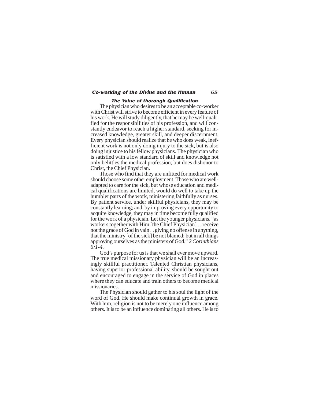#### **Co-working of the Divine and the Human**

#### **The Value of thorough Qualification**

The physician who desires to be an acceptable co-worker with Christ will strive to become efficient in every feature of his work. He will study diligently, that he may be well-qualified for the responsibilities of his profession, and will constantly endeavor to reach a higher standard, seeking for increased knowledge, greater skill, and deeper discernment. Every physician should realize that he who does weak, inefficient work is not only doing injury to the sick, but is also doing injustice to his fellow physicians. The physician who is satisfied with a low standard of skill and knowledge not only belittles the medical profession, but does dishonor to Christ, the Chief Physician.

Those who find that they are unfitted for medical work should choose some other employment. Those who are welladapted to care for the sick, but whose education and medical qualifications are limited, would do well to take up the humbler parts of the work, ministering faithfully as nurses. By patient service, under skillful physicians, they may be constantly learning; and, by improving every opportunity to acquire knowledge, they may in time become fully qualified for the work of a physician. Let the younger physicians, "as workers together with Him [the Chief Physician] . . receive not the grace of God in vain . . giving no offense in anything, that the ministry [of the sick] be not blamed: but in all things approving ourselves as the ministers of God." *2 Corinthians 6:1-4.*

God's purpose for us is that we shall ever move upward. The true medical missionary physician will be an increasingly skillful practitioner. Talented Christian physicians, having superior professional ability, should be sought out and encouraged to engage in the service of God in places where they can educate and train others to become medical missionaries.

The Physician should gather to his soul the light of the word of God. He should make continual growth in grace. With him, religion is not to be merely one influence among others. It is to be an influence dominating all others. He is to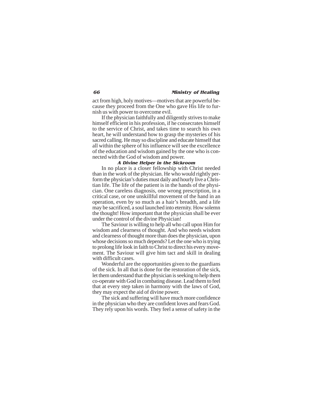act from high, holy motives—motives that are powerful because they proceed from the One who gave His life to furnish us with power to overcome evil.

If the physician faithfully and diligently strives to make himself efficient in his profession, if he consecrates himself to the service of Christ, and takes time to search his own heart, he will understand how to grasp the mysteries of his sacred calling. He may so discipline and educate himself that all within the sphere of his influence will see the excellence of the education and wisdom gained by the one who is connected with the God of wisdom and power.

### **A Divine Helper in the Sickroom**

In no place is a closer fellowship with Christ needed than in the work of the physician. He who would rightly perform the physician's duties must daily and hourly live a Christian life. The life of the patient is in the hands of the physician. One careless diagnosis, one wrong prescription, in a critical case, or one unskillful movement of the hand in an operation, even by so much as a hair's breadth, and a life may be sacrificed, a soul launched into eternity. How solemn the thought! How important that the physician shall be ever under the control of the divine Physician!

The Saviour is willing to help all who call upon Him for wisdom and clearness of thought. And who needs wisdom and clearness of thought more than does the physician, upon whose decisions so much depends? Let the one who is trying to prolong life look in faith to Christ to direct his every movement. The Saviour will give him tact and skill in dealing with difficult cases.

Wonderful are the opportunities given to the guardians of the sick. In all that is done for the restoration of the sick, let them understand that the physician is seeking to help them co-operate with God in combating disease. Lead them to feel that at every step taken in harmony with the laws of God, they may expect the aid of divine power.

The sick and suffering will have much more confidence in the physician who they are confident loves and fears God. They rely upon his words. They feel a sense of safety in the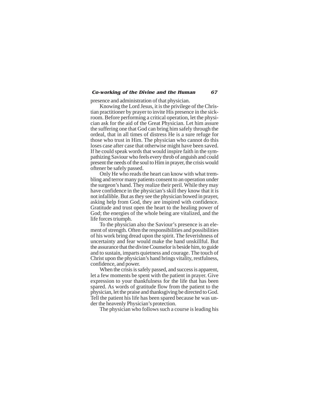### **Co-working of the Divine and the Human**

presence and administration of that physician.

Knowing the Lord Jesus, it is the privilege of the Christian practitioner by prayer to invite His presence in the sickroom. Before performing a critical operation, let the physician ask for the aid of the Great Physician. Let him assure the suffering one that God can bring him safely through the ordeal, that in all times of distress He is a sure refuge for those who trust in Him. The physician who cannot do this loses case after case that otherwise might have been saved. If he could speak words that would inspire faith in the sympathizing Saviour who feels every throb of anguish and could present the needs of the soul to Him in prayer, the crisis would oftener be safely passed.

Only He who reads the heart can know with what trembling and terror many patients consent to an operation under the surgeon's hand. They realize their peril. While they may have confidence in the physician's skill they know that it is not infallible. But as they see the physician bowed in prayer, asking help from God, they are inspired with confidence. Gratitude and trust open the heart to the healing power of God; the energies of the whole being are vitalized, and the life forces triumph.

To the physician also the Saviour's presence is an element of strength. Often the responsibilities and possibilities of his work bring dread upon the spirit. The feverishness of uncertainty and fear would make the hand unskillful. But the assurance that the divine Counselor is beside him, to guide and to sustain, imparts quietness and courage. The touch of Christ upon the physician's hand brings vitality, restfulness, confidence, and power.

When the crisis is safely passed, and success is apparent, let a few moments be spent with the patient in prayer. Give expression to your thankfulness for the life that has been spared. As words of gratitude flow from the patient to the physician, let the praise and thanksgiving be directed to God. Tell the patient his life has been spared because he was under the heavenly Physician's protection.

The physician who follows such a course is leading his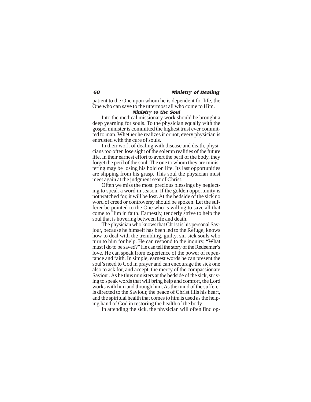patient to the One upon whom he is dependent for life, the One who can save to the uttermost all who come to Him.

#### **Ministry to the Soul**

Into the medical missionary work should be brought a deep yearning for souls. To the physician equally with the gospel minister is committed the highest trust ever committed to man. Whether he realizes it or not, every physician is entrusted with the cure of souls.

In their work of dealing with disease and death, physicians too often lose sight of the solemn realities of the future life. In their earnest effort to avert the peril of the body, they forget the peril of the soul. The one to whom they are ministering may be losing his hold on life. Its last opportunities are slipping from his grasp. This soul the physician must meet again at the judgment seat of Christ.

Often we miss the most precious blessings by neglecting to speak a word in season. If the golden opportunity is not watched for, it will be lost. At the bedside of the sick no word of creed or controversy should be spoken. Let the sufferer be pointed to the One who is willing to save all that come to Him in faith. Earnestly, tenderly strive to help the soul that is hovering between life and death.

The physician who knows that Christ is his personal Saviour, because he himself has been led to the Refuge, knows how to deal with the trembling, guilty, sin-sick souls who turn to him for help. He can respond to the inquiry, "What must I do to be saved?" He can tell the story of the Redeemer's love. He can speak from experience of the power of repentance and faith. In simple, earnest words he can present the soul's need to God in prayer and can encourage the sick one also to ask for, and accept, the mercy of the compassionate Saviour. As he thus ministers at the bedside of the sick, striving to speak words that will bring help and comfort, the Lord works with him and through him. As the mind of the sufferer is directed to the Saviour, the peace of Christ fills his heart, and the spiritual health that comes to him is used as the helping hand of God in restoring the health of the body.

In attending the sick, the physician will often find op-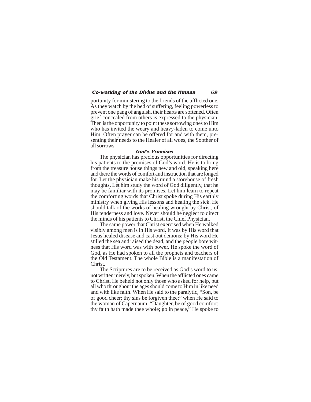#### **Co-working of the Divine and the Human**

portunity for ministering to the friends of the afflicted one. As they watch by the bed of suffering, feeling powerless to prevent one pang of anguish, their hearts are softened. Often grief concealed from others is expressed to the physician. Then is the opportunity to point these sorrowing ones to Him who has invited the weary and heavy-laden to come unto Him. Often prayer can be offered for and with them, presenting their needs to the Healer of all woes, the Soother of all sorrows.

### **God's Promises**

The physician has precious opportunities for directing his patients to the promises of God's word. He is to bring from the treasure house things new and old, speaking here and there the words of comfort and instruction that are longed for. Let the physician make his mind a storehouse of fresh thoughts. Let him study the word of God diligently, that he may be familiar with its promises. Let him learn to repeat the comforting words that Christ spoke during His earthly ministry when giving His lessons and healing the sick. He should talk of the works of healing wrought by Christ, of His tenderness and love. Never should he neglect to direct the minds of his patients to Christ, the Chief Physician.

The same power that Christ exercised when He walked visibly among men is in His word. It was by His word that Jesus healed disease and cast out demons; by His word He stilled the sea and raised the dead, and the people bore witness that His word was with power. He spoke the word of God, as He had spoken to all the prophets and teachers of the Old Testament. The whole Bible is a manifestation of Christ.

The Scriptures are to be received as God's word to us, not written merely, but spoken. When the afflicted ones came to Christ, He beheld not only those who asked for help, but all who throughout the ages should come to Him in like need and with like faith. When He said to the paralytic, "Son, be of good cheer; thy sins be forgiven thee;" when He said to the woman of Capernaum, "Daughter, be of good comfort: thy faith hath made thee whole; go in peace," He spoke to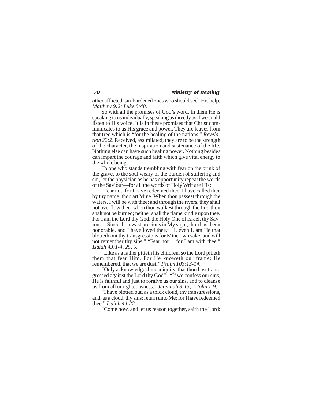other afflicted, sin-burdened ones who should seek His help. *Matthew 9:2; Luke 8:48*.

So with all the promises of God's word. In them He is speaking to us individually, speaking as directly as if we could listen to His voice. It is in these promises that Christ communicates to us His grace and power. They are leaves from that tree which is "for the healing of the nations." *Revelation 22:2*. Received, assimilated, they are to be the strength of the character, the inspiration and sustenance of the life. Nothing else can have such healing power. Nothing besides can impart the courage and faith which give vital energy to the whole being.

To one who stands trembling with fear on the brink of the grave, to the soul weary of the burden of suffering and sin, let the physician as he has opportunity repeat the words of the Saviour—for all the words of Holy Writ are His:

"Fear not: for I have redeemed thee, I have called thee by thy name; thou art Mine. When thou passest through the waters, I will be with thee; and through the rivers, they shall not overflow thee: when thou walkest through the fire, thou shalt not be burned; neither shall the flame kindle upon thee. For I am the Lord thy God, the Holy One of Israel, thy Saviour . . Since thou wast precious in My sight, thou hast been honorable, and I have loved thee." "I, even I, am He that blotteth out thy transgressions for Mine own sake, and will not remember thy sins." "Fear not . . for I am with thee." *Isaiah 43:1-4, 25, 5*.

"Like as a father pitieth his children, so the Lord pitieth them that fear Him. For He knoweth our frame; He remembereth that we are dust." *Psalm 103:13-14*.

"Only acknowledge thine iniquity, that thou hast transgressed against the Lord thy God". ."If we confess our sins, He is faithful and just to forgive us our sins, and to cleanse us from all unrighteousness." *Jeremiah 3:13; 1 John 1:9*.

"I have blotted out, as a thick cloud, thy transgressions, and, as a cloud, thy sins: return unto Me; for I have redeemed thee." *Isaiah 44:22*.

"Come now, and let us reason together, saith the Lord: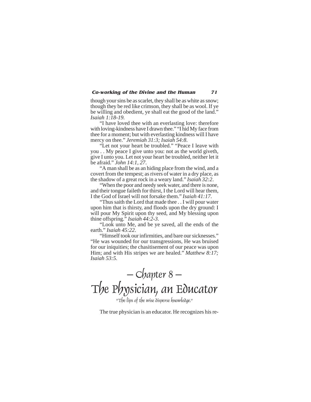### **Co-working of the Divine and the Human**

though your sins be as scarlet, they shall be as white as snow; though they be red like crimson, they shall be as wool. If ye be willing and obedient, ye shall eat the good of the land." *Isaiah 1:18-19*.

"I have loved thee with an everlasting love: therefore with loving-kindness have I drawn thee." "I hid My face from thee for a moment; but with everlasting kindness will I have mercy on thee." *Jeremiah 31:3; Isaiah 54:8*.

"Let not your heart be troubled." "Peace I leave with you . . My peace I give unto you: not as the world giveth, give I unto you. Let not your heart be troubled, neither let it be afraid." *John 14:1, 27*.

"A man shall be as an hiding place from the wind, and a covert from the tempest; as rivers of water in a dry place, as the shadow of a great rock in a weary land." *Isaiah 32:2*.

"When the poor and needy seek water, and there is none, and their tongue faileth for thirst, I the Lord will hear them, I the God of Israel will not forsake them." *Isaiah 41:17*.

"Thus saith the Lord that made thee . . I will pour water upon him that is thirsty, and floods upon the dry ground: I will pour My Spirit upon thy seed, and My blessing upon thine offspring." *Isaiah 44:2-3*.

"Look unto Me, and be ye saved, all the ends of the earth." *Isaiah 45:22*.

"Himself took our infirmities, and bare our sicknesses." "He was wounded for our transgressions, He was bruised for our iniquities; the chasitisement of our peace was upon Him; and with His stripes we are healed." *Matthew 8:17; Isaiah 53:5.*

– Chapter 8 – The Physician, an Educator

"The lips of the wise disperse knowledge."

The true physician is an educator. He recognizes his re-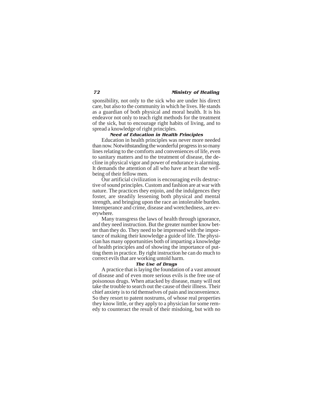sponsibility, not only to the sick who are under his direct care, but also to the community in which he lives. He stands as a guardian of both physical and moral health. It is his endeavor not only to teach right methods for the treatment of the sick, but to encourage right habits of living, and to spread a knowledge of right principles.

#### **Need of Education in Health Principles**

Education in health principles was never more needed than now. Notwithstanding the wonderful progress in so many lines relating to the comforts and conveniences of life, even to sanitary matters and to the treatment of disease, the decline in physical vigor and power of endurance is alarming. It demands the attention of all who have at heart the wellbeing of their fellow men.

Our artificial civilization is encouraging evils destructive of sound principles. Custom and fashion are at war with nature. The practices they enjoin, and the indulgences they foster, are steadily lessening both physical and mental strength, and bringing upon the race an intolerable burden. Intemperance and crime, disease and wretchedness, are everywhere.

Many transgress the laws of health through ignorance, and they need instruction. But the greater number know better than they do. They need to be impressed with the importance of making their knowledge a guide of life. The physician has many opportunities both of imparting a knowledge of health principles and of showing the importance of putting them in practice. By right instruction he can do much to correct evils that are working untold harm.

#### **The Use of Drugs**

A practice that is laying the foundation of a vast amount of disease and of even more serious evils is the free use of poisonous drugs. When attacked by disease, many will not take the trouble to search out the cause of their illness. Their chief anxiety is to rid themselves of pain and inconvenience. So they resort to patent nostrums, of whose real properties they know little, or they apply to a physician for some remedy to counteract the result of their misdoing, but with no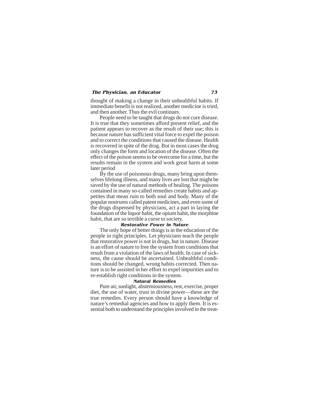### **The Physician, an Educator**

thought of making a change in their unhealthful habits. If immediate benefit is not realized, another medicine is tried, and then another. Thus the evil continues.

People need to be taught that drugs do not cure disease. It is true that they sometimes afford present relief, and the patient appears to recover as the result of their use; this is because nature has sufficient vital force to expel the poison and to correct the conditions that caused the disease. Health is recovered in spite of the drug. But in most cases the drug only changes the form and location of the disease. Often the effect of the poison seems to be overcome for a time, but the results remain in the system and work great harm at some later period

 $\bar{B}y$  the use of poisonous drugs, many bring upon themselves lifelong illness, and many lives are lost that might be saved by the use of natural methods of healing. The poisons contained in many so-called remedies create habits and appetites that mean ruin to both soul and body. Many of the popular nostrums called patent medicines, and even some of the drugs dispensed by physicians, act a part in laying the foundation of the liquor habit, the opium habit, the morphine habit, that are so terrible a curse to society.

# **Restorative Power in Nature**

The only hope of better things is in the education of the people in right principles. Let physicians teach the people that restorative power is not in drugs, but in nature. Disease is an effort of nature to free the system from conditions that result from a violation of the laws of health. In case of sickness, the cause should be ascertained. Unhealthful conditions should be changed, wrong habits corrected. Then nature is to be assisted in her effort to expel impurities and to re-establish right conditions in the system.

### **Natural Remedies**

Pure air, sunlight, abstemiousness, rest, exercise, proper diet, the use of water, trust in divine power—these are the true remedies. Every person should have a knowledge of nature's remedial agencies and how to apply them. It is essential both to understand the principles involved in the treat-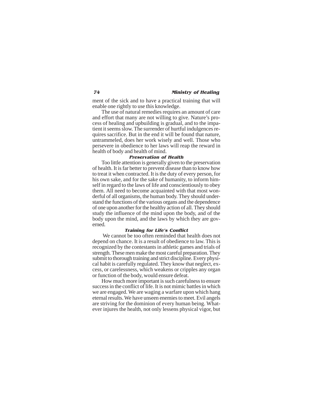ment of the sick and to have a practical training that will enable one rightly to use this knowledge.

The use of natural remedies requires an amount of care and effort that many are not willing to give. Nature's process of healing and upbuilding is gradual, and to the impatient it seems slow. The surrender of hurtful indulgences requires sacrifice. But in the end it will be found that nature, untrammeled, does her work wisely and well. Those who persevere in obedience to her laws will reap the reward in health of body and health of mind.

# **Preservation of Health**

Too little attention is generally given to the preservation of health. It is far better to prevent disease than to know how to treat it when contracted. It is the duty of every person, for his own sake, and for the sake of humanity, to inform himself in regard to the laws of life and conscientiously to obey them. All need to become acquainted with that most wonderful of all organisms, the human body. They should understand the functions of the various organs and the dependence of one upon another for the healthy action of all. They should study the influence of the mind upon the body, and of the body upon the mind, and the laws by which they are governed.

# **Training for Life's Conflict**

 We cannot be too often reminded that health does not depend on chance. It is a result of obedience to law. This is recognized by the contestants in athletic games and trials of strength. These men make the most careful preparation. They submit to thorough training and strict discipline. Every physical habit is carefully regulated. They know that neglect, excess, or carelessness, which weakens or cripples any organ or function of the body, would ensure defeat.

How much more important is such carefulness to ensure success in the conflict of life. It is not mimic battles in which we are engaged. We are waging a warfare upon which hang eternal results. We have unseen enemies to meet. Evil angels are striving for the dominion of every human being. Whatever injures the health, not only lessens physical vigor, but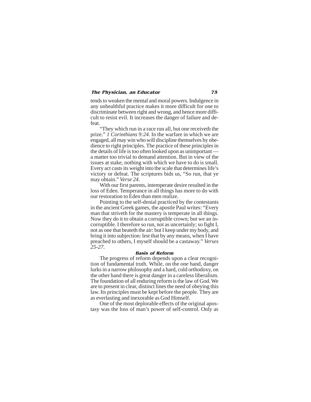# **The Physician, an Educator**

tends to weaken the mental and moral powers. Indulgence in any unhealthful practice makes it more difficult for one to discriminate between right and wrong, and hence more difficult to resist evil. It increases the danger of failure and defeat.

"They which run in a race run all, but one receiveth the prize." *1 Corinthians 9:24.* In the warfare in which we are engaged, all may win who will discipline themselves by obedience to right principles. The practice of these principles in the details of life is too often looked upon as unimportant a matter too trivial to demand attention. But in view of the issues at stake, nothing with which we have to do is small. Every act casts its weight into the scale that determines life's victory or defeat. The scriptures bids us, "So run, that ye may obtain." *Verse 24*.

With our first parents, intemperate desire resulted in the loss of Eden. Temperance in all things has more to do with our restoration to Eden than men realize.

Pointing to the self-denial practiced by the contestants in the ancient Greek games, the apostle Paul writes: "Every man that striveth for the mastery is temperate in all things. Now they do it to obtain a corruptible crown; but we an incorruptible. I therefore so run, not as uncertainly; so fight I, not as one that beateth the air: but I keep under my body, and bring it into subjection: lest that by any means, when I have preached to others, I myself should be a castaway." *Verses 25-27.*

# **Basis of Reform**

The progress of reform depends upon a clear recognition of fundamental truth. While, on the one hand, danger lurks in a narrow philosophy and a hard, cold orthodoxy, on the other hand there is great danger in a careless liberalism. The foundation of all enduring reform is the law of God. We are to present in clear, distinct lines the need of obeying this law. Its principles must be kept before the people. They are as everlasting and inexorable as God Himself.

One of the most deplorable effects of the original apostasy was the loss of man's power of self-control. Only as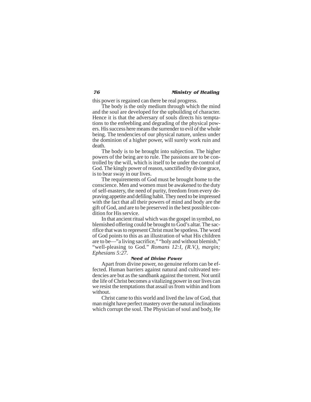this power is regained can there be real progress.

The body is the only medium through which the mind and the soul are developed for the upbuilding of character. Hence it is that the adversary of souls directs his temptations to the enfeebling and degrading of the physical powers. His success here means the surrender to evil of the whole being. The tendencies of our physical nature, unless under the dominion of a higher power, will surely work ruin and death.

The body is to be brought into subjection. The higher powers of the being are to rule. The passions are to be controlled by the will, which is itself to be under the control of God. The kingly power of reason, sanctified by divine grace, is to bear sway in our lives.

The requirements of God must be brought home to the conscience. Men and women must be awakened to the duty of self-mastery, the need of purity, freedom from every depraving appetite and defiling habit. They need to be impressed with the fact that all their powers of mind and body are the gift of God, and are to be preserved in the best possible condition for His service.

In that ancient ritual which was the gospel in symbol, no blemished offering could be brought to God's altar. The sacrifice that was to represent Christ must be spotless. The word of God points to this as an illustration of what His children are to be—"a living sacrifice," "holy and without blemish," "well-pleasing to God." *Romans 12:I, (R.V.), margin; Ephesians 5:27.*

# **Need of Divine Power**

Apart from divine power, no genuine reform can be effected. Human barriers against natural and cultivated tendencies are but as the sandbank against the torrent. Not until the life of Christ becomes a vitalizing power in our lives can we resist the temptations that assail us from within and from without.

Christ came to this world and lived the law of God, that man might have perfect mastery over the natural inclinations which corrupt the soul. The Physician of soul and body, He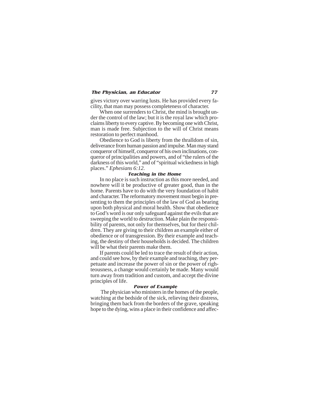### **The Physician, an Educator**

gives victory over warring lusts. He has provided every facility, that man may possess completeness of character.

When one surrenders to Christ, the mind is brought under the control of the law; but it is the royal law which proclaims liberty to every captive. By becoming one with Christ, man is made free. Subjection to the will of Christ means restoration to perfect manhood.

Obedience to God is liberty from the thralldom of sin, deliverance from human passion and impulse. Man may stand conqueror of himself, conqueror of his own inclinations, conqueror of principalities and powers, and of "the rulers of the darkness of this world," and of "spiritual wickedness in high places." *Ephesians 6:12*.

# **Teaching in the Home**

In no place is such instruction as this more needed, and nowhere will it be productive of greater good, than in the home. Parents have to do with the very foundation of habit and character. The reformatory movement must begin in presenting to them the principles of the law of God as bearing upon both physical and moral health. Show that obedience to God's word is our only safeguard against the evils that are sweeping the world to destruction. Make plain the responsibility of parents, not only for themselves, but for their children. They are giving to their children an example either of obedience or of transgression. By their example and teaching, the destiny of their households is decided. The children will be what their parents make them.

If parents could be led to trace the result of their action, and could see how, by their example and teaching, they perpetuate and increase the power of sin or the power of righteousness, a change would certainly be made. Many would turn away from tradition and custom, and accept the divine principles of life.

### **Power of Example**

 The physician who ministers in the homes of the people, watching at the bedside of the sick, relieving their distress, bringing them back from the borders of the grave, speaking hope to the dying, wins a place in their confidence and affec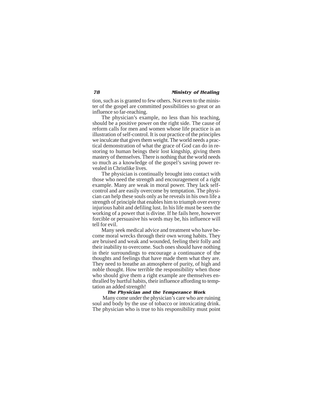tion, such as is granted to few others. Not even to the minister of the gospel are committed possibilities so great or an influence so far-reaching.

The physician's example, no less than his teaching, should be a positive power on the right side. The cause of reform calls for men and women whose life practice is an illustration of self-control. It is our practice of the principles we inculcate that gives them weight. The world needs a practical demonstration of what the grace of God can do in restoring to human beings their lost kingship, giving them mastery of themselves. There is nothing that the world needs so much as a knowledge of the gospel's saving power revealed in Christlike lives.

The physician is continually brought into contact with those who need the strength and encouragement of a right example. Many are weak in moral power. They lack selfcontrol and are easily overcome by temptation. The physician can help these souls only as he reveals in his own life a strength of principle that enables him to triumph over every injurious habit and defiling lust. In his life must be seen the working of a power that is divine. If he fails here, however forcible or persuasive his words may be, his influence will tell for evil.

Many seek medical advice and treatment who have become moral wrecks through their own wrong habits. They are bruised and weak and wounded, feeling their folly and their inability to overcome. Such ones should have nothing in their surroundings to encourage a continuance of the thoughts and feelings that have made them what they are. They need to breathe an atmosphere of purity, of high and noble thought. How terrible the responsibility when those who should give them a right example are themselves enthralled by hurtful habits, their influence affording to temptation an added strength!

## **The Physician and the Temperance Work**

 Many come under the physician's care who are ruining soul and body by the use of tobacco or intoxicating drink. The physician who is true to his responsibility must point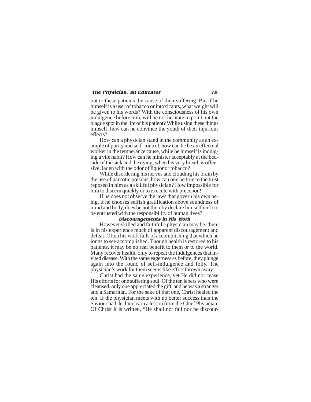### **The Physician, an Educator**

out to these patients the cause of their suffering. But if he himself is a user of tobacco or intoxicants, what weight will be given to his words? With the consciousness of his own indulgence before him, will he not hesitate to point out the plague spot in the life of his patient? While using these things himself, how can he convince the youth of their injurious effects?

How can a physician stand in the community as an example of purity and self-control, how can he be an effectual worker in the temperance cause, while he himself is indulging a vile habit? How can he minister acceptably at the bedside of the sick and the dying, when his very breath is offensive, laden with the odor of liquor or tobacco?

While disordering his nerves and clouding his brain by the use of narcotic poisons, how can one be true to the trust reposed in him as a skillful physician? How impossible for him to discern quickly or to execute with precision!

If he does not observe the laws that govern his own being, if he chooses selfish gratification above soundness of mind and body, does he not thereby declare himself unfit to be entrusted with the responsibility of human lives?

## **Discouragements in His Work**

However skilled and faithful a physician may be, there is in his experience much of apparent discouragement and defeat. Often his work fails of accomplishing that which he longs to see accomplished. Though health is restored to his patients, it may be no real benefit to them or to the world. Many recover health, only to repeat the indulgences that invited disease. With the same eagerness as before, they plunge again into the round of self-indulgence and folly. The physician's work for them seems like effort thrown away.

Christ had the same experience, yet He did not cease His efforts for one suffering soul. Of the ten lepers who were cleansed, only one appreciated the gift, and he was a stranger and a Samaritan. For the sake of that one, Christ healed the ten. If the physician meets with no better success than the Saviour had, let him learn a lesson from the Chief Physician. Of Christ it is written, "He shall not fail nor be discour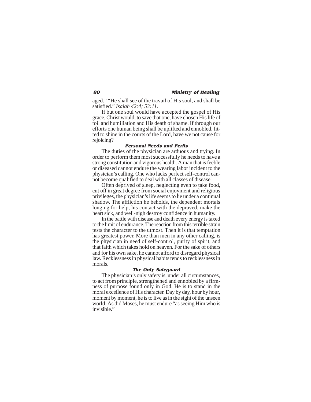aged." "He shall see of the travail of His soul, and shall be satisfied." *Isaiah 42:4; 53:11*.

If but one soul would have accepted the gospel of His grace, Christ would, to save that one, have chosen His life of toil and humiliation and His death of shame. If through our efforts one human being shall be uplifted and ennobled, fitted to shine in the courts of the Lord, have we not cause for rejoicing?

## **Personal Needs and Perils**

The duties of the physician are arduous and trying. In order to perform them most successfully he needs to have a strong constitution and vigorous health. A man that is feeble or diseased cannot endure the wearing labor incident to the physician's calling. One who lacks perfect self-control cannot become qualified to deal with all classes of disease.

Often deprived of sleep, neglecting even to take food, cut off in great degree from social enjoyment and religious privileges, the physician's life seems to lie under a continual shadow. The affliction he beholds, the dependent mortals longing for help, his contact with the depraved, make the heart sick, and well-nigh destroy confidence in humanity.

In the battle with disease and death every energy is taxed to the limit of endurance. The reaction from this terrible strain tests the character to the utmost. Then it is that temptation has greatest power. More than men in any other calling, is the physician in need of self-control, purity of spirit, and that faith which takes hold on heaven. For the sake of others and for his own sake, he cannot afford to disregard physical law. Recklessness in physical habits tends to recklessness in morals.

### **The Only Safeguard**

The physician's only safety is, under all circumstances, to act from principle, strengthened and ennobled by a firmness of purpose found only in God. He is to stand in the moral excellence of His character. Day by day, hour by hour, moment by moment, he is to live as in the sight of the unseen world. As did Moses, he must endure "as seeing Him who is invisible."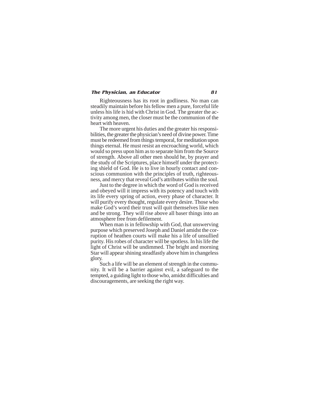### **The Physician, an Educator**

Righteousness has its root in godliness. No man can steadily maintain before his fellow men a pure, forceful life unless his life is hid with Christ in God. The greater the activity among men, the closer must be the communion of the heart with heaven.

The more urgent his duties and the greater his responsibilities, the greater the physician's need of divine power. Time must be redeemed from things temporal, for meditation upon things eternal. He must resist an encroaching world, which would so press upon him as to separate him from the Source of strength. Above all other men should he, by prayer and the study of the Scriptures, place himself under the protecting shield of God. He is to live in hourly contact and conscious communion with the principles of truth, righteousness, and mercy that reveal God's attributes within the soul.

Just to the degree in which the word of God is received and obeyed will it impress with its potency and touch with its life every spring of action, every phase of character. It will purify every thought, regulate every desire. Those who make God's word their trust will quit themselves like men and be strong. They will rise above all baser things into an atmosphere free from defilement.

When man is in fellowship with God, that unswerving purpose which preserved Joseph and Daniel amidst the corruption of heathen courts will make his a life of unsullied purity. His robes of character will be spotless. In his life the light of Christ will be undimmed. The bright and morning Star will appear shining steadfastly above him in changeless glory.

Such a life will be an element of strength in the community. It will be a barrier against evil, a safeguard to the tempted, a guiding light to those who, amidst difficulties and discouragements, are seeking the right way.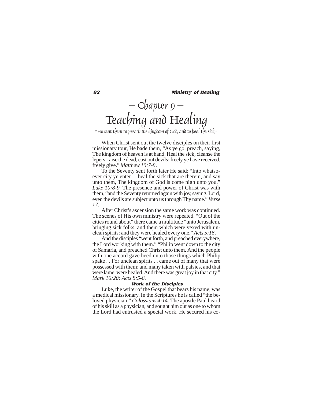# $-$  Chapter 9  $-$ Teaching and Healing

"He sent them to preach the kingdom of God, and to heal the sick."

When Christ sent out the twelve disciples on their first missionary tour, He bade them, "As ye go, preach, saying, The kingdom of heaven is at hand. Heal the sick, cleanse the lepers, raise the dead, cast out devils: freely ye have received, freely give." *Matthew 10:7-8*.

To the Seventy sent forth later He said: "Into whatsoever city ye enter . . heal the sick that are therein, and say unto them, The kingdom of God is come nigh unto you." *Luke 10:8-9*. The presence and power of Christ was with them, "and the Seventy returned again with joy, saying, Lord, even the devils are subject unto us through Thy name." *Verse 17.*

After Christ's ascension the same work was continued. The scenes of His own ministry were repeated. "Out of the cities round about" there came a multitude "unto Jerusalem, bringing sick folks, and them which were vexed with unclean spirits: and they were healed every one." *Acts 5:16*.

And the disciples "went forth, and preached everywhere, the Lord working with them." "Philip went down to the city of Samaria, and preached Christ unto them. And the people with one accord gave heed unto those things which Philip spake . . For unclean spirits . . came out of many that were possessed with them: and many taken with palsies, and that were lame, were healed. And there was great joy in that city." *Mark 16:20; Acts 8:5-8*.

### **Work of the Disciples**

Luke, the writer of the Gospel that bears his name, was a medical missionary. In the Scriptures he is called "the beloved physician." *Colossians 4:14*. The apostle Paul heard of his skill as a physician, and sought him out as one to whom the Lord had entrusted a special work. He secured his co-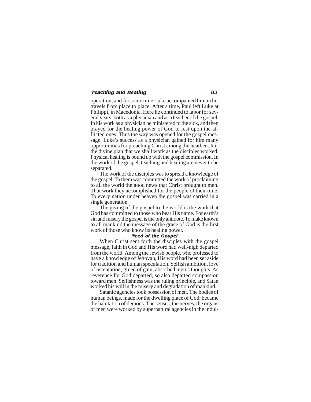operation, and for some time Luke accompanied him in his travels from place to place. After a time, Paul left Luke at Philippi, in Macedonia. Here he continued to labor for several years, both as a physician and as a teacher of the gospel. In his work as a physician he ministered to the sick, and then prayed for the healing power of God to rest upon the afflicted ones. Thus the way was opened for the gospel message. Luke's success as a physician gained for him many opportunities for preaching Christ among the heathen. It is the divine plan that we shall work as the disciples worked. Physical healing is bound up with the gospel commission. In the work of the gospel, teaching and healing are never to be separated.

The work of the disciples was to spread a knowledge of the gospel. To them was committed the work of proclaiming to all the world the good news that Christ brought to men. That work they accomplished for the people of their time. To every nation under heaven the gospel was carried in a single generation.

The giving of the gospel to the world is the work that God has committed to those who bear His name. For earth's sin and misery the gospel is the only antidote. To make known to all mankind the message of the grace of God is the first work of those who know its healing power.

### **Need of the Gospel**

When Christ sent forth the disciples with the gospel message, faith in God and His word had well-nigh departed from the world. Among the Jewish people, who professed to have a knowledge of Jehovah, His word had been set aside for tradition and human speculation. Selfish ambition, love of ostentation, greed of gain, absorbed men's thoughts. As reverence for God departed, so also departed compassion toward men. Selfishness was the ruling principle, and Satan worked his will in the misery and degradation of mankind.

Satanic agencies took possession of men. The bodies of human beings, made for the dwelling place of God, became the habitation of demons. The senses, the nerves, the organs of men were worked by supernatural agencies in the indul-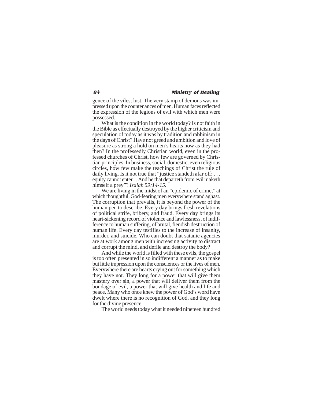# **84 Ministry of Healing**

gence of the vilest lust. The very stamp of demons was impressed upon the countenances of men. Human faces reflected the expression of the legions of evil with which men were possessed.

What is the condition in the world today? Is not faith in the Bible as effectually destroyed by the higher criticism and speculation of today as it was by tradition and rabbinism in the days of Christ? Have not greed and ambition and love of pleasure as strong a hold on men's hearts now as they had then? In the professedly Christian world, even in the professed churches of Christ, how few are governed by Christian principles. In business, social, domestic, even religious circles, how few make the teachings of Christ the rule of daily living. Is it not true that "justice standeth afar off:... equity cannot enter . . And he that departeth from evil maketh himself a prey"? *Isaiah 59:14-15*.

We are living in the midst of an "epidemic of crime," at which thoughtful, God-fearing men everywhere stand aghast. The corruption that prevails, it is beyond the power of the human pen to describe. Every day brings fresh revelations of political strife, bribery, and fraud. Every day brings its heart-sickening record of violence and lawlessness, of indifference to human suffering, of brutal, fiendish destruction of human life. Every day testifies to the increase of insanity, murder, and suicide. Who can doubt that satanic agencies are at work among men with increasing activity to distract and corrupt the mind, and defile and destroy the body?

And while the world is filled with these evils, the gospel is too often presented in so indifferent a manner as to make but little impression upon the consciences or the lives of men. Everywhere there are hearts crying out for something which they have not. They long for a power that will give them mastery over sin, a power that will deliver them from the bondage of evil, a power that will give health and life and peace. Many who once knew the power of God's word have dwelt where there is no recognition of God, and they long for the divine presence.

The world needs today what it needed nineteen hundred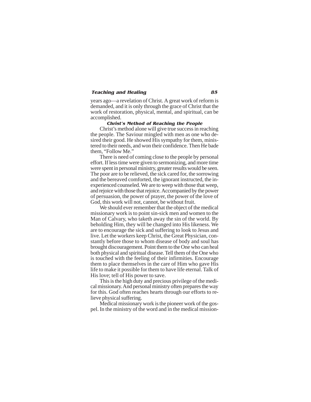years ago—a revelation of Christ. A great work of reform is demanded, and it is only through the grace of Christ that the work of restoration, physical, mental, and spiritual, can be accomplished.

# **Christ's Method of Reaching the People**

Christ's method alone will give true success in reaching the people. The Saviour mingled with men as one who desired their good. He showed His sympathy for them, ministered to their needs, and won their confidence. Then He bade them, "Follow Me."

There is need of coming close to the people by personal effort. If less time were given to sermonizing, and more time were spent in personal ministry, greater results would be seen. The poor are to be relieved, the sick cared for, the sorrowing and the bereaved comforted, the ignorant instructed, the inexperienced counseled. We are to weep with those that weep, and rejoice with those that rejoice. Accompanied by the power of persuasion, the power of prayer, the power of the love of God, this work will not, cannot, be without fruit.

We should ever remember that the object of the medical missionary work is to point sin-sick men and women to the Man of Calvary, who taketh away the sin of the world. By beholding Him, they will be changed into His likeness. We are to encourage the sick and suffering to look to Jesus and live. Let the workers keep Christ, the Great Physician, constantly before those to whom disease of body and soul has brought discouragement. Point them to the One who can heal both physical and spiritual disease. Tell them of the One who is touched with the feeling of their infirmities. Encourage them to place themselves in the care of Him who gave His life to make it possible for them to have life eternal. Talk of His love; tell of His power to save.

This is the high duty and precious privilege of the medical missionary. And personal ministry often prepares the way for this. God often reaches hearts through our efforts to relieve physical suffering.

Medical missionary work is the pioneer work of the gospel. In the ministry of the word and in the medical mission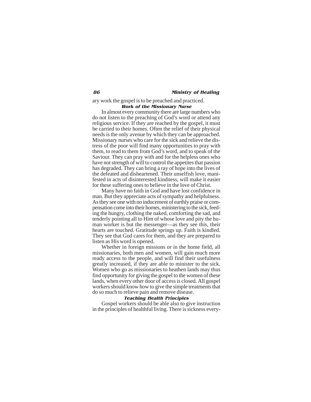ary work the gospel is to be preached and practiced. **Work of the Missionary Nurse**

In almost every community there are large numbers who do not listen to the preaching of God's word or attend any religious service. If they are reached by the gospel, it must be carried to their homes. Often the relief of their physical needs is the only avenue by which they can be approached. Missionary nurses who care for the sick and relieve the distress of the poor will find many opportunities to pray with them, to read to them from God's word, and to speak of the Saviour. They can pray with and for the helpless ones who have not strength of will to control the appetites that passion has degraded. They can bring a ray of hope into the lives of the defeated and disheartened. Their unselfish love, manifested in acts of disinterested kindness, will make it easier for these suffering ones to believe in the love of Christ.

Many have no faith in God and have lost confidence in man. But they appreciate acts of sympathy and helpfulness. As they see one with no inducement of earthly praise or compensation come into their homes, ministering to the sick, feeding the hungry, clothing the naked, comforting the sad, and tenderly pointing all to Him of whose love and pity the human worker is but the messenger—as they see this, their hearts are touched. Gratitude springs up. Faith is kindled. They see that God cares for them, and they are prepared to listen as His word is opened.

Whether in foreign missions or in the home field, all missionaries, both men and women, will gain much more ready access to the people, and will find their usefulness greatly increased, if they are able to minister to the sick. Women who go as missionaries to heathen lands may thus find opportunity for giving the gospel to the women of these lands, when every other door of access is closed. All gospel workers should know how to give the simple treatments that do so much to relieve pain and remove disease.

### **Teaching Health Principles**

Gospel workers should be able also to give instruction in the principles of healthful living. There is sickness every-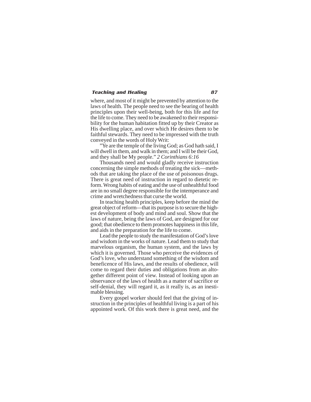where, and most of it might be prevented by attention to the laws of health. The people need to see the bearing of health principles upon their well-being, both for this life and for the life to come. They need to be awakened to their responsibility for the human habitation fitted up by their Creator as His dwelling place, and over which He desires them to be faithful stewards. They need to be impressed with the truth conveyed in the words of Holy Writ:

"Ye are the temple of the living God; as God hath said, I will dwell in them, and walk in them; and I will be their God, and they shall be My people." *2 Corinthians 6:16*

Thousands need and would gladly receive instruction concerning the simple methods of treating the sick—methods that are taking the place of the use of poisonous drugs. There is great need of instruction in regard to dietetic reform. Wrong habits of eating and the use of unhealthful food are in no small degree responsible for the intemperance and crime and wretchedness that curse the world.

In teaching health principles, keep before the mind the great object of reform—that its purpose is to secure the highest development of body and mind and soul. Show that the laws of nature, being the laws of God, are designed for our good; that obedience to them promotes happiness in this life, and aids in the preparation for the life to come.

Lead the people to study the manifestation of God's love and wisdom in the works of nature. Lead them to study that marvelous organism, the human system, and the laws by which it is governed. Those who perceive the evidences of God's love, who understand something of the wisdom and beneficence of His laws, and the results of obedience, will come to regard their duties and obligations from an altogether different point of view. Instead of looking upon an observance of the laws of health as a matter of sacrifice or self-denial, they will regard it, as it really is, as an inestimable blessing.

Every gospel worker should feel that the giving of instruction in the principles of healthful living is a part of his appointed work. Of this work there is great need, and the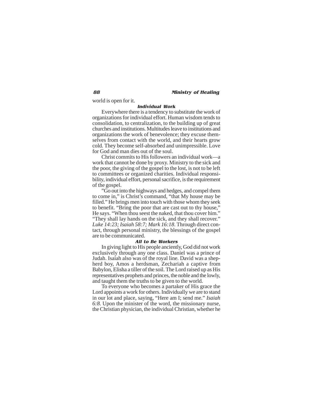world is open for it.

# **Individual Work**

Everywhere there is a tendency to substitute the work of organizations for individual effort. Human wisdom tends to consolidation, to centralization, to the building up of great churches and institutions. Multitudes leave to institutions and organizations the work of benevolence; they excuse themselves from contact with the world, and their hearts grow cold. They become self-absorbed and unimpressible. Love for God and man dies out of the soul.

Christ commits to His followers an individual work—a work that cannot be done by proxy. Ministry to the sick and the poor, the giving of the gospel to the lost, is not to be left to committees or organized charities. Individual responsibility, individual effort, personal sacrifice, is the requirement of the gospel.

"Go out into the highways and hedges, and compel them to come in," is Christ's command, "that My house may be filled." He brings men into touch with those whom they seek to benefit. "Bring the poor that are cast out to thy house," He says. "When thou seest the naked, that thou cover him." "They shall lay hands on the sick, and they shall recover." *Luke 14:23; Isaiah 58:7; Mark 16:18*. Through direct contact, through personal ministry, the blessings of the gospel are to be communicated.

### **All to Be Workers**

In giving light to His people anciently, God did not work exclusively through any one class. Daniel was a prince of Judah. Isaiah also was of the royal line. David was a shepherd boy, Amos a herdsman, Zechariah a captive from Babylon, Elisha a tiller of the soil. The Lord raised up as His representatives prophets and princes, the noble and the lowly, and taught them the truths to be given to the world.

To everyone who becomes a partaker of His grace the Lord appoints a work for others. Individually we are to stand in our lot and place, saying, "Here am I; send me." Isaiah *6:8*. Upon the minister of the word, the missionary nurse, the Christian physician, the individual Christian, whether he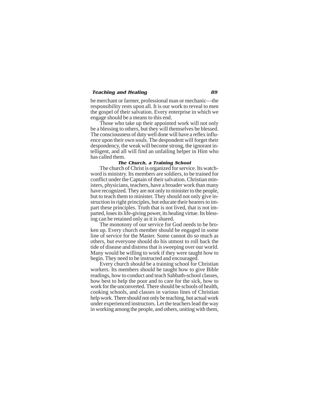be merchant or farmer, professional man or mechanic—the responsibility rests upon all. It is our work to reveal to men the gospel of their salvation. Every enterprise in which we engage should be a means to this end.

Those who take up their appointed work will not only be a blessing to others, but they will themselves be blessed. The consciousness of duty well done will have a reflex influence upon their own souls. The despondent will forget their despondency, the weak will become strong, the ignorant intelligent, and all will find an unfailing helper in Him who has called them.

# **The Church, a Training School**

The church of Christ is organized for service. Its watchword is ministry. Its members are soldiers, to be trained for conflict under the Captain of their salvation. Christian ministers, physicians, teachers, have a broader work than many have recognized. They are not only to minister to the people, but to teach them to minister. They should not only give instruction in right principles, but educate their hearers to impart these principles. Truth that is not lived, that is not imparted, loses its life-giving power, its healing virtue. Its blessing can be retained only as it is shared.

The monotony of our service for God needs to be broken up. Every church member should be engaged in some line of service for the Master. Some cannot do so much as others, but everyone should do his utmost to roll back the tide of disease and distress that is sweeping over our world. Many would be willing to work if they were taught how to begin. They need to be instructed and encouraged.

Every church should be a training school for Christian workers. Its members should be taught how to give Bible readings, how to conduct and teach Sabbath-school classes, how best to help the poor and to care for the sick, how to work for the unconverted. There should be schools of health, cooking schools, and classes in various lines of Christian help work. There should not only be teaching, but actual work under experienced instructors. Let the teachers lead the way in working among the people, and others, uniting with them,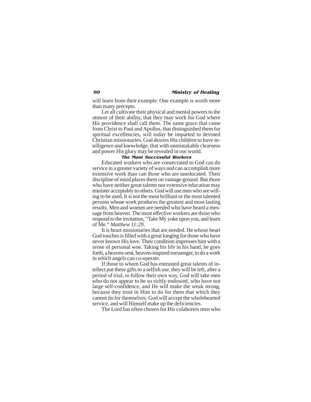will learn from their example. One example is worth more than many precepts.

Let all cultivate their physical and mental powers to the utmost of their ability, that they may work for God where His providence shall call them. The same grace that came from Christ to Paul and Apollos, that distinguished them for spiritual excellencies, will today be imparted to devoted Christian missionaries. God desires His children to have intelligence and knowledge, that with unmistakable clearness and power His glory may be revealed in our world.

### **The Most Successful Workers**

Educated workers who are consecrated to God can do service in a greater variety of ways and can accomplish more extensive work than can those who are uneducated. Their discipline of mind places them on vantage ground. But those who have neither great talents nor extensive education may minister acceptably to others. God will use men who are willing to be used. It is not the most brilliant or the most talented persons whose work produces the greatest and most lasting results. Men and women are needed who have heard a message from heaven. The most effective workers are those who respond to the invitation, "Take My yoke upon you, and learn of Me." *Matthew 11:29*.

It is heart missionaries that are needed. He whose heart God touches is filled with a great longing for those who have never known His love. Their condition impresses him with a sense of personal woe. Taking his life in his hand, he goes forth, a heaven-sent, heaven-inspired messenger, to do a work in which angels can co-operate.

If those to whom God has entrusted great talents of intellect put these gifts to a selfish use, they will be left, after a period of trial, to follow their own way. God will take men who do not appear to be so richly endowed, who have not large self-confidence, and He will make the weak strong, because they trust in Him to do for them that which they cannot do for themselves. God will accept the wholehearted service, and will Himself make up the deficiencies.

The Lord has often chosen for His colaborers men who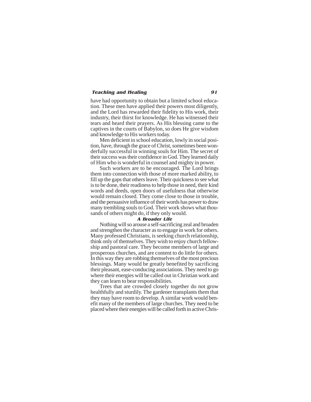have had opportunity to obtain but a limited school education. These men have applied their powers most diligently, and the Lord has rewarded their fidelity to His work, their industry, their thirst for knowledge. He has witnessed their tears and heard their prayers. As His blessing came to the captives in the courts of Babylon, so does He give wisdom and knowledge to His workers today.

Men deficient in school education, lowly in social position, have, through the grace of Christ, sometimes been wonderfully successful in winning souls for Him. The secret of their success was their confidence in God. They learned daily of Him who is wonderful in counsel and mighty in power.

Such workers are to be encouraged. The Lord brings them into connection with those of more marked ability, to fill up the gaps that others leave. Their quickness to see what is to be done, their readiness to help those in need, their kind words and deeds, open doors of usefulness that otherwise would remain closed. They come close to those in trouble, and the persuasive influence of their words has power to draw many trembling souls to God. Their work shows what thousands of others might do, if they only would.

### **A Broader Life**

Nothing will so arouse a self-sacrificing zeal and broaden and strengthen the character as to engage in work for others. Many professed Christians, is seeking church relationship, think only of themselves. They wish to enjoy church fellowship and pastoral care. They become members of large and prosperous churches, and are content to do little for others. In this way they are robbing themselves of the most precious blessings. Many would be greatly benefited by sacrificing their pleasant, ease-conducing associations. They need to go where their energies will be called out in Christian work and they can learn to bear responsibilities.

Trees that are crowded closely together do not grow healthfully and sturdily. The gardener transplants them that they may have room to develop. A similar work would benefit many of the members of large churches. They need to be placed where their energies will be called forth in active Chris-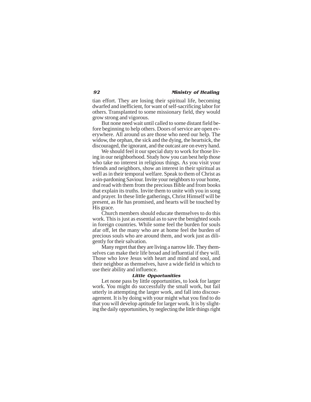tian effort. They are losing their spiritual life, becoming dwarfed and inefficient, for want of self-sacrificing labor for others. Transplanted to some missionary field, they would grow strong and vigorous.

But none need wait until called to some distant field before beginning to help others. Doors of service are open everywhere. All around us are those who need our help. The widow, the orphan, the sick and the dying, the heartsick, the discouraged, the ignorant, and the outcast are on every hand.

We should feel it our special duty to work for those living in our neighborhood. Study how you can best help those who take no interest in religious things. As you visit your friends and neighbors, show an interest in their spiritual as well as in their temporal welfare. Speak to them of Christ as a sin-pardoning Saviour. Invite your neighbors to your home, and read with them from the precious Bible and from books that explain its truths. Invite them to unite with you in song and prayer. In these little gatherings, Christ Himself will be present, as He has promised, and hearts will be touched by His grace.

Church members should educate themselves to do this work. This is just as essential as to save the benighted souls in foreign countries. While some feel the burden for souls afar off, let the many who are at home feel the burden of precious souls who are around them, and work just as diligently for their salvation.

Many regret that they are living a narrow life. They themselves can make their life broad and influential if they will. Those who love Jesus with heart and mind and soul, and their neighbor as themselves, have a wide field in which to use their ability and influence.

### **Little Opportunities**

Let none pass by little opportunities, to look for larger work. You might do successfully the small work, but fail utterly in attempting the larger work, and fall into discouragement. It is by doing with your might what you find to do that you will develop aptitude for larger work. It is by slighting the daily opportunities, by neglecting the little things right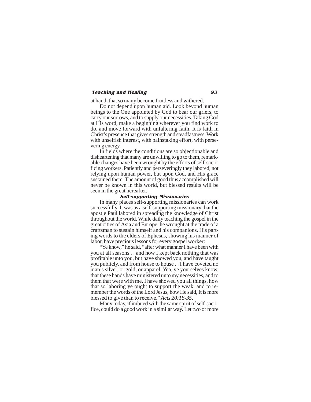at hand, that so many become fruitless and withered.

Do not depend upon human aid. Look beyond human beings to the One appointed by God to bear our griefs, to carry our sorrows, and to supply our necessities. Taking God at His word, make a beginning wherever you find work to do, and move forward with unfaltering faith. It is faith in Christ's presence that gives strength and steadfastness. Work with unselfish interest, with painstaking effort, with persevering energy.

In fields where the conditions are so objectionable and disheartening that many are unwilling to go to them, remarkable changes have been wrought by the efforts of self-sacrificing workers. Patiently and perseveringly they labored, not relying upon human power, but upon God, and His grace sustained them. The amount of good thus accomplished will never be known in this world, but blessed results will be seen in the great hereafter.

# **Self-supporting Missionaries**

In many places self-supporting missionaries can work successfully. It was as a self-supporting missionary that the apostle Paul labored in spreading the knowledge of Christ throughout the world. While daily teaching the gospel in the great cities of Asia and Europe, he wrought at the trade of a craftsman to sustain himself and his companions. His parting words to the elders of Ephesus, showing his manner of labor, have precious lessons for every gospel worker:

"Ye know," he said, "after what manner I have been with you at all seasons . . and how I kept back nothing that was profitable unto you, but have showed you, and have taught you publicly, and from house to house . . I have coveted no man's silver, or gold, or apparel. Yea, ye yourselves know, that these hands have ministered unto my necessities, and to them that were with me. I have showed you all things, how that so laboring ye ought to support the weak, and to remember the words of the Lord Jesus, how He said, It is more blessed to give than to receive." *Acts 20:18-35*.

Many today, if imbued with the same spirit of self-sacrifice, could do a good work in a similar way. Let two or more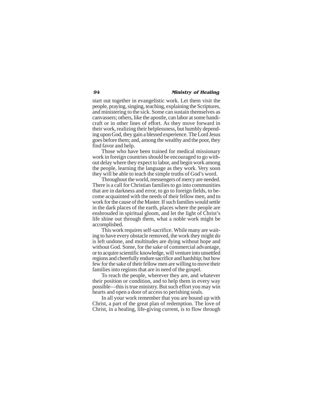# **94 Ministry of Healing**

start out together in evangelistic work. Let them visit the people, praying, singing, teaching, explaining the Scriptures, and ministering to the sick. Some can sustain themselves as canvassers; others, like the apostle, can labor at some handicraft or in other lines of effort. As they move forward in their work, realizing their helplessness, but humbly depending upon God, they gain a blessed experience. The Lord Jesus goes before them; and, among the wealthy and the poor, they find favor and help.

Those who have been trained for medical missionary work in foreign countries should be encouraged to go without delay where they expect to labor, and begin work among the people, learning the language as they work. Very soon they will be able to teach the simple truths of God's word.

Throughout the world, messengers of mercy are needed. There is a call for Christian families to go into communities that are in darkness and error, to go to foreign fields, to become acquainted with the needs of their fellow men, and to work for the cause of the Master. If such families would settle in the dark places of the earth, places where the people are enshrouded in spiritual gloom, and let the light of Christ's life shine out through them, what a noble work might be accomplished.

This work requires self-sacrifice. While many are waiting to have every obstacle removed, the work they might do is left undone, and multitudes are dying without hope and without God. Some, for the sake of commercial advantage, or to acquire scientific knowledge, will venture into unsettled regions and cheerfully endure sacrifice and hardship; but how few for the sake of their fellow men are willing to move their families into regions that are in need of the gospel.

To reach the people, wherever they are, and whatever their position or condition, and to help them in every way possible—this is true ministry. But such effort you may win hearts and open a door of access to perishing souls.

In all your work remember that you are bound up with Christ, a part of the great plan of redemption. The love of Christ, in a healing, life-giving current, is to flow through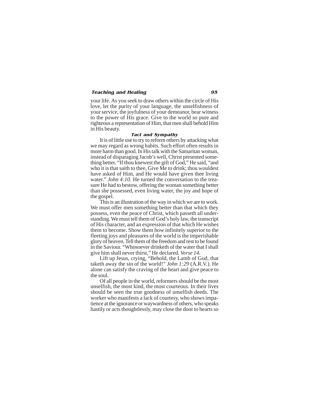your life. As you seek to draw others within the circle of His love, let the purity of your language, the unselfishness of your service, the joyfulness of your demeanor, bear witness to the power of His grace. Give to the world so pure and righteous a representation of Him, that men shall behold Him in His beauty.

### **Tact and Sympathy**

It is of little use to try to reform others by attacking what we may regard as wrong habits. Such effort often results in more harm than good. In His talk with the Samaritan woman, instead of disparaging Jacob's well, Christ presented something better. "If thou knewest the gift of God," He said, "and who it is that saith to thee, Give Me to drink; thou wouldest have asked of Him, and He would have given thee living water." *John 4:10*. He turned the conversation to the treasure He had to bestow, offering the woman something better than she possessed, even living water, the joy and hope of the gospel.

This is an illustration of the way in which we are to work. We must offer men something better than that which they possess, even the peace of Christ, which passeth all understanding. We must tell them of God's holy law, the transcript of His character, and an expression of that which He wishes them to become. Show them how infinitely superior to the fleeting joys and pleasures of the world is the imperishable glory of heaven. Tell them of the freedom and rest to be found in the Saviour. "Whosoever drinketh of the water that I shall give him shall never thirst," He declared. *Verse 14.*

Lift up Jesus, crying, "Behold, the Lamb of God, that taketh away the sin of the world!" *John 1:29* (A.R.V.). He alone can satisfy the craving of the heart and give peace to the soul.

Of all people in the world, reformers should be the most unselfish, the most kind, the most courteous. In their lives should be seen the true goodness of unselfish deeds. The worker who manifests a lack of courtesy, who shows impatience at the ignorance or waywardness of others, who speaks hastily or acts thoughtlessly, may close the door to hearts so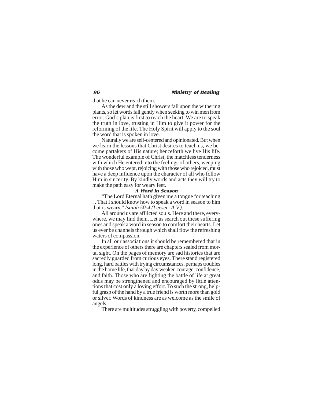that he can never reach them.

As the dew and the still showers fall upon the withering plants, so let words fall gently when seeking to win men from error. God's plan is first to reach the heart. We are to speak the truth in love, trusting in Him to give it power for the reforming of the life. The Holy Spirit will apply to the soul the word that is spoken in love.

Naturally we are self-centered and opinionated. But when we learn the lessons that Christ desires to teach us, we become partakers of His nature; henceforth we live His life. The wonderful example of Christ, the matchless tenderness with which He entered into the feelings of others, weeping with those who wept, rejoicing with those who rejoiced, must have a deep influence upon the character of all who follow Him in sincerity. By kindly words and acts they will try to make the path easy for weary feet.

### **A Word in Season**

"The Lord Eternal hath given me a tongue for teaching . . That I should know how to speak a word in season to him that is weary." *Isaiah 50:4 (Leeser; A.V.).*

All around us are afflicted souls. Here and there, everywhere, we may find them. Let us search out these suffering ones and speak a word in season to comfort their hearts. Let us ever be channels through which shall flow the refreshing waters of compassion.

In all our associations it should be remembered that in the experience of others there are chapters sealed from mortal sight. On the pages of memory are sad histories that are sacredly guarded from curious eyes. There stand registered long, hard battles with trying circumstances, perhaps troubles in the home life, that day by day weaken courage, confidence, and faith. Those who are fighting the battle of life at great odds may be strengthened and encouraged by little attentions that cost only a loving effort. To such the strong, helpful grasp of the hand by a true friend is worth more than gold or silver. Words of kindness are as welcome as the smile of angels.

There are multitudes struggling with poverty, compelled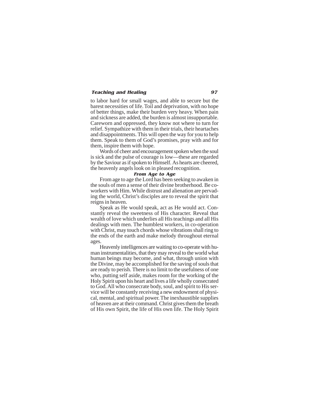to labor hard for small wages, and able to secure but the barest necessities of life. Toil and deprivation, with no hope of better things, make their burden very heavy. When pain and sickness are added, the burden is almost insupportable. Careworn and oppressed, they know not where to turn for relief. Sympathize with them in their trials, their heartaches and disappointments. This will open the way for you to help them. Speak to them of God's promises, pray with and for them, inspire them with hope.

Words of cheer and encouragement spoken when the soul is sick and the pulse of courage is low—these are regarded by the Saviour as if spoken to Himself. As hearts are cheered, the heavenly angels look on in pleased recognition.

### **From Age to Age**

From age to age the Lord has been seeking to awaken in the souls of men a sense of their divine brotherhood. Be coworkers with Him. While distrust and alienation are pervading the world, Christ's disciples are to reveal the spirit that reigns in heaven.

Speak as He would speak, act as He would act. Constantly reveal the sweetness of His character. Reveal that wealth of love which underlies all His teachings and all His dealings with men. The humblest workers, in co-operation with Christ, may touch chords whose vibrations shall ring to the ends of the earth and make melody throughout eternal ages.

Heavenly intelligences are waiting to co-operate with human instrumentalities, that they may reveal to the world what human beings may become, and what, through union with the Divine, may be accomplished for the saving of souls that are ready to perish. There is no limit to the usefulness of one who, putting self aside, makes room for the working of the Holy Spirit upon his heart and lives a life wholly consecrated to God. All who consecrate body, soul, and spirit to His service will be constantly receiving a new endowment of physical, mental, and spiritual power. The inexhaustible supplies of heaven are at their command. Christ gives them the breath of His own Spirit, the life of His own life. The Holy Spirit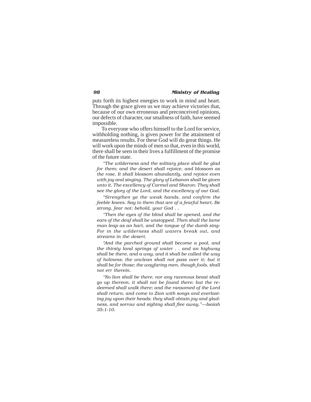# **98 Ministry of Healing**

puts forth its highest energies to work in mind and heart. Through the grace given us we may achieve victories that, because of our own erroneous and preconceived opinions, our defects of character, our smallness of faith, have seemed impossible.

To everyone who offers himself to the Lord for service, withholding nothing, is given power for the attainment of measureless results. For these God will do great things. He will work upon the minds of men so that, even in this world, there shall be seen in their lives a fulfillment of the promise of the future state.

*"The wilderness and the solitary place shall be glad for them; and the desert shall rejoice, and blossom as the rose. It shall blossom abundantly, and rejoice even with joy and singing. The glory of Lebanon shall be given unto it. The excellency of Carmel and Sharon: They shall see the glory of the Lord, and the excellency of our God.*

*"Strengthen ye the weak hands, and confirm the feeble knees. Say to them that are of a fearful heart, Be strong, fear not: behold, your God . .*

*"Then the eyes of the blind shall be opened, and the ears of the deaf shall be unstopped. Then shall the lame man leap as an hart, and the tongue of the dumb sing: For in the wilderness shall waters break out, and streams in the desert.*

*"And the parched ground shall become a pool, and the thirsty land springs of water . . and an highway shall be there, and a way, and it shall be called the way of holiness; the unclean shall not pass over it; but it shall be for those; the wayfaring men, though fools, shall not err therein.*

*"No lion shall be there, nor any ravenous beast shall go up thereon, it shall not be found there; but the redeemed shall walk there; and the ransomed of the Lord shall return, and come to Zion with songs and everlasting joy upon their heads; they shall obtain joy and gladness, and sorrow and sighing shall flee away."—Isaiah 35:1-10.*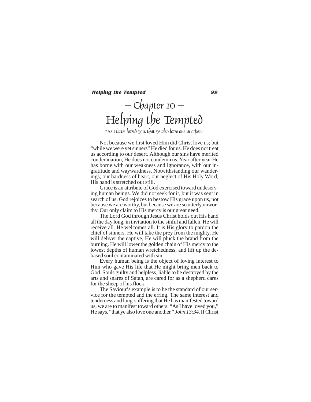**Helping the Tempted**

 $-\mathsf{C}$ hapter 10  $-$ Helping the Tempted

"As I have loved you, that ye also love one another."

Not because we first loved Him did Christ love us; but "while we were yet sinners" He died for us. He does not treat us according to our desert. Although our sins have merited condemnation, He does not condemn us. Year after year He has borne with our weakness and ignorance, with our ingratitude and waywardness. Notwithstanding our wanderings, our hardness of heart, our neglect of His Holy Word, His hand is stretched out still.

Grace is an attribute of God exercised toward undeserving human beings. We did not seek for it, but it was sent in search of us. God rejoices to bestow His grace upon us, not because we are worthy, but because we are so utterly unworthy. Our only claim to His mercy is our great need.

The Lord God through Jesus Christ holds out His hand all the day long, in invitation to the sinful and fallen. He will receive all. He welcomes all. It is His glory to pardon the chief of sinners. He will take the prey from the mighty, He will deliver the captive, He will pluck the brand from the burning. He will lower the golden chain of His mercy to the lowest depths of human wretchedness, and lift up the debased soul contaminated with sin.

Every human being is the object of loving interest to Him who gave His life that He might bring men back to God. Souls guilty and helpless, liable to be destroyed by the arts and snares of Satan, are cared for as a shepherd cares for the sheep of his flock.

The Saviour's example is to be the standard of our service for the tempted and the erring. The same interest and tenderness and long-suffering that He has manifested toward us, we are to manifest toward others. "As I have loved you," He says, "that ye also love one another." *John 13:34*. If Christ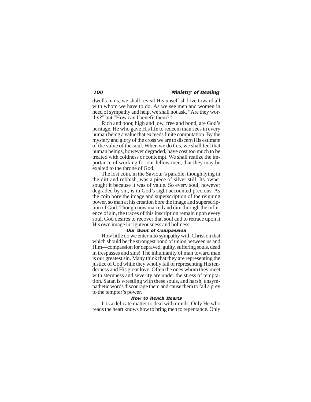dwells in us, we shall reveal His unselfish love toward all with whom we have to do. As we see men and women in need of sympathy and help, we shall not ask, "Are they worthy?" but "How can I benefit them?"

Rich and poor, high and low, free and bond, are God's heritage. He who gave His life to redeem man sees in every human being a value that exceeds finite computation. By the mystery and glory of the cross we are to discern His estimate of the value of the soul. When we do this, we shall feel that human beings, however degraded, have cost too much to be treated with coldness or contempt. We shall realize the importance of working for our fellow men, that they may be exalted to the throne of God.

The lost coin, in the Saviour's parable, though lying in the dirt and rubbish, was a piece of silver still. Its owner sought it because it was of value. So every soul, however degraded by sin, is in God's sight accounted precious. As the coin bore the image and superscription of the reigning power, so man at his creation bore the image and superscription of God. Though now marred and dim through the influence of sin, the traces of this inscription remain upon every soul. God desires to recover that soul and to retrace upon it His own image in righteousness and holiness.

# **Our Want of Compassion**

How little do we enter into sympathy with Christ on that which should be the strongest bond of union between us and Him—compassion for depraved, guilty, suffering souls, dead in trespasses and sins! The inhumanity of man toward man is our greatest sin. Many think that they are representing the justice of God while they wholly fail of representing His tenderness and His great love. Often the ones whom they meet with sternness and severity are under the stress of temptation. Satan is wrestling with these souls, and harsh, unsympathetic words discourage them and cause them to fall a prey to the tempter's power.

### **How to Reach Hearts**

It is a delicate matter to deal with minds. Only He who reads the heart knows how to bring men to repentance. Only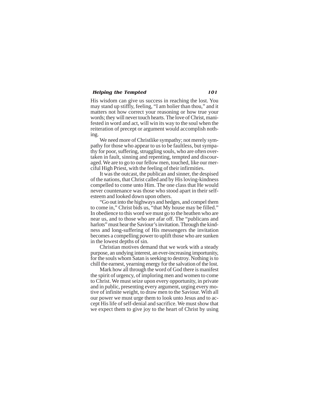# **Helping the Tempted**

His wisdom can give us success in reaching the lost. You may stand up stiffly, feeling, "I am holier than thou," and it matters not how correct your reasoning or how true your words; they will never touch hearts. The love of Christ, manifested in word and act, will win its way to the soul when the reiteration of precept or argument would accomplish nothing.

We need more of Christlike sympathy; not merely sympathy for those who appear to us to be faultless, but sympathy for poor, suffering, struggling souls, who are often overtaken in fault, sinning and repenting, tempted and discouraged. We are to go to our fellow men, touched, like our merciful High Priest, with the feeling of their infirmities.

It was the outcast, the publican and sinner, the despised of the nations, that Christ called and by His loving-kindness compelled to come unto Him. The one class that He would never countenance was those who stood apart in their selfesteem and looked down upon others.

"Go out into the highways and hedges, and compel them to come in," Christ bids us, "that My house may be filled." In obedience to this word we must go to the heathen who are near us, and to those who are afar off. The "publicans and harlots" must hear the Saviour's invitation. Through the kindness and long-suffering of His messengers the invitation becomes a compelling power to uplift those who are sunken in the lowest depths of sin.

Christian motives demand that we work with a steady purpose, an undying interest, an ever-increasing importunity, for the souls whom Satan is seeking to destroy. Nothing is to chill the earnest, yearning energy for the salvation of the lost.

Mark how all through the word of God there is manifest the spirit of urgency, of imploring men and women to come to Christ. We must seize upon every opportunity, in private and in public, presenting every argument, urging every motive of infinite weight, to draw men to the Saviour. With all our power we must urge them to look unto Jesus and to accept His life of self-denial and sacrifice. We must show that we expect them to give joy to the heart of Christ by using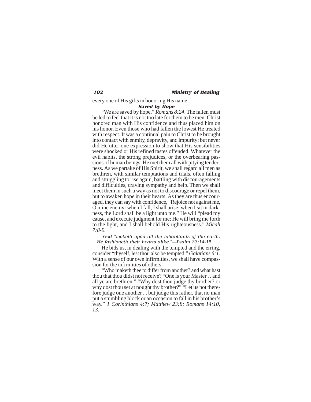every one of His gifts in honoring His name. **Saved by Hope**

"We are saved by hope." *Romans 8:24*. The fallen must be led to feel that it is not too late for them to be men. Christ honored man with His confidence and thus placed him on his honor. Even those who had fallen the lowest He treated with respect. It was a continual pain to Christ to be brought into contact with enmity, depravity, and impurity; but never did He utter one expression to show that His sensibilities were shocked or His refined tastes offended. Whatever the evil habits, the strong prejudices, or the overbearing passions of human beings, He met them all with pitying tenderness. As we partake of His Spirit, we shall regard all men as brethren, with similar temptations and trials, often falling and struggling to rise again, battling with discouragements and difficulties, craving sympathy and help. Then we shall meet them in such a way as not to discourage or repel them, but to awaken hope in their hearts. As they are thus encouraged, they can say with confidence, "Rejoice not against me, O mine enemy: when I fall, I shall arise; when I sit in darkness, the Lord shall be a light unto me." He will "plead my cause, and execute judgment for me: He will bring me forth to the light, and I shall behold His righteousness." *Micah 7:8-9.*

*God "looketh upon all the inhabitants of the earth. He fashioneth their hearts alike."—Psalm 33:14-15.*

He bids us, in dealing with the tempted and the erring, consider "thyself, lest thou also be tempted." *Galatians 6:1*. With a sense of our own infirmities, we shall have compassion for the infirmities of others.

"Who maketh thee to differ from another? and what hast thou that thou didst not receive? "One is your Master . . and all ye are brethren." "Why dost thou judge thy brother? or why dost thou set at nought thy brother?" "Let us not therefore judge one another . . but judge this rather, that no man put a stumbling block or an occasion to fall in his brother's way." *1 Corinthians 4:7; Matthew 23:8; Romans 14:10, 13.*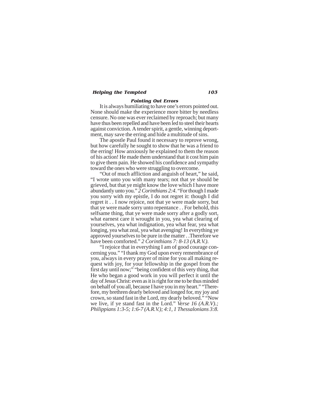# **Helping the Tempted**

### **Pointing Out Errors**

It is always humiliating to have one's errors pointed out. None should make the experience more bitter by needless censure. No one was ever reclaimed by reproach; but many have thus been repelled and have been led to steel their hearts against conviction. A tender spirit, a gentle, winning deportment, may save the erring and hide a multitude of sins.

The apostle Paul found it necessary to reprove wrong, but how carefully he sought to show that he was a friend to the erring! How anxiously he explained to them the reason of his action! He made them understand that it cost him pain to give them pain. He showed his confidence and sympathy toward the ones who were struggling to overcome.

"Out of much affliction and anguish of heart," he said, "I wrote unto you with many tears; not that ye should be grieved, but that ye might know the love which I have more abundantly unto you." *2 Corinthians 2:4*. "For though I made you sorry with my epistle, I do not regret it: though I did regret it . . I now rejoice, not that ye were made sorry, but that ye were made sorry unto repentance . . For behold, this selfsame thing, that ye were made sorry after a godly sort, what earnest care it wrought in you, yea what clearing of yourselves, yea what indignation, yea what fear, yea what longing, yea what zeal, yea what avenging! In everything ye approved yourselves to be pure in the matter . .Therefore we have been comforted." *2 Corinthians 7: 8-13 (A.R.V.).*

"I rejoice that in everything I am of good courage concerning you." "I thank my God upon every remembrance of you, always in every prayer of mine for you all making request with joy, for your fellowship in the gospel from the first day until now;" "being confident of this very thing, that He who began a good work in you will perfect it until the day of Jesus Christ: even as it is right for me to be thus minded on behalf of you all, because I have you in my heart." "Therefore, my brethren dearly beloved and longed for, my joy and crown, so stand fast in the Lord, my dearly beloved." "Now we live, if ye stand fast in the Lord." *Verse 16 (A.R.V).; Philippians 1:3-5; 1:6-7 (A.R.V.); 4:1, 1 Thessalonians 3:8.*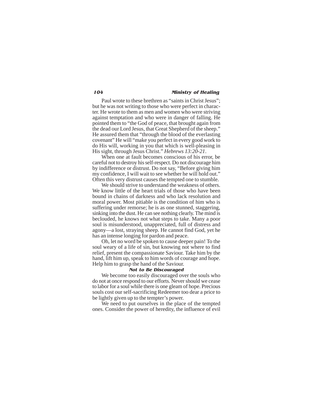# **104 Ministry of Healing**

Paul wrote to these brethren as "saints in Christ Jesus"; but he was not writing to those who were perfect in character. He wrote to them as men and women who were striving against temptation and who were in danger of falling. He pointed them to "the God of peace, that brought again from the dead our Lord Jesus, that Great Shepherd of the sheep." He assured them that "through the blood of the everlasting covenant" He will "make you perfect in every good work to do His will, working in you that which is well-pleasing in His sight, through Jesus Christ." *Hebrews 13:20-21*.

When one at fault becomes conscious of his error, be careful not to destroy his self-respect. Do not discourage him by indifference or distrust. Do not say, "Before giving him my confidence, I will wait to see whether he will hold out." Often this very distrust causes the tempted one to stumble.

We should strive to understand the weakness of others. We know little of the heart trials of those who have been bound in chains of darkness and who lack resolution and moral power. Most pitiable is the condition of him who is suffering under remorse; he is as one stunned, staggering, sinking into the dust. He can see nothing clearly. The mind is beclouded, he knows not what steps to take. Many a poor soul is misunderstood, unappreciated, full of distress and agony—a lost, straying sheep. He cannot find God, yet he has an intense longing for pardon and peace.

Oh, let no word be spoken to cause deeper pain! To the soul weary of a life of sin, but knowing not where to find relief, present the compassionate Saviour. Take him by the hand, lift him up, speak to him words of courage and hope. Help him to grasp the hand of the Saviour.

### **Not to Be Discouraged**

We become too easily discouraged over the souls who do not at once respond to our efforts. Never should we cease to labor for a soul while there is one gleam of hope. Precious souls cost our self-sacrificing Redeemer too dear a price to be lightly given up to the tempter's power.

We need to put ourselves in the place of the tempted ones. Consider the power of heredity, the influence of evil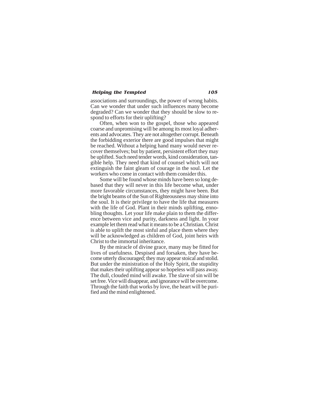# **Helping the Tempted**

associations and surroundings, the power of wrong habits. Can we wonder that under such influences many become degraded? Can we wonder that they should be slow to respond to efforts for their uplifting?

Often, when won to the gospel, those who appeared coarse and unpromising will be among its most loyal adherents and advocates. They are not altogether corrupt. Beneath the forbidding exterior there are good impulses that might be reached. Without a helping hand many would never recover themselves; but by patient, persistent effort they may be uplifted. Such need tender words, kind consideration, tangible help. They need that kind of counsel which will not extinguish the faint gleam of courage in the soul. Let the workers who come in contact with them consider this.

Some will be found whose minds have been so long debased that they will never in this life become what, under more favorable circumstances, they might have been. But the bright beams of the Sun of Righteousness may shine into the soul. It is their privilege to have the life that measures with the life of God. Plant in their minds uplifting, ennobling thoughts. Let your life make plain to them the difference between vice and purity, darkness and light. In your example let them read what it means to be a Christian. Christ is able to uplift the most sinful and place them where they will be acknowledged as children of God, joint heirs with Christ to the immortal inheritance.

By the miracle of divine grace, many may be fitted for lives of usefulness. Despised and forsaken, they have become utterly discouraged; they may appear stoical and stolid. But under the ministration of the Holy Spirit, the stupidity that makes their uplifting appear so hopeless will pass away. The dull, clouded mind will awake. The slave of sin will be set free. Vice will disappear, and ignorance will be overcome. Through the faith that works by love, the heart will be purified and the mind enlightened.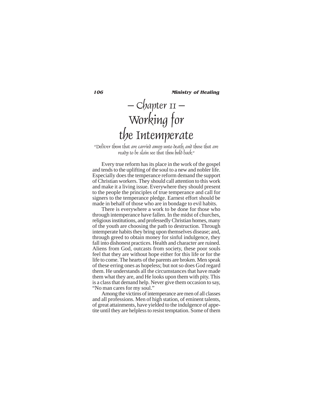# – Chapter 11 – Working for the Intemperate

"Deliver them that are carried away unto death, and those that are ready to be slain see that thou hold back."

Every true reform has its place in the work of the gospel and tends to the uplifting of the soul to a new and nobler life. Especially does the temperance reform demand the support of Christian workers. They should call attention to this work and make it a living issue. Everywhere they should present to the people the principles of true temperance and call for signers to the temperance pledge. Earnest effort should be made in behalf of those who are in bondage to evil habits.

There is everywhere a work to be done for those who through intemperance have fallen. In the midst of churches, religious institutions, and professedly Christian homes, many of the youth are choosing the path to destruction. Through intemperate habits they bring upon themselves disease; and, through greed to obtain money for sinful indulgence, they fall into dishonest practices. Health and character are ruined. Aliens from God, outcasts from society, these poor souls feel that they are without hope either for this life or for the life to come. The hearts of the parents are broken. Men speak of these erring ones as hopeless; but not so does God regard them. He understands all the circumstances that have made them what they are, and He looks upon them with pity. This is a class that demand help. Never give them occasion to say, "No man cares for my soul."

Among the victims of intemperance are men of all classes and all professions. Men of high station, of eminent talents, of great attainments, have yielded to the indulgence of appetite until they are helpless to resist temptation. Some of them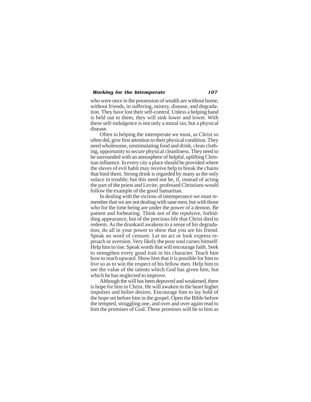### **Working for the Intemperate**

who were once in the possession of wealth are without home, without friends, in suffering, misery, disease, and degradation. They have lost their self-control. Unless a helping hand is held out to them, they will sink lower and lower. With these self-indulgence is not only a moral sin, but a physical disease.

Often in helping the intemperate we must, as Christ so often did, give first attention to their physical condition. They need wholesome, unstimulating food and drink, clean clothing, opportunity to secure physical cleanliness. They need to be surrounded with an atmosphere of helpful, uplifting Christian influence. In every city a place should be provided where the slaves of evil habit may receive help to break the chains that bind them. Strong drink is regarded by many as the only solace in trouble; but this need not be, if, instead of acting the part of the priest and Levite, professed Christians would follow the example of the good Samaritan.

In dealing with the victims of intemperance we must remember that we are not dealing with sane men, but with those who for the time being are under the power of a demon. Be patient and forbearing. Think not of the repulsive, forbidding appearance, but of the precious life that Christ died to redeem. As the drunkard awakens to a sense of his degradation, do all in your power to show that you are his friend. Speak no word of censure. Let no act or look express reproach or aversion. Very likely the poor soul curses himself. Help him to rise. Speak words that will encourage faith. Seek to strengthen every good trait in his character. Teach him how to reach upward. Show him that it is possible for him to live so as to win the respect of his fellow men. Help him to see the value of the talents which God has given him, but which he has neglected to improve.

Although the will has been depraved and weakened, there is hope for him in Christ. He will awaken in the heart higher impulses and holier desires. Encourage him to lay hold of the hope set before him in the gospel. Open the Bible before the tempted, struggling one, and over and over again read to him the promises of God. These promises will be to him as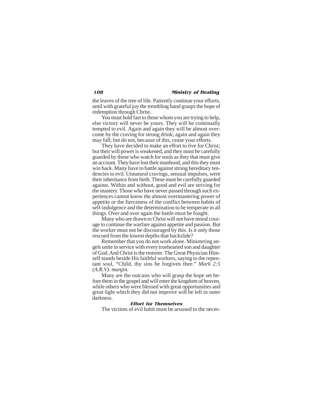# **108 Ministry of Healing**

the leaves of the tree of life. Patiently continue your efforts, until with grateful joy the trembling hand grasps the hope of redemption through Christ.

You must hold fast to those whom you are trying to help, else victory will never be yours. They will be continually tempted to evil. Again and again they will be almost overcome by the craving for strong drink; again and again they may fall; but do not, because of this, cease your efforts.

They have decided to make an effort to live for Christ; but their will power is weakened, and they must be carefully guarded by those who watch for souls as they that must give an account. They have lost their manhood, and this they must win back. Many have to battle against strong hereditary tendencies to evil. Unnatural cravings, sensual impulses, were their inheritance from birth. These must be carefully guarded against. Within and without, good and evil are striving for the mastery. Those who have never passed through such experiences cannot know the almost overmastering power of appetite or the fierceness of the conflict between habits of self-indulgence and the determination to be temperate in all things. Over and over again the battle must be fought.

Many who are drawn to Christ will not have moral courage to continue the warfare against appetite and passion. But the worker must not be discouraged by this. Is it only those rescued from the lowest depths that backslide?

Remember that you do not work alone. Ministering angels unite in service with every truehearted son and daughter of God. And Christ is the restorer. The Great Physician Himself stands beside His faithful workers, saying to the repentant soul, "Child, thy sins be forgiven thee." *Mark 2:5 (A.R.V). margin.*

Many are the outcasts who will grasp the hope set before them in the gospel and will enter the kingdom of heaven, while others who were blessed with great opportunities and great light which they did not improve will be left in outer darkness.

# **Effort for Themselves**

The victims of evil habit must be aroused to the neces-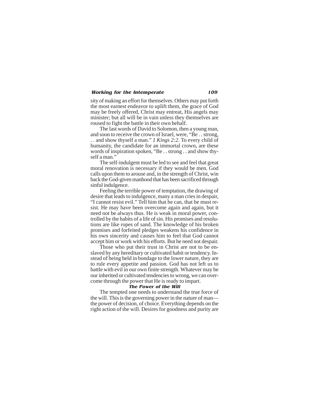### **Working for the Intemperate**

sity of making an effort for themselves. Others may put forth the most earnest endeavor to uplift them, the grace of God may be freely offered, Christ may entreat, His angels may minister; but all will be in vain unless they themselves are roused to fight the battle in their own behalf.

The last words of David to Solomon, then a young man, and soon to receive the crown of Israel, were, "Be . . strong, . . and show thyself a man." *1 Kings 2:2*. To every child of humanity, the candidate for an immortal crown, are these words of inspiration spoken, "Be . . strong . . and show thyself a man."

The self-indulgent must be led to see and feel that great moral renovation is necessary if they would be men. God calls upon them to arouse and, in the strength of Christ, win back the God-given manhood that has been sacrificed through sinful indulgence.

Feeling the terrible power of temptation, the drawing of desire that leads to indulgence, many a man cries in despair, "I cannot resist evil." Tell him that he can, that he must resist. He may have been overcome again and again, but it need not be always thus. He is weak in moral power, controlled by the habits of a life of sin. His promises and resolutions are like ropes of sand. The knowledge of his broken promises and forfeited pledges weakens his confidence in his own sincerity and causes him to feel that God cannot accept him or work with his efforts. But he need not despair.

Those who put their trust in Christ are not to be enslaved by any hereditary or cultivated habit or tendency. Instead of being held in bondage to the lower nature, they are to rule every appetite and passion. God has not left us to battle with evil in our own finite strength. Whatever may be our inherited or cultivated tendencies to wrong, we can overcome through the power that He is ready to impart.

### **The Power of the Will**

The tempted one needs to understand the true force of the will. This is the governing power in the nature of man the power of decision, of choice. Everything depends on the right action of the will. Desires for goodness and purity are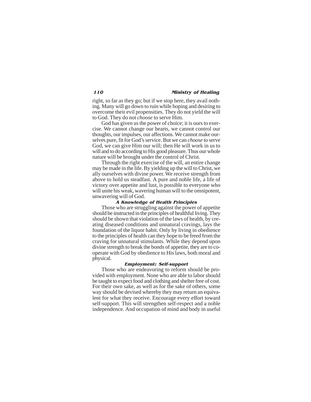right, so far as they go; but if we stop here, they avail nothing. Many will go down to ruin while hoping and desiring to overcome their evil propensities. They do not yield the will to God. They do not *choose* to serve Him.

God has given us the power of choice; it is ours to exercise. We cannot change our hearts, we cannot control our thoughts, our impulses, our affections. We cannot make ourselves pure, fit for God's service. But we can *choose* to serve God, we can give Him our will; then He will work in us to will and to do according to His good pleasure. Thus our whole nature will be brought under the control of Christ.

Through the right exercise of the will, an entire change may be made in the life. By yielding up the will to Christ, we ally ourselves with divine power. We receive strength from above to hold us steadfast. A pure and noble life, a life of victory over appetite and lust, is possible to everyone who will unite his weak, wavering human will to the omnipotent, unwavering will of God.

## **A Knowledge of Health Principles**

Those who are struggling against the power of appetite should be instructed in the principles of healthful living. They should be shown that violation of the laws of health, by creating diseased conditions and unnatural cravings, lays the foundation of the liquor habit. Only by living in obedience to the principles of health can they hope to be freed from the craving for unnatural stimulants. While they depend upon divine strength to break the bonds of appetite, they are to cooperate with God by obedience to His laws, both moral and physical.

## **Employment: Self-support**

Those who are endeavoring to reform should be provided with employment. None who are able to labor should be taught to expect food and clothing and shelter free of cost. For their own sake, as well as for the sake of others, some way should be devised whereby they may return an equivalent for what they receive. Encourage every effort toward self-support. This will strengthen self-respect and a noble independence. And occupation of mind and body in useful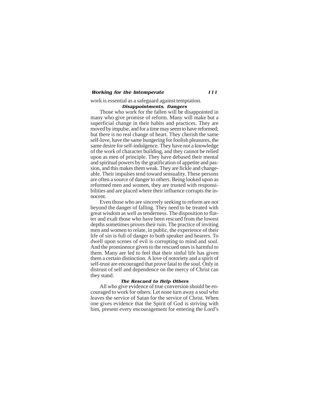### **Working for the Intemperate**

work is essential as a safeguard against temptation.

### **Disappointments, Dangers**

Those who work for the fallen will be disappointed in many who give promise of reform. Many will make but a superficial change in their habits and practices. They are moved by impulse, and for a time may seem to have reformed; but there is no real change of heart. They cherish the same self-love, have the same hungering for foolish pleasures, the same desire for self-indulgence. They have not a knowledge of the work of character building, and they cannot be relied upon as men of principle. They have debased their mental and spiritual powers by the gratification of appetite and passion, and this makes them weak. They are fickle and changeable. Their impulses tend toward sensuality. These persons are often a source of danger to others. Being looked upon as reformed men and women, they are trusted with responsibilities and are placed where their influence corrupts the innocent.

Even those who are sincerely seeking to reform are not beyond the danger of falling. They need to be treated with great wisdom as well as tenderness. The disposition to flatter and exalt those who have been rescued from the lowest depths sometimes proves their ruin. The practice of inviting men and women to relate, in public, the experience of their life of sin is full of danger to both speaker and hearers. To dwell upon scenes of evil is corrupting to mind and soul. And the prominence given to the rescued ones is harmful to them. Many are led to feel that their sinful life has given them a certain distinction. A love of notoriety and a spirit of self-trust are encouraged that prove fatal to the soul. Only in distrust of self and dependence on the mercy of Christ can they stand.

### **The Rescued to Help Others**

All who give evidence of true conversion should be encouraged to work for others. Let none turn away a soul who leaves the service of Satan for the service of Christ. When one gives evidence that the Spirit of God is striving with him, present every encouragement for entering the Lord's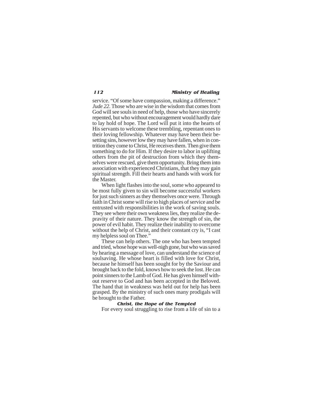service. "Of some have compassion, making a difference." *Jude 22*. Those who are wise in the wisdom that comes from God will see souls in need of help, those who have sincerely repented, but who without encouragement would hardly dare to lay hold of hope. The Lord will put it into the hearts of His servants to welcome these trembling, repentant ones to their loving fellowship. Whatever may have been their besetting sins, however low they may have fallen, when in contrition they come to Christ, He receives them. Then give them something to do for Him. If they desire to labor in uplifting others from the pit of destruction from which they themselves were rescued, give them opportunity. Bring them into association with experienced Christians, that they may gain spiritual strength. Fill their hearts and hands with work for the Master.

When light flashes into the soul, some who appeared to be most fully given to sin will become successful workers for just such sinners as they themselves once were. Through faith in Christ some will rise to high places of service and be entrusted with responsibilities in the work of saving souls. They see where their own weakness lies, they realize the depravity of their nature. They know the strength of sin, the power of evil habit. They realize their inability to overcome without the help of Christ, and their constant cry is, "I cast my helpless soul on Thee."

These can help others. The one who has been tempted and tried, whose hope was well-nigh gone, but who was saved by hearing a message of love, can understand the science of soulsaving. He whose heart is filled with love for Christ, because he himself has been sought for by the Saviour and brought back to the fold, knows how to seek the lost. He can point sinners to the Lamb of God. He has given himself without reserve to God and has been accepted in the Beloved. The hand that in weakness was held out for help has been grasped. By the ministry of such ones many prodigals will be brought to the Father.

### **Christ, the Hope of the Tempted**

For every soul struggling to rise from a life of sin to a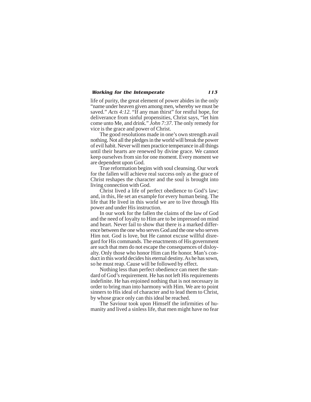### **Working for the Intemperate**

life of purity, the great element of power abides in the only "name under heaven given among men, whereby we must be saved." *Acts 4:12*. "If any man thirst" for restful hope, for deliverance from sinful propensities, Christ says, "let him come unto Me, and drink." *John 7:37*. The only remedy for vice is the grace and power of Christ.

The good resolutions made in one's own strength avail nothing. Not all the pledges in the world will break the power of evil habit. Never will men practice temperance in all things until their hearts are renewed by divine grace. We cannot keep ourselves from sin for one moment. Every moment we are dependent upon God.

True reformation begins with soul cleansing. Our work for the fallen will achieve real success only as the grace of Christ reshapes the character and the soul is brought into living connection with God.

Christ lived a life of perfect obedience to God's law; and, in this, He set an example for every human being. The life that He lived in this world we are to live through His power and under His instruction.

In our work for the fallen the claims of the law of God and the need of loyalty to Him are to be impressed on mind and heart. Never fail to show that there is a marked difference between the one who serves God and the one who serves Him not. God is love, but He cannot excuse willful disregard for His commands. The enactments of His government are such that men do not escape the consequences of disloyalty. Only those who honor Him can He honor. Man's conduct in this world decides his eternal destiny. As he has sown, so he must reap. Cause will be followed by effect.

Nothing less than perfect obedience can meet the standard of God's requirement. He has not left His requirements indefinite. He has enjoined nothing that is not necessary in order to bring man into harmony with Him. We are to point sinners to His ideal of character and to lead them to Christ, by whose grace only can this ideal be reached.

The Saviour took upon Himself the infirmities of humanity and lived a sinless life, that men might have no fear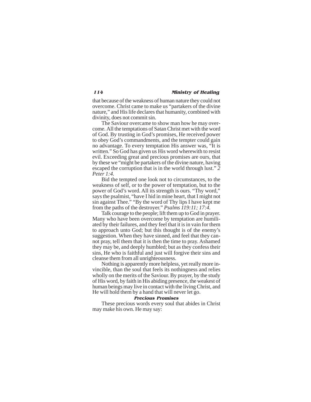that because of the weakness of human nature they could not overcome. Christ came to make us "partakers of the divine nature," and His life declares that humanity, combined with divinity, does not commit sin.

The Saviour overcame to show man how he may overcome. All the temptations of Satan Christ met with the word of God. By trusting in God's promises, He received power to obey God's commandments, and the tempter could gain no advantage. To every temptation His answer was, "It is written." So God has given us His word wherewith to resist evil. Exceeding great and precious promises are ours, that by these we "might be partakers of the divine nature, having escaped the corruption that is in the world through lust." *2 Peter 1:4.*

Bid the tempted one look not to circumstances, to the weakness of self, or to the power of temptation, but to the power of God's word. All its strength is ours. "Thy word," says the psalmist, "have I hid in mine heart, that I might not sin against Thee." "By the word of Thy lips I have kept me from the paths of the destroyer." *Psalms 119:11; 17:4*.

Talk courage to the people; lift them up to God in prayer. Many who have been overcome by temptation are humiliated by their failures, and they feel that it is in vain for them to approach unto God; but this thought is of the enemy's suggestion. When they have sinned, and feel that they cannot pray, tell them that it is then the time to pray. Ashamed they may be, and deeply humbled; but as they confess their sins, He who is faithful and just will forgive their sins and cleanse them from all unrighteousness.

Nothing is apparently more helpless, yet really more invincible, than the soul that feels its nothingness and relies wholly on the merits of the Saviour. By prayer, by the study of His word, by faith in His abiding presence, the weakest of human beings may live in contact with the living Christ, and He will hold them by a hand that will never let go.

### **Precious Promises**

These precious words every soul that abides in Christ may make his own. He may say: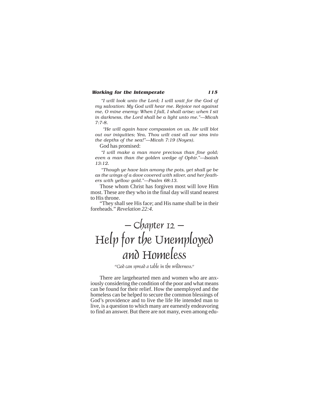### **Working for the Intemperate**

*"I will look unto the Lord; I will wait for the God of my salvation: My God will hear me. Rejoice not against me, O mine enemy: When I fall, I shall arise; when I sit in darkness, the Lord shall be a light unto me."—Micah 7:7-8.*

 *"He will again have compassion on us, He will blot out our iniquities; Yea, Thou wilt cast all our sins into the depths of the sea!"—Micah 7:19 (Noyes).*

God has promised:

*"I will make a man more precious than fine gold; even a man than the golden wedge of Ophir."—Isaiah 13:12.*

*"Though ye have lain among the pots, yet shall ye be as the wings of a dove covered with silver, and her feathers with yellow gold."—Psalm 68:13.*

Those whom Christ has forgiven most will love Him most. These are they who in the final day will stand nearest to His throne.

"They shall see His face; and His name shall be in their foreheads." *Revelation 22:4.*

# – Chapter 12 – Help for the Unemployed and Homeless

"God can spread a table in the wilderness."

There are largehearted men and women who are anxiously considering the condition of the poor and what means can be found for their relief. How the unemployed and the homeless can be helped to secure the common blessings of God's providence and to live the life He intended man to live, is a question to which many are earnestly endeavoring to find an answer. But there are not many, even among edu-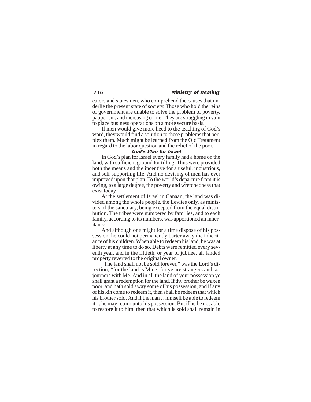cators and statesmen, who comprehend the causes that underlie the present state of society. Those who hold the reins of government are unable to solve the problem of poverty, pauperism, and increasing crime. They are struggling in vain to place business operations on a more secure basis.

If men would give more heed to the teaching of God's word, they would find a solution to these problems that perplex them. Much might be learned from the Old Testament in regard to the labor question and the relief of the poor.

### **God's Plan for Israel**

In God's plan for Israel every family had a home on the land, with sufficient ground for tilling. Thus were provided both the means and the incentive for a useful, industrious, and self-supporting life. And no devising of men has ever improved upon that plan. To the world's departure from it is owing, to a large degree, the poverty and wretchedness that exist today.

At the settlement of Israel in Canaan, the land was divided among the whole people, the Levites only, as ministers of the sanctuary, being excepted from the equal distribution. The tribes were numbered by families, and to each family, according to its numbers, was apportioned an inheritance.

And although one might for a time dispose of his possession, he could not permanently barter away the inheritance of his children. When able to redeem his land, he was at liberty at any time to do so. Debts were remitted every seventh year, and in the fiftieth, or year of jubilee, all landed property reverted to the original owner.

"The land shall not be sold forever," was the Lord's direction; "for the land is Mine; for ye are strangers and sojourners with Me. And in all the land of your possession ye shall grant a redemption for the land. If thy brother be waxen poor, and hath sold away some of his possession, and if any of his kin come to redeem it, then shall he redeem that which his brother sold. And if the man . . himself be able to redeem it . . he may return unto his possession. But if he be not able to restore it to him, then that which is sold shall remain in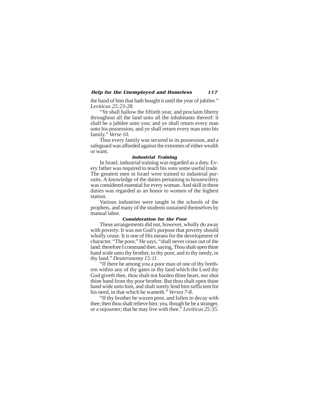### **Help for the Unemployed and Homeless**

the hand of him that hath bought it until the year of jubilee." *Leviticus 25:23-28.*

"Ye shall hallow the fiftieth year, and proclaim liberty throughout all the land unto all the inhabitants thereof: it shall be a jubilee unto you; and ye shall return every man unto his possession, and ye shall return every man unto his family." *Verse 10*.

Thus every family was secured in its possession, and a safeguard was afforded against the extremes of either wealth or want.

### **Industrial Training**

In Israel, industrial training was regarded as a duty. Every father was required to teach his sons some useful trade. The greatest men in Israel were trained to industrial pursuits. A knowledge of the duties pertaining to housewifery was considered essential for every woman. And skill in these duties was regarded as an honor to women of the highest station.

Various industries were taught in the schools of the prophets, and many of the students sustained themselves by manual labor.

## **Consideration for the Poor**

These arrangements did not, however, wholly do away with poverty. It was not God's purpose that poverty should wholly cease. It is one of His means for the development of character. "The poor," He says, "shall never cease out of the land: therefore I command thee, saying, Thou shalt open thine hand wide unto thy brother, to thy poor, and to thy needy, in thy land." *Deuteronomy 15:11*.

"If there be among you a poor man of one of thy brethren within any of thy gates in thy land which the Lord thy God giveth thee, thou shalt not harden thine heart, nor shut thine hand from thy poor brother. But thou shalt open thine hand wide unto him, and shalt surely lend him sufficient for his need, in that which he wanteth." *Verses 7-8*.

"If thy brother be waxen poor, and fallen in decay with thee; then thou shalt relieve him: yea, though he be a stranger, or a sojourner; that he may live with thee." *Leviticus 25:35*.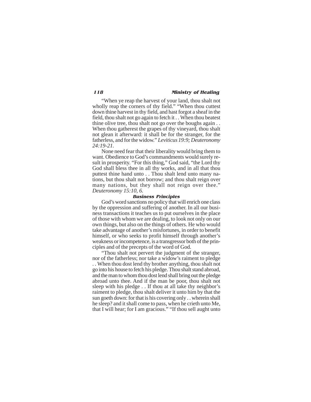"When ye reap the harvest of your land, thou shalt not wholly reap the corners of thy field." "When thou cuttest down thine harvest in thy field, and hast forgot a sheaf in the field, thou shalt not go again to fetch it . . When thou beatest thine olive tree, thou shalt not go over the boughs again . . When thou gatherest the grapes of thy vineyard, thou shalt not glean it afterward: it shall be for the stranger, for the fatherless, and for the widow." *Leviticus 19:9; Deuteronomy 24:19-21.*

None need fear that their liberality would bring them to want. Obedience to God's commandments would surely result in prosperity. "For this thing," God said, "the Lord thy God shall bless thee in all thy works, and in all that thou puttest thine hand unto . . Thou shalt lend unto many nations, but thou shalt not borrow; and thou shalt reign over many nations, but they shall not reign over thee." *Deuteronomy 15:10, 6.*

### **Business Principles**

God's word sanctions no policy that will enrich one class by the oppression and suffering of another. In all our business transactions it teaches us to put ourselves in the place of those with whom we are dealing, to look not only on our own things, but also on the things of others. He who would take advantage of another's misfortunes, in order to benefit himself, or who seeks to profit himself through another's weakness or incompetence, is a transgressor both of the principles and of the precepts of the word of God.

"Thou shalt not pervert the judgment of the stranger, nor of the fatherless; nor take a widow's raiment to pledge . . When thou dost lend thy brother anything, thou shalt not go into his house to fetch his pledge. Thou shalt stand abroad, and the man to whom thou dost lend shall bring out the pledge abroad unto thee. And if the man be poor, thou shalt not sleep with his pledge . . If thou at all take thy neighbor's raiment to pledge, thou shalt deliver it unto him by that the sun goeth down: for that is his covering only . . wherein shall he sleep? and it shall come to pass, when he crieth unto Me, that I will hear; for I am gracious." "If thou sell aught unto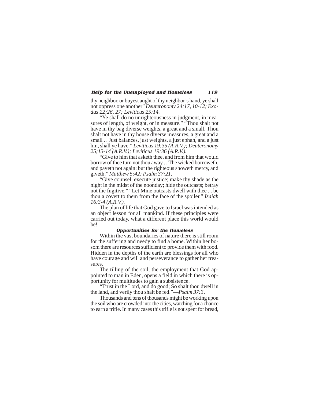### **Help for the Unemployed and Homeless**

thy neighbor, or buyest aught of thy neighbor's hand, ye shall not oppress one another" *Deuteronomy 24:17, 10-12; Exodus 22;26, 27; Leviticus 25:14.*

"Ye shall do no unrighteousness in judgment, in measures of length, of weight, or in measure." "Thou shalt not have in thy bag diverse weights, a great and a small. Thou shalt not have in thy house diverse measures, a great and a small . . Just balances, just weights, a just ephah, and a just hin, shall ye have." *Leviticus 19:35 (A.R.V.); Deuteronomy 25;13-14 (A.R.V.); Leviticus 19:36 (A.R.V.).*

"Give to him that asketh thee, and from him that would borrow of thee turn not thou away . . The wicked borroweth, and payeth not again: but the righteous showeth mercy, and giveth." *Matthew 5:42; Psalm 37:21*.

"Give counsel, execute justice; make thy shade as the night in the midst of the noonday; hide the outcasts; betray not the fugitive." "Let Mine outcasts dwell with thee . . be thou a covert to them from the face of the spoiler." *Isaiah 16:3-4 (A.R.V.).*

The plan of life that God gave to Israel was intended as an object lesson for all mankind. If these principles were carried out today, what a different place this world would be!

### **Opportunities for the Homeless**

Within the vast boundaries of nature there is still room for the suffering and needy to find a home. Within her bosom there are resources sufficient to provide them with food. Hidden in the depths of the earth are blessings for all who have courage and will and perseverance to gather her treasures.

The tilling of the soil, the employment that God appointed to man in Eden, opens a field in which there is opportunity for multitudes to gain a subsistence.

"Trust in the Lord, and do good; So shalt thou dwell in the land, and verily thou shalt be fed."—*Psalm 37:3*.

Thousands and tens of thousands might be working upon the soil who are crowded into the cities, watching for a chance to earn a trifle. In many cases this trifle is not spent for bread,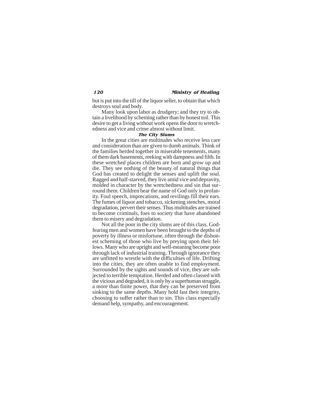but is put into the till of the liquor seller, to obtain that which destroys soul and body.

Many look upon labor as drudgery; and they try to obtain a livelihood by scheming rather than by honest toil. This desire to get a living without work opens the door to wretchedness and vice and crime almost without limit.

### **The City Slums**

In the great cities are multitudes who receive less care and consideration than are given to dumb animals. Think of the families herded together in miserable tenements, many of them dark basements, reeking with dampness and filth. In these wretched places children are born and grow up and die. They see nothing of the beauty of natural things that God has created to delight the senses and uplift the soul. Ragged and half-starved, they live amid vice and depravity, molded in character by the wretchedness and sin that surround them. Children hear the name of God only in profanity. Foul speech, imprecations, and revilings fill their ears. The fumes of liquor and tobacco, sickening stenches, moral degradation, pervert their senses. Thus multitudes are trained to become criminals, foes to society that have abandoned them to misery and degradation.

Not all the poor in the city slums are of this class. Godfearing men and women have been brought to the depths of poverty by illness or misfortune, often through the dishonest scheming of those who live by preying upon their fellows. Many who are upright and well-meaning become poor through lack of industrial training. Through ignorance they are unfitted to wrestle with the difficulties of life. Drifting into the cities, they are often unable to find employment. Surrounded by the sights and sounds of vice, they are subjected to terrible temptation. Herded and often classed with the vicious and degraded, it is only by a superhuman struggle, a more than finite power, that they can be preserved from sinking to the same depths. Many hold fast their integrity, choosing to suffer rather than to sin. This class especially demand help, sympathy, and encouragement.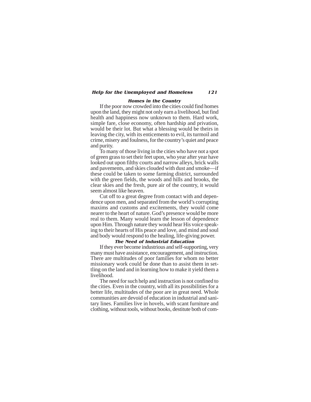### **Help for the Unemployed and Homeless**

### **Homes in the Country**

If the poor now crowded into the cities could find homes upon the land, they might not only earn a livelihood, but find health and happiness now unknown to them. Hard work, simple fare, close economy, often hardship and privation, would be their lot. But what a blessing would be theirs in leaving the city, with its enticements to evil, its turmoil and crime, misery and foulness, for the country's quiet and peace and purity.

To many of those living in the cities who have not a spot of green grass to set their feet upon, who year after year have looked out upon filthy courts and narrow alleys, brick walls and pavements, and skies clouded with dust and smoke—if these could be taken to some farming district, surrounded with the green fields, the woods and hills and brooks, the clear skies and the fresh, pure air of the country, it would seem almost like heaven.

Cut off to a great degree from contact with and dependence upon men, and separated from the world's corrupting maxims and customs and excitements, they would come nearer to the heart of nature. God's presence would be more real to them. Many would learn the lesson of dependence upon Him. Through nature they would hear His voice speaking to their hearts of His peace and love, and mind and soul and body would respond to the healing, life-giving power.

### **The Need of Industrial Education**

If they ever become industrious and self-supporting, very many must have assistance, encouragement, and instruction. There are multitudes of poor families for whom no better missionary work could be done than to assist them in settling on the land and in learning how to make it yield them a livelihood.

The need for such help and instruction is not confined to the cities. Even in the country, with all its possibilities for a better life, multitudes of the poor are in great need. Whole communities are devoid of education in industrial and sanitary lines. Families live in hovels, with scant furniture and clothing, without tools, without books, destitute both of com-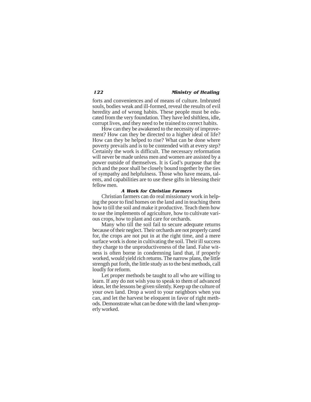forts and conveniences and of means of culture. Imbruted souls, bodies weak and ill-formed, reveal the results of evil heredity and of wrong habits. These people must be educated from the very foundation. They have led shiftless, idle, corrupt lives, and they need to be trained to correct habits.

How can they be awakened to the necessity of improvement? How can they be directed to a higher ideal of life? How can they be helped to rise? What can be done where poverty prevails and is to be contended with at every step? Certainly the work is difficult. The necessary reformation will never be made unless men and women are assisted by a power outside of themselves. It is God's purpose that the rich and the poor shall be closely bound together by the ties of sympathy and helpfulness. Those who have means, talents, and capabilities are to use these gifts in blessing their fellow men.

### **A Work for Christian Farmers**

Christian farmers can do real missionary work in helping the poor to find homes on the land and in teaching them how to till the soil and make it productive. Teach them how to use the implements of agriculture, how to cultivate various crops, how to plant and care for orchards.

Many who till the soil fail to secure adequate returns because of their neglect. Their orchards are not properly cared for, the crops are not put in at the right time, and a mere surface work is done in cultivating the soil. Their ill success they charge to the unproductiveness of the land. False witness is often borne in condemning land that, if properly worked, would yield rich returns. The narrow plans, the little strength put forth, the little study as to the best methods, call loudly for reform.

Let proper methods be taught to all who are willing to learn. If any do not wish you to speak to them of advanced ideas, let the lessons be given silently. Keep up the culture of your own land. Drop a word to your neighbors when you can, and let the harvest be eloquent in favor of right methods. Demonstrate what can be done with the land when properly worked.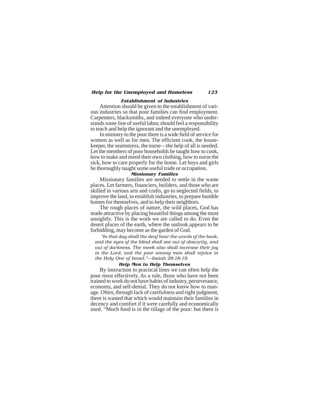### **123 Help for the Unemployed and Homeless**

### **Establishment of Industries**

Attention should be given to the establishment of various industries so that poor families can find employment. Carpenters, blacksmiths, and indeed everyone who understands some line of useful labor, should feel a responsibility to teach and help the ignorant and the unemployed.

In ministry to the poor there is a wide field of service for women as well as for men. The efficient cook, the housekeeper, the seamstress, the nurse—the help of all is needed. Let the members of poor households be taught how to cook, how to make and mend their own clothing, how to nurse the sick, how to care properly for the home. Let boys and girls be thoroughly taught some useful trade or occupation.

### **Missionary Families**

Missionary families are needed to settle in the waste places. Let farmers, financiers, builders, and those who are skilled in various arts and crafts, go to neglected fields, to improve the land, to establish industries, to prepare humble homes for themselves, and to help their neighbors.

The rough places of nature, the wild places, God has made attractive by placing beautiful things among the most unsightly. This is the work we are called to do. Even the desert places of the earth, where the outlook appears to be forbidding, may become as the garden of God.

*"In that day shall the deaf hear the words of the book, and the eyes of the blind shall see out of obscurity, and out of darkness. The meek also shall increase their joy in the Lord, and the poor among men shall rejoice in the Holy One of Israel."—Isaiah 29:18-19.*

### **Help Men to Help Themselves**

By instruction in practical lines we can often help the poor most effectively. As a rule, those who have not been trained to work do not have habits of industry, perseverance, economy, and self-denial. They do not know how to manage. Often, through lack of carefulness and right judgment, there is wasted that which would maintain their families in decency and comfort if it were carefully and economically used. "Much food is in the tillage of the poor: but there is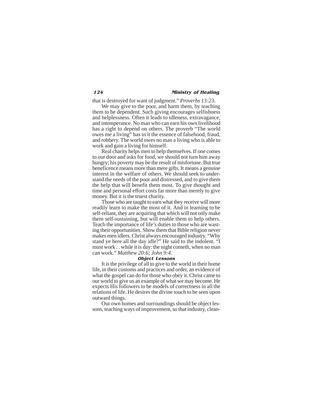that is destroyed for want of judgment." *Proverbs 13:23*.

We may give to the poor, and harm them, by teaching them to be dependent. Such giving encourages selfishness and helplessness. Often it leads to idleness, extravagance, and intemperance. No man who can earn his own livelihood has a right to depend on others. The proverb "The world owes me a living" has in it the essence of falsehood, fraud, and robbery. The world owes no man a living who is able to work and gain a living for himself.

Real charity helps men to help themselves. If one comes to our door and asks for food, we should not turn him away hungry; his poverty may be the result of misfortune. But true beneficence means more than mere gifts. It means a genuine interest in the welfare of others. We should seek to understand the needs of the poor and distressed, and to give them the help that will benefit them most. To give thought and time and personal effort costs far more than merely to give money. But it is the truest charity.

Those who are taught to earn what they receive will more readily learn to make the most of it. And in learning to be self-reliant, they are acquiring that which will not only make them self-sustaining, but will enable them to help others. Teach the importance of life's duties to those who are wasting their opportunities. Show them that Bible religion never makes men idlers. Christ always encouraged industry. "Why stand ye here all the day idle?" He said to the indolent. "I must work . . while it is day: the night cometh, when no man can work." *Matthew 20:6; John 9:4*.

### **Object Lessons**

It is the privilege of all to give to the world in their home life, in their customs and practices and order, an evidence of what the gospel can do for those who obey it. Christ came to our world to give us an example of what we may become. He expects His followers to be models of correctness in all the relations of life. He desires the divine touch to be seen upon outward things.

Our own homes and surroundings should be object lessons, teaching ways of improvement, so that industry, clean-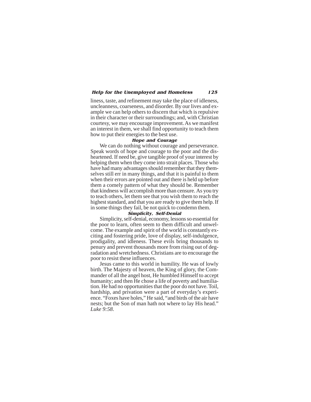### **Help for the Unemployed and Homeless**

liness, taste, and refinement may take the place of idleness, uncleanness, coarseness, and disorder. By our lives and example we can help others to discern that which is repulsive in their character or their surroundings; and, with Christian courtesy, we may encourage improvement. As we manifest an interest in them, we shall find opportunity to teach them how to put their energies to the best use.

### **Hope and Courage**

We can do nothing without courage and perseverance. Speak words of hope and courage to the poor and the disheartened. If need be, give tangible proof of your interest by helping them when they come into strait places. Those who have had many advantages should remember that they themselves still err in many things, and that it is painful to them when their errors are pointed out and there is held up before them a comely pattern of what they should be. Remember that kindness will accomplish more than censure. As you try to teach others, let them see that you wish them to reach the highest standard, and that you are ready to give them help. If in some things they fail, be not quick to condemn them.

### **Simplicity, Self-Denial**

Simplicity, self-denial, economy, lessons so essential for the poor to learn, often seem to them difficult and unwelcome. The example and spirit of the world is constantly exciting and fostering pride, love of display, self-indulgence, prodigality, and idleness. These evils bring thousands to penury and prevent thousands more from rising out of degradation and wretchedness. Christians are to encourage the poor to resist these influences.

Jesus came to this world in humility. He was of lowly birth. The Majesty of heaven, the King of glory, the Commander of all the angel host, He humbled Himself to accept humanity; and then He chose a life of poverty and humiliation. He had no opportunities that the poor do not have. Toil, hardship, and privation were a part of everyday's experience. "Foxes have holes," He said, "and birds of the air have nests; but the Son of man hath not where to lay His head." *Luke 9:58*.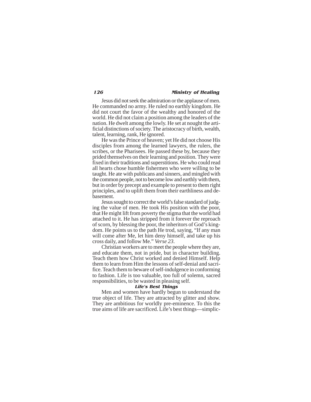Jesus did not seek the admiration or the applause of men. He commanded no army. He ruled no earthly kingdom. He did not court the favor of the wealthy and honored of the world. He did not claim a position among the leaders of the nation. He dwelt among the lowly. He set at nought the artificial distinctions of society. The aristocracy of birth, wealth, talent, learning, rank, He ignored.

He was the Prince of heaven; yet He did not choose His disciples from among the learned lawyers, the rulers, the scribes, or the Pharisees. He passed these by, because they prided themselves on their learning and position. They were fixed in their traditions and superstitions. He who could read all hearts chose humble fishermen who were willing to be taught. He ate with publicans and sinners, and mingled with the common people, not to become low and earthly with them, but in order by precept and example to present to them right principles, and to uplift them from their earthliness and debasement.

Jesus sought to correct the world's false standard of judging the value of men. He took His position with the poor, that He might lift from poverty the stigma that the world had attached to it. He has stripped from it forever the reproach of scorn, by blessing the poor, the inheritors of God's kingdom. He points us to the path He trod, saying, "If any man will come after Me, let him deny himself, and take up his cross daily, and follow Me." *Verse 23*.

Christian workers are to meet the people where they are, and educate them, not in pride, but in character building. Teach them how Christ worked and denied Himself. Help them to learn from Him the lessons of self-denial and sacrifice. Teach them to beware of self-indulgence in conforming to fashion. Life is too valuable, too full of solemn, sacred responsibilities, to be wasted in pleasing self.

### **Life's Best Things**

Men and women have hardly begun to understand the true object of life. They are attracted by glitter and show. They are ambitious for worldly pre-eminence. To this the true aims of life are sacrificed. Life's best things—simplic-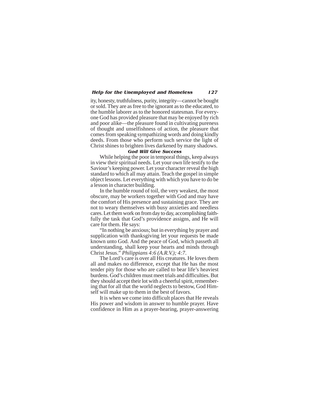### **127 Help for the Unemployed and Homeless**

ity, honesty, truthfulness, purity, integrity—cannot be bought or sold. They are as free to the ignorant as to the educated, to the humble laborer as to the honored statesman. For everyone God has provided pleasure that may be enjoyed by rich and poor alike—the pleasure found in cultivating pureness of thought and unselfishness of action, the pleasure that comes from speaking sympathizing words and doing kindly deeds. From those who perform such service the light of Christ shines to brighten lives darkened by many shadows.

## **God Will Give Success**

While helping the poor in temporal things, keep always in view their spiritual needs. Let your own life testify to the Saviour's keeping power. Let your character reveal the high standard to which all may attain. Teach the gospel in simple object lessons. Let everything with which you have to do be a lesson in character building.

In the humble round of toil, the very weakest, the most obscure, may be workers together with God and may have the comfort of His presence and sustaining grace. They are not to weary themselves with busy anxieties and needless cares. Let them work on from day to day, accomplishing faithfully the task that God's providence assigns, and He will care for them. He says:

"In nothing be anxious; but in everything by prayer and supplication with thanksgiving let your requests be made known unto God. And the peace of God, which passeth all understanding, shall keep your hearts and minds through Christ Jesus." *Philippians 4:6 (A.R.V.); 4:7*.

The Lord's care is over all His creatures. He loves them all and makes no difference, except that He has the most tender pity for those who are called to bear life's heaviest burdens. God's children must meet trials and difficulties. But they should accept their lot with a cheerful spirit, remembering that for all that the world neglects to bestow, God Himself will make up to them in the best of favors.

It is when we come into difficult places that He reveals His power and wisdom in answer to humble prayer. Have confidence in Him as a prayer-hearing, prayer-answering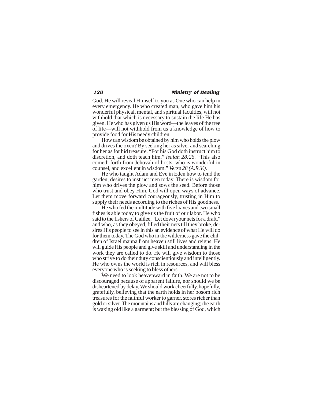God. He will reveal Himself to you as One who can help in every emergency. He who created man, who gave him his wonderful physical, mental, and spiritual faculties, will not withhold that which is necessary to sustain the life He has given. He who has given us His word—the leaves of the tree of life—will not withhold from us a knowledge of how to provide food for His needy children.

How can wisdom be obtained by him who holds the plow and drives the oxen? By seeking her as silver and searching for her as for hid treasure. "For his God doth instruct him to discretion, and doth teach him." *Isaiah 28:26*. "This also cometh forth from Jehovah of hosts, who is wonderful in counsel, and excellent in wisdom." *Verse 28 (A.R.V.).*

He who taught Adam and Eve in Eden how to tend the garden, desires to instruct men today. There is wisdom for him who drives the plow and sows the seed. Before those who trust and obey Him, God will open ways of advance. Let them move forward courageously, trusting in Him to supply their needs according to the riches of His goodness.

He who fed the multitude with five loaves and two small fishes is able today to give us the fruit of our labor. He who said to the fishers of Galilee, "Let down your nets for a draft," and who, as they obeyed, filled their nets till they broke, desires His people to see in this an evidence of what He will do for them today. The God who in the wilderness gave the children of Israel manna from heaven still lives and reigns. He will guide His people and give skill and understanding in the work they are called to do. He will give wisdom to those who strive to do their duty conscientiously and intelligently. He who owns the world is rich in resources, and will bless everyone who is seeking to bless others.

We need to look heavenward in faith. We are not to be discouraged because of apparent failure, nor should we be disheartened by delay. We should work cheerfully, hopefully, gratefully, believing that the earth holds in her bosom rich treasures for the faithful worker to garner, stores richer than gold or silver. The mountains and hills are changing; the earth is waxing old like a garment; but the blessing of God, which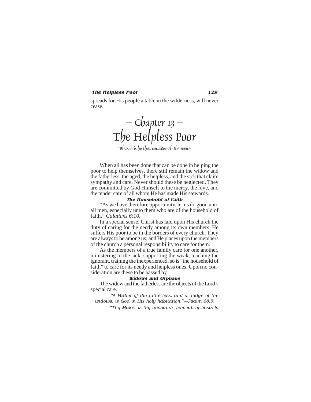### **The Helpless Poor**

spreads for His people a table in the wilderness, will never cease.

 $-\bigcirc$ bapter 13  $-$ The Helpless Poor

"Blessed is he that considereth the poor."

When all has been done that can be done in helping the poor to help themselves, there still remain the widow and the fatherless, the aged, the helpless, and the sick that claim sympathy and care. Never should these be neglected. They are committed by God Himself to the mercy, the love, and the tender care of all whom He has made His stewards.

### **The Household of Faith**

"As we have therefore opportunity, let us do good unto all men, especially unto them who are of the household of faith." *Galatians 6:10*.

In a special sense, Christ has laid upon His church the duty of caring for the needy among its own members. He suffers His poor to be in the borders of every church. They are always to be among us; and He places upon the members of the church a personal responsibility to care for them.

As the members of a true family care for one another, ministering to the sick, supporting the weak, teaching the ignorant, training the inexperienced, so is "the household of faith" to care for its needy and helpless ones. Upon no consideration are these to be passed by.

### **Widows and Orphans**

The widow and the fatherless are the objects of the Lord's special care.

 *"A Father of the fatherless, and a Judge of the widows, is God in His holy habitation."—Psalm 68:5.*

 *"Thy Maker is thy husband; Jehovah of hosts is*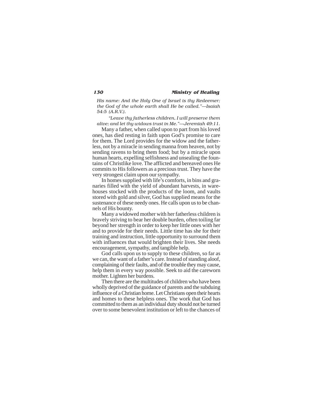*His name: And the Holy One of Israel is thy Redeemer; the God of the whole earth shall He be called."—Isaiah 54:5 (A.R.V.).*

 *"Leave thy fatherless children, I will preserve them alive; and let thy widows trust in Me."—Jeremiah 49:11.*

Many a father, when called upon to part from his loved ones, has died resting in faith upon God's promise to care for them. The Lord provides for the widow and the fatherless, not by a miracle in sending manna from heaven, not by sending ravens to bring them food; but by a miracle upon human hearts, expelling selfishness and unsealing the fountains of Christlike love. The afflicted and bereaved ones He commits to His followers as a precious trust. They have the very strongest claim upon our sympathy.

In homes supplied with life's comforts, in bins and granaries filled with the yield of abundant harvests, in warehouses stocked with the products of the loom, and vaults stored with gold and silver, God has supplied means for the sustenance of these needy ones. He calls upon us to be channels of His bounty.

Many a widowed mother with her fatherless children is bravely striving to bear her double burden, often toiling far beyond her strength in order to keep her little ones with her and to provide for their needs. Little time has she for their training and instruction, little opportunity to surround them with influences that would brighten their lives. She needs encouragement, sympathy, and tangible help.

God calls upon us to supply to these children, so far as we can, the want of a father's care. Instead of standing aloof, complaining of their faults, and of the trouble they may cause, help them in every way possible. Seek to aid the careworn mother. Lighten her burdens.

Then there are the multitudes of children who have been wholly deprived of the guidance of parents and the subduing influence of a Christian home. Let Christians open their hearts and homes to these helpless ones. The work that God has committed to them as an individual duty should not be turned over to some benevolent institution or left to the chances of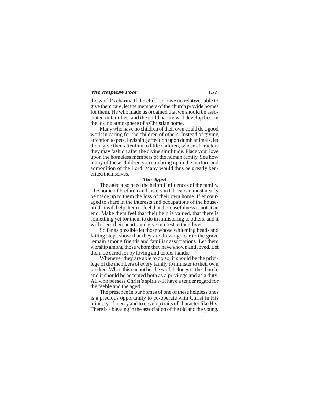### **The Helpless Poor**

the world's charity. If the children have no relatives able to give them care, let the members of the church provide homes for them. He who made us ordained that we should be associated in families, and the child nature will develop best in the loving atmosphere of a Christian home.

Many who have no children of their own could do a good work in caring for the children of others. Instead of giving attention to pets, lavishing affection upon dumb animals, let them give their attention to little children, whose characters they may fashion after the divine similitude. Place your love upon the homeless members of the human family. See how many of these children you can bring up in the nurture and admonition of the Lord. Many would thus be greatly benefited themselves.

### **The Aged**

The aged also need the helpful influences of the family. The home of brethren and sisters in Christ can most nearly be made up to them the loss of their own home. If encouraged to share in the interests and occupations of the household, it will help them to feel that their usefulness is not at an end. Make them feel that their help is valued, that there is something yet for them to do in ministering to others, and it will cheer their hearts and give interest to their lives.

So far as possible let those whose whitening heads and failing steps show that they are drawing near to the grave remain among friends and familiar associations. Let them worship among those whom they have known and loved. Let them be cared for by loving and tender hands.

Whenever they are able to do so, it should be the privilege of the members of every family to minister to their own kindred. When this cannot be, the work belongs to the church; and it should be accepted both as a privilege and as a duty. All who possess Christ's spirit will have a tender regard for the feeble and the aged.

The presence in our homes of one of these helpless ones is a precious opportunity to co-operate with Christ in His ministry of mercy and to develop traits of character like His. There is a blessing in the association of the old and the young.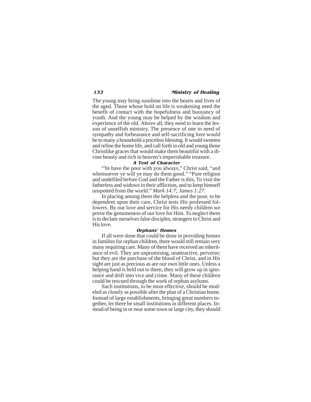The young may bring sunshine into the hearts and lives of the aged. Those whose hold on life is weakening need the benefit of contact with the hopefulness and buoyancy of youth. And the young may be helped by the wisdom and experience of the old. Above all, they need to learn the lesson of unselfish ministry. The presence of one in need of sympathy and forbearance and self-sacrificing love would be to many a household a priceless blessing. It would sweeten and refine the home life, and call forth in old and young those Christlike graces that would make them beautiful with a divine beauty and rich in heaven's imperishable treasure.

### **A Test of Character**

"Ye have the poor with you always," Christ said, "and whensoever ye will ye may do them good." "Pure religion and undefiled before God and the Father is this, To visit the fatherless and widows in their affliction, and to keep himself unspotted from the world." *Mark 14:7; James 1:27.*

In placing among them the helpless and the poor, to be dependent upon their care, Christ tests His professed followers. By our love and service for His needy children we prove the genuineness of our love for Him. To neglect them is to declare ourselves false disciples, strangers to Christ and His love.

### **Orphans' Homes**

If all were done that could be done in providing homes in families for orphan children, there would still remain very many requiring care. Many of them have received an inheritance of evil. They are unpromising, unattractive, perverse; but they are the purchase of the blood of Christ, and in His sight are just as precious as are our own little ones. Unless a helping hand is held out to them, they will grow up in ignorance and drift into vice and crime. Many of these children could be rescued through the work of orphan asylums.

Such institutions, to be most effective, should be modeled as closely as possible after the plan of a Christian home. Instead of large establishments, bringing great numbers together, let there be small institutions in different places. Instead of being in or near some town or large city, they should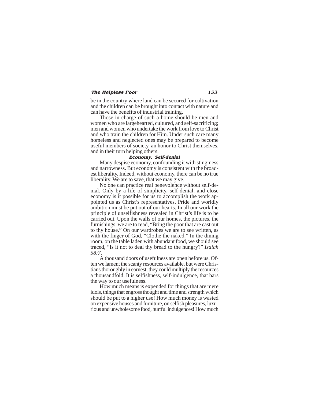### **The Helpless Poor**

be in the country where land can be secured for cultivation and the children can be brought into contact with nature and can have the benefits of industrial training.

Those in charge of such a home should be men and women who are largehearted, cultured, and self-sacrificing; men and women who undertake the work from love to Christ and who train the children for Him. Under such care many homeless and neglected ones may be prepared to become useful members of society, an honor to Christ themselves, and in their turn helping others.

### **Economy, Self-denial**

Many despise economy, confounding it with stinginess and narrowness. But economy is consistent with the broadest liberality. Indeed, without economy, there can be no true liberality. We are to save, that we may give.

No one can practice real benevolence without self-denial. Only by a life of simplicity, self-denial, and close economy is it possible for us to accomplish the work appointed us as Christ's representatives. Pride and worldly ambition must be put out of our hearts. In all our work the principle of unselfishness revealed in Christ's life is to be carried out. Upon the walls of our homes, the pictures, the furnishings, we are to read, "Bring the poor that are cast out to thy house." On our wardrobes we are to see written, as with the finger of God, "Clothe the naked." In the dining room, on the table laden with abundant food, we should see traced, "Is it not to deal thy bread to the hungry?" *Isaiah 58:7.*

A thousand doors of usefulness are open before us. Often we lament the scanty resources available, but were Christians thoroughly in earnest, they could multiply the resources a thousandfold. It is selfishness, self-indulgence, that bars the way to our usefulness.

How much means is expended for things that are mere idols, things that engross thought and time and strength which should be put to a higher use! How much money is wasted on expensive houses and furniture, on selfish pleasures, luxurious and unwholesome food, hurtful indulgences! How much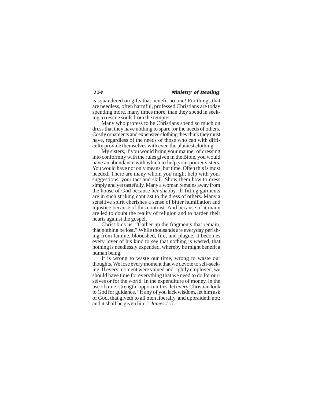is squandered on gifts that benefit no one! For things that are needless, often harmful, professed Christians are today spending more, many times more, than they spend in seeking to rescue souls from the tempter.

Many who profess to be Christians spend so much on dress that they have nothing to spare for the needs of others. Costly ornaments and expensive clothing they think they must have, regardless of the needs of those who can with difficulty provide themselves with even the plainest clothing.

My sisters, if you would bring your manner of dressing into conformity with the rules given in the Bible, you would have an abundance with which to help your poorer sisters. You would have not only means, but time. Often this is most needed. There are many whom you might help with your suggestions, your tact and skill. Show them how to dress simply and yet tastefully. Many a woman remains away from the house of God because her shabby, ill-fitting garments are in such striking contrast to the dress of others. Many a sensitive spirit cherishes a sense of bitter humiliation and injustice because of this contrast. And because of it many are led to doubt the reality of religion and to harden their hearts against the gospel.

Christ bids us, "Gather up the fragments that remain, that nothing be lost." While thousands are everyday perishing from famine, bloodshed, fire, and plague, it becomes every lover of his kind to see that nothing is wasted, that nothing is needlessly expended, whereby he might benefit a human being.

It is wrong to waste our time, wrong to waste our thoughts. We lose every moment that we devote to self-seeking. If every moment were valued and rightly employed, we should have time for everything that we need to do for ourselves or for the world. In the expenditure of money, in the use of time, strength, opportunities, let every Christian look to God for guidance. "If any of you lack wisdom, let him ask of God, that giveth to all men liberally, and upbraideth not; and it shall be given him." *James 1:5*.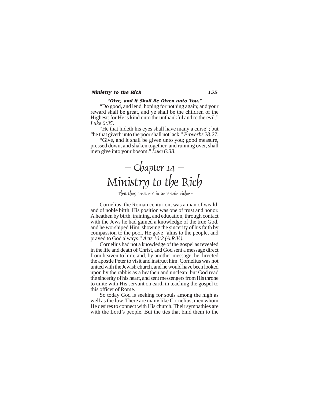### **Ministry to the Rich**

### **"Give, and it Shall Be Given unto You."**

"Do good, and lend, hoping for nothing again; and your reward shall be great, and ye shall be the children of the Highest: for He is kind unto the unthankful and to the evil." *Luke 6:35*.

"He that hideth his eyes shall have many a curse"; but "he that giveth unto the poor shall not lack." *Proverbs 28:27*.

"Give, and it shall be given unto you; good measure, pressed down, and shaken together, and running over, shall men give into your bosom." *Luke 6:38*.

# – Chapter 14 – Ministry to the Rich

"That they trust not in uncertain riches."

Cornelius, the Roman centurion, was a man of wealth and of noble birth. His position was one of trust and honor. A heathen by birth, training, and education, through contact with the Jews he had gained a knowledge of the true God, and he worshiped Him, showing the sincerity of his faith by compassion to the poor. He gave "alms to the people, and prayed to God always." *Acts 10:2 (A.R.V.).*

Cornelius had not a knowledge of the gospel as revealed in the life and death of Christ, and God sent a message direct from heaven to him; and, by another message, he directed the apostle Peter to visit and instruct him. Cornelius was not united with the Jewish church, and he would have been looked upon by the rabbis as a heathen and unclean; but God read the sincerity of his heart, and sent messengers from His throne to unite with His servant on earth in teaching the gospel to this officer of Rome.

So today God is seeking for souls among the high as well as the low. There are many like Cornelius, men whom He desires to connect with His church. Their sympathies are with the Lord's people. But the ties that bind them to the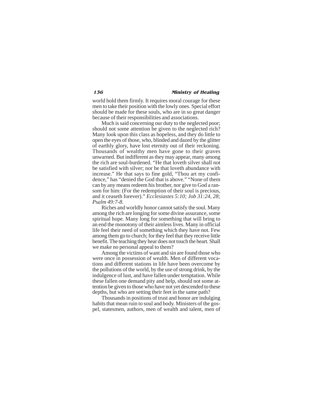world hold them firmly. It requires moral courage for these men to take their position with the lowly ones. Special effort should be made for these souls, who are in so great danger because of their responsibilities and associations.

Much is said concerning our duty to the neglected poor; should not some attention be given to the neglected rich? Many look upon this class as hopeless, and they do little to open the eyes of those, who, blinded and dazed by the glitter of earthly glory, have lost eternity out of their reckoning. Thousands of wealthy men have gone to their graves unwarned. But indifferent as they may appear, many among the rich are soul-burdened. "He that loveth silver shall not be satisfied with silver; nor he that loveth abundance with increase." He that says to fine gold, "Thou art my confidence," has "denied the God that is above." "None of them can by any means redeem his brother, nor give to God a ransom for him: (For the redemption of their soul is precious, and it ceaseth forever)." *Ecclesiastes 5:10; Job 31:24, 28; Psalm 49:7-8.*

Riches and worldly honor cannot satisfy the soul. Many among the rich are longing for some divine assurance, some spiritual hope. Many long for something that will bring to an end the monotony of their aimless lives. Many in official life feel their need of something which they have not. Few among them go to church; for they feel that they receive little benefit. The teaching they hear does not touch the heart. Shall we make no personal appeal to them?

Among the victims of want and sin are found those who were once in possession of wealth. Men of different vocations and different stations in life have been overcome by the pollutions of the world, by the use of strong drink, by the indulgence of lust, and have fallen under temptation. While these fallen one demand pity and help, should not some attention be given to those who have not yet descended to these depths, but who are setting their feet in the same path?

Thousands in positions of trust and honor are indulging habits that mean ruin to soul and body. Ministers of the gospel, statesmen, authors, men of wealth and talent, men of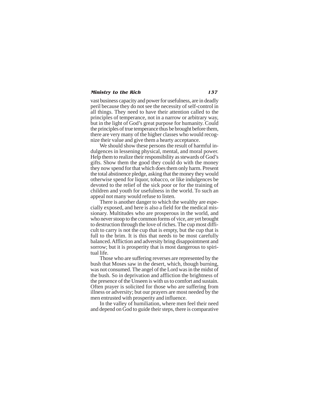### **Ministry to the Rich**

vast business capacity and power for usefulness, are in deadly peril because they do not see the necessity of self-control in all things. They need to have their attention called to the principles of temperance, not in a narrow or arbitrary way, but in the light of God's great purpose for humanity. Could the principles of true temperance thus be brought before them, there are very many of the higher classes who would recognize their value and give them a hearty acceptance.

We should show these persons the result of harmful indulgences in lessening physical, mental, and moral power. Help them to realize their responsibility as stewards of God's gifts. Show them the good they could do with the money they now spend for that which does them only harm. Present the total abstinence pledge, asking that the money they would otherwise spend for liquor, tobacco, or like indulgences be devoted to the relief of the sick poor or for the training of children and youth for usefulness in the world. To such an appeal not many would refuse to listen.

There is another danger to which the wealthy are especially exposed, and here is also a field for the medical missionary. Multitudes who are prosperous in the world, and who never stoop to the common forms of vice, are yet brought to destruction through the love of riches. The cup most difficult to carry is not the cup that is empty, but the cup that is full to the brim. It is this that needs to be most carefully balanced. Affliction and adversity bring disappointment and sorrow; but it is prosperity that is most dangerous to spiritual life.

Those who are suffering reverses are represented by the bush that Moses saw in the desert, which, though burning, was not consumed. The angel of the Lord was in the midst of the bush. So in deprivation and affliction the brightness of the presence of the Unseen is with us to comfort and sustain. Often prayer is solicited for those who are suffering from illness or adversity; but our prayers are most needed by the men entrusted with prosperity and influence.

In the valley of humiliation, where men feel their need and depend on God to guide their steps, there is comparative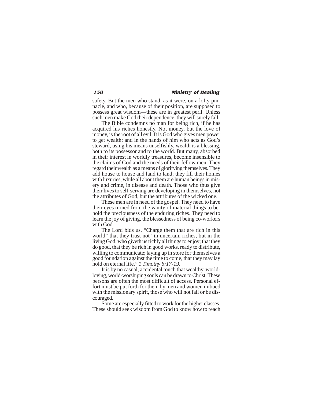safety. But the men who stand, as it were, on a lofty pinnacle, and who, because of their position, are supposed to possess great wisdom—these are in greatest peril. Unless such men make God their dependence, they will surely fall.

The Bible condemns no man for being rich, if he has acquired his riches honestly. Not money, but the love of money, is the root of all evil. It is God who gives men power to get wealth; and in the hands of him who acts as God's steward, using his means unselfishly, wealth is a blessing, both to its possessor and to the world. But many, absorbed in their interest in worldly treasures, become insensible to the claims of God and the needs of their fellow men. They regard their wealth as a means of glorifying themselves. They add house to house and land to land; they fill their homes with luxuries, while all about them are human beings in misery and crime, in disease and death. Those who thus give their lives to self-serving are developing in themselves, not the attributes of God, but the attributes of the wicked one.

These men are in need of the gospel. They need to have their eyes turned from the vanity of material things to behold the preciousness of the enduring riches. They need to learn the joy of giving, the blessedness of being co-workers with God.

The Lord bids us, "Charge them that are rich in this world" that they trust not "in uncertain riches, but in the living God, who giveth us richly all things to enjoy; that they do good, that they be rich in good works, ready to distribute, willing to communicate; laying up in store for themselves a good foundation against the time to come, that they may lay hold on eternal life." *1 Timothy 6:17-19*.

It is by no casual, accidental touch that wealthy, worldloving, world-worshiping souls can be drawn to Christ. These persons are often the most difficult of access. Personal effort must be put forth for them by men and women imbued with the missionary spirit, those who will not fail or be discouraged.

Some are especially fitted to work for the higher classes. These should seek wisdom from God to know how to reach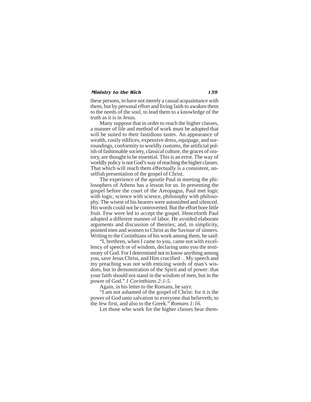### **Ministry to the Rich**

these persons, to have not merely a casual acquaintance with them, but by personal effort and living faith to awaken them to the needs of the soul, to lead them to a knowledge of the truth as it is in Jesus.

Many suppose that in order to reach the higher classes, a manner of life and method of work must be adopted that will be suited to their fastidious tastes. An appearance of wealth, costly edifices, expensive dress, equipage, and surroundings, conformity to worldly customs, the artificial polish of fashionable society, classical culture, the graces of oratory, are thought to be essential. This is an error. The way of worldly policy is not God's way of reaching the higher classes. That which will reach them effectually is a consistent, unselfish presentation of the gospel of Christ.

The experience of the apostle Paul in meeting the philosophers of Athens has a lesson for us. In presenting the gospel before the court of the Areopagus, Paul met logic with logic, science with science, philosophy with philosophy. The wisest of his hearers were astonished and silenced. His words could not be controverted. But the effort bore little fruit. Few were led to accept the gospel. Henceforth Paul adopted a different manner of labor. He avoided elaborate arguments and discussion of theories; and, in simplicity, pointed men and women to Christ as the Saviour of sinners. Writing to the Corinthians of his work among them, he said:

"I, brethren, when I came to you, came not with excellency of speech or of wisdom, declaring unto you the testimony of God. For I determined not to know anything among you, save Jesus Christ, and Him crucified . . My speech and my preaching was not with enticing words of man's wisdom, but in demonstration of the Spirit and of power: that your faith should not stand in the wisdom of men, but in the power of God." *1 Corinthians 2:1-5*.

Again, in his letter to the Romans, he says:

"I am not ashamed of the gospel of Christ: for it is the power of God unto salvation to everyone that believeth; to the Jew first, and also to the Greek." *Romans 1:16*.

Let those who work for the higher classes bear them-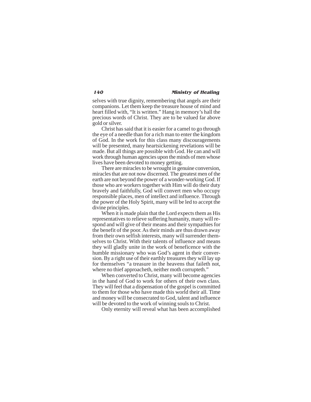selves with true dignity, remembering that angels are their companions. Let them keep the treasure house of mind and heart filled with, "It is written." Hang in memory's hall the precious words of Christ. They are to be valued far above gold or silver.

Christ has said that it is easier for a camel to go through the eye of a needle than for a rich man to enter the kingdom of God. In the work for this class many discouragements will be presented, many heartsickening revelations will be made. But all things are possible with God. He can and will work through human agencies upon the minds of men whose lives have been devoted to money getting.

There are miracles to be wrought in genuine conversion, miracles that are not now discerned. The greatest men of the earth are not beyond the power of a wonder-working God. If those who are workers together with Him will do their duty bravely and faithfully, God will convert men who occupy responsible places, men of intellect and influence. Through the power of the Holy Spirit, many will be led to accept the divine principles.

When it is made plain that the Lord expects them as His representatives to relieve suffering humanity, many will respond and will give of their means and their sympathies for the benefit of the poor. As their minds are thus drawn away from their own selfish interests, many will surrender themselves to Christ. With their talents of influence and means they will gladly unite in the work of beneficence with the humble missionary who was God's agent in their conversion. By a right use of their earthly treasures they will lay up for themselves "a treasure in the heavens that faileth not, where no thief approacheth, neither moth corrupteth."

When converted to Christ, many will become agencies in the hand of God to work for others of their own class. They will feel that a dispensation of the gospel is committed to them for those who have made this world their all. Time and money will be consecrated to God, talent and influence will be devoted to the work of winning souls to Christ.

Only eternity will reveal what has been accomplished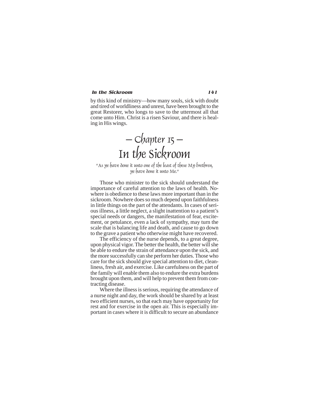### **In the Sickroom**

by this kind of ministry—how many souls, sick with doubt and tired of worldliness and unrest, have been brought to the great Restorer, who longs to save to the uttermost all that come unto Him. Christ is a risen Saviour, and there is healing in His wings.

 $-\text{C}$ hapter 15 – In the Sickroom

"As ye have done it unto one of the least of these My brethren, ye have done it unto Me."

Those who minister to the sick should understand the importance of careful attention to the laws of health. Nowhere is obedience to these laws more important than in the sickroom. Nowhere does so much depend upon faithfulness in little things on the part of the attendants. In cases of serious illness, a little neglect, a slight inattention to a patient's special needs or dangers, the manifestation of fear, excitement, or petulance, even a lack of sympathy, may turn the scale that is balancing life and death, and cause to go down to the grave a patient who otherwise might have recovered.

The efficiency of the nurse depends, to a great degree, upon physical vigor. The better the health, the better will she be able to endure the strain of attendance upon the sick, and the more successfully can she perform her duties. Those who care for the sick should give special attention to diet, cleanliness, fresh air, and exercise. Like carefulness on the part of the family will enable them also to endure the extra burdens brought upon them, and will help to prevent them from contracting disease.

Where the illness is serious, requiring the attendance of a nurse night and day, the work should be shared by at least two efficient nurses, so that each may have opportunity for rest and for exercise in the open air. This is especially important in cases where it is difficult to secure an abundance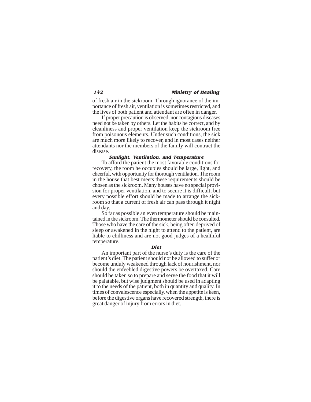of fresh air in the sickroom. Through ignorance of the importance of fresh air, ventilation is sometimes restricted, and the lives of both patient and attendant are often in danger.

If proper precaution is observed, noncontagious diseases need not be taken by others. Let the habits be correct, and by cleanliness and proper ventilation keep the sickroom free from poisonous elements. Under such conditions, the sick are much more likely to recover, and in most cases neither attendants nor the members of the family will contract the disease.

### **Sunlight, Ventilation, and Temperature**

To afford the patient the most favorable conditions for recovery, the room he occupies should be large, light, and cheerful, with opportunity for thorough ventilation. The room in the house that best meets these requirements should be chosen as the sickroom. Many houses have no special provision for proper ventilation, and to secure it is difficult; but every possible effort should be made to arrange the sickroom so that a current of fresh air can pass through it night and day.

So far as possible an even temperature should be maintained in the sickroom. The thermometer should be consulted. Those who have the care of the sick, being often deprived of sleep or awakened in the night to attend to the patient, are liable to chilliness and are not good judges of a healthful temperature.

### **Diet**

An important part of the nurse's duty is the care of the patient's diet. The patient should not be allowed to suffer or become unduly weakened through lack of nourishment, nor should the enfeebled digestive powers be overtaxed. Care should be taken so to prepare and serve the food that it will be palatable, but wise judgment should be used in adapting it to the needs of the patient, both in quantity and quality. In times of convalescence especially, when the appetite is keen, before the digestive organs have recovered strength, there is great danger of injury from errors in diet.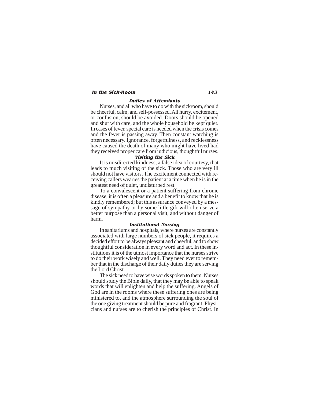### **In the Sick-Room**

### **Duties of Attendants**

Nurses, and all who have to do with the sickroom, should be cheerful, calm, and self-possessed. All hurry, excitement, or confusion, should be avoided. Doors should be opened and shut with care, and the whole household be kept quiet. In cases of fever, special care is needed when the crisis comes and the fever is passing away. Then constant watching is often necessary. Ignorance, forgetfulness, and recklessness have caused the death of many who might have lived had they received proper care from judicious, thoughtful nurses.

### **Visiting the Sick**

It is misdirected kindness, a false idea of courtesy, that leads to much visiting of the sick. Those who are very ill should not have visitors. The excitement connected with receiving callers wearies the patient at a time when he is in the greatest need of quiet, undisturbed rest.

To a convalescent or a patient suffering from chronic disease, it is often a pleasure and a benefit to know that he is kindly remembered; but this assurance conveyed by a message of sympathy or by some little gift will often serve a better purpose than a personal visit, and without danger of harm.

### **Institutional Nursing**

In sanitariums and hospitals, where nurses are constantly associated with large numbers of sick people, it requires a decided effort to be always pleasant and cheerful, and to show thoughtful consideration in every word and act. In these institutions it is of the utmost importance that the nurses strive to do their work wisely and well. They need ever to remember that in the discharge of their daily duties they are serving the Lord Christ.

The sick need to have wise words spoken to them. Nurses should study the Bible daily, that they may be able to speak words that will enlighten and help the suffering. Angels of God are in the rooms where these suffering ones are being ministered to, and the atmosphere surrounding the soul of the one giving treatment should be pure and fragrant. Physicians and nurses are to cherish the principles of Christ. In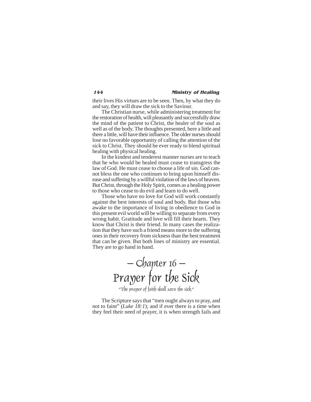their lives His virtues are to be seen. Then, by what they do and say, they will draw the sick to the Saviour.

The Christian nurse, while administering treatment for the restoration of health, will pleasantly and successfully draw the mind of the patient to Christ, the healer of the soul as well as of the body. The thoughts presented, here a little and there a little, will have their influence. The older nurses should lose no favorable opportunity of calling the attention of the sick to Christ. They should be ever ready to blend spiritual healing with physical healing.

In the kindest and tenderest manner nurses are to teach that he who would be healed must cease to transgress the law of God. He must cease to choose a life of sin. God cannot bless the one who continues to bring upon himself disease and suffering by a willful violation of the laws of heaven. But Christ, through the Holy Spirit, comes as a healing power to those who cease to do evil and learn to do well.

Those who have no love for God will work constantly against the best interests of soul and body. But those who awake to the importance of living in obedience to God in this present evil world will be willing to separate from every wrong habit. Gratitude and love will fill their hearts. They know that Christ is their friend. In many cases the realization that they have such a friend means more to the suffering ones in their recovery from sickness than the best treatment that can be given. But both lines of ministry are essential. They are to go hand in hand.

 $-\mathsf{C}$ hapter 16  $-$ Prayer for the Sick

"The prayer of faith shall save the sick."

The Scripture says that "men ought always to pray, and not to faint" (*Luke 18:1*); and if ever there is a time when they feel their need of prayer, it is when strength fails and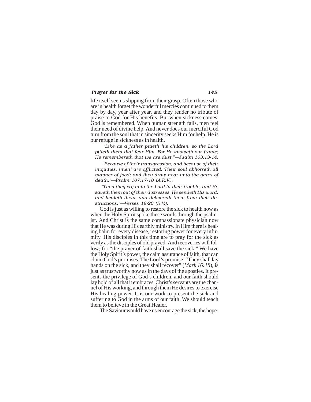### **Prayer for the Sick**

life itself seems slipping from their grasp. Often those who are in health forget the wonderful mercies continued to them day by day, year after year, and they render no tribute of praise to God for His benefits. But when sickness comes, God is remembered. When human strength fails, men feel their need of divine help. And never does our merciful God turn from the soul that in sincerity seeks Him for help. He is our refuge in sickness as in health.

 *"Like as a father pitieth his children, so the Lord pitieth them that fear Him. For He knoweth our frame; He remembereth that we are dust."—Psalm 103:13-14.*

 *"Because of their transgression, and because of their iniquities, [men] are afflicted. Their soul abhorreth all manner of food; and they draw near unto the gates of death."—Psalm 107:17-18 (A.R.V.).*

*"Then they cry unto the Lord in their trouble, and He saveth them out of their distresses. He sendeth His word, and healeth them, and delivereth them from their destructions."—Verses 19-20 (R.V.).*

God is just as willing to restore the sick to health now as when the Holy Spirit spoke these words through the psalmist. And Christ is the same compassionate physician now that He was during His earthly ministry. In Him there is healing balm for every disease, restoring power for every infirmity. His disciples in this time are to pray for the sick as verily as the disciples of old prayed. And recoveries will follow; for "the prayer of faith shall save the sick." We have the Holy Spirit's power, the calm assurance of faith, that can claim God's promises. The Lord's promise, "They shall lay hands on the sick, and they shall recover" (*Mark 16:18*), is just as trustworthy now as in the days of the apostles. It presents the privilege of God's children, and our faith should lay hold of all that it embraces. Christ's servants are the channel of His working, and through them He desires to exercise His healing power. It is our work to present the sick and suffering to God in the arms of our faith. We should teach them to believe in the Great Healer.

The Saviour would have us encourage the sick, the hope-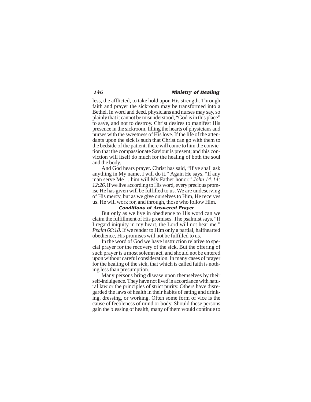less, the afflicted, to take hold upon His strength. Through faith and prayer the sickroom may be transformed into a Bethel. In word and deed, physicians and nurses may say, so plainly that it cannot be misunderstood, "God is in this place" to save, and not to destroy. Christ desires to manifest His presence in the sickroom, filling the hearts of physicians and nurses with the sweetness of His love. If the life of the attendants upon the sick is such that Christ can go with them to the bedside of the patient, there will come to him the conviction that the compassionate Saviour is present; and this conviction will itself do much for the healing of both the soul and the body.

And God hears prayer. Christ has said, "If ye shall ask anything in My name, I will do it." Again He says, "If any man serve Me . . him will My Father honor." *John 14:14; 12:26*. If we live according to His word, every precious promise He has given will be fulfilled to us. We are undeserving of His mercy, but as we give ourselves to Him, He receives us. He will work for, and through, those who follow Him.

# **Conditions of Answered Prayer**

But only as we live in obedience to His word can we claim the fulfillment of His promises. The psalmist says, "If I regard iniquity in my heart, the Lord will not hear me." *Psalm 66:18*. If we render to Him only a partial, halfhearted obedience, His promises will not be fulfilled to us.

In the word of God we have instruction relative to special prayer for the recovery of the sick. But the offering of such prayer is a most solemn act, and should not be entered upon without careful consideration. In many cases of prayer for the healing of the sick, that which is called faith is nothing less than presumption.

Many persons bring disease upon themselves by their self-indulgence. They have not lived in accordance with natural law or the principles of strict purity. Others have disregarded the laws of health in their habits of eating and drinking, dressing, or working. Often some form of vice is the cause of feebleness of mind or body. Should these persons gain the blessing of health, many of them would continue to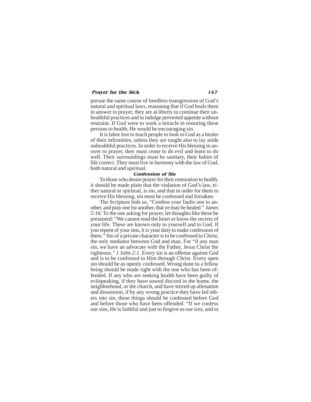## **Prayer for the Sick**

pursue the same course of heedless transgression of God's natural and spiritual laws, reasoning that if God heals them in answer to prayer, they are at liberty to continue their unhealthful practices and to indulge perverted appetite without restraint. If God were to work a miracle in restoring these persons to health, He would be encouraging sin.

It is labor lost to teach people to look to God as a healer of their infirmities, unless they are taught also to lay aside unhealthful practices. In order to receive His blessing in answer to prayer, they must cease to do evil and learn to do well. Their surroundings must be sanitary, their habits of life correct. They must live in harmony with the law of God, both natural and spiritual.

## **Confession of Sin**

To those who desire prayer for their restoration to health, it should be made plain that the violation of God's law, either natural or spiritual, is sin, and that in order for them to receive His blessing, sin must be confessed and forsaken.

The Scripture bids us, "Confess your faults one to another, and pray one for another, that ye may be healed." *James 5:16.* To the one asking for prayer, let thoughts like these be presented: "We cannot read the heart or know the secrets of your life. These are known only to yourself and to God. If you repent of your sins, it is your duty to make confession of them." Sin of a private character is to be confessed to Christ, the only mediator between God and man. For "if any man sin, we have an advocate with the Father, Jesus Christ the righteous." *1 John 2:1*. Every sin is an offense against God and is to be confessed to Him through Christ. Every open sin should be as openly confessed. Wrong done to a fellow being should be made right with the one who has been offended. If any who are seeking health have been guilty of evilspeaking, if they have sowed discord in the home, the neighborhood, or the church, and have stirred up alienation and dissension, if by any wrong practice they have led others into sin, these things should be confessed before God and before those who have been offended. "If we confess our sins, He is faithful and just to forgive us our sins, and to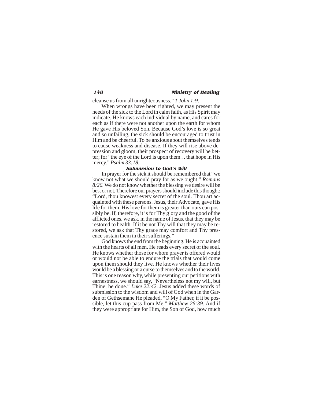cleanse us from all unrighteousness." *1 John 1:9*.

When wrongs have been righted, we may present the needs of the sick to the Lord in calm faith, as His Spirit may indicate. He knows each individual by name, and cares for each as if there were not another upon the earth for whom He gave His beloved Son. Because God's love is so great and so unfailing, the sick should be encouraged to trust in Him and be cheerful. To be anxious about themselves tends to cause weakness and disease. If they will rise above depression and gloom, their prospect of recovery will be better; for "the eye of the Lord is upon them . . that hope in His mercy." *Psalm 33:18.*

### **Submission to God's Will**

In prayer for the sick it should be remembered that "we know not what we should pray for as we ought." *Romans 8:26*. We do not know whether the blessing we desire will be best or not. Therefore our prayers should include this thought: "Lord, thou knowest every secret of the soul. Thou art acquainted with these persons. Jesus, their Advocate, gave His life for them. His love for them is greater than ours can possibly be. If, therefore, it is for Thy glory and the good of the afflicted ones, we ask, in the name of Jesus, that they may be restored to health. If it be not Thy will that they may be restored, we ask that Thy grace may comfort and Thy presence sustain them in their sufferings."

God knows the end from the beginning. He is acquainted with the hearts of all men. He reads every secret of the soul. He knows whether those for whom prayer is offered would or would not be able to endure the trials that would come upon them should they live. He knows whether their lives would be a blessing or a curse to themselves and to the world. This is one reason why, while presenting our petitions with earnestness, we should say, "Nevertheless not my will, but Thine, be done." *Luke 22:42*. Jesus added these words of submission to the wisdom and will of God when in the Garden of Gethsemane He pleaded, "O My Father, if it be possible, let this cup pass from Me." *Matthew 26:39*. And if they were appropriate for Him, the Son of God, how much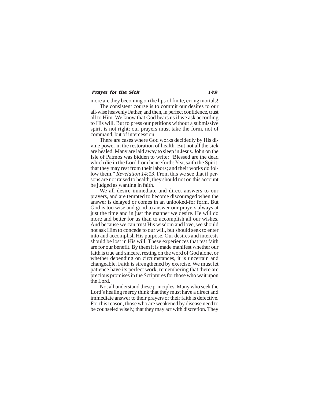### **Prayer for the Sick**

more are they becoming on the lips of finite, erring mortals!

The consistent course is to commit our desires to our all-wise heavenly Father, and then, in perfect confidence, trust all to Him. We know that God hears us if we ask according to His will. But to press our petitions without a submissive spirit is not right; our prayers must take the form, not of command, but of intercession.

There are cases where God works decidedly by His divine power in the restoration of health. But not all the sick are healed. Many are laid away to sleep in Jesus. John on the Isle of Patmos was bidden to write: "Blessed are the dead which die in the Lord from henceforth: Yea, saith the Spirit, that they may rest from their labors; and their works do follow them." *Revelation 14:13*. From this we see that if persons are not raised to health, they should not on this account be judged as wanting in faith.

We all desire immediate and direct answers to our prayers, and are tempted to become discouraged when the answer is delayed or comes in an unlooked-for form. But God is too wise and good to answer our prayers always at just the time and in just the manner we desire. He will do more and better for us than to accomplish all our wishes. And because we can trust His wisdom and love, we should not ask Him to concede to our will, but should seek to enter into and accomplish His purpose. Our desires and interests should be lost in His will. These experiences that test faith are for our benefit. By them it is made manifest whether our faith is true and sincere, resting on the word of God alone, or whether depending on circumstances, it is uncertain and changeable. Faith is strengthened by exercise. We must let patience have its perfect work, remembering that there are precious promises in the Scriptures for those who wait upon the Lord.

Not all understand these principles. Many who seek the Lord's healing mercy think that they must have a direct and immediate answer to their prayers or their faith is defective. For this reason, those who are weakened by disease need to be counseled wisely, that they may act with discretion. They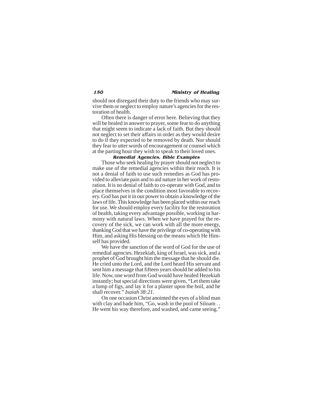should not disregard their duty to the friends who may survive them or neglect to employ nature's agencies for the restoration of health.

Often there is danger of error here. Believing that they will be healed in answer to prayer, some fear to do anything that might seem to indicate a lack of faith. But they should not neglect to set their affairs in order as they would desire to do if they expected to be removed by death. Nor should they fear to utter words of encouragement or counsel which at the parting hour they wish to speak to their loved ones.

# **Remedial Agencies, Bible Examples**

Those who seek healing by prayer should not neglect to make use of the remedial agencies within their reach. It is not a denial of faith to use such remedies as God has provided to alleviate pain and to aid nature in her work of restoration. It is no denial of faith to co-operate with God, and to place themselves in the condition most favorable to recovery. God has put it in our power to obtain a knowledge of the laws of life. This knowledge has been placed within our reach for use. We should employ every facility for the restoration of health, taking every advantage possible, working in harmony with natural laws. When we have prayed for the recovery of the sick, we can work with all the more energy, thanking God that we have the privilege of co-operating with Him, and asking His blessing on the means which He Himself has provided.

We have the sanction of the word of God for the use of remedial agencies. Hezekiah, king of Israel, was sick, and a prophet of God brought him the message that he should die. He cried unto the Lord, and the Lord heard His servant and sent him a message that fifteen years should be added to his life. Now, one word from God would have healed Hezekiah instantly; but special directions were given, "Let them take a lump of figs, and lay it for a plaster upon the boil, and he shall recover." *Isaiah 38:21*.

On one occasion Christ anointed the eyes of a blind man with clay and bade him, "Go, wash in the pool of Siloam . . He went his way therefore, and washed, and came seeing."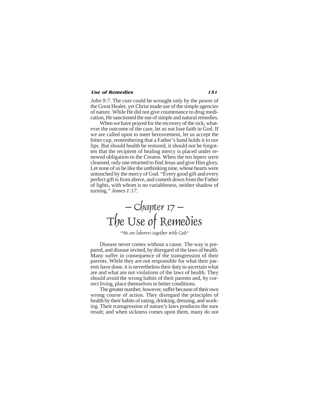#### **Use of Remedies**

*John 9:7*. The cure could be wrought only by the power of the Great Healer, yet Christ made use of the simple agencies of nature. While He did not give countenance to drug medication, He sanctioned the use of simple and natural remedies.

When we have prayed for the recovery of the sick, whatever the outcome of the case, let us not lose faith in God. If we are called upon to meet bereavement, let us accept the bitter cup, remembering that a Father's hand holds it to our lips. But should health be restored, it should not be forgotten that the recipient of healing mercy is placed under renewed obligation to the Creator. When the ten lepers were cleansed, only one returned to find Jesus and give Him glory. Let none of us be like the unthinking nine, whose hearts were untouched by the mercy of God. "Every good gift and every perfect gift is from above, and cometh down from the Father of lights, with whom is no variableness, neither shadow of turning." *James 1:17*.

 $-\mathsf{C}$ hapter 17  $-$ The Use of Remedies

"We are laborers together with God."

Disease never comes without a cause. The way is prepared, and disease invited, by disregard of the laws of health. Many suffer in consequence of the transgression of their parents. While they are not responsible for what their parents have done, it is nevertheless their duty to ascertain what are and what are not violations of the laws of health. They should avoid the wrong habits of their parents and, by correct living, place themselves in better conditions.

The greater number, however, suffer because of their own wrong course of action. They disregard the principles of health by their habits of eating, drinking, dressing, and working. Their transgression of nature's laws produces the sure result; and when sickness comes upon them, many do not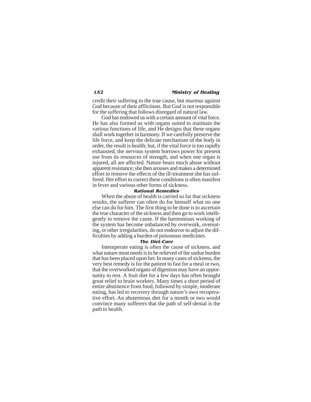credit their suffering to the true cause, but murmur against God because of their afflictions. But God is not responsible for the suffering that follows disregard of natural law.

God has endowed us with a certain amount of vital force. He has also formed us with organs suited to maintain the various functions of life, and He designs that these organs shall work together in harmony. If we carefully preserve the life force, and keep the delicate mechanism of the body in order, the result is health; but, if the vital force is too rapidly exhausted, the nervous system borrows power for present use from its resources of strength, and when one organ is injured, all are affected. Nature bears much abuse without apparent resistance; she then arouses and makes a determined effort to remove the effects of the ill-treatment she has suffered. Her effort to correct these conditions is often manifest in fever and various other forms of sickness.

## **Rational Remedies**

When the abuse of health is carried so far that sickness results, the sufferer can often do for himself what no one else can do for him. The first thing to be done is to ascertain the true character of the sickness and then go to work intelligently to remove the cause. If the harmonious working of the system has become unbalanced by overwork, overeating, or other irregularities, do not endeavor to adjust the difficulties by adding a burden of poisonous medicines.

# **The Diet-Cure**

Intemperate eating is often the cause of sickness, and what nature most needs is to be relieved of the undue burden that has been placed upon her. In many cases of sickness, the very best remedy is for the patient to fast for a meal or two, that the overworked organs of digestion may have an opportunity to rest. A fruit diet for a few days has often brought great relief to brain workers. Many times a short period of entire abstinence from food, followed by simple, moderate eating, has led to recovery through nature's own recuperative effort. An abstemious diet for a month or two would convince many sufferers that the path of self-denial is the path to health.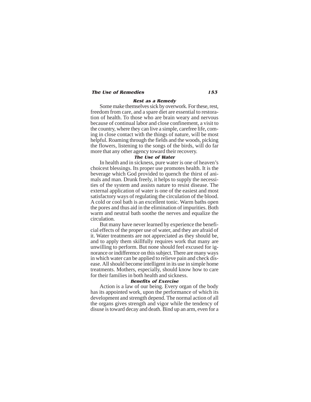### **The Use of Remedies**

#### **Rest as a Remedy**

Some make themselves sick by overwork. For these, rest, freedom from care, and a spare diet are essential to restoration of health. To those who are brain weary and nervous because of continual labor and close confinement, a visit to the country, where they can live a simple, carefree life, coming in close contact with the things of nature, will be most helpful. Roaming through the fields and the woods, picking the flowers, listening to the songs of the birds, will do far more that any other agency toward their recovery.

### **The Use of Water**

In health and in sickness, pure water is one of heaven's choicest blessings. Its proper use promotes health. It is the beverage which God provided to quench the thirst of animals and man. Drunk freely, it helps to supply the necessities of the system and assists nature to resist disease. The external application of water is one of the easiest and most satisfactory ways of regulating the circulation of the blood. A cold or cool bath is an excellent tonic. Warm baths open the pores and thus aid in the elimination of impurities. Both warm and neutral bath soothe the nerves and equalize the circulation.

But many have never learned by experience the beneficial effects of the proper use of water, and they are afraid of it. Water treatments are not appreciated as they should be, and to apply them skillfully requires work that many are unwilling to perform. But none should feel excused for ignorance or indifference on this subject. There are many ways in which water can be applied to relieve pain and check disease. All should become intelligent in its use in simple home treatments. Mothers, especially, should know how to care for their families in both health and sickness.

#### **Benefits of Exercise**

Action is a law of our being. Every organ of the body has its appointed work, upon the performance of which its development and strength depend. The normal action of all the organs gives strength and vigor while the tendency of disuse is toward decay and death. Bind up an arm, even for a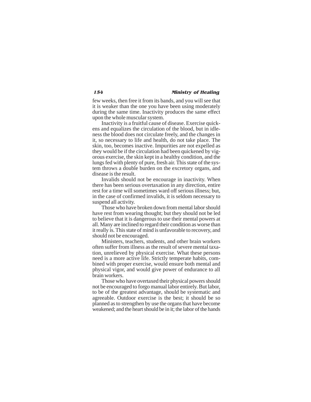few weeks, then free it from its bands, and you will see that it is weaker than the one you have been using moderately during the same time. Inactivity produces the same effect upon the whole muscular system.

Inactivity is a fruitful cause of disease. Exercise quickens and equalizes the circulation of the blood, but in idleness the blood does not circulate freely, and the changes in it, so necessary to life and health, do not take place. The skin, too, becomes inactive. Impurities are not expelled as they would be if the circulation had been quickened by vigorous exercise, the skin kept in a healthy condition, and the lungs fed with plenty of pure, fresh air. This state of the system throws a double burden on the excretory organs, and disease is the result.

Invalids should not be encourage in inactivity. When there has been serious overtaxation in any direction, entire rest for a time will sometimes ward off serious illness; but, in the case of confirmed invalids, it is seldom necessary to suspend all activity.

Those who have broken down from mental labor should have rest from wearing thought; but they should not be led to believe that it is dangerous to use their mental powers at all. Many are inclined to regard their condition as worse than it really is. This state of mind is unfavorable to recovery, and should not be encouraged.

Ministers, teachers, students, and other brain workers often suffer from illness as the result of severe mental taxation, unrelieved by physical exercise. What these persons need is a more active life. Strictly temperate habits, combined with proper exercise, would ensure both mental and physical vigor, and would give power of endurance to all brain workers.

Those who have overtaxed their physical powers should not be encouraged to forgo manual labor entirely. But labor, to be of the greatest advantage, should be systematic and agreeable. Outdoor exercise is the best; it should be so planned as to strengthen by use the organs that have become weakened; and the heart should be in it; the labor of the hands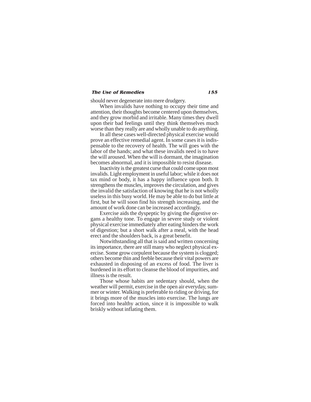# **The Use of Remedies**

should never degenerate into mere drudgery.

When invalids have nothing to occupy their time and attention, their thoughts become centered upon themselves, and they grow morbid and irritable. Many times they dwell upon their bad feelings until they think themselves much worse than they really are and wholly unable to do anything.

In all these cases well-directed physical exercise would prove an effective remedial agent. In some cases it is indispensable to the recovery of health. The will goes with the labor of the hands; and what these invalids need is to have the will aroused. When the will is dormant, the imagination becomes abnormal, and it is impossible to resist disease.

Inactivity is the greatest curse that could come upon most invalids. Light employment in useful labor; while it does not tax mind or body, it has a happy influence upon both. It strengthens the muscles, improves the circulation, and gives the invalid the satisfaction of knowing that he is not wholly useless in this busy world. He may be able to do but little at first, but he will soon find his strength increasing, and the amount of work done can be increased accordingly.

Exercise aids the dyspeptic by giving the digestive organs a healthy tone. To engage in severe study or violent physical exercise immediately after eating hinders the work of digestion; but a short walk after a meal, with the head erect and the shoulders back, is a great benefit.

Notwithstanding all that is said and written concerning its importance, there are still many who neglect physical exercise. Some grow corpulent because the system is clogged; others become thin and feeble because their vital powers are exhausted in disposing of an excess of food. The liver is burdened in its effort to cleanse the blood of impurities, and illness is the result.

Those whose habits are sedentary should, when the weather will permit, exercise in the open air everyday, summer or winter. Walking is preferable to riding or driving, for it brings more of the muscles into exercise. The lungs are forced into healthy action, since it is impossible to walk briskly without inflating them.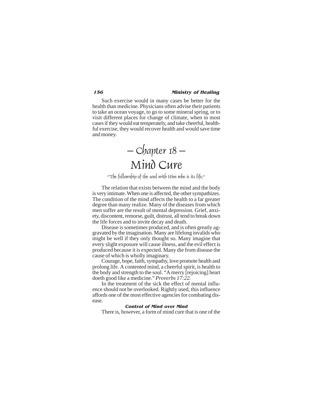Such exercise would in many cases be better for the health than medicine. Physicians often advise their patients to take an ocean voyage, to go to some mineral spring, or to visit different places for change of climate, when in most cases if they would eat temperately, and take cheerful, healthful exercise, they would recover health and would save time and money.



"The fellowship of the soul with Him who is its life."

The relation that exists between the mind and the body is very intimate. When one is affected, the other sympathizes. The condition of the mind affects the health to a far greater degree than many realize. Many of the diseases from which men suffer are the result of mental depression. Grief, anxiety, discontent, remorse, guilt, distrust, all tend to break down the life forces and to invite decay and death.

Disease is sometimes produced, and is often greatly aggravated by the imagination. Many are lifelong invalids who might be well if they only thought so. Many imagine that every slight exposure will cause illness, and the evil effect is produced because it is expected. Many die from disease the cause of which is wholly imaginary.

Courage, hope, faith, sympathy, love promote health and prolong life. A contented mind, a cheerful spirit, is health to the body and strength to the soul. "A merry [rejoicing] heart doeth good like a medicine." *Proverbs 17:22.*

In the treatment of the sick the effect of mental influence should not be overlooked. Rightly used, this influence affords one of the most effective agencies for combating disease.

# **Control of Mind over Mind**

There is, however, a form of mind cure that is one of the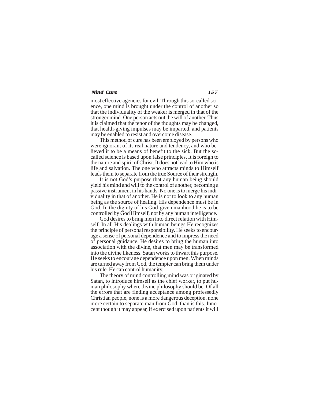# **Mind Cure**

most effective agencies for evil. Through this so-called science, one mind is brought under the control of another so that the individuality of the weaker is merged in that of the stronger mind. One person acts out the will of another. Thus it is claimed that the tenor of the thoughts may be changed, that health-giving impulses may be imparted, and patients may be enabled to resist and overcome disease.

This method of cure has been employed by persons who were ignorant of its real nature and tendency, and who believed it to be a means of benefit to the sick. But the socalled science is based upon false principles. It is foreign to the nature and spirit of Christ. It does not lead to Him who is life and salvation. The one who attracts minds to Himself leads them to separate from the true Source of their strength.

It is not God's purpose that any human being should yield his mind and will to the control of another, becoming a passive instrument in his hands. No one is to merge his individuality in that of another. He is not to look to any human being as the source of healing. His dependence must be in God. In the dignity of his God-given manhood he is to be controlled by God Himself, not by any human intelligence.

God desires to bring men into direct relation with Himself. In all His dealings with human beings He recognizes the principle of personal responsibility. He seeks to encourage a sense of personal dependence and to impress the need of personal guidance. He desires to bring the human into association with the divine, that men may be transformed into the divine likeness. Satan works to thwart this purpose. He seeks to encourage dependence upon men. When minds are turned away from God, the tempter can bring them under his rule. He can control humanity.

The theory of mind controlling mind was originated by Satan, to introduce himself as the chief worker, to put human philosophy where divine philosophy should be. Of all the errors that are finding acceptance among professedly Christian people, none is a more dangerous deception, none more certain to separate man from God, than is this. Innocent though it may appear, if exercised upon patients it will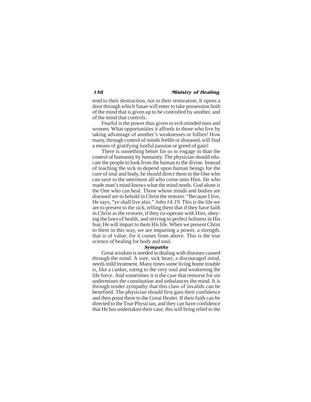tend to their destruction, not to their restoration. It opens a door through which Satan will enter to take possession both of the mind that is given up to be controlled by another, and of the mind that controls.

Fearful is the power thus given to evil-minded men and women. What opportunities it affords to those who live by taking advantage of another's weaknesses or follies! How many, through control of minds feeble or diseased, will find a means of gratifying lustful passion or greed of gain!

There is something better for us to engage in than the control of humanity by humanity. The physician should educate the people to look from the human to the divine. Instead of teaching the sick to depend upon human beings for the cure of soul and body, he should direct them to the One who can save to the uttermost all who come unto Him. He who made man's mind knows what the mind needs. God alone is the One who can heal. Those whose minds and bodies are diseased are to behold in Christ the restorer. "Because I live, He says, "ye shall live also." *John 14:19*. This is the life we are to present to the sick, telling them that if they have faith in Christ as the restorer, if they co-operate with Him, obeying the laws of health, and striving to perfect holiness in His fear, He will impart to them His life. When we present Christ to them in this way, we are imparting a power, a strength, that is of value; for it comes from above. This is the true science of healing for body and soul.

### **Sympathy**

Great wisdom is needed in dealing with diseases caused through the mind. A sore, sick heart, a discouraged mind, needs mild treatment. Many times some living home trouble is, like a canker, eating to the very soul and weakening the life force. And sometimes it is the case that remorse for sin undermines the constitution and unbalances the mind. It is through tender sympathy that this class of invalids can be benefited. The physician should first gain their confidence and then point them to the Great Healer. If their faith can be directed to the True Physician, and they can have confidence that He has undertaken their case, this will bring relief to the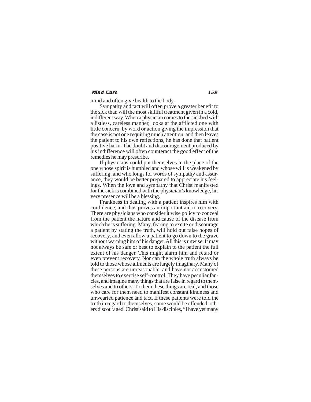# **Mind Cure**

mind and often give health to the body.

Sympathy and tact will often prove a greater benefit to the sick than will the most skillful treatment given in a cold, indifferent way. When a physician comes to the sickbed with a listless, careless manner, looks at the afflicted one with little concern, by word or action giving the impression that the case is not one requiring much attention, and then leaves the patient to his own reflections, he has done that patient positive harm. The doubt and discouragement produced by his indifference will often counteract the good effect of the remedies he may prescribe.

If physicians could put themselves in the place of the one whose spirit is humbled and whose will is weakened by suffering, and who longs for words of sympathy and assurance, they would be better prepared to appreciate his feelings. When the love and sympathy that Christ manifested for the sick is combined with the physician's knowledge, his very presence will be a blessing.

Frankness in dealing with a patient inspires him with confidence, and thus proves an important aid to recovery. There are physicians who consider it wise policy to conceal from the patient the nature and cause of the disease from which he is suffering. Many, fearing to excite or discourage a patient by stating the truth, will hold out false hopes of recovery, and even allow a patient to go down to the grave without warning him of his danger. All this is unwise. It may not always be safe or best to explain to the patient the full extent of his danger. This might alarm him and retard or even prevent recovery. Nor can the whole truth always be told to those whose ailments are largely imaginary. Many of these persons are unreasonable, and have not accustomed themselves to exercise self-control. They have peculiar fancies, and imagine many things that are false in regard to themselves and to others. To them these things are real, and those who care for them need to manifest constant kindness and unwearied patience and tact. If these patients were told the truth in regard to themselves, some would be offended, others discouraged. Christ said to His disciples, "I have yet many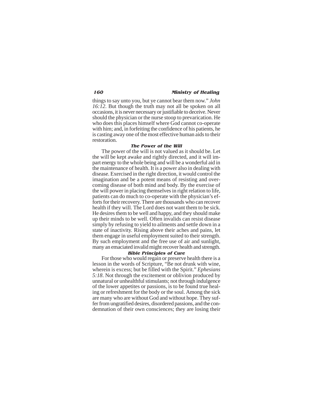things to say unto you, but ye cannot bear them now." *John 16:12*. But though the truth may not all be spoken on all occasions, it is never necessary or justifiable to deceive. Never should the physician or the nurse stoop to prevarication. He who does this places himself where God cannot co-operate with him; and, in forfeiting the confidence of his patients, he is casting away one of the most effective human aids to their restoration.

### **The Power of the Will**

The power of the will is not valued as it should be. Let the will be kept awake and rightly directed, and it will impart energy to the whole being and will be a wonderful aid in the maintenance of health. It is a power also in dealing with disease. Exercised in the right direction, it would control the imagination and be a potent means of resisting and overcoming disease of both mind and body. By the exercise of the will power in placing themselves in right relation to life, patients can do much to co-operate with the physician's efforts for their recovery. There are thousands who can recover health if they will. The Lord does not want them to be sick. He desires them to be well and happy, and they should make up their minds to be well. Often invalids can resist disease simply by refusing to yield to ailments and settle down in a state of inactivity. Rising above their aches and pains, let them engage in useful employment suited to their strength. By such employment and the free use of air and sunlight, many an emaciated invalid might recover health and strength.

# **Bible Principles of Cure**

For those who would regain or preserve health there is a lesson in the words of Scripture, "Be not drunk with wine, wherein is excess; but be filled with the Spirit." *Ephesians 5:18*. Not through the excitement or oblivion produced by unnatural or unhealthful stimulants; not through indulgence of the lower appetites or passions, is to be found true healing or refreshment for the body or the soul. Among the sick are many who are without God and without hope. They suffer from ungratified desires, disordered passions, and the condemnation of their own consciences; they are losing their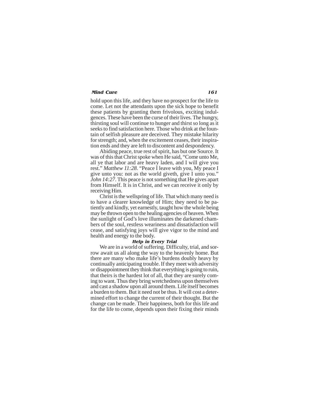### **Mind Cure**

hold upon this life, and they have no prospect for the life to come. Let not the attendants upon the sick hope to benefit these patients by granting them frivolous, exciting indulgences. These have been the curse of their lives. The hungry, thirsting soul will continue to hunger and thirst so long as it seeks to find satisfaction here. Those who drink at the fountain of selfish pleasure are deceived. They mistake hilarity for strength; and, when the excitement ceases, their inspiration ends and they are left to discontent and despondency.

Abiding peace, true rest of spirit, has but one Source. It was of this that Christ spoke when He said, "Come unto Me, all ye that labor and are heavy laden, and I will give you rest." *Matthew 11:28*. "Peace I leave with you, My peace I give unto you: not as the world giveth, give I unto you." *John 14:27*. This peace is not something that He gives apart from Himself. It is in Christ, and we can receive it only by receiving Him.

Christ is the wellspring of life. That which many need is to have a clearer knowledge of Him; they need to be patiently and kindly, yet earnestly, taught how the whole being may be thrown open to the healing agencies of heaven. When the sunlight of God's love illuminates the darkened chambers of the soul, restless weariness and dissatisfaction will cease, and satisfying joys will give vigor to the mind and health and energy to the body.

#### **Help in Every Trial**

We are in a world of suffering. Difficulty, trial, and sorrow await us all along the way to the heavenly home. But there are many who make life's burdens doubly heavy by continually anticipating trouble. If they meet with adversity or disappointment they think that everything is going to ruin, that theirs is the hardest lot of all, that they are surely coming to want. Thus they bring wretchedness upon themselves and cast a shadow upon all around them. Life itself becomes a burden to them. But it need not be thus. It will cost a determined effort to change the current of their thought. But the change can be made. Their happiness, both for this life and for the life to come, depends upon their fixing their minds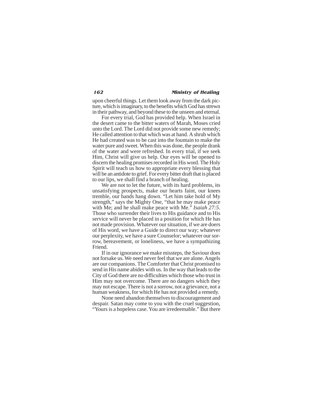upon cheerful things. Let them look away from the dark picture, which is imaginary, to the benefits which God has strewn in their pathway, and beyond these to the unseen and eternal.

For every trial, God has provided help. When Israel in the desert came to the bitter waters of Marah, Moses cried unto the Lord. The Lord did not provide some new remedy; He called attention to that which was at hand. A shrub which He had created was to be cast into the fountain to make the water pure and sweet. When this was done, the people drank of the water and were refreshed. In every trial, if we seek Him, Christ will give us help. Our eyes will be opened to discern the healing promises recorded in His word. The Holy Spirit will teach us how to appropriate every blessing that will be an antidote to grief. For every bitter draft that is placed to our lips, we shall find a branch of healing.

We are not to let the future, with its hard problems, its unsatisfying prospects, make our hearts faint, our knees tremble, our hands hang down. "Let him take hold of My strength," says the Mighty One, "that he may make peace with Me; and he shall make peace with Me." *Isaiah 27:5*. Those who surrender their lives to His guidance and to His service will never be placed in a position for which He has not made provision. Whatever our situation, if we are doers of His word, we have a Guide to direct our way; whatever our perplexity, we have a sure Counselor; whatever our sorrow, bereavement, or loneliness, we have a sympathizing Friend.

If in our ignorance we make missteps, the Saviour does not forsake us. We need never feel that we are alone. Angels are our companions. The Comforter that Christ promised to send in His name abides with us. In the way that leads to the City of God there are no difficulties which those who trust in Him may not overcome. There are no dangers which they may not escape. There is not a sorrow, not a grievance, not a human weakness, for which He has not provided a remedy.

None need abandon themselves to discouragement and despair. Satan may come to you with the cruel suggestion, "Yours is a hopeless case. You are irredeemable." But there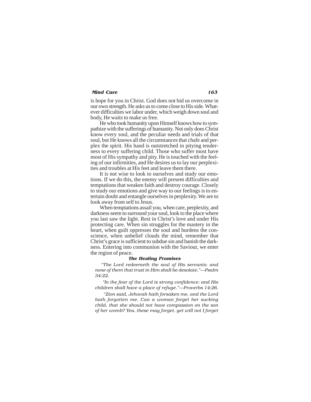# **Mind Cure**

is hope for you in Christ. God does not bid us overcome in our own strength. He asks us to come close to His side. Whatever difficulties we labor under, which weigh down soul and body, He waits to make us free.

He who took humanity upon Himself knows how to sympathize with the sufferings of humanity. Not only does Christ know every soul, and the peculiar needs and trials of that soul, but He knows all the circumstances that chafe and perplex the spirit. His hand is outstretched in pitying tenderness to every suffering child. Those who suffer most have most of His sympathy and pity. He is touched with the feeling of our infirmities, and He desires us to lay our perplexities and troubles at His feet and leave them there.

It is not wise to look to ourselves and study our emotions. If we do this, the enemy will present difficulties and temptations that weaken faith and destroy courage. Closely to study our emotions and give way to our feelings is to entertain doubt and entangle ourselves in perplexity. We are to look away from self to Jesus.

When temptations assail you, when care, perplexity, and darkness seem to surround your soul, look to the place where you last saw the light. Rest in Christ's love and under His protecting care. When sin struggles for the mastery in the heart, when guilt oppresses the soul and burdens the conscience, when unbelief clouds the mind, remember that Christ's grace is sufficient to subdue sin and banish the darkness. Entering into communion with the Saviour, we enter the region of peace.

### **The Healing Promises**

*"The Lord redeemeth the soul of His servants: and none of them that trust in Him shall be desolate."—Psalm 34:22.*

 *"In the fear of the Lord is strong confidence: and His children shall have a place of refuge."—Proverbs 14:26.*

 *"Zion said, Jehovah hath forsaken me, and the Lord hath forgotten me. Can a woman forget her sucking child, that she should not have compassion on the son of her womb? Yea, these may forget, yet will not I forget*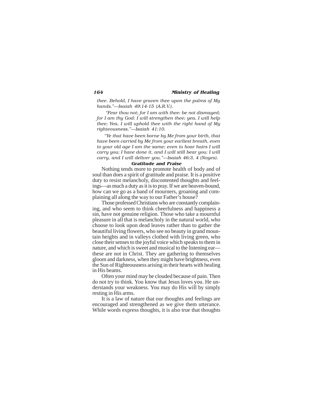*thee. Behold, I have graven thee upon the palms of My hands."—Isaiah 49:14-15 (A.R.V.).*

 *"Fear thou not; for I am with thee: be not dismayed; for I am thy God: I will strengthen thee; yea, I will help thee; Yea, I will uphold thee with the right hand of My righteousness."—Isaiah 41:10.*

 *"Ye that have been borne by Me from your birth, that have been carried by Me from your earliest breath, even to your old age I am the same; even to hoar hairs I will carry you; I have done it, and I will still bear you; I will carry, and I will deliver you."—Isaiah 46:3, 4 (Noyes).*

### **Gratitude and Praise**

Nothing tends more to promote health of body and of soul than does a spirit of gratitude and praise. It is a positive duty to resist melancholy, discontented thoughts and feelings—as much a duty as it is to pray. If we are heaven-bound, how can we go as a band of mourners, groaning and complaining all along the way to our Father's house?

Those professed Christians who are constantly complaining, and who seem to think cheerfulness and happiness a sin, have not genuine religion. Those who take a mournful pleasure in all that is melancholy in the natural world, who choose to look upon dead leaves rather than to gather the beautiful living flowers, who see no beauty in grand mountain heights and in valleys clothed with living green, who close their senses to the joyful voice which speaks to them in nature, and which is sweet and musical to the listening ear these are not in Christ. They are gathering to themselves gloom and darkness, when they might have brightness, even the Sun of Righteousness arising in their hearts with healing in His beams.

Often your mind may be clouded because of pain. Then do not try to think. You know that Jesus loves you. He understands your weakness. You may do His will by simply resting in His arms.

It is a law of nature that our thoughts and feelings are encouraged and strengthened as we give them utterance. While words express thoughts, it is also true that thoughts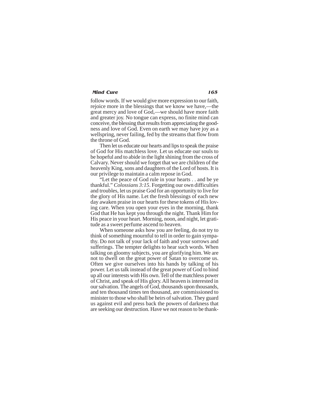# **Mind Cure**

follow words. If we would give more expression to our faith, rejoice more in the blessings that we know we have,—the great mercy and love of God,—we should have more faith and greater joy. No tongue can express, no finite mind can conceive, the blessing that results from appreciating the goodness and love of God. Even on earth we may have joy as a wellspring, never failing, fed by the streams that flow from the throne of God.

Then let us educate our hearts and lips to speak the praise of God for His matchless love. Let us educate our souls to be hopeful and to abide in the light shining from the cross of Calvary. Never should we forget that we are children of the heavenly King, sons and daughters of the Lord of hosts. It is our privilege to maintain a calm repose in God.

"Let the peace of God rule in your hearts . . and be ye thankful." *Colossians 3:15*. Forgetting our own difficulties and troubles, let us praise God for an opportunity to live for the glory of His name. Let the fresh blessings of each new day awaken praise in our hearts for these tokens of His loving care. When you open your eyes in the morning, thank God that He has kept you through the night. Thank Him for His peace in your heart. Morning, noon, and night, let gratitude as a sweet perfume ascend to heaven.

When someone asks how you are feeling, do not try to think of something mournful to tell in order to gain sympathy. Do not talk of your lack of faith and your sorrows and sufferings. The tempter delights to hear such words. When talking on gloomy subjects, you are glorifying him. We are not to dwell on the great power of Satan to overcome us. Often we give ourselves into his hands by talking of his power. Let us talk instead of the great power of God to bind up all our interests with His own. Tell of the matchless power of Christ, and speak of His glory. All heaven is interested in our salvation. The angels of God, thousands upon thousands, and ten thousand times ten thousand, are commissioned to minister to those who shall be heirs of salvation. They guard us against evil and press back the powers of darkness that are seeking our destruction. Have we not reason to be thank-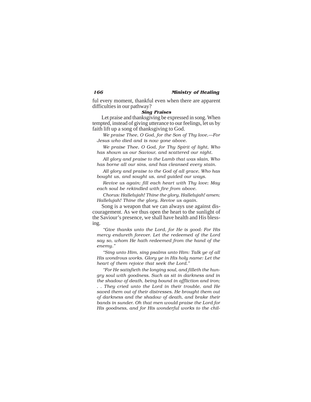ful every moment, thankful even when there are apparent difficulties in our pathway?

# **Sing Praises**

Let praise and thanksgiving be expressed in song. When tempted, instead of giving utterance to our feelings, let us by faith lift up a song of thanksgiving to God.

*We praise Thee, O God, for the Son of Thy love,—For Jesus who died and is now gone above.*

*We praise Thee, O God, for Thy Spirit of light, Who has shown us our Saviour, and scattered our night.*

*All glory and praise to the Lamb that was slain, Who has borne all our sins, and has cleansed every stain.*

*All glory and praise to the God of all grace, Who has bought us, and sought us, and guided our ways.*

*Revive us again; fill each heart with Thy love; May each soul be rekindled with fire from above.*

*Chorus: Hallelujah! Thine the glory, Hallelujah! amen; Hallelujah! Thine the glory, Revive us again.*

Song is a weapon that we can always use against discouragement. As we thus open the heart to the sunlight of the Saviour's presence, we shall have health and His blessing.

*"Give thanks unto the Lord, for He is good: For His mercy endureth forever. Let the redeemed of the Lord say so, whom He hath redeemed from the hand of the enemy."*

*"Sing unto Him, sing psalms unto Him: Talk ye of all His wondrous works. Glory ye in His holy name: Let the heart of them rejoice that seek the Lord."*

*"For He satisfieth the longing soul, and filleth the hungry soul with goodness. Such as sit in darkness and in the shadow of death, being bound in affliction and iron; . . They cried unto the Lord in their trouble, and He saved them out of their distresses. He brought them out of darkness and the shadow of death, and brake their bands in sunder. Oh that men would praise the Lord for His goodness, and for His wonderful works to the chil-*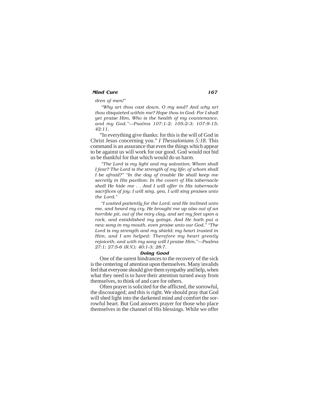### **Mind Cure**

*dren of men!"*

*"Why art thou cast down, O my soul? And why art thou disquieted within me? Hope thou in God: For I shall yet praise Him, Who is the health of my countenance, and my God."—Psalms 107:1-2; 105:2-3; 107:9-15; 42:11.*

"In everything give thanks: for this is the will of God in Christ Jesus concerning you." *I Thessalonians 5:18*. This command is an assurance that even the things which appear to be against us will work for our good. God would not bid us be thankful for that which would do us harm.

*"The Lord is my light and my salvation; Whom shall I fear? The Lord is the strength of my life; of whom shall I be afraid?" "In the day of trouble He shall keep me secretly in His pavilion: In the covert of His tabernacle shall He hide me . . And I will offer in His tabernacle sacrifices of joy; I will sing, yea, I will sing praises unto the Lord."*

*"I waited patiently for the Lord; and He inclined unto me, and heard my cry. He brought me up also out of an horrible pit, out of the miry clay, and set my feet upon a rock, and established my goings. And He hath put a new song in my mouth, even praise unto our God." "The Lord is my strength and my shield; my heart trusted in Him, and I am helped: Therefore my heart greatly rejoiceth; and with my song will I praise Him."—Psalms 27:1; 27:5-6 (R.V.); 40:1-3; 28:7.*

#### **Doing Good**

One of the surest hindrances to the recovery of the sick is the centering of attention upon themselves. Many invalids feel that everyone should give them sympathy and help, when what they need is to have their attention turned away from themselves, to think of and care for others.

Often prayer is solicited for the afflicted, the sorrowful, the discouraged; and this is right. We should pray that God will shed light into the darkened mind and comfort the sorrowful heart. But God answers prayer for those who place themselves in the channel of His blessings. While we offer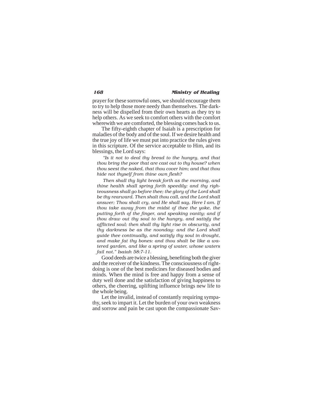prayer for these sorrowful ones, we should encourage them to try to help those more needy than themselves. The darkness will be dispelled from their own hearts as they try to help others. As we seek to comfort others with the comfort wherewith we are comforted, the blessing comes back to us.

The fifty-eighth chapter of Isaiah is a prescription for maladies of the body and of the soul. If we desire health and the true joy of life we must put into practice the rules given in this scripture. Of the service acceptable to Him, and its blessings, the Lord says:

*"Is it not to deal thy bread to the hungry, and that thou bring the poor that are cast out to thy house? when thou seest the naked, that thou cover him; and that thou hide not thyself from thine own flesh?*

*Then shall thy light break forth as the morning, and thine health shall spring forth speedily: and thy righteousness shall go before thee; the glory of the Lord shall be thy rearward. Then shalt thou call, and the Lord shall answer; Thou shalt cry, and He shall say, Here I am. If thou take away from the midst of thee the yoke, the putting forth of the finger, and speaking vanity; and if thou draw out thy soul to the hungry, and satisfy the afflicted soul; then shall thy light rise in obscurity, and thy darkness be as the noonday: and the Lord shall guide thee continually, and satisfy thy soul in drought, and make fat thy bones: and thou shalt be like a watered garden, and like a spring of water, whose waters fail not." Isaiah 58:7-11.*

Good deeds are twice a blessing, benefiting both the giver and the receiver of the kindness. The consciousness of rightdoing is one of the best medicines for diseased bodies and minds. When the mind is free and happy from a sense of duty well done and the satisfaction of giving happiness to others, the cheering, uplifting influence brings new life to the whole being.

Let the invalid, instead of constantly requiring sympathy, seek to impart it. Let the burden of your own weakness and sorrow and pain be cast upon the compassionate Sav-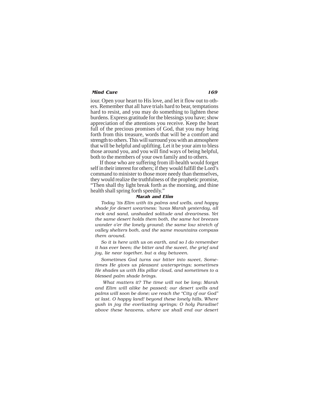# **Mind Cure**

iour. Open your heart to His love, and let it flow out to others. Remember that all have trials hard to bear, temptations hard to resist, and you may do something to lighten these burdens. Express gratitude for the blessings you have; show appreciation of the attentions you receive. Keep the heart full of the precious promises of God, that you may bring forth from this treasure, words that will be a comfort and strength to others. This will surround you with an atmosphere that will be helpful and uplifting. Let it be your aim to bless those around you, and you will find ways of being helpful, both to the members of your own family and to others.

If those who are suffering from ill-health would forget self in their interest for others; if they would fulfill the Lord's command to minister to those more needy than themselves, they would realize the truthfulness of the prophetic promise, "Then shall thy light break forth as the morning, and thine health shall spring forth speedily."

# **Marah and Elim**

*Today 'tis Elim with its palms and wells, and happy shade for desert weariness; 'twas Marah yesterday, all rock and sand, unshaded solitude and dreariness. Yet the same desert holds them both, the same hot breezes wander o'er the lonely ground; the same low stretch of valley shelters both, and the same mountains compass them around.*

*So it is here with us on earth, and so I do remember it has ever been; the bitter and the sweet, the grief and joy, lie near together, but a day between.*

*Sometimes God turns our bitter into sweet, Sometimes He gives us pleasant watersprings; sometimes He shades us with His pillar cloud, and sometimes to a blessed palm shade brings.*

 *What matters it? The time will not be long; Marah and Elim will alike be passed; our desert wells and palms will soon be done; we reach the "City of our God" at last. O happy land! beyond these lonely hills, Where gush in joy the everlasting springs; O holy Paradise! above these heavens, where we shall end our desert*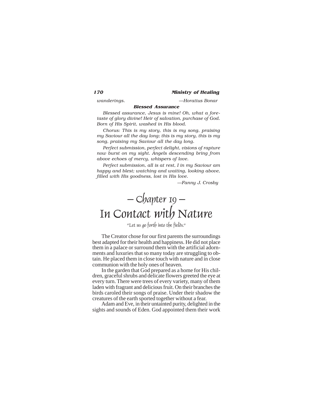*wanderings. —Horatius Bonar*

#### **Blessed Assurance**

*Blessed assurance, Jesus is mine! Oh, what a foretaste of glory divine! Heir of salvation, purchase of God. Born of His Spirit, washed in His blood.*

*Chorus: This is my story, this is my song, praising my Saviour all the day long; this is my story, this is my song, praising my Saviour all the day long.*

*Perfect submission, perfect delight, visions of rapture now burst on my sight. Angels descending bring from above echoes of mercy, whispers of love.*

*Perfect submission, all is at rest, I in my Saviour am happy and blest; watching and waiting, looking above, filled with His goodness, lost in His love.*

 *—Fanny J. Crosby*

# – Chapter 19 – In Contact with Nature

"Let us go forth into the fields."

The Creator chose for our first parents the surroundings best adapted for their health and happiness. He did not place them in a palace or surround them with the artificial adornments and luxuries that so many today are struggling to obtain. He placed them in close touch with nature and in close communion with the holy ones of heaven.

In the garden that God prepared as a home for His children, graceful shrubs and delicate flowers greeted the eye at every turn. There were trees of every variety, many of them laden with fragrant and delicious fruit. On their branches the birds caroled their songs of praise. Under their shadow the creatures of the earth sported together without a fear.

Adam and Eve, in their untainted purity, delighted in the sights and sounds of Eden. God appointed them their work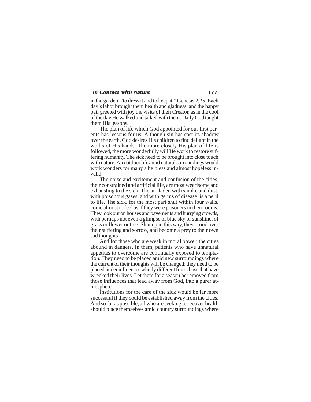# **In Contact with Nature**

in the garden, "to dress it and to keep it." Genesis *2:15*. Each day's labor brought them health and gladness, and the happy pair greeted with joy the visits of their Creator, as in the cool of the day He walked and talked with them. Daily God taught them His lessons.

The plan of life which God appointed for our first parents has lessons for us. Although sin has cast its shadow over the earth, God desires His children to find delight in the works of His hands. The more closely His plan of life is followed, the more wonderfully will He work to restore suffering humanity. The sick need to be brought into close touch with nature. An outdoor life amid natural surroundings would work wonders for many a helpless and almost hopeless invalid.

The noise and excitement and confusion of the cities, their constrained and artificial life, are most wearisome and exhausting to the sick. The air, laden with smoke and dust, with poisonous gases, and with germs of disease, is a peril to life. The sick, for the most part shut within four walls, come almost to feel as if they were prisoners in their rooms. They look out on houses and pavements and hurrying crowds, with perhaps not even a glimpse of blue sky or sunshine, of grass or flower or tree. Shut up in this way, they brood over their suffering and sorrow, and become a prey to their own sad thoughts.

And for those who are weak in moral power, the cities abound in dangers. In them, patients who have unnatural appetites to overcome are continually exposed to temptation. They need to be placed amid new surroundings where the current of their thoughts will be changed; they need to be placed under influences wholly different from those that have wrecked their lives. Let them for a season be removed from those influences that lead away from God, into a purer atmosphere.

Institutions for the care of the sick would be far more successful if they could be established away from the cities. And so far as possible, all who are seeking to recover health should place themselves amid country surroundings where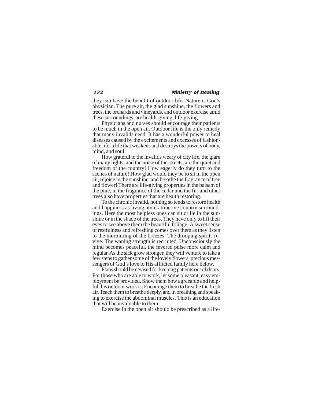they can have the benefit of outdoor life. Nature is God's physician. The pure air, the glad sunshine, the flowers and trees, the orchards and vineyards, and outdoor exercise amid these surroundings, are health-giving, life-giving.

Physicians and nurses should encourage their patients to be much in the open air. Outdoor life is the only remedy that many invalids need. It has a wonderful power to heal diseases caused by the excitements and excesses of fashionable life, a life that weakens and destroys the powers of body, mind, and soul.

How grateful to the invalids weary of city life, the glare of many lights, and the noise of the streets, are the quiet and freedom of the country! How eagerly do they turn to the scenes of nature! How glad would they be to sit in the open air, rejoice in the sunshine, and breathe the fragrance of tree and flower! There are life-giving properties in the balsam of the pine, in the fragrance of the cedar and the fir; and other trees also have properties that are health restoring.

To the chronic invalid, nothing so tends to restore health and happiness as living amid attractive country surroundings. Here the most helpless ones can sit or lie in the sunshine or in the shade of the trees. They have only to lift their eyes to see above them the beautiful foliage. A sweet sense of restfulness and refreshing comes over them as they listen to the murmuring of the breezes. The drooping spirits revive. The waning strength is recruited. Unconsciously the mind becomes peaceful, the fevered pulse more calm and regular. As the sick grow stronger, they will venture to take a few steps to gather some of the lovely flowers, precious messengers of God's love to His afflicted family here below.

Plans should be devised for keeping patients out of doors. For those who are able to work, let some pleasant, easy employment be provided. Show them how agreeable and helpful this outdoor work is. Encourage them to breathe the fresh air. Teach them to breathe deeply, and in breathing and speaking to exercise the abdominal muscles. This is an education that will be invaluable to them.

Exercise in the open air should be prescribed as a life-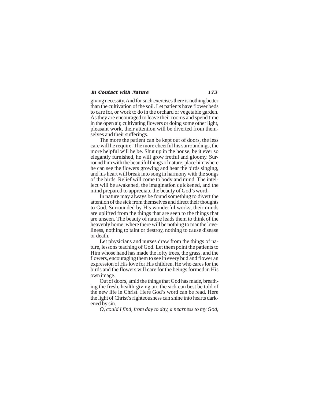# **In Contact with Nature**

giving necessity. And for such exercises there is nothing better than the cultivation of the soil. Let patients have flower beds to care for, or work to do in the orchard or vegetable garden. As they are encouraged to leave their rooms and spend time in the open air, cultivating flowers or doing some other light, pleasant work, their attention will be diverted from themselves and their sufferings.

The more the patient can be kept out of doors, the less care will he require. The more cheerful his surroundings, the more helpful will he be. Shut up in the house, be it ever so elegantly furnished, he will grow fretful and gloomy. Surround him with the beautiful things of nature; place him where he can see the flowers growing and hear the birds singing, and his heart will break into song in harmony with the songs of the birds. Relief will come to body and mind. The intellect will be awakened, the imagination quickened, and the mind prepared to appreciate the beauty of God's word.

In nature may always be found something to divert the attention of the sick from themselves and direct their thoughts to God. Surrounded by His wonderful works, their minds are uplifted from the things that are seen to the things that are unseen. The beauty of nature leads them to think of the heavenly home, where there will be nothing to mar the loveliness, nothing to taint or destroy, nothing to cause disease or death.

Let physicians and nurses draw from the things of nature, lessons teaching of God. Let them point the patients to Him whose hand has made the lofty trees, the grass, and the flowers, encouraging them to see in every bud and flower an expression of His love for His children. He who cares for the birds and the flowers will care for the beings formed in His own image.

Out of doors, amid the things that God has made, breathing the fresh, health-giving air, the sick can best be told of the new life in Christ. Here God's word can be read. Here the light of Christ's righteousness can shine into hearts darkened by sin.

*O, could I find, from day to day, a nearness to my God,*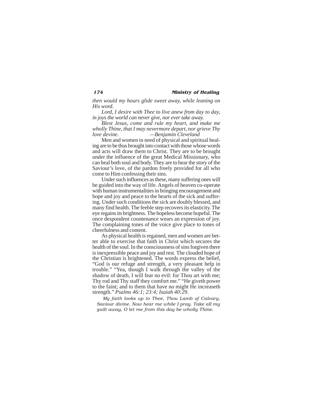*then would my hours glide sweet away, while leaning on His word.*

*Lord, I desire with Thee to live anew from day to day, in joys the world can never give, nor ever take away.*

*Blest Jesus, come and rule my heart, and make me wholly Thine, that I may nevermore depart, nor grieve Thy love devine. —Benjamin Cleveland*

Men and women in need of physical and spiritual healing are to be thus brought into contact with those whose words and acts will draw them to Christ. They are to be brought under the influence of the great Medical Missionary, who can heal both soul and body. They are to hear the story of the Saviour's love, of the pardon freely provided for all who come to Him confessing their sins.

Under such influences as these, many suffering ones will be guided into the way of life. Angels of heaven co-operate with human instrumentalities in bringing encouragement and hope and joy and peace to the hearts of the sick and suffering. Under such conditions the sick are doubly blessed, and many find health. The feeble step recovers its elasticity. The eye regains its brightness. The hopeless become hopeful. The once despondent countenance wears an expression of joy. The complaining tones of the voice give place to tones of cheerfulness and content.

As physical health is regained, men and women are better able to exercise that faith in Christ which secures the health of the soul. In the consciousness of sins forgiven there is inexpressible peace and joy and rest. The clouded hope of the Christian is brightened. The words express the belief, "God is our refuge and strength, a very pleasant help in trouble." "Yea, though I walk through the valley of the shadow of death, I will fear no evil: for Thou art with me; Thy rod and Thy staff they comfort me." "He giveth power to the faint; and to them that have no might He increaseth strength." *Psalms 46:1; 23:4; Isaiah 40:29*.

*My faith looks up to Thee, Thou Lamb of Calvary, Saviour divine. Now hear me while I pray. Take all my guilt away, O let me from this day be wholly Thine.*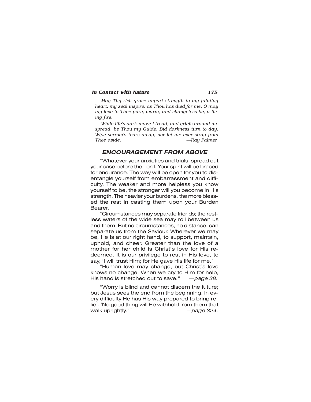### **In Contact with Nature**

*May Thy rich grace impart strength to my fainting heart, my zeal inspire; as Thou has died for me, O may my love to Thee pure, warm, and changeless be, a living fire.*

*While life's dark maze I tread, and griefs around me spread, be Thou my Guide. Bid darkness turn to day. Wipe sorrow's tears away, nor let me ever stray from* Thee aside. *Allenta aside. Allenta aside. Allenta aside aside. Allenta aside aside.* 

# **ENCOURAGEMENT FROM ABOVE**

"Whatever your anxieties and trials, spread out your case before the Lord. Your spirit will be braced for endurance. The way will be open for you to disentangle yourself from embarrassment and difficulty. The weaker and more helpless you know yourself to be, the stronger will you become in His strength. The heavier your burdens, the more blessed the rest in casting them upon your Burden Bearer.

"Circumstances may separate friends; the restless waters of the wide sea may roll between us and them. But no circumstances, no distance, can separate us from the Saviour. Wherever we may be, He is at our right hand, to support, maintain, uphold, and cheer. Greater than the love of a mother for her child is Christ's love for His redeemed. It is our privilege to rest in His love, to say, 'I will trust Him; for He gave His life for me.'

"Human love may change, but Christ's love knows no change. When we cry to Him for help, His hand is stretched out to save." – page 38.

"Worry is blind and cannot discern the future; but Jesus sees the end from the beginning. In every difficulty He has His way prepared to bring relief. 'No good thing will He withhold from them that walk uprightly.' " —page 324.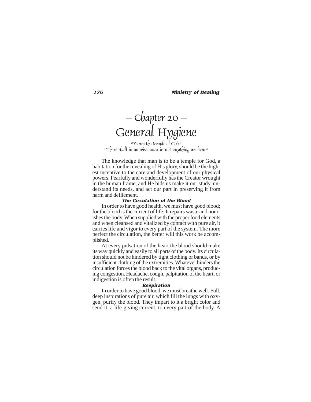# $-\mathsf{C}$ hapter 20  $-$ General Hygiene

"Ye are the temple of God." "There shall in no wise enter into it anything unclean."

The knowledge that man is to be a temple for God, a habitation for the revealing of His glory, should be the highest incentive to the care and development of our physical powers. Fearfully and wonderfully has the Creator wrought in the human frame, and He bids us make it our study, understand its needs, and act our part in preserving it from harm and defilement.

# **The Circulation of the Blood**

In order to have good health, we must have good blood; for the blood is the current of life. It repairs waste and nourishes the body. When supplied with the proper food elements and when cleansed and vitalized by contact with pure air, it carries life and vigor to every part of the system. The more perfect the circulation, the better will this work be accomplished.

At every pulsation of the heart the blood should make its way quickly and easily to all parts of the body. Its circulation should not be hindered by tight clothing or bands, or by insufficient clothing of the extremities. Whatever hinders the circulation forces the blood back to the vital organs, producing congestion. Headache, cough, palpitation of the heart, or indigestion is often the result.

### **Respiration**

In order to have good blood, we must breathe well. Full, deep inspirations of pure air, which fill the lungs with oxygen, purify the blood. They impart to it a bright color and send it, a life-giving current, to every part of the body. A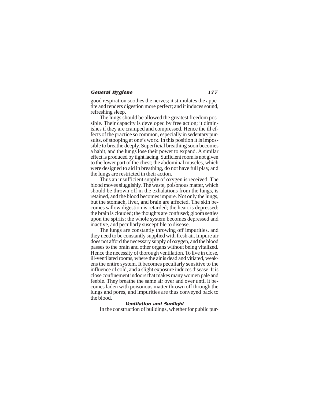# **General Hygiene**

good respiration soothes the nerves; it stimulates the appetite and renders digestion more perfect; and it induces sound, refreshing sleep.

The lungs should be allowed the greatest freedom possible. Their capacity is developed by free action; it diminishes if they are cramped and compressed. Hence the ill effects of the practice so common, especially in sedentary pursuits, of stooping at one's work. In this position it is impossible to breathe deeply. Superficial breathing soon becomes a habit, and the lungs lose their power to expand. A similar effect is produced by tight lacing. Sufficient room is not given to the lower part of the chest; the abdominal muscles, which were designed to aid in breathing, do not have full play, and the lungs are restricted in their action.

Thus an insufficient supply of oxygen is received. The blood moves sluggishly. The waste, poisonous matter, which should be thrown off in the exhalations from the lungs, is retained, and the blood becomes impure. Not only the lungs, but the stomach, liver, and brain are affected. The skin becomes sallow digestion is retarded; the heart is depressed; the brain is clouded; the thoughts are confused; gloom settles upon the spirits; the whole system becomes depressed and inactive, and peculiarly susceptible to disease.

The lungs are constantly throwing off impurities, and they need to be constantly supplied with fresh air. Impure air does not afford the necessary supply of oxygen, and the blood passes to the brain and other organs without being vitalized. Hence the necessity of thorough ventilation. To live in close, ill-ventilated rooms, where the air is dead and vitiated, weakens the entire system. It becomes peculiarly sensitive to the influence of cold, and a slight exposure induces disease. It is close confinement indoors that makes many women pale and feeble. They breathe the same air over and over until it becomes laden with poisonous matter thrown off through the lungs and pores, and impurities are thus conveyed back to the blood.

### **Ventilation and Sunlight**

In the construction of buildings, whether for public pur-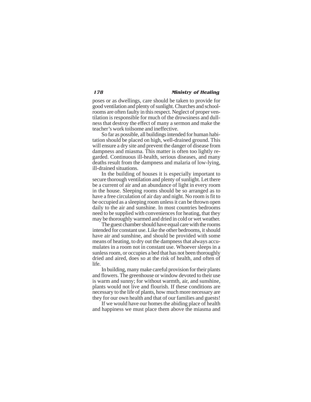poses or as dwellings, care should be taken to provide for good ventilation and plenty of sunlight. Churches and schoolrooms are often faulty in this respect. Neglect of proper ventilation is responsible for much of the drowsiness and dullness that destroy the effect of many a sermon and make the teacher's work toilsome and ineffective.

So far as possible, all buildings intended for human habitation should be placed on high, well-drained ground. This will ensure a dry site and prevent the danger of disease from dampness and miasma. This matter is often too lightly regarded. Continuous ill-health, serious diseases, and many deaths result from the dampness and malaria of low-lying, ill-drained situations.

In the building of houses it is especially important to secure thorough ventilation and plenty of sunlight. Let there be a current of air and an abundance of light in every room in the house. Sleeping rooms should be so arranged as to have a free circulation of air day and night. No room is fit to be occupied as a sleeping room unless it can be thrown open daily to the air and sunshine. In most countries bedrooms need to be supplied with conveniences for heating, that they may be thoroughly warmed and dried in cold or wet weather.

The guest chamber should have equal care with the rooms intended for constant use. Like the other bedrooms, it should have air and sunshine, and should be provided with some means of heating, to dry out the dampness that always accumulates in a room not in constant use. Whoever sleeps in a sunless room, or occupies a bed that has not been thoroughly dried and aired, does so at the risk of health, and often of life.

In building, many make careful provision for their plants and flowers. The greenhouse or window devoted to their use is warm and sunny; for without warmth, air, and sunshine, plants would not live and flourish. If these conditions are necessary to the life of plants, how much more necessary are they for our own health and that of our families and guests!

If we would have our homes the abiding place of health and happiness we must place them above the miasma and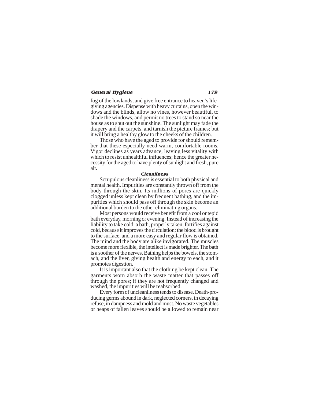### **General Hygiene**

fog of the lowlands, and give free entrance to heaven's lifegiving agencies. Dispense with heavy curtains, open the windows and the blinds, allow no vines, however beautiful, to shade the windows, and permit no trees to stand so near the house as to shut out the sunshine. The sunlight may fade the drapery and the carpets, and tarnish the picture frames; but it will bring a healthy glow to the cheeks of the children.

Those who have the aged to provide for should remember that these especially need warm, comfortable rooms. Vigor declines as years advance, leaving less vitality with which to resist unhealthful influences; hence the greater necessity for the aged to have plenty of sunlight and fresh, pure air.

### **Cleanliness**

Scrupulous cleanliness is essential to both physical and mental health. Impurities are constantly thrown off from the body through the skin. Its millions of pores are quickly clogged unless kept clean by frequent bathing, and the impurities which should pass off through the skin become an additional burden to the other eliminating organs.

Most persons would receive benefit from a cool or tepid bath everyday, morning or evening. Instead of increasing the liability to take cold, a bath, properly taken, fortifies against cold, because it improves the circulation; the blood is brought to the surface, and a more easy and regular flow is obtained. The mind and the body are alike invigorated. The muscles become more flexible, the intellect is made brighter. The bath is a soother of the nerves. Bathing helps the bowels, the stomach, and the liver, giving health and energy to each, and it promotes digestion.

It is important also that the clothing be kept clean. The garments worn absorb the waste matter that passes off through the pores; if they are not frequently changed and washed, the impurities will be reabsorbed.

Every form of uncleanliness tends to disease. Death-producing germs abound in dark, neglected corners, in decaying refuse, in dampness and mold and must. No waste vegetables or heaps of fallen leaves should be allowed to remain near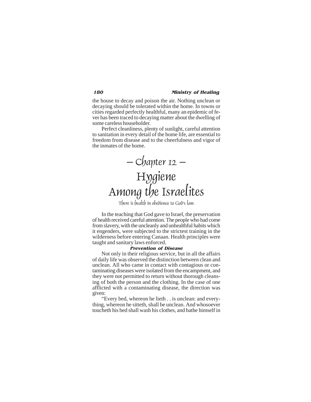the house to decay and poison the air. Nothing unclean or decaying should be tolerated within the home. In towns or cities regarded perfectly healthful, many an epidemic of fever has been traced to decaying matter about the dwelling of some careless householder.

Perfect cleanliness, plenty of sunlight, careful attention to sanitation in every detail of the home life, are essential to freedom from disease and to the cheerfulness and vigor of the inmates of the home.

> $-\mathsf{C}$ hapter 12 – Hygiene Among the Israelites

In the teaching that God gave to Israel, the preservation of health received careful attention. The people who had come from slavery, with the uncleanly and unhealthful habits which it engenders, were subjected to the strictest training in the wilderness before entering Canaan. Health principles were taught and sanitary laws enforced.

# **Prevention of Disease**

Not only in their religious service, but in all the affairs of daily life was observed the distinction between clean and unclean. All who came in contact with contagious or contaminating diseases were isolated from the encampment, and they were not permitted to return without thorough cleansing of both the person and the clothing. In the case of one afflicted with a contaminating disease, the direction was given:

"Every bed, whereon he lieth . . is unclean: and everything, whereon he sitteth, shall be unclean. And whosoever toucheth his bed shall wash his clothes, and bathe himself in

There is health in obedience to God's law.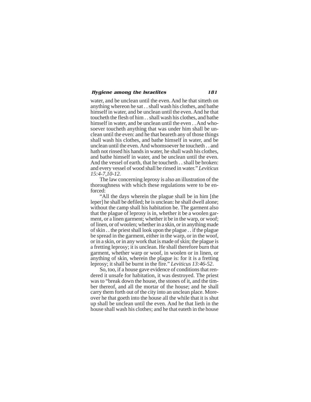### **Hygiene among the Israelites**

water, and be unclean until the even. And he that sitteth on anything whereon he sat . . shall wash his clothes, and bathe himself in water, and be unclean until the even. And he that toucheth the flesh of him . . shall wash his clothes, and bathe himself in water, and be unclean until the even . . And whosoever toucheth anything that was under him shall be unclean until the even: and he that beareth any of those things shall wash his clothes, and bathe himself in water, and be unclean until the even. And whomsoever he toucheth . . and hath not rinsed his hands in water, he shall wash his clothes, and bathe himself in water, and be unclean until the even. And the vessel of earth, that he toucheth . . shall be broken: and every vessel of wood shall be rinsed in water." *Leviticus 15:4-7,10-12.*

The law concerning leprosy is also an illustration of the thoroughness with which these regulations were to be enforced:

"All the days wherein the plague shall be in him [the leper] he shall be defiled; he is unclean: he shall dwell alone; without the camp shall his habitation be. The garment also that the plague of leprosy is in, whether it be a woolen garment, or a linen garment; whether it be in the warp, or woof; of linen, or of woolen; whether in a skin, or in anything made of skin . . the priest shall look upon the plague . . if the plague be spread in the garment, either in the warp, or in the woof, or in a skin, or in any work that is made of skin; the plague is a fretting leprosy; it is unclean. He shall therefore burn that garment, whether warp or woof, in woolen or in linen, or anything of skin, wherein the plague is: for it is a fretting leprosy; it shall be burnt in the fire." *Leviticus 13:46-52*.

So, too, if a house gave evidence of conditions that rendered it unsafe for habitation, it was destroyed. The priest was to "break down the house, the stones of it, and the timber thereof, and all the mortar of the house; and he shall carry them forth out of the city into an unclean place. Moreover he that goeth into the house all the while that it is shut up shall be unclean until the even. And he that lieth in the house shall wash his clothes; and he that eateth in the house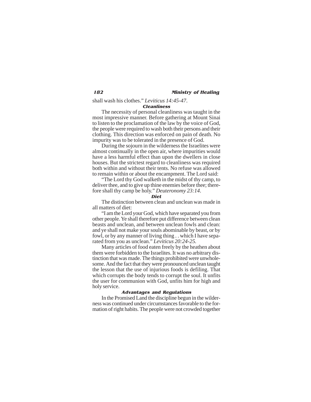shall wash his clothes." *Leviticus 14:45-47*. **Cleanliness**

The necessity of personal cleanliness was taught in the most impressive manner. Before gathering at Mount Sinai to listen to the proclamation of the law by the voice of God, the people were required to wash both their persons and their clothing. This direction was enforced on pain of death. No impurity was to be tolerated in the presence of God.

During the sojourn in the wilderness the Israelites were almost continually in the open air, where impurities would have a less harmful effect than upon the dwellers in close houses. But the strictest regard to cleanliness was required both within and without their tents. No refuse was allowed to remain within or about the encampment. The Lord said:

"The Lord thy God walketh in the midst of thy camp, to deliver thee, and to give up thine enemies before thee; therefore shall thy camp be holy." *Deuteronomy 23:14*.

### **Diet**

The distinction between clean and unclean was made in all matters of diet:

"I am the Lord your God, which have separated you from other people. Ye shall therefore put difference between clean beasts and unclean, and between unclean fowls and clean: and ye shall not make your souls abominable by beast, or by fowl, or by any manner of living thing . . which I have separated from you as unclean." *Leviticus 20:24-25.*

Many articles of food eaten freely by the heathen about them were forbidden to the Israelites. It was no arbitrary distinction that was made. The things prohibited were unwholesome. And the fact that they were pronounced unclean taught the lesson that the use of injurious foods is defiling. That which corrupts the body tends to corrupt the soul. It unfits the user for communion with God, unfits him for high and holy service.

#### **Advantages and Regulations**

In the Promised Land the discipline begun in the wilderness was continued under circumstances favorable to the formation of right habits. The people were not crowded together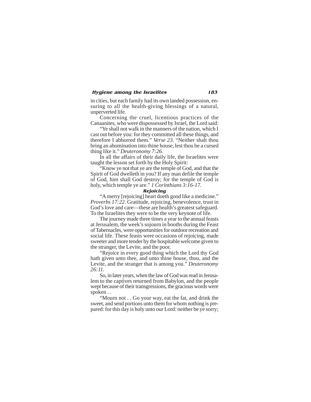in cities, but each family had its own landed possession, ensuring to all the health-giving blessings of a natural, unperverted life.

Concerning the cruel, licentious practices of the Canaanites, who were dispossessed by Israel, the Lord said:

"Ye shall not walk in the manners of the nation, which I cast out before you: for they committed all these things, and therefore I abhorred them." *Verse 23*. "Neither shalt thou bring an abomination into thine house, lest thou be a cursed thing like it." *Deuteronomy 7:26*.

In all the affairs of their daily life, the Israelites were taught the lesson set forth by the Holy Spirit:

"Know ye not that ye are the temple of God, and that the Spirit of God dwelleth in you? If any man defile the temple of God, him shall God destroy; for the temple of God is holy, which temple ye are." *1 Corinthians 3:16-17.*

# **Rejoicing**

"A merry [rejoicing] heart doeth good like a medicine." *Proverbs 17:22*. Gratitude, rejoicing, benevolence, trust in God's love and care—these are health's greatest safeguard. To the Israelites they were to be the very keynote of life.

The journey made three times a year to the annual feasts at Jerusalem, the week's sojourn in booths during the Feast of Tabernacles, were opportunities for outdoor recreation and social life. These feasts were occasions of rejoicing, made sweeter and more tender by the hospitable welcome given to the stranger, the Levite, and the poor.

"Rejoice in every good thing which the Lord thy God hath given unto thee, and unto thine house, thou, and the Levite, and the stranger that is among you." *Deuteronomy 26:11.*

So, in later years, when the law of God was read in Jerusalem to the captives returned from Babylon, and the people wept because of their transgressions, the gracious words were spoken . .

"Mourn not . . Go your way, eat the fat, and drink the sweet, and send portions unto them for whom nothing is prepared: for this day is holy unto our Lord: neither be ye sorry;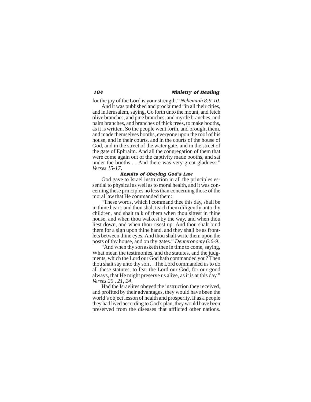for the joy of the Lord is your strength." *Nehemiah 8:9-10.*

And it was published and proclaimed "in all their cities, and in Jerusalem, saying, Go forth unto the mount, and fetch olive branches, and pine branches, and myrtle branches, and palm branches, and branches of thick trees, to make booths, as it is written. So the people went forth, and brought them, and made themselves booths, everyone upon the roof of his house, and in their courts, and in the courts of the house of God, and in the street of the water gate, and in the street of the gate of Ephraim. And all the congregation of them that were come again out of the captivity made booths, and sat under the booths . . And there was very great gladness." *Verses 15-17*.

# **Results of Obeying God's Law**

God gave to Israel instruction in all the principles essential to physical as well as to moral health, and it was concerning these principles no less than concerning those of the moral law that He commanded them:

"These words, which I command thee this day, shall be in thine heart: and thou shalt teach them diligently unto thy children, and shalt talk of them when thou sittest in thine house, and when thou walkest by the way, and when thou liest down, and when thou risest up. And thou shalt bind them for a sign upon thine hand, and they shall be as frontlets between thine eyes. And thou shalt write them upon the posts of thy house, and on thy gates." *Deuteronomy 6:6-9*.

"And when thy son asketh thee in time to come, saying, What mean the testimonies, and the statutes, and the judgments, which the Lord our God hath commanded you? Then thou shalt say unto thy son . . The Lord commanded us to do all these statutes, to fear the Lord our God, for our good always, that He might preserve us alive, as it is at this day." *Verses 20 , 21, 24*.

Had the Israelites obeyed the instruction they received, and profited by their advantages, they would have been the world's object lesson of health and prosperity. If as a people they had lived according to God's plan, they would have been preserved from the diseases that afflicted other nations.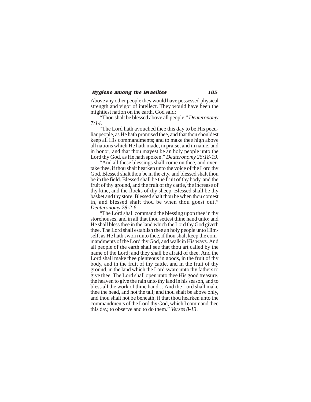**Hygiene among the Israelites**

Above any other people they would have possessed physical strength and vigor of intellect. They would have been the mightiest nation on the earth. God said:

"Thou shalt be blessed above all people." *Deuteronomy 7:14.*

"The Lord hath avouched thee this day to be His peculiar people, as He hath promised thee, and that thou shouldest keep all His commandments; and to make thee high above all nations which He hath made, in praise, and in name, and in honor; and that thou mayest be an holy people unto the Lord thy God, as He hath spoken." *Deuteronomy 26:18-19*.

"And all these blessings shall come on thee, and overtake thee, if thou shalt hearken unto the voice of the Lord thy God. Blessed shalt thou be in the city, and blessed shalt thou be in the field. Blessed shall be the fruit of thy body, and the fruit of thy ground, and the fruit of thy cattle, the increase of thy kine, and the flocks of thy sheep. Blessed shall be thy basket and thy store. Blessed shalt thou be when thou comest in, and blessed shalt thou be when thou goest out." *Deuteronomy 28:2-6*.

"The Lord shall command the blessing upon thee in thy storehouses, and in all that thou settest thine hand unto; and He shall bless thee in the land which the Lord thy God giveth thee. The Lord shall establish thee an holy people unto Himself, as He hath sworn unto thee, if thou shalt keep the commandments of the Lord thy God, and walk in His ways. And all people of the earth shall see that thou art called by the name of the Lord; and they shall be afraid of thee. And the Lord shall make thee plenteous in goods, in the fruit of thy body, and in the fruit of thy cattle, and in the fruit of thy ground, in the land which the Lord sware unto thy fathers to give thee. The Lord shall open unto thee His good treasure, the heaven to give the rain unto thy land in his season, and to bless all the work of thine hand . . And the Lord shall make thee the head, and not the tail; and thou shalt be above only, and thou shalt not be beneath; if that thou hearken unto the commandments of the Lord thy God, which I command thee this day, to observe and to do them." *Verses 8-13*.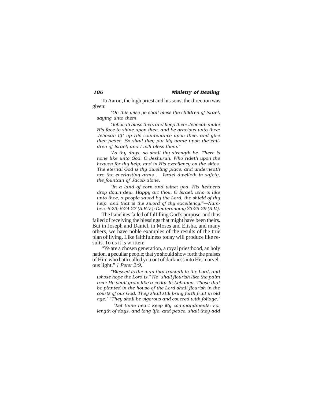To Aaron, the high priest and his sons, the direction was given:

*"On this wise ye shall bless the children of Israel, saying unto them,*

*"Jehovah bless thee, and keep thee: Jehovah make His face to shine upon thee, and be gracious unto thee: Jehovah lift up His countenance upon thee, and give thee peace. So shall they put My name upon the children of Israel; and I will bless them."*

*"As thy days, so shall thy strength be. There is none like unto God, O Jeshurun, Who rideth upon the heaven for thy help, and in His excellency on the skies. The eternal God is thy dwelling place, and underneath are the everlasting arms . . Israel dwelleth in safety, the fountain of Jacob alone.*

*"In a land of corn and wine; yea, His heavens drop down dew. Happy art thou, O Israel: who is like unto thee, a people saved by the Lord, the shield of thy help, and that is the sword of thy excellency!"—Numbers 6:23; 6:24-27 (A.R.V.); Deuteronomy 33:25-29 (R.V.).*

The Israelites failed of fulfilling God's purpose, and thus failed of receiving the blessings that might have been theirs. But in Joseph and Daniel, in Moses and Elisha, and many others, we have noble examples of the results of the true plan of living. Like faithfulness today will produce like results. To us it is written:

"Ye are a chosen generation, a royal priesthood, an holy nation, a peculiar people; that ye should show forth the praises of Him who hath called you out of darkness into His marvelous light." *1 Peter 2:9*.

 *"Blessed is the man that trusteth in the Lord, and whose hope the Lord is." He "shall flourish like the palm tree: He shall grow like a cedar in Lebanon. Those that be planted in the house of the Lord shall flourish in the courts of our God. They shall still bring forth fruit in old age." "They shall be vigorous and covered with foliage."*

 *"Let thine heart keep My commandments: For length of days, and long life, and peace, shall they add*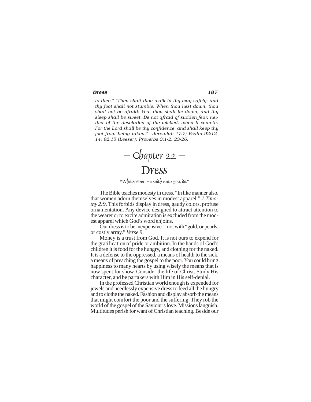#### **Dress**

*to thee." "Then shalt thou walk in thy way safely, and thy foot shall not stumble. When thou liest down, thou shalt not be afraid: Yea, thou shalt lie down, and thy sleep shall be sweet. Be not afraid of sudden fear, neither of the desolation of the wicked, when it cometh. For the Lord shall be thy confidence, and shall keep thy foot from being taken."—Jeremiah 17:7; Psalm 92:12- 14; 92:15 (Leeser); Proverbs 3:1-2, 23-26.*

 $-\mathsf{C}$ hapter 22  $-$ Dress

"Whatsoever He saith unto you, do."

The Bible teaches modesty in dress. "In like manner also, that women adorn themselves in modest apparel." *1 Timothy 2:9*. This forbids display in dress, gaudy colors, profuse ornamentation. Any device designed to attract attention to the wearer or to excite admiration is excluded from the modest apparel which God's word enjoins.

Our dress is to be inexpensive—not with "gold, or pearls, or costly array." *Verse 9*.

Money is a trust from God. It is not ours to expend for the gratification of pride or ambition. In the hands of God's children it is food for the hungry, and clothing for the naked. It is a defense to the oppressed, a means of health to the sick, a means of preaching the gospel to the poor. You could bring happiness to many hearts by using wisely the means that is now spent for show. Consider the life of Christ. Study His character, and be partakers with Him in His self-denial.

In the professed Christian world enough is expended for jewels and needlessly expensive dress to feed all the hungry and to clothe the naked. Fashion and display absorb the means that might comfort the poor and the suffering. They rob the world of the gospel of the Saviour's love. Missions languish. Multitudes perish for want of Christian teaching. Beside our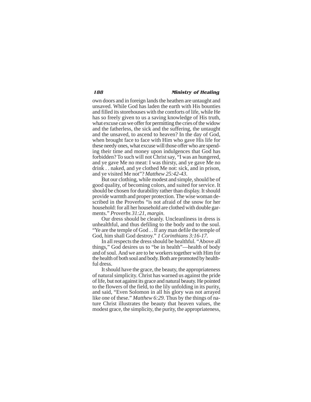own doors and in foreign lands the heathen are untaught and unsaved. While God has laden the earth with His bounties and filled its storehouses with the comforts of life, while He has so freely given to us a saving knowledge of His truth, what excuse can we offer for permitting the cries of the widow and the fatherless, the sick and the suffering, the untaught and the unsaved, to ascend to heaven? In the day of God, when brought face to face with Him who gave His life for these needy ones, what excuse will those offer who are spending their time and money upon indulgences that God has forbidden? To such will not Christ say, "I was an hungered, and ye gave Me no meat: I was thirsty, and ye gave Me no drink . . naked, and ye clothed Me not: sick, and in prison, and ye visited Me not"? *Matthew 25:42-43*.

But our clothing, while modest and simple, should be of good quality, of becoming colors, and suited for service. It should be chosen for durability rather than display. It should provide warmth and proper protection. The wise woman described in the Proverbs "is not afraid of the snow for her household: for all her household are clothed with double garments." *Proverbs 31:21, margin*.

Our dress should be cleanly. Uncleanliness in dress is unhealthful, and thus defiling to the body and to the soul. "Ye are the temple of God . . If any man defile the temple of God, him shall God destroy." *1 Corinthians 3:16-17.*

In all respects the dress should be healthful. "Above all things," God desires us to "be in health"—health of body and of soul. And we are to be workers together with Him for the health of both soul and body. Both are promoted by healthful dress.

It should have the grace, the beauty, the appropriateness of natural simplicity. Christ has warned us against the pride of life, but not against its grace and natural beauty. He pointed to the flowers of the field, to the lily unfolding in its purity, and said, "Even Solomon in all his glory was not arrayed like one of these." *Matthew 6:29*. Thus by the things of nature Christ illustrates the beauty that heaven values, the modest grace, the simplicity, the purity, the appropriateness,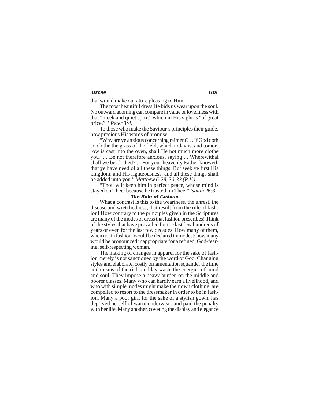#### **Dress**

that would make our attire pleasing to Him.

The most beautiful dress He bids us wear upon the soul. No outward adorning can compare in value or loveliness with that "meek and quiet spirit" which in His sight is "of great price." *1 Peter 3:4*.

To those who make the Saviour's principles their guide, how precious His words of promise:

"Why are ye anxious concerning raiment? . . If God doth so clothe the grass of the field, which today is, and tomorrow is cast into the oven, shall He not much more clothe you? . . Be not therefore anxious, saying . . Wherewithal shall we be clothed? . . For your heavenly Father knoweth that ye have need of all these things. But seek ye first His kingdom, and His righteousness; and all these things shall be added unto you." *Matthew 6:28, 30-33 (R.V.).*

"Thou wilt keep him in perfect peace, whose mind is stayed on Thee: because he trusteth in Thee." *Isaiah 26:3*.

#### **The Rule of Fashion**

What a contrast is this to the weariness, the unrest, the disease and wretchedness, that result from the rule of fashion! How contrary to the principles given in the Scriptures are many of the modes of dress that fashion prescribes! Think of the styles that have prevailed for the last few hundreds of years or even for the last few decades. How many of them, when not in fashion, would be declared immodest; how many would be pronounced inappropriate for a refined, God-fearing, self-respecting woman.

The making of changes in apparel for the sake of fashion merely is not sanctioned by the word of God. Changing styles and elaborate, costly ornamentation squander the time and means of the rich, and lay waste the energies of mind and soul. They impose a heavy burden on the middle and poorer classes. Many who can hardly earn a livelihood, and who with simple modes might make their own clothing, are compelled to resort to the dressmaker in order to be in fashion. Many a poor girl, for the sake of a stylish gown, has deprived herself of warm underwear, and paid the penalty with her life. Many another, coveting the display and elegance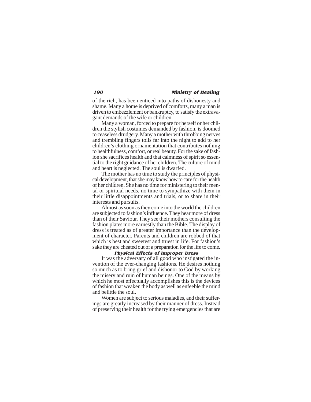of the rich, has been enticed into paths of dishonesty and shame. Many a home is deprived of comforts, many a man is driven to embezzlement or bankruptcy, to satisfy the extravagant demands of the wife or children.

Many a woman, forced to prepare for herself or her children the stylish costumes demanded by fashion, is doomed to ceaseless drudgery. Many a mother with throbbing nerves and trembling fingers toils far into the night to add to her children's clothing ornamentation that contributes nothing to healthfulness, comfort, or real beauty. For the sake of fashion she sacrifices health and that calmness of spirit so essential to the right guidance of her children. The culture of mind and heart is neglected. The soul is dwarfed.

The mother has no time to study the principles of physical development, that she may know how to care for the health of her children. She has no time for ministering to their mental or spiritual needs, no time to sympathize with them in their little disappointments and trials, or to share in their interests and pursuits.

Almost as soon as they come into the world the children are subjected to fashion's influence. They hear more of dress than of their Saviour. They see their mothers consulting the fashion plates more earnestly than the Bible. The display of dress is treated as of greater importance than the development of character. Parents and children are robbed of that which is best and sweetest and truest in life. For fashion's sake they are cheated out of a preparation for the life to come.

# **Physical Effects of Improper Dress**

It was the adversary of all good who instigated the invention of the ever-changing fashions. He desires nothing so much as to bring grief and dishonor to God by working the misery and ruin of human beings. One of the means by which he most effectually accomplishes this is the devices of fashion that weaken the body as well as enfeeble the mind and belittle the soul.

Women are subject to serious maladies, and their sufferings are greatly increased by their manner of dress. Instead of preserving their health for the trying emergencies that are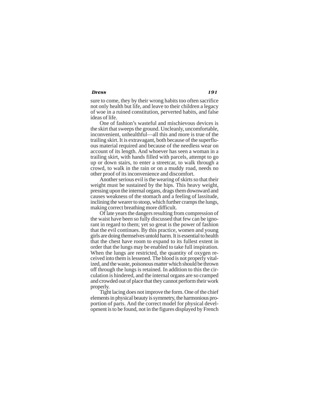#### **Dress**

sure to come, they by their wrong habits too often sacrifice not only health but life, and leave to their children a legacy of woe in a ruined constitution, perverted habits, and false ideas of life.

One of fashion's wasteful and mischievous devices is the skirt that sweeps the ground. Uncleanly, uncomfortable, inconvenient, unhealthful—all this and more is true of the trailing skirt. It is extravagant, both because of the superfluous material required and because of the needless wear on account of its length. And whoever has seen a woman in a trailing skirt, with hands filled with parcels, attempt to go up or down stairs, to enter a streetcar, to walk through a crowd, to walk in the rain or on a muddy road, needs no other proof of its inconvenience and discomfort.

Another serious evil is the wearing of skirts so that their weight must be sustained by the hips. This heavy weight, pressing upon the internal organs, drags them downward and causes weakness of the stomach and a feeling of lassitude, inclining the wearer to stoop, which further cramps the lungs, making correct breathing more difficult.

Of late years the dangers resulting from compression of the waist have been so fully discussed that few can be ignorant in regard to them; yet so great is the power of fashion that the evil continues. By this practice, women and young girls are doing themselves untold harm. It is essential to health that the chest have room to expand to its fullest extent in order that the lungs may be enabled to take full inspiration. When the lungs are restricted, the quantity of oxygen received into them is lessened. The blood is not properly vitalized, and the waste, poisonous matter which should be thrown off through the lungs is retained. In addition to this the circulation is hindered, and the internal organs are so cramped and crowded out of place that they cannot perform their work properly.

Tight lacing does not improve the form. One of the chief elements in physical beauty is symmetry, the harmonious proportion of parts. And the correct model for physical development is to be found, not in the figures displayed by French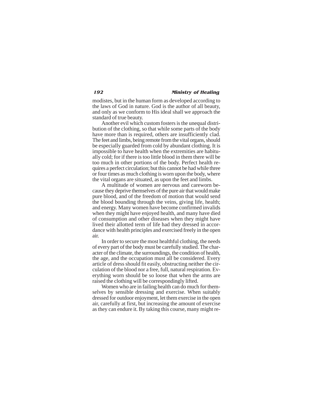modistes, but in the human form as developed according to the laws of God in nature. God is the author of all beauty, and only as we conform to His ideal shall we approach the standard of true beauty.

Another evil which custom fosters is the unequal distribution of the clothing, so that while some parts of the body have more than is required, others are insufficiently clad. The feet and limbs, being remote from the vital organs, should be especially guarded from cold by abundant clothing. It is impossible to have health when the extremities are habitually cold; for if there is too little blood in them there will be too much in other portions of the body. Perfect health requires a perfect circulation; but this cannot be had while three or four times as much clothing is worn upon the body, where the vital organs are situated, as upon the feet and limbs.

A multitude of women are nervous and careworn because they deprive themselves of the pure air that would make pure blood, and of the freedom of motion that would send the blood bounding through the veins, giving life, health; and energy. Many women have become confirmed invalids when they might have enjoyed health, and many have died of consumption and other diseases when they might have lived their allotted term of life had they dressed in accordance with health principles and exercised freely in the open air.

In order to secure the most healthful clothing, the needs of every part of the body must be carefully studied. The character of the climate, the surroundings, the condition of health, the age, and the occupation must all be considered. Every article of dress should fit easily, obstructing neither the circulation of the blood nor a free, full, natural respiration. Everything worn should be so loose that when the arms are raised the clothing will be correspondingly lifted.

Women who are in failing health can do much for themselves by sensible dressing and exercise. When suitably dressed for outdoor enjoyment, let them exercise in the open air, carefully at first, but increasing the amount of exercise as they can endure it. By taking this course, many might re-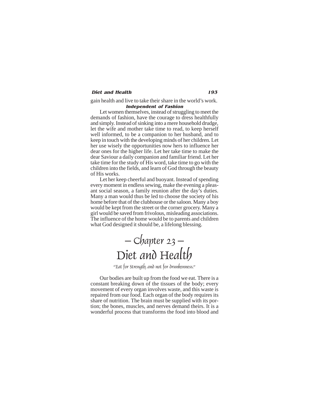# **Diet and Health**

gain health and live to take their share in the world's work. **Independent of Fashion**

Let women themselves, instead of struggling to meet the demands of fashion, have the courage to dress healthfully and simply. Instead of sinking into a mere household drudge, let the wife and mother take time to read, to keep herself well informed, to be a companion to her husband, and to keep in touch with the developing minds of her children. Let her use wisely the opportunities now hers to influence her dear ones for the higher life. Let her take time to make the dear Saviour a daily companion and familiar friend. Let her take time for the study of His word, take time to go with the children into the fields, and learn of God through the beauty of His works.

Let her keep cheerful and buoyant. Instead of spending every moment in endless sewing, make the evening a pleasant social season, a family reunion after the day's duties. Many a man would thus be led to choose the society of his home before that of the clubhouse or the saloon. Many a boy would be kept from the street or the corner grocery. Many a girl would be saved from frivolous, misleading associations. The influence of the home would be to parents and children what God designed it should be, a lifelong blessing.

 $-$  Chapter 23  $-$ Diet and Health

"Eat for Strength, and not for drunkenness."

Our bodies are built up from the food we eat. There is a constant breaking down of the tissues of the body; every movement of every organ involves waste, and this waste is repaired from our food. Each organ of the body requires its share of nutrition. The brain must be supplied with its portion; the bones, muscles, and nerves demand theirs. It is a wonderful process that transforms the food into blood and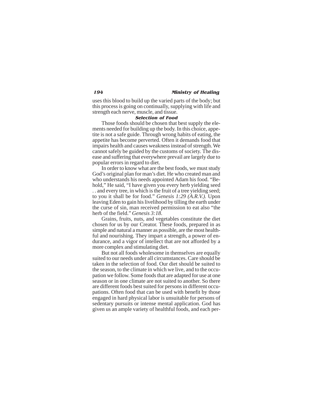uses this blood to build up the varied parts of the body; but this process is going on continually, supplying with life and strength each nerve, muscle, and tissue.

# **Selection of Food**

Those foods should be chosen that best supply the elements needed for building up the body. In this choice, appetite is not a safe guide. Through wrong habits of eating, the appetite has become perverted. Often it demands food that impairs health and causes weakness instead of strength. We cannot safely be guided by the customs of society. The disease and suffering that everywhere prevail are largely due to popular errors in regard to diet.

In order to know what are the best foods, we must study God's original plan for man's diet. He who created man and who understands his needs appointed Adam his food. "Behold," He said, "I have given you every herb yielding seed . . and every tree, in which is the fruit of a tree yielding seed; to you it shall be for food." *Genesis 1:29 (A.R.V.).* Upon leaving Eden to gain his livelihood by tilling the earth under the curse of sin, man received permission to eat also "the herb of the field." *Genesis 3:18*.

Grains, fruits, nuts, and vegetables constitute the diet chosen for us by our Creator. These foods, prepared in as simple and natural a manner as possible, are the most healthful and nourishing. They impart a strength, a power of endurance, and a vigor of intellect that are not afforded by a more complex and stimulating diet.

But not all foods wholesome in themselves are equally suited to our needs under all circumstances. Care should be taken in the selection of food. Our diet should be suited to the season, to the climate in which we live, and to the occupation we follow. Some foods that are adapted for use at one season or in one climate are not suited to another. So there are different foods best suited for persons in different occupations. Often food that can be used with benefit by those engaged in hard physical labor is unsuitable for persons of sedentary pursuits or intense mental application. God has given us an ample variety of healthful foods, and each per-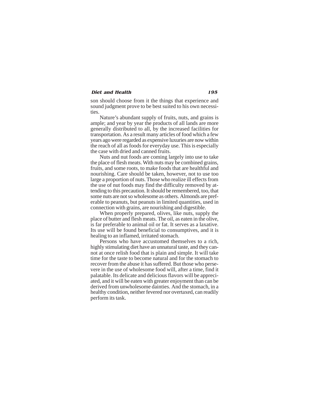### **Diet and Health**

son should choose from it the things that experience and sound judgment prove to be best suited to his own necessities.

Nature's abundant supply of fruits, nuts, and grains is ample; and year by year the products of all lands are more generally distributed to all, by the increased facilities for transportation. As a result many articles of food which a few years ago were regarded as expensive luxuries are now within the reach of all as foods for everyday use. This is especially the case with dried and canned fruits.

Nuts and nut foods are coming largely into use to take the place of flesh meats. With nuts may be combined grains, fruits, and some roots, to make foods that are healthful and nourishing. Care should be taken, however, not to use too large a proportion of nuts. Those who realize ill effects from the use of nut foods may find the difficulty removed by attending to this precaution. It should be remembered, too, that some nuts are not so wholesome as others. Almonds are preferable to peanuts, but peanuts in limited quantities, used in connection with grains, are nourishing and digestible.

When properly prepared, olives, like nuts, supply the place of butter and flesh meats. The oil, as eaten in the olive, is far preferable to animal oil or fat. It serves as a laxative. Its use will be found beneficial to consumptives, and it is healing to an inflamed, irritated stomach.

Persons who have accustomed themselves to a rich, highly stimulating diet have an unnatural taste, and they cannot at once relish food that is plain and simple. It will take time for the taste to become natural and for the stomach to recover from the abuse it has suffered. But those who persevere in the use of wholesome food will, after a time, find it palatable. Its delicate and delicious flavors will be appreciated, and it will be eaten with greater enjoyment than can be derived from unwholesome dainties. And the stomach, in a healthy condition, neither fevered nor overtaxed, can readily perform its task.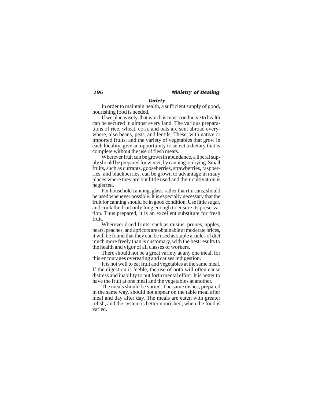## **Variety**

In order to maintain health, a sufficient supply of good, nourishing food is needed.

If we plan wisely, that which is most conducive to health can be secured in almost every land. The various preparations of rice, wheat, corn, and oats are sent abroad everywhere, also beans, peas, and lentils. These, with native or imported fruits, and the variety of vegetables that grow in each locality, give an opportunity to select a dietary that is complete without the use of flesh meats.

Wherever fruit can be grown in abundance, a liberal supply should be prepared for winter, by canning or drying. Small fruits, such as currants, gooseberries, strawberries, raspberries, and blackberries, can be grown to advantage in many places where they are but little used and their cultivation is neglected.

For household canning, glass, rather than tin cans, should be used whenever possible. It is especially necessary that the fruit for canning should be in good condition. Use little sugar, and cook the fruit only long enough to ensure its preservation. Thus prepared, it is an excellent substitute for fresh fruit.

Wherever dried fruits, such as raisins, prunes, apples, pears, peaches, and apricots are obtainable at moderate prices, it will be found that they can be used as staple articles of diet much more freely than is customary, with the best results to the health and vigor of all classes of workers.

There should not be a great variety at any one meal, for this encourages overeating and causes indigestion.

It is not well to eat fruit and vegetables at the same meal. If the digestion is feeble, the use of both will often cause distress and inability to put forth mental effort. It is better to have the fruit at one meal and the vegetables at another.

The meals should be varied. The same dishes, prepared in the same way, should not appear on the table meal after meal and day after day. The meals are eaten with greater relish, and the system is better nourished, when the food is varied.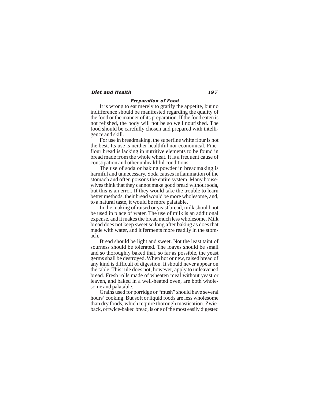### **Diet and Health**

#### **Preparation of Food**

It is wrong to eat merely to gratify the appetite, but no indifference should be manifested regarding the quality of the food or the manner of its preparation. If the food eaten is not relished, the body will not be so well nourished. The food should be carefully chosen and prepared with intelligence and skill.

For use in breadmaking, the superfine white flour is not the best. Its use is neither healthful nor economical. Fineflour bread is lacking in nutritive elements to be found in bread made from the whole wheat. It is a frequent cause of constipation and other unhealthful conditions.

The use of soda or baking powder in breadmaking is harmful and unnecessary. Soda causes inflammation of the stomach and often poisons the entire system. Many housewives think that they cannot make good bread without soda, but this is an error. If they would take the trouble to learn better methods, their bread would be more wholesome, and, to a natural taste, it would be more palatable.

In the making of raised or yeast bread, milk should not be used in place of water. The use of milk is an additional expense, and it makes the bread much less wholesome. Milk bread does not keep sweet so long after baking as does that made with water, and it ferments more readily in the stomach.

Bread should be light and sweet. Not the least taint of sourness should be tolerated. The loaves should be small and so thoroughly baked that, so far as possible, the yeast germs shall be destroyed. When hot or new, raised bread of any kind is difficult of digestion. It should never appear on the table. This rule does not, however, apply to unleavened bread. Fresh rolls made of wheaten meal without yeast or leaven, and baked in a well-heated oven, are both wholesome and palatable.

Grains used for porridge or "mush" should have several hours' cooking. But soft or liquid foods are less wholesome than dry foods, which require thorough mastication. Zwieback, or twice-baked bread, is one of the most easily digested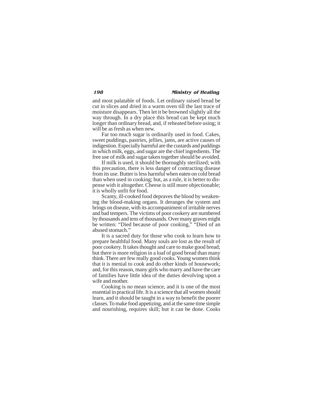and most palatable of foods. Let ordinary raised bread be cut in slices and dried in a warm oven till the last trace of moisture disappears. Then let it be browned slightly all the way through. In a dry place this bread can be kept much longer than ordinary bread, and, if reheated before using; it will be as fresh as when new.

Far too much sugar is ordinarily used in food. Cakes, sweet puddings, pastries, jellies, jams, are active causes of indigestion. Especially harmful are the custards and puddings in which milk, eggs, and sugar are the chief ingredients. The free use of milk and sugar taken together should be avoided.

If milk is used, it should be thoroughly sterilized; with this precaution, there is less danger of contracting disease from its use. Butter is less harmful when eaten on cold bread than when used in cooking; but, as a rule, it is better to dispense with it altogether. Cheese is still more objectionable; it is wholly unfit for food.

Scanty, ill-cooked food depraves the blood by weakening the blood-making organs. It deranges the system and brings on disease, with its accompaniment of irritable nerves and bad tempers. The victims of poor cookery are numbered by thousands and tens of thousands. Over many graves might be written: "Died because of poor cooking," "Died of an abused stomach."

It is a sacred duty for those who cook to learn how to prepare healthful food. Many souls are lost as the result of poor cookery. It takes thought and care to make good bread; but there is more religion in a loaf of good bread than many think. There are few really good cooks. Young women think that it is menial to cook and do other kinds of housework; and, for this reason, many girls who marry and have the care of families have little idea of the duties devolving upon a wife and mother.

Cooking is no mean science, and it is one of the most essential in practical life. It is a science that all women should learn, and it should be taught in a way to benefit the poorer classes. To make food appetizing, and at the same time simple and nourishing, requires skill; but it can be done. Cooks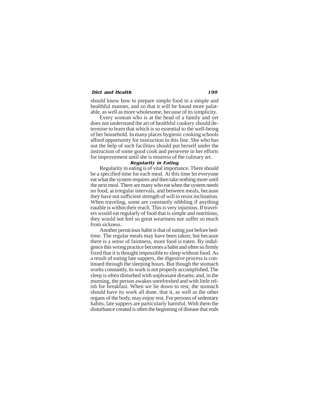### **Diet and Health**

should know how to prepare simple food in a simple and healthful manner, and so that it will be found more palatable, as well as more wholesome, because of its simplicity.

Every woman who is at the head of a family and yet does not understand the art of healthful cookery should determine to learn that which is so essential to the well-being of her household. In many places hygienic cooking schools afford opportunity for instruction in this line. She who has not the help of such facilities should put herself under the instruction of some good cook and persevere in her efforts for improvement until she is mistress of the culinary art.

# **Regularity in Eating**

Regularity in eating is of vital importance. There should be a specified time for each meal. At this time let everyone eat what the system requires and then take nothing more until the next meal. There are many who eat when the system needs no food, at irregular intervals, and between meals, because they have not sufficient strength of will to resist inclination. When traveling, some are constantly nibbling if anything eatable is within their reach. This is very injurious. If travelers would eat regularly of food that is simple and nutritious, they would not feel so great weariness nor suffer so much from sickness.

Another pernicious habit is that of eating just before bedtime. The regular meals may have been taken; but because there is a sense of faintness, more food is eaten. By indulgence this wrong practice becomes a habit and often so firmly fixed that it is thought impossible to sleep without food. As a result of eating late suppers, the digestive process is continued through the sleeping hours. But though the stomach works constantly, its work is not properly accomplished. The sleep is often disturbed with unpleasant dreams; and, in the morning, the person awakes unrefreshed and with little relish for breakfast. When we lie down to rest, the stomach should have its work all done, that it, as well as the other organs of the body, may enjoy rest. For persons of sedentary habits, late suppers are particularly harmful. With them the disturbance created is often the beginning of disease that ends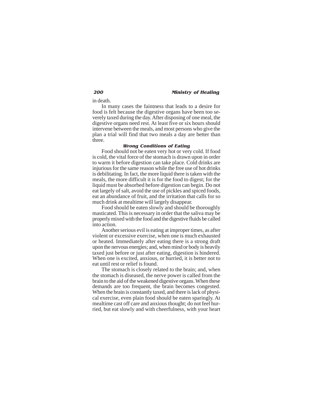in death.

In many cases the faintness that leads to a desire for food is felt because the digestive organs have been too severely taxed during the day. After disposing of one meal, the digestive organs need rest. At least five or six hours should intervene between the meals, and most persons who give the plan a trial will find that two meals a day are better than three.

# **Wrong Conditions of Eating**

Food should not be eaten very hot or very cold. If food is cold, the vital force of the stomach is drawn upon in order to warm it before digestion can take place. Cold drinks are injurious for the same reason while the free use of hot drinks is debilitating. In fact, the more liquid there is taken with the meals, the more difficult it is for the food to digest; for the liquid must be absorbed before digestion can begin. Do not eat largely of salt, avoid the use of pickles and spiced foods, eat an abundance of fruit, and the irritation that calls for so much drink at mealtime will largely disappear.

Food should be eaten slowly and should be thoroughly masticated. This is necessary in order that the saliva may be properly mixed with the food and the digestive fluids be called into action.

Another serious evil is eating at improper times, as after violent or excessive exercise, when one is much exhausted or heated. Immediately after eating there is a strong draft upon the nervous energies; and, when mind or body is heavily taxed just before or just after eating, digestion is hindered. When one is excited, anxious, or hurried, it is better not to eat until rest or relief is found.

The stomach is closely related to the brain; and, when the stomach is diseased, the nerve power is called from the brain to the aid of the weakened digestive organs. When these demands are too frequent, the brain becomes congested. When the brain is constantly taxed, and there is lack of physical exercise, even plain food should be eaten sparingly. At mealtime cast off care and anxious thought; do not feel hurried, but eat slowly and with cheerfulness, with your heart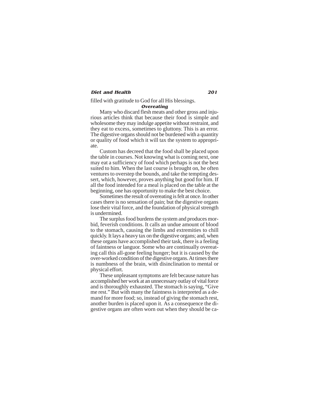# **Diet and Health**

filled with gratitude to God for all His blessings.

**Overeating**

Many who discard flesh meats and other gross and injurious articles think that because their food is simple and wholesome they may indulge appetite without restraint, and they eat to excess, sometimes to gluttony. This is an error. The digestive organs should not be burdened with a quantity or quality of food which it will tax the system to appropriate.

Custom has decreed that the food shall be placed upon the table in courses. Not knowing what is coming next, one may eat a sufficiency of food which perhaps is not the best suited to him. When the last course is brought on, he often ventures to overstep the bounds, and take the tempting dessert, which, however, proves anything but good for him. If all the food intended for a meal is placed on the table at the beginning, one has opportunity to make the best choice.

Sometimes the result of overeating is felt at once. In other cases there is no sensation of pain; but the digestive organs lose their vital force, and the foundation of physical strength is undermined.

The surplus food burdens the system and produces morbid, feverish conditions. It calls an undue amount of blood to the stomach, causing the limbs and extremities to chill quickly. It lays a heavy tax on the digestive organs; and, when these organs have accomplished their task, there is a feeling of faintness or languor. Some who are continually overeating call this all-gone feeling hunger; but it is caused by the over-worked condition of the digestive organs. At times there is numbness of the brain, with disinclination to mental or physical effort.

These unpleasant symptoms are felt because nature has accomplished her work at an unnecessary outlay of vital force and is thoroughly exhausted. The stomach is saying, "Give me rest." But with many the faintness is interpreted as a demand for more food; so, instead of giving the stomach rest, another burden is placed upon it. As a consequence the digestive organs are often worn out when they should be ca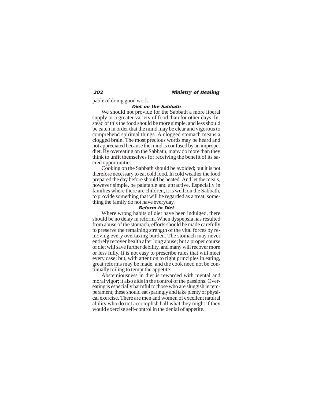pable of doing good work.

# **Diet on the Sabbath**

We should not provide for the Sabbath a more liberal supply or a greater variety of food than for other days. Instead of this the food should be more simple, and less should be eaten in order that the mind may be clear and vigorous to comprehend spiritual things. A clogged stomach means a clogged brain. The most precious words may be heard and not appreciated because the mind is confused by an improper diet. By overeating on the Sabbath, many do more than they think to unfit themselves for receiving the benefit of its sacred opportunities.

Cooking on the Sabbath should be avoided; but it is not therefore necessary to eat cold food. In cold weather the food prepared the day before should be heated. And let the meals, however simple, be palatable and attractive. Especially in families where there are children, it is well, on the Sabbath, to provide something that will be regarded as a treat, something the family do not have everyday.

# **Reform in Diet**

Where wrong habits of diet have been indulged, there should be no delay in reform. When dyspepsia has resulted from abuse of the stomach, efforts should be made carefully to preserve the remaining strength of the vital forces by removing every overtaxing burden. The stomach may never entirely recover health after long abuse; but a proper course of diet will save further debility, and many will recover more or less fully. It is not easy to prescribe rules that will meet every case; but, with attention to right principles in eating, great reforms may be made, and the cook need not be continually toiling to tempt the appetite.

Abstemiousness in diet is rewarded with mental and moral vigor; it also aids in the control of the passions. Overeating is especially harmful to those who are sluggish in temperament; these should eat sparingly and take plenty of physical exercise. There are men and women of excellent natural ability who do not accomplish half what they might if they would exercise self-control in the denial of appetite.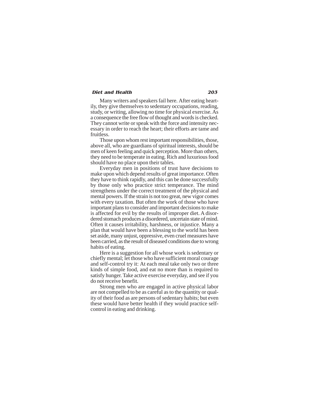### **Diet and Health**

Many writers and speakers fail here. After eating heartily, they give themselves to sedentary occupations, reading, study, or writing, allowing no time for physical exercise. As a consequence the free flow of thought and words is checked. They cannot write or speak with the force and intensity necessary in order to reach the heart; their efforts are tame and fruitless.

Those upon whom rest important responsibilities, those, above all, who are guardians of spiritual interests, should be men of keen feeling and quick perception. More than others, they need to be temperate in eating. Rich and luxurious food should have no place upon their tables.

Everyday men in positions of trust have decisions to make upon which depend results of great importance. Often they have to think rapidly, and this can be done successfully by those only who practice strict temperance. The mind strengthens under the correct treatment of the physical and mental powers. If the strain is not too great, new vigor comes with every taxation. But often the work of those who have important plans to consider and important decisions to make is affected for evil by the results of improper diet. A disordered stomach produces a disordered, uncertain state of mind. Often it causes irritability, harshness, or injustice. Many a plan that would have been a blessing to the world has been set aside, many unjust, oppressive, even cruel measures have been carried, as the result of diseased conditions due to wrong habits of eating.

Here is a suggestion for all whose work is sedentary or chiefly mental; let those who have sufficient moral courage and self-control try it: At each meal take only two or three kinds of simple food, and eat no more than is required to satisfy hunger. Take active exercise everyday, and see if you do not receive benefit.

Strong men who are engaged in active physical labor are not compelled to be as careful as to the quantity or quality of their food as are persons of sedentary habits; but even these would have better health if they would practice selfcontrol in eating and drinking.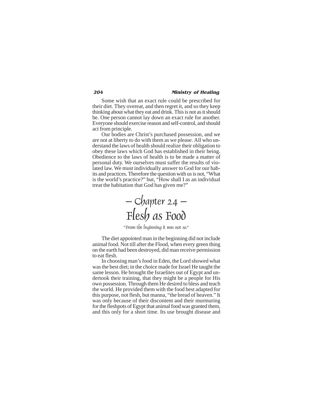Some wish that an exact rule could be prescribed for their diet. They overeat, and then regret it, and so they keep thinking about what they eat and drink. This is not as it should be. One person cannot lay down an exact rule for another. Everyone should exercise reason and self-control, and should act from principle.

Our bodies are Christ's purchased possession, and we are not at liberty to do with them as we please. All who understand the laws of health should realize their obligation to obey these laws which God has established in their being. Obedience to the laws of health is to be made a matter of personal duty. We ourselves must suffer the results of violated law. We must individually answer to God for our habits and practices. Therefore the question with us is not, "What is the world's practice?" but, "How shall I as an individual treat the habitation that God has given me?"

 $-\mathsf{C}$ hapter 24  $-$ Flesh as Food

"From the beginning it was not so."

The diet appointed man in the beginning did not include animal food. Not till after the Flood, when every green thing on the earth had been destroyed, did man receive permission to eat flesh.

In choosing man's food in Eden, the Lord showed what was the best diet; in the choice made for Israel He taught the same lesson. He brought the Israelites out of Egypt and undertook their training, that they might be a people for His own possession. Through them He desired to bless and teach the world. He provided them with the food best adapted for this purpose, not flesh, but manna, "the bread of heaven." It was only because of their discontent and their murmuring for the fleshpots of Egypt that animal food was granted them, and this only for a short time. Its use brought disease and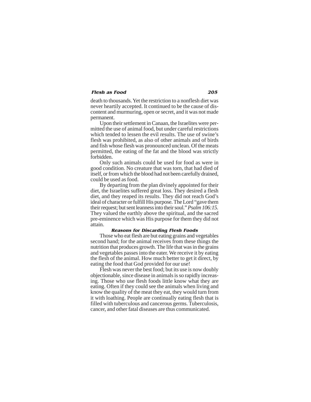# **Flesh as Food**

death to thousands. Yet the restriction to a nonflesh diet was never heartily accepted. It continued to be the cause of discontent and murmuring, open or secret, and it was not made permanent.

Upon their settlement in Canaan, the Israelites were permitted the use of animal food, but under careful restrictions which tended to lessen the evil results. The use of swine's flesh was prohibited, as also of other animals and of birds and fish whose flesh was pronounced unclean. Of the meats permitted, the eating of the fat and the blood was strictly forbidden.

Only such animals could be used for food as were in good condition. No creature that was torn, that had died of itself, or from which the blood had not been carefully drained, could be used as food.

By departing from the plan divinely appointed for their diet, the Israelites suffered great loss. They desired a flesh diet, and they reaped its results. They did not reach God's ideal of character or fulfill His purpose. The Lord "gave them their request; but sent leanness into their soul." *Psalm 106:15.* They valued the earthly above the spiritual, and the sacred pre-eminence which was His purpose for them they did not attain.

# **Reasons for Discarding Flesh Foods**

Those who eat flesh are but eating grains and vegetables second hand; for the animal receives from these things the nutrition that produces growth. The life that was in the grains and vegetables passes into the eater. We receive it by eating the flesh of the animal. How much better to get it direct, by eating the food that God provided for our use!

Flesh was never the best food; but its use is now doubly objectionable, since disease in animals is so rapidly increasing. Those who use flesh foods little know what they are eating. Often if they could see the animals when living and know the quality of the meat they eat, they would turn from it with loathing. People are continually eating flesh that is filled with tuberculous and cancerous germs. Tuberculosis, cancer, and other fatal diseases are thus communicated.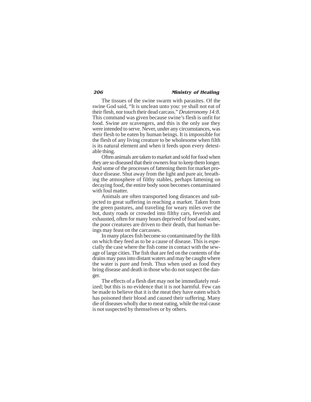The tissues of the swine swarm with parasites. Of the swine God said, "It is unclean unto you: ye shall not eat of their flesh, nor touch their dead carcass." *Deuteronomy 14:8*. This command was given because swine's flesh is unfit for food. Swine are scavengers, and this is the only use they were intended to serve. Never, under any circumstances, was their flesh to be eaten by human beings. It is impossible for the flesh of any living creature to be wholesome when filth is its natural element and when it feeds upon every detestable thing.

Often animals are taken to market and sold for food when they are so diseased that their owners fear to keep them longer. And some of the processes of fattening them for market produce disease. Shut away from the light and pure air, breathing the atmosphere of filthy stables, perhaps fattening on decaying food, the entire body soon becomes contaminated with foul matter.

Animals are often transported long distances and subjected to great suffering in reaching a market. Taken from the green pastures, and traveling for weary miles over the hot, dusty roads or crowded into filthy cars, feverish and exhausted, often for many hours deprived of food and water, the poor creatures are driven to their death, that human beings may feast on the carcasses.

In many places fish become so contaminated by the filth on which they feed as to be a cause of disease. This is especially the case where the fish come in contact with the sewage of large cities. The fish that are fed on the contents of the drains may pass into distant waters and may be caught where the water is pure and fresh. Thus when used as food they bring disease and death in those who do not suspect the danger.

The effects of a flesh diet may not be immediately realized; but this is no evidence that it is not harmful. Few can be made to believe that it is the meat they have eaten which has poisoned their blood and caused their suffering. Many die of diseases wholly due to meat eating, while the real cause is not suspected by themselves or by others.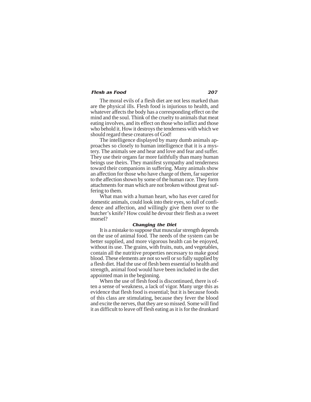### **Flesh as Food**

The moral evils of a flesh diet are not less marked than are the physical ills. Flesh food is injurious to health, and whatever affects the body has a corresponding effect on the mind and the soul. Think of the cruelty to animals that meat eating involves, and its effect on those who inflict and those who behold it. How it destroys the tenderness with which we should regard these creatures of God!

The intelligence displayed by many dumb animals approaches so closely to human intelligence that it is a mystery. The animals see and hear and love and fear and suffer. They use their organs far more faithfully than many human beings use theirs. They manifest sympathy and tenderness toward their companions in suffering. Many animals show an affection for those who have charge of them, far superior to the affection shown by some of the human race. They form attachments for man which are not broken without great suffering to them.

What man with a human heart, who has ever cared for domestic animals, could look into their eyes, so full of confidence and affection, and willingly give them over to the butcher's knife? How could he devour their flesh as a sweet morsel?

#### **Changing the Diet**

It is a mistake to suppose that muscular strength depends on the use of animal food. The needs of the system can be better supplied, and more vigorous health can be enjoyed, without its use. The grains, with fruits, nuts, and vegetables, contain all the nutritive properties necessary to make good blood. These elements are not so well or so fully supplied by a flesh diet. Had the use of flesh been essential to health and strength, animal food would have been included in the diet appointed man in the beginning.

When the use of flesh food is discontinued, there is often a sense of weakness, a lack of vigor. Many urge this as evidence that flesh food is essential; but it is because foods of this class are stimulating, because they fever the blood and excite the nerves, that they are so missed. Some will find it as difficult to leave off flesh eating as it is for the drunkard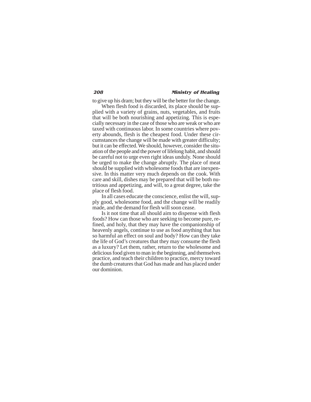to give up his dram; but they will be the better for the change.

When flesh food is discarded, its place should be supplied with a variety of grains, nuts, vegetables, and fruits that will be both nourishing and appetizing. This is especially necessary in the case of those who are weak or who are taxed with continuous labor. In some countries where poverty abounds, flesh is the cheapest food. Under these circumstances the change will be made with greater difficulty; but it can be effected. We should, however, consider the situation of the people and the power of lifelong habit, and should be careful not to urge even right ideas unduly. None should be urged to make the change abruptly. The place of meat should be supplied with wholesome foods that are inexpensive. In this matter very much depends on the cook. With care and skill, dishes may be prepared that will be both nutritious and appetizing, and will, to a great degree, take the place of flesh food.

In all cases educate the conscience, enlist the will, supply good, wholesome food, and the change will be readily made, and the demand for flesh will soon cease.

Is it not time that all should aim to dispense with flesh foods? How can those who are seeking to become pure, refined, and holy, that they may have the companionship of heavenly angels, continue to use as food anything that has so harmful an effect on soul and body? How can they take the life of God's creatures that they may consume the flesh as a luxury? Let them, rather, return to the wholesome and delicious food given to man in the beginning, and themselves practice, and teach their children to practice, mercy toward the dumb creatures that God has made and has placed under our dominion.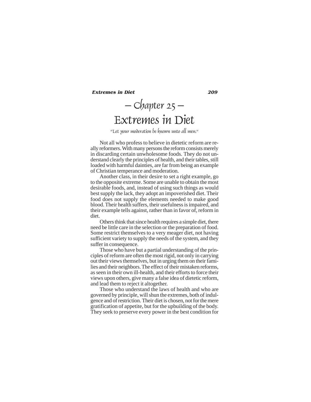**Extremes in Diet**

# $-$  Chapter 25  $-$ Extremes in Diet

"Let your moderation be known unto all men."

Not all who profess to believe in dietetic reform are really reformers. With many persons the reform consists merely in discarding certain unwholesome foods. They do not understand clearly the principles of health, and their tables, still loaded with harmful dainties, are far from being an example of Christian temperance and moderation.

Another class, in their desire to set a right example, go to the opposite extreme. Some are unable to obtain the most desirable foods, and, instead of using such things as would best supply the lack, they adopt an impoverished diet. Their food does not supply the elements needed to make good blood. Their health suffers, their usefulness is impaired, and their example tells against, rather than in favor of, reform in diet.

Others think that since health requires a simple diet, there need be little care in the selection or the preparation of food. Some restrict themselves to a very meager diet, not having sufficient variety to supply the needs of the system, and they suffer in consequence.

Those who have but a partial understanding of the principles of reform are often the most rigid, not only in carrying out their views themselves, but in urging them on their families and their neighbors. The effect of their mistaken reforms, as seen in their own ill-health, and their efforts to force their views upon others, give many a false idea of dietetic reform, and lead them to reject it altogether.

Those who understand the laws of health and who are governed by principle, will shun the extremes, both of indulgence and of restriction. Their diet is chosen, not for the mere gratification of appetite, but for the upbuilding of the body. They seek to preserve every power in the best condition for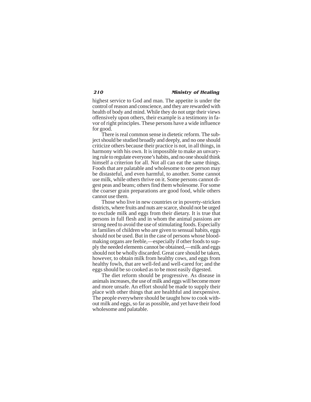highest service to God and man. The appetite is under the control of reason and conscience, and they are rewarded with health of body and mind. While they do not urge their views offensively upon others, their example is a testimony in favor of right principles. These persons have a wide influence for good.

There is real common sense in dietetic reform. The subject should be studied broadly and deeply, and no one should criticize others because their practice is not, in all things, in harmony with his own. It is impossible to make an unvarying rule to regulate everyone's habits, and no one should think himself a criterion for all. Not all can eat the same things. Foods that are palatable and wholesome to one person may be distasteful, and even harmful, to another. Some cannot use milk, while others thrive on it. Some persons cannot digest peas and beans; others find them wholesome. For some the coarser grain preparations are good food, while others cannot use them.

Those who live in new countries or in poverty-stricken districts, where fruits and nuts are scarce, should not be urged to exclude milk and eggs from their dietary. It is true that persons in full flesh and in whom the animal passions are strong need to avoid the use of stimulating foods. Especially in families of children who are given to sensual habits, eggs should not be used. But in the case of persons whose bloodmaking organs are feeble,—especially if other foods to supply the needed elements cannot be obtained,—milk and eggs should not be wholly discarded. Great care should be taken, however, to obtain milk from healthy cows, and eggs from healthy fowls, that are well-fed and well-cared for; and the eggs should be so cooked as to be most easily digested.

The diet reform should be progressive. As disease in animals increases, the use of milk and eggs will become more and more unsafe. An effort should be made to supply their place with other things that are healthful and inexpensive. The people everywhere should be taught how to cook without milk and eggs, so far as possible, and yet have their food wholesome and palatable.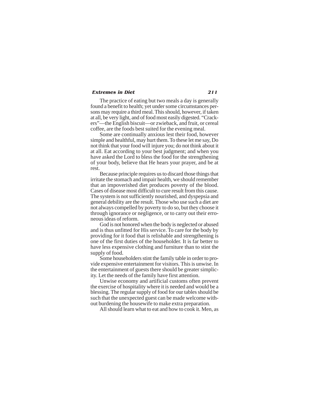#### **Extremes in Diet**

The practice of eating but two meals a day is generally found a benefit to health; yet under some circumstances persons may require a third meal. This should, however, if taken at all, be very light, and of food most easily digested. "Crackers"—the English biscuit—or zwieback, and fruit, or cereal coffee, are the foods best suited for the evening meal.

Some are continually anxious lest their food, however simple and healthful, may hurt them. To these let me say, Do not think that your food will injure you; do not think about it at all. Eat according to your best judgment; and when you have asked the Lord to bless the food for the strengthening of your body, believe that He hears your prayer, and be at rest.

Because principle requires us to discard those things that irritate the stomach and impair health, we should remember that an impoverished diet produces poverty of the blood. Cases of disease most difficult to cure result from this cause. The system is not sufficiently nourished, and dyspepsia and general debility are the result. Those who use such a diet are not always compelled by poverty to do so, but they choose it through ignorance or negligence, or to carry out their erroneous ideas of reform.

God is not honored when the body is neglected or abused and is thus unfitted for His service. To care for the body by providing for it food that is relishable and strengthening is one of the first duties of the householder. It is far better to have less expensive clothing and furniture than to stint the supply of food.

Some householders stint the family table in order to provide expensive entertainment for visitors. This is unwise. In the entertainment of guests there should be greater simplicity. Let the needs of the family have first attention.

Unwise economy and artificial customs often prevent the exercise of hospitality where it is needed and would be a blessing. The regular supply of food for our tables should be such that the unexpected guest can be made welcome without burdening the housewife to make extra preparation.

All should learn what to eat and how to cook it. Men, as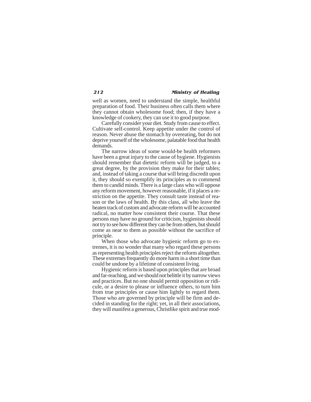well as women, need to understand the simple, healthful preparation of food. Their business often calls them where they cannot obtain wholesome food; then, if they have a knowledge of cookery, they can use it to good purpose.

Carefully consider your diet. Study from cause to effect. Cultivate self-control. Keep appetite under the control of reason. Never abuse the stomach by overeating, but do not deprive yourself of the wholesome, palatable food that health demands.

The narrow ideas of some would-be health reformers have been a great injury to the cause of hygiene. Hygienists should remember that dietetic reform will be judged, to a great degree, by the provision they make for their tables; and, instead of taking a course that will bring discredit upon it, they should so exemplify its principles as to commend them to candid minds. There is a large class who will oppose any reform movement, however reasonable, if it places a restriction on the appetite. They consult taste instead of reason or the laws of health. By this class, all who leave the beaten track of custom and advocate reform will be accounted radical, no matter how consistent their course. That these persons may have no ground for criticism, hygienists should not try to see how different they can be from others, but should come as near to them as possible without the sacrifice of principle.

When those who advocate hygienic reform go to extremes, it is no wonder that many who regard these persons as representing health principles reject the reform altogether. These extremes frequently do more harm in a short time than could be undone by a lifetime of consistent living.

Hygienic reform is based upon principles that are broad and far-reaching, and we should not belittle it by narrow views and practices. But no one should permit opposition or ridicule, or a desire to please or influence others, to turn him from true principles or cause him lightly to regard them. Those who are governed by principle will be firm and decided in standing for the right; yet, in all their associations, they will manifest a generous, Christlike spirit and true mod-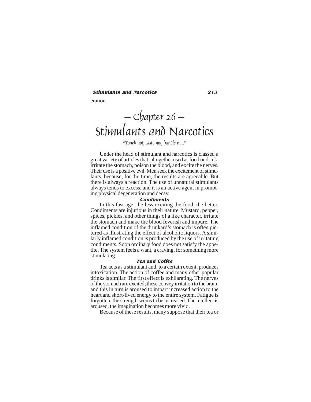# **Stimulants and Narcotics**

eration.

# $-\mathsf{C}$ hapter 26 – Stimulants and Narcotics

"Touch not, taste not, handle not."

Under the head of stimulant and narcotics is classed a great variety of articles that, altogether used as food or drink, irritate the stomach, poison the blood, and excite the nerves. Their use is a positive evil. Men seek the excitement of stimulants, because, for the time, the results are agreeable. But there is always a reaction. The use of unnatural stimulants always tends to excess, and it is an active agent in promoting physical degeneration and decay.

#### **Condiments**

In this fast age, the less exciting the food, the better. Condiments are injurious in their nature. Mustard, pepper, spices, pickles, and other things of a like character, irritate the stomach and make the blood feverish and impure. The inflamed condition of the drunkard's stomach is often pictured as illustrating the effect of alcoholic liquors. A similarly inflamed condition is produced by the use of irritating condiments. Soon ordinary food does not satisfy the appetite. The system feels a want, a craving, for something more stimulating.

### **Tea and Coffee**

Tea acts as a stimulant and, to a certain extent, produces intoxication. The action of coffee and many other popular drinks is similar. The first effect is exhilarating. The nerves of the stomach are excited; these convey irritation to the brain, and this in turn is aroused to impart increased action to the heart and short-lived energy to the entire system. Fatigue is forgotten; the strength seems to be increased. The intellect is aroused, the imagination becomes more vivid.

Because of these results, many suppose that their tea or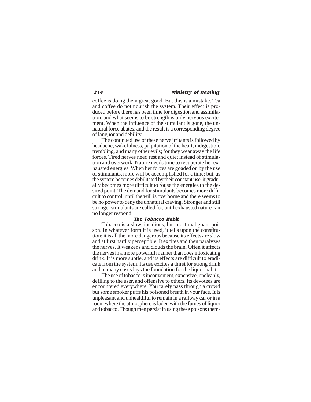coffee is doing them great good. But this is a mistake. Tea and coffee do not nourish the system. Their effect is produced before there has been time for digestion and assimilation, and what seems to be strength is only nervous excitement. When the influence of the stimulant is gone, the unnatural force abates, and the result is a corresponding degree of languor and debility.

The continued use of these nerve irritants is followed by headache, wakefulness, palpitation of the heart, indigestion, trembling, and many other evils; for they wear away the life forces. Tired nerves need rest and quiet instead of stimulation and overwork. Nature needs time to recuperate her exhausted energies. When her forces are goaded on by the use of stimulants, more will be accomplished for a time; but, as the system becomes debilitated by their constant use, it gradually becomes more difficult to rouse the energies to the desired point. The demand for stimulants becomes more difficult to control, until the will is overborne and there seems to be no power to deny the unnatural craving. Stronger and still stronger stimulants are called for, until exhausted nature can no longer respond.

### **The Tobacco Habit**

Tobacco is a slow, insidious, but most malignant poison. In whatever form it is used, it tells upon the constitution; it is all the more dangerous because its effects are slow and at first hardly perceptible. It excites and then paralyzes the nerves. It weakens and clouds the brain. Often it affects the nerves in a more powerful manner than does intoxicating drink. It is more subtle, and its effects are difficult to eradicate from the system. Its use excites a thirst for strong drink and in many cases lays the foundation for the liquor habit.

The use of tobacco is inconvenient, expensive, uncleanly, defiling to the user, and offensive to others. Its devotees are encountered everywhere. You rarely pass through a crowd but some smoker puffs his poisoned breath in your face. It is unpleasant and unhealthful to remain in a railway car or in a room where the atmosphere is laden with the fumes of liquor and tobacco. Though men persist in using these poisons them-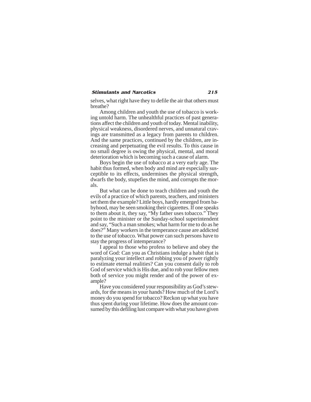### **Stimulants and Narcotics**

selves, what right have they to defile the air that others must breathe?

Among children and youth the use of tobacco is working untold harm. The unhealthful practices of past generations affect the children and youth of today. Mental inability, physical weakness, disordered nerves, and unnatural cravings are transmitted as a legacy from parents to children. And the same practices, continued by the children, are increasing and perpetuating the evil results. To this cause in no small degree is owing the physical, mental, and moral deterioration which is becoming such a cause of alarm.

Boys begin the use of tobacco at a very early age. The habit thus formed, when body and mind are especially susceptible to its effects, undermines the physical strength, dwarfs the body, stupefies the mind, and corrupts the morals.

But what can be done to teach children and youth the evils of a practice of which parents, teachers, and ministers set them the example? Little boys, hardly emerged from babyhood, may be seen smoking their cigarettes. If one speaks to them about it, they say, "My father uses tobacco." They point to the minister or the Sunday-school superintendent and say, "Such a man smokes; what harm for me to do as he does?" Many workers in the temperance cause are addicted to the use of tobacco. What power can such persons have to stay the progress of intemperance?

I appeal to those who profess to believe and obey the word of God: Can you as Christians indulge a habit that is paralyzing your intellect and robbing you of power rightly to estimate eternal realities? Can you consent daily to rob God of service which is His due, and to rob your fellow men both of service you might render and of the power of example?

Have you considered your responsibility as God's stewards, for the means in your hands? How much of the Lord's money do you spend for tobacco? Reckon up what you have thus spent during your lifetime. How does the amount consumed by this defiling lust compare with what you have given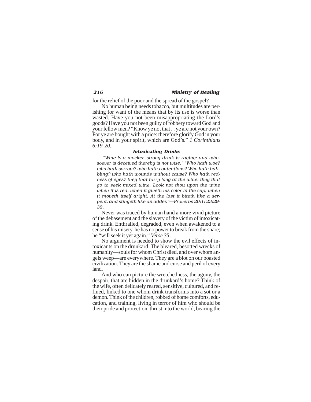for the relief of the poor and the spread of the gospel?

No human being needs tobacco, but multitudes are perishing for want of the means that by its use is worse than wasted. Have you not been misappropriating the Lord's goods? Have you not been guilty of robbery toward God and your fellow men? "Know ye not that . . ye are not your own? For ye are bought with a price: therefore glorify God in your body, and in your spirit, which are God's." *1 Corinthians 6:19-20.*

# **Intoxicating Drinks**

*"Wine is a mocker, strong drink is raging: and whosoever is deceived thereby is not wise." "Who hath woe? who hath sorrow? who hath contentions? Who hath babbling? who hath wounds without cause? Who hath redness of eyes? they that tarry long at the wine; they that go to seek mixed wine. Look not thou upon the wine when it is red, when it giveth his color in the cup, when it moveth itself aright. At the last it biteth like a serpent, and stingeth like an adder."—Proverbs 20:1; 23:29- 32.*

Never was traced by human hand a more vivid picture of the debasement and the slavery of the victim of intoxicating drink. Enthralled, degraded, even when awakened to a sense of his misery, he has no power to break from the snare; he "will seek it yet again." *Verse 35*.

No argument is needed to show the evil effects of intoxicants on the drunkard. The bleared, besotted wrecks of humanity—souls for whom Christ died, and over whom angels weep—are everywhere. They are a blot on our boasted civilization. They are the shame and curse and peril of every land.

And who can picture the wretchedness, the agony, the despair, that are hidden in the drunkard's home? Think of the wife, often delicately reared, sensitive, cultured, and refined, linked to one whom drink transforms into a sot or a demon. Think of the children, robbed of home comforts, education, and training, living in terror of him who should be their pride and protection, thrust into the world, bearing the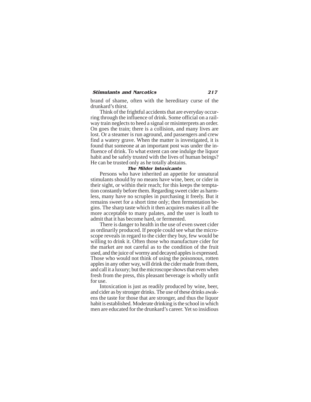brand of shame, often with the hereditary curse of the drunkard's thirst.

Think of the frightful accidents that are everyday occurring through the influence of drink. Some official on a railway train neglects to heed a signal or misinterprets an order. On goes the train; there is a collision, and many lives are lost. Or a steamer is run aground, and passengers and crew find a watery grave. When the matter is investigated, it is found that someone at an important post was under the influence of drink. To what extent can one indulge the liquor habit and be safely trusted with the lives of human beings? He can be trusted only as he totally abstains.

#### **The Milder Intoxicants**

Persons who have inherited an appetite for unnatural stimulants should by no means have wine, beer, or cider in their sight, or within their reach; for this keeps the temptation constantly before them. Regarding sweet cider as harmless, many have no scruples in purchasing it freely. But it remains sweet for a short time only; then fermentation begins. The sharp taste which it then acquires makes it all the more acceptable to many palates, and the user is loath to admit that it has become hard, or fermented.

There is danger to health in the use of even sweet cider as ordinarily produced. If people could see what the microscope reveals in regard to the cider they buy, few would be willing to drink it. Often those who manufacture cider for the market are not careful as to the condition of the fruit used, and the juice of wormy and decayed apples is expressed. Those who would not think of using the poisonous, rotten apples in any other way, will drink the cider made from them, and call it a luxury; but the microscope shows that even when fresh from the press, this pleasant beverage is wholly unfit for use.

Intoxication is just as readily produced by wine, beer, and cider as by stronger drinks. The use of these drinks awakens the taste for those that are stronger, and thus the liquor habit is established. Moderate drinking is the school in which men are educated for the drunkard's career. Yet so insidious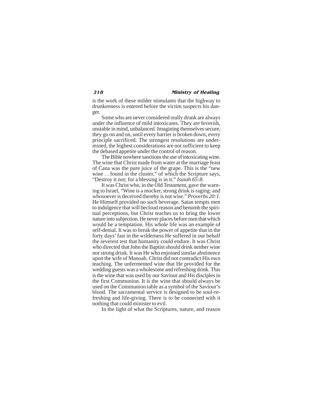is the work of these milder stimulants that the highway to drunkenness is entered before the victim suspects his danger.

Some who are never considered really drunk are always under the influence of mild intoxicants. They are feverish, unstable in mind, unbalanced. Imagining themselves secure, they go on and on, until every barrier is broken down, every principle sacrificed. The strongest resolutions are undermined, the highest considerations are not sufficient to keep the debased appetite under the control of reason.

The Bible nowhere sanctions the use of intoxicating wine. The wine that Christ made from water at the marriage feast of Cana was the pure juice of the grape. This is the "new wine . . found in the cluster," of which the Scripture says, "Destroy it not; for a blessing is in it." *Isaiah 65:8.*

It was Christ who, in the Old Testament, gave the warning to Israel, "Wine is a mocker, strong drink is raging: and whosoever is deceived thereby is not wise." *Proverbs 20:1*. He Himself provided no such beverage. Satan tempts men to indulgence that will becloud reason and benumb the spiritual perceptions, but Christ teaches us to bring the lower nature into subjection. He never places before men that which would be a temptation. His whole life was an example of self-denial. It was to break the power of appetite that in the forty days' fast in the wilderness He suffered in our behalf the severest test that humanity could endure. It was Christ who directed that John the Baptist should drink neither wine nor strong drink. It was He who enjoined similar abstinence upon the wife of Manoah. Christ did not contradict His own teaching. The unfermented wine that He provided for the wedding guests was a wholesome and refreshing drink. This is the wine that was used by our Saviour and His disciples in the first Communion. It is the wine that should always be used on the Communion table as a symbol of the Saviour's blood. The sacramental service is designed to be soul-refreshing and life-giving. There is to be connected with it nothing that could minister to evil.

In the light of what the Scriptures, nature, and reason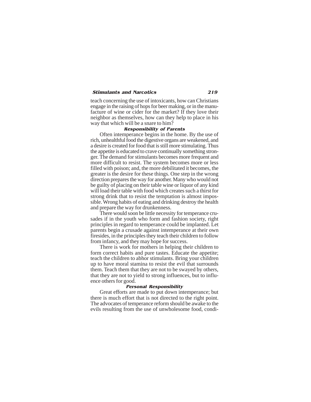#### **Stimulants and Narcotics**

teach concerning the use of intoxicants, how can Christians engage in the raising of hops for beer making, or in the manufacture of wine or cider for the market? If they love their neighbor as themselves, how can they help to place in his way that which will be a snare to him?

### **Responsibility of Parents**

Often intemperance begins in the home. By the use of rich, unhealthful food the digestive organs are weakened, and a desire is created for food that is still more stimulating. Thus the appetite is educated to crave continually something stronger. The demand for stimulants becomes more frequent and more difficult to resist. The system becomes more or less filled with poison; and, the more debilitated it becomes, the greater is the desire for these things. One step in the wrong direction prepares the way for another. Many who would not be guilty of placing on their table wine or liquor of any kind will load their table with food which creates such a thirst for strong drink that to resist the temptation is almost impossible. Wrong habits of eating and drinking destroy the health and prepare the way for drunkenness.

There would soon be little necessity for temperance crusades if in the youth who form and fashion society, right principles in regard to temperance could be implanted. Let parents begin a crusade against intemperance at their own firesides, in the principles they teach their children to follow from infancy, and they may hope for success.

There is work for mothers in helping their children to form correct habits and pure tastes. Educate the appetite; teach the children to abhor stimulants. Bring your children up to have moral stamina to resist the evil that surrounds them. Teach them that they are not to be swayed by others, that they are not to yield to strong influences, but to influence others for good.

### **Personal Responsibility**

Great efforts are made to put down intemperance; but there is much effort that is not directed to the right point. The advocates of temperance reform should be awake to the evils resulting from the use of unwholesome food, condi-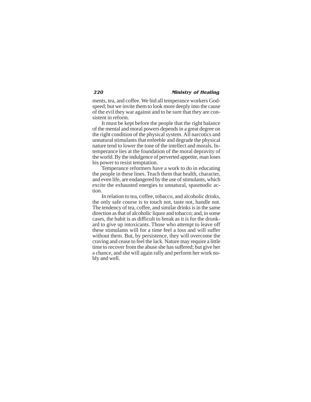ments, tea, and coffee. We bid all temperance workers Godspeed; but we invite them to look more deeply into the cause of the evil they war against and to be sure that they are consistent in reform.

It must be kept before the people that the right balance of the mental and moral powers depends in a great degree on the right condition of the physical system. All narcotics and unnatural stimulants that enfeeble and degrade the physical nature tend to lower the tone of the intellect and morals. Intemperance lies at the foundation of the moral depravity of the world. By the indulgence of perverted appetite, man loses his power to resist temptation.

Temperance reformers have a work to do in educating the people in these lines. Teach them that health, character, and even life, are endangered by the use of stimulants, which excite the exhausted energies to unnatural, spasmodic action.

In relation to tea, coffee, tobacco, and alcoholic drinks, the only safe course is to touch not, taste not, handle not. The tendency of tea, coffee, and similar drinks is in the same direction as that of alcoholic liquor and tobacco; and, in some cases, the habit is as difficult to break as it is for the drunkard to give up intoxicants. Those who attempt to leave off these stimulants will for a time feel a loss and will suffer without them. But, by persistence, they will overcome the craving and cease to feel the lack. Nature may require a little time to recover from the abuse she has suffered; but give her a chance, and she will again rally and perform her work nobly and well.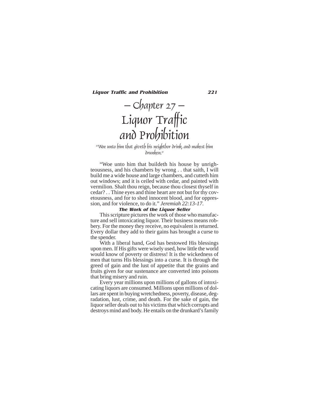**Liquor Traffic and Prohibition**

## $-\mathsf{C}$ hapter 27 – Liquor Traffic and Prohibition

"Woe unto him that giveth his neightbor drink, and makest him drunken."

"Woe unto him that buildeth his house by unrighteousness, and his chambers by wrong . . that saith, I will build me a wide house and large chambers, and cutteth him out windows; and it is ceiled with cedar, and painted with vermilion. Shalt thou reign, because thou closest thyself in cedar? . . Thine eyes and thine heart are not but for thy covetousness, and for to shed innocent blood, and for oppression, and for violence, to do it." *Jeremiah 22:13-17*.

### **The Work of the Liquor Seller**

This scripture pictures the work of those who manufacture and sell intoxicating liquor. Their business means robbery. For the money they receive, no equivalent is returned. Every dollar they add to their gains has brought a curse to the spender.

With a liberal hand, God has bestowed His blessings upon men. If His gifts were wisely used, how little the world would know of poverty or distress! It is the wickedness of men that turns His blessings into a curse. It is through the greed of gain and the lust of appetite that the grains and fruits given for our sustenance are converted into poisons that bring misery and ruin.

Every year millions upon millions of gallons of intoxicating liquors are consumed. Millions upon millions of dollars are spent in buying wretchedness, poverty, disease, degradation, lust, crime, and death. For the sake of gain, the liquor seller deals out to his victims that which corrupts and destroys mind and body. He entails on the drunkard's family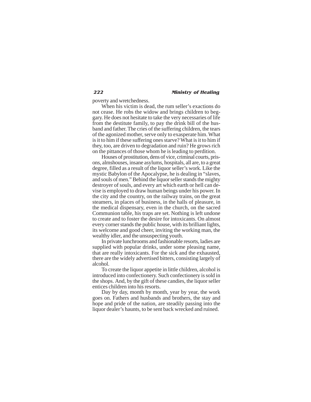poverty and wretchedness.

When his victim is dead, the rum seller's exactions do not cease. He robs the widow and brings children to beggary. He does not hesitate to take the very necessaries of life from the destitute family, to pay the drink bill of the husband and father. The cries of the suffering children, the tears of the agonized mother, serve only to exasperate him. What is it to him if these suffering ones starve? What is it to him if they, too, are driven to degradation and ruin? He grows rich on the pittances of those whom he is leading to perdition.

Houses of prostitution, dens of vice, criminal courts, prisons, almshouses, insane asylums, hospitals, all are, to a great degree, filled as a result of the liquor seller's work. Like the mystic Babylon of the Apocalypse, he is dealing in "slaves, and souls of men." Behind the liquor seller stands the mighty destroyer of souls, and every art which earth or hell can devise is employed to draw human beings under his power. In the city and the country, on the railway trains, on the great steamers, in places of business, in the halls of pleasure, in the medical dispensary, even in the church, on the sacred Communion table, his traps are set. Nothing is left undone to create and to foster the desire for intoxicants. On almost every corner stands the public house, with its brilliant lights, its welcome and good cheer, inviting the working man, the wealthy idler, and the unsuspecting youth.

In private lunchrooms and fashionable resorts, ladies are supplied with popular drinks, under some pleasing name, that are really intoxicants. For the sick and the exhausted, there are the widely advertised bitters, consisting largely of alcohol.

To create the liquor appetite in little children, alcohol is introduced into confectionery. Such confectionery is sold in the shops. And, by the gift of these candies, the liquor seller entices children into his resorts.

Day by day, month by month, year by year, the work goes on. Fathers and husbands and brothers, the stay and hope and pride of the nation, are steadily passing into the liquor dealer's haunts, to be sent back wrecked and ruined.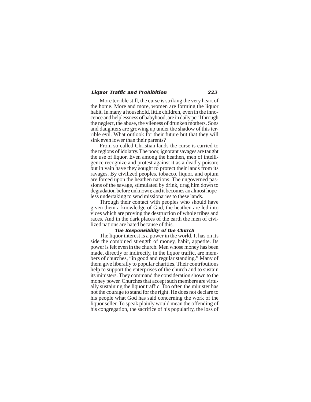#### **Liquor Traffic and Prohibition**

More terrible still, the curse is striking the very heart of the home. More and more, women are forming the liquor habit. In many a household, little children, even in the innocence and helplessness of babyhood, are in daily peril through the neglect, the abuse, the vileness of drunken mothers. Sons and daughters are growing up under the shadow of this terrible evil. What outlook for their future but that they will sink even lower than their parents?

From so-called Christian lands the curse is carried to the regions of idolatry. The poor, ignorant savages are taught the use of liquor. Even among the heathen, men of intelligence recognize and protest against it as a deadly poison; but in vain have they sought to protect their lands from its ravages. By civilized peoples, tobacco, liquor, and opium are forced upon the heathen nations. The ungoverned passions of the savage, stimulated by drink, drag him down to degradation before unknown; and it becomes an almost hopeless undertaking to send missionaries to these lands.

Through their contact with peoples who should have given them a knowledge of God, the heathen are led into vices which are proving the destruction of whole tribes and races. And in the dark places of the earth the men of civilized nations are hated because of this.

#### **The Responsibility of the Church**

The liquor interest is a power in the world. It has on its side the combined strength of money, habit, appetite. Its power is felt even in the church. Men whose money has been made, directly or indirectly, in the liquor traffic, are members of churches, "in good and regular standing." Many of them give liberally to popular charities. Their contributions help to support the enterprises of the church and to sustain its ministers. They command the consideration shown to the money power. Churches that accept such members are virtually sustaining the liquor traffic. Too often the minister has not the courage to stand for the right. He does not declare to his people what God has said concerning the work of the liquor seller. To speak plainly would mean the offending of his congregation, the sacrifice of his popularity, the loss of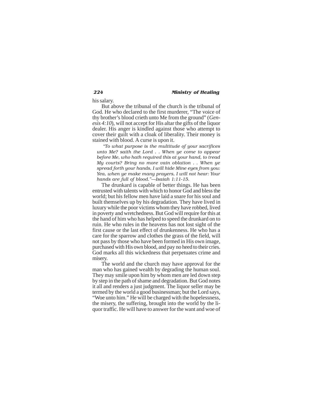his salary.

But above the tribunal of the church is the tribunal of God. He who declared to the first murderer, "The voice of thy brother's blood crieth unto Me from the ground" (*Genesis 4:10*), will not accept for His altar the gifts of the liquor dealer. His anger is kindled against those who attempt to cover their guilt with a cloak of liberality. Their money is stained with blood. A curse is upon it.

*"To what purpose is the multitude of your sacrifices unto Me? saith the Lord . . When ye come to appear before Me, who hath required this at your hand, to tread My courts? Bring no more vain oblation . . When ye spread forth your hands, I will hide Mine eyes from you: Yea, when ye make many prayers, I will not hear: Your hands are full of blood."—Isaiah 1:11-15.*

The drunkard is capable of better things. He has been entrusted with talents with which to honor God and bless the world; but his fellow men have laid a snare for his soul and built themselves up by his degradation. They have lived in luxury while the poor victims whom they have robbed, lived in poverty and wretchedness. But God will require for this at the hand of him who has helped to speed the drunkard on to ruin. He who rules in the heavens has not lost sight of the first cause or the last effect of drunkenness. He who has a care for the sparrow and clothes the grass of the field, will not pass by those who have been formed in His own image, purchased with His own blood, and pay no heed to their cries. God marks all this wickedness that perpetuates crime and misery.

The world and the church may have approval for the man who has gained wealth by degrading the human soul. They may smile upon him by whom men are led down step by step in the path of shame and degradation. But God notes it all and renders a just judgment. The liquor seller may be termed by the world a good businessman; but the Lord says, "Woe unto him." He will be charged with the hopelessness, the misery, the suffering, brought into the world by the liquor traffic. He will have to answer for the want and woe of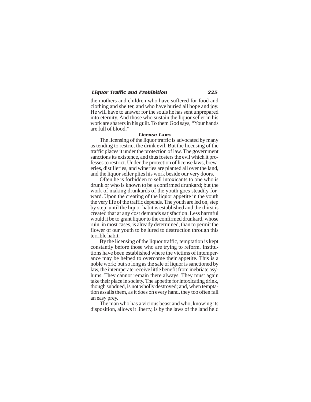### **Liquor Traffic and Prohibition**

the mothers and children who have suffered for food and clothing and shelter, and who have buried all hope and joy. He will have to answer for the souls he has sent unprepared into eternity. And those who sustain the liquor seller in his work are sharers in his guilt. To them God says, "Your hands are full of blood."

#### **License Laws**

The licensing of the liquor traffic is advocated by many as tending to restrict the drink evil. But the licensing of the traffic places it under the protection of law. The government sanctions its existence, and thus fosters the evil which it professes to restrict. Under the protection of license laws, breweries, distilleries, and wineries are planted all over the land, and the liquor seller plies his work beside our very doors.

Often he is forbidden to sell intoxicants to one who is drunk or who is known to be a confirmed drunkard; but the work of making drunkards of the youth goes steadily forward. Upon the creating of the liquor appetite in the youth the very life of the traffic depends. The youth are led on, step by step, until the liquor habit is established and the thirst is created that at any cost demands satisfaction. Less harmful would it be to grant liquor to the confirmed drunkard, whose ruin, in most cases, is already determined, than to permit the flower of our youth to be lured to destruction through this terrible habit.

By the licensing of the liquor traffic, temptation is kept constantly before those who are trying to reform. Institutions have been established where the victims of intemperance may be helped to overcome their appetite. This is a noble work; but so long as the sale of liquor is sanctioned by law, the intemperate receive little benefit from inebriate asylums. They cannot remain there always. They must again take their place in society. The appetite for intoxicating drink, though subdued, is not wholly destroyed; and, when temptation assails them, as it does on every hand, they too often fall an easy prey.

The man who has a vicious beast and who, knowing its disposition, allows it liberty, is by the laws of the land held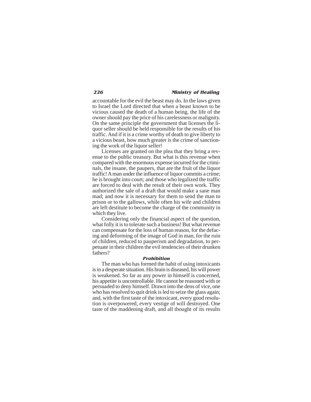accountable for the evil the beast may do. In the laws given to Israel the Lord directed that when a beast known to be vicious caused the death of a human being, the life of the owner should pay the price of his carelessness or malignity. On the same principle the government that licenses the liquor seller should be held responsible for the results of his traffic. And if it is a crime worthy of death to give liberty to a vicious beast, how much greater is the crime of sanctioning the work of the liquor seller!

Licenses are granted on the plea that they bring a revenue to the public treasury. But what is this revenue when compared with the enormous expense incurred for the criminals, the insane, the paupers, that are the fruit of the liquor traffic! A man under the influence of liquor commits a crime; he is brought into court; and those who legalized the traffic are forced to deal with the result of their own work. They authorized the sale of a draft that would make a sane man mad; and now it is necessary for them to send the man to prison or to the gallows, while often his wife and children are left destitute to become the charge of the community in which they live.

Considering only the financial aspect of the question, what folly it is to tolerate such a business! But what revenue can compensate for the loss of human reason, for the defacing and deforming of the image of God in man, for the ruin of children, reduced to pauperism and degradation, to perpetuate in their children the evil tendencies of their drunken fathers?

#### **Prohibition**

The man who has formed the habit of using intoxicants is in a desperate situation. His brain is diseased, his will power is weakened. So far as any power in himself is concerned, his appetite is uncontrollable. He cannot be reasoned with or persuaded to deny himself. Drawn into the dens of vice, one who has resolved to quit drink is led to seize the glass again; and, with the first taste of the intoxicant, every good resolution is overpowered, every vestige of will destroyed. One taste of the maddening draft, and all thought of its results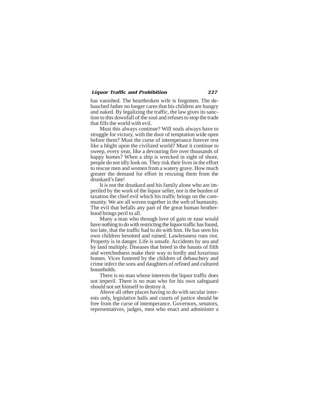**Liquor Traffic and Prohibition**

has vanished. The heartbroken wife is forgotten. The debauched father no longer cares that his children are hungry and naked. By legalizing the traffic, the law gives its sanction to this downfall of the soul and refuses to stop the trade that fills the world with evil.

Must this always continue? Will souls always have to struggle for victory, with the door of temptation wide open before them? Must the curse of intemperance forever rest like a blight upon the civilized world? Must it continue to sweep, every year, like a devouring fire over thousands of happy homes? When a ship is wrecked in sight of shore, people do not idly look on. They risk their lives in the effort to rescue men and women from a watery grave. How much greater the demand for effort in rescuing them from the drunkard's fate!

It is not the drunkard and his family alone who are imperiled by the work of the liquor seller, nor is the burden of taxation the chief evil which his traffic brings on the community. We are all woven together in the web of humanity. The evil that befalls any part of the great human brotherhood brings peril to all.

Many a man who through love of gain or ease would have nothing to do with restricting the liquor traffic has found, too late, that the traffic had to do with him. He has seen his own children besotted and ruined. Lawlessness runs riot. Property is in danger. Life is unsafe. Accidents by sea and by land multiply. Diseases that breed in the haunts of filth and wretchedness make their way to lordly and luxurious homes. Vices fostered by the children of debauchery and crime infect the sons and daughters of refined and cultured households.

There is no man whose interests the liquor traffic does not imperil. There is no man who for his own safeguard should not set himself to destroy it.

Above all other places having to do with secular interests only, legislative halls and courts of justice should be free from the curse of intemperance. Governors, senators, representatives, judges, men who enact and administer a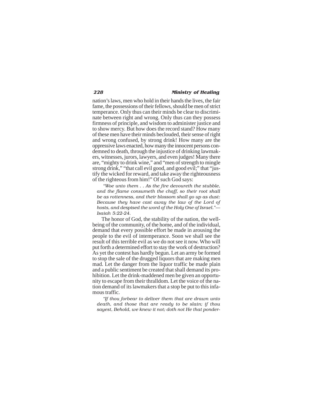nation's laws, men who hold in their hands the lives, the fair fame, the possessions of their fellows, should be men of strict temperance. Only thus can their minds be clear to discriminate between right and wrong. Only thus can they possess firmness of principle, and wisdom to administer justice and to show mercy. But how does the record stand? How many of these men have their minds beclouded, their sense of right and wrong confused, by strong drink! How many are the oppressive laws enacted, how many the innocent persons condemned to death, through the injustice of drinking lawmakers, witnesses, jurors, lawyers, and even judges! Many there are, "mighty to drink wine," and "men of strength to mingle strong drink," "that call evil good, and good evil;" that "justify the wicked for reward, and take away the righteousness of the righteous from him!" Of such God says:

*"Woe unto them . . As the fire devoureth the stubble, and the flame consumeth the chaff, so their root shall be as rottenness, and their blossom shall go up as dust: Because they have cast away the law of the Lord of hosts, and despised the word of the Holy One of Israel."— Isaiah 5:22-24.*

The honor of God, the stability of the nation, the wellbeing of the community, of the home, and of the individual, demand that every possible effort be made in arousing the people to the evil of intemperance. Soon we shall see the result of this terrible evil as we do not see it now. Who will put forth a determined effort to stay the work of destruction? As yet the contest has hardly begun. Let an army be formed to stop the sale of the drugged liquors that are making men mad. Let the danger from the liquor traffic be made plain and a public sentiment be created that shall demand its prohibition. Let the drink-maddened men be given an opportunity to escape from their thralldom. Let the voice of the nation demand of its lawmakers that a stop be put to this infamous traffic.

*"If thou forbear to deliver them that are drawn unto death, and those that are ready to be slain; if thou sayest, Behold, we knew it not; doth not He that ponder-*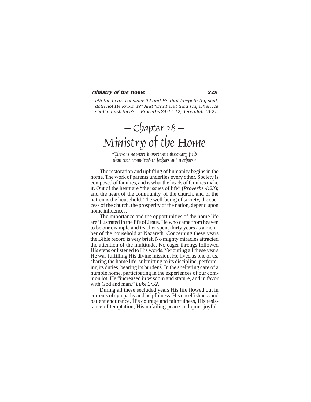#### **Ministry of the Home**

*eth the heart consider it? and He that keepeth thy soul, doth not He know it?" And "what wilt thou say when He shall punish thee?"—Proverbs 24:11-12; Jeremiah 13:21.*

## $-\mathsf{C}$ hapter 28 – Ministry of the Home

"There is no more important missionary field than that committed to fathers and mothers."

The restoration and uplifting of humanity begins in the home. The work of parents underlies every other. Society is composed of families, and is what the heads of families make it. Out of the heart are "the issues of life" (*Proverbs 4:23*); and the heart of the community, of the church, and of the nation is the household. The well-being of society, the success of the church, the prosperity of the nation, depend upon home influences.

The importance and the opportunities of the home life are illustrated in the life of Jesus. He who came from heaven to be our example and teacher spent thirty years as a member of the household at Nazareth. Concerning these years the Bible record is very brief. No mighty miracles attracted the attention of the multitude. No eager throngs followed His steps or listened to His words. Yet during all these years He was fulfilling His divine mission. He lived as one of us, sharing the home life, submitting to its discipline, performing its duties, bearing its burdens. In the sheltering care of a humble home, participating in the experiences of our common lot, He "increased in wisdom and stature, and in favor with God and man." *Luke 2:52*.

During all these secluded years His life flowed out in currents of sympathy and helpfulness. His unselfishness and patient endurance, His courage and faithfulness, His resistance of temptation, His unfailing peace and quiet joyful-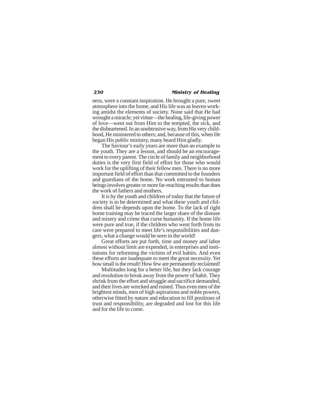ness, were a constant inspiration. He brought a pure, sweet atmosphere into the home, and His life was as leaven working amidst the elements of society. None said that He had wrought a miracle; yet virtue—the healing, life-giving power of love—went out from Him to the tempted, the sick, and the disheartened. In an unobtrusive way, from His very childhood, He ministered to others; and, because of this, when He began His public ministry, many heard Him gladly.

The Saviour's early years are more than an example to the youth. They are a lesson, and should be an encouragement to every parent. The circle of family and neighborhood duties is the very first field of effort for those who would work for the uplifting of their fellow men. There is no more important field of effort than that committed to the founders and guardians of the home. No work entrusted to human beings involves greater or more far-reaching results than does the work of fathers and mothers.

It is by the youth and children of today that the future of society is to be determined and what these youth and children shall be depends upon the home. To the lack of right home training may be traced the larger share of the disease and misery and crime that curse humanity. If the home life were pure and true, if the children who went forth from its care were prepared to meet life's responsibilities and dangers, what a change would be seen in the world!

Great efforts are put forth, time and money and labor almost without limit are expended, in enterprises and institutions for reforming the victims of evil habits. And even these efforts are inadequate to meet the great necessity. Yet how small is the result! How few are permanently reclaimed!

Multitudes long for a better life, but they lack courage and resolution to break away from the power of habit. They shrink from the effort and struggle and sacrifice demanded, and their lives are wrecked and ruined. Thus even men of the brightest minds, men of high aspirations and noble powers, otherwise fitted by nature and education to fill positions of trust and responsibility, are degraded and lost for this life and for the life to come.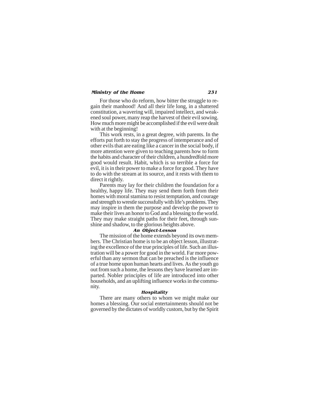#### **Ministry of the Home**

For those who do reform, how bitter the struggle to regain their manhood! And all their life long, in a shattered constitution, a wavering will, impaired intellect, and weakened soul power, many reap the harvest of their evil sowing. How much more might be accomplished if the evil were dealt with at the beginning!

This work rests, in a great degree, with parents. In the efforts put forth to stay the progress of intemperance and of other evils that are eating like a cancer in the social body, if more attention were given to teaching parents how to form the habits and character of their children, a hundredfold more good would result. Habit, which is so terrible a force for evil, it is in their power to make a force for good. They have to do with the stream at its source, and it rests with them to direct it rightly.

Parents may lay for their children the foundation for a healthy, happy life. They may send them forth from their homes with moral stamina to resist temptation, and courage and strength to wrestle successfully with life's problems. They may inspire in them the purpose and develop the power to make their lives an honor to God and a blessing to the world. They may make straight paths for their feet, through sunshine and shadow, to the glorious heights above.

#### **An Object-Lesson**

The mission of the home extends beyond its own members. The Christian home is to be an object lesson, illustrating the excellence of the true principles of life. Such an illustration will be a power for good in the world. Far more powerful than any sermon that can be preached is the influence of a true home upon human hearts and lives. As the youth go out from such a home, the lessons they have learned are imparted. Nobler principles of life are introduced into other households, and an uplifting influence works in the community.

#### **Hospitality**

There are many others to whom we might make our homes a blessing. Our social entertainments should not be governed by the dictates of worldly custom, but by the Spirit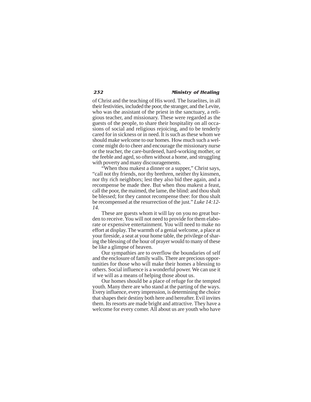of Christ and the teaching of His word. The Israelites, in all their festivities, included the poor, the stranger, and the Levite, who was the assistant of the priest in the sanctuary, a religious teacher, and missionary. These were regarded as the guests of the people, to share their hospitality on all occasions of social and religious rejoicing, and to be tenderly cared for in sickness or in need. It is such as these whom we should make welcome to our homes. How much such a welcome might do to cheer and encourage the missionary nurse or the teacher, the care-burdened, hard-working mother, or the feeble and aged, so often without a home, and struggling with poverty and many discouragements.

"When thou makest a dinner or a supper," Christ says, "call not thy friends, nor thy brethren, neither thy kinsmen, nor thy rich neighbors; lest they also bid thee again, and a recompense be made thee. But when thou makest a feast, call the poor, the maimed, the lame, the blind: and thou shalt be blessed; for they cannot recompense thee: for thou shalt be recompensed at the resurrection of the just." *Luke 14:12- 14.*

These are guests whom it will lay on you no great burden to receive. You will not need to provide for them elaborate or expensive entertainment. You will need to make no effort at display. The warmth of a genial welcome, a place at your fireside, a seat at your home table, the privilege of sharing the blessing of the hour of prayer would to many of these be like a glimpse of heaven.

Our sympathies are to overflow the boundaries of self and the enclosure of family walls. There are precious opportunities for those who will make their homes a blessing to others. Social influence is a wonderful power. We can use it if we will as a means of helping those about us.

Our homes should be a place of refuge for the tempted youth. Many there are who stand at the parting of the ways. Every influence, every impression, is determining the choice that shapes their destiny both here and hereafter. Evil invites them. Its resorts are made bright and attractive. They have a welcome for every comer. All about us are youth who have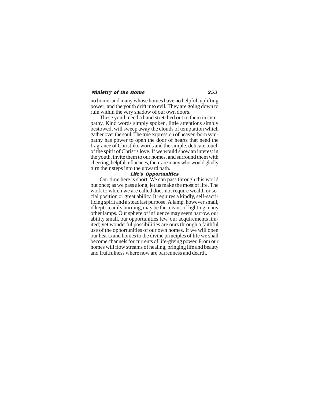### **Ministry of the Home**

no home, and many whose homes have no helpful, uplifting power; and the youth drift into evil. They are going down to ruin within the very shadow of our own doors.

These youth need a hand stretched out to them in sympathy. Kind words simply spoken, little attentions simply bestowed, will sweep away the clouds of temptation which gather over the soul. The true expression of heaven-born sympathy has power to open the door of hearts that need the fragrance of Christlike words and the simple, delicate touch of the spirit of Christ's love. If we would show an interest in the youth, invite them to our homes, and surround them with cheering, helpful influences, there are many who would gladly turn their steps into the upward path.

### **Life's Opportunities**

Our time here is short. We can pass through this world but once; as we pass along, let us make the most of life. The work to which we are called does not require wealth or social position or great ability. It requires a kindly, self-sacrificing spirit and a steadfast purpose. A lamp, however small, if kept steadily burning, may be the means of lighting many other lamps. Our sphere of influence may seem narrow, our ability small, our opportunities few, our acquirements limited; yet wonderful possibilities are ours through a faithful use of the opportunities of our own homes. If we will open our hearts and homes to the divine principles of life we shall become channels for currents of life-giving power. From our homes will flow streams of healing, bringing life and beauty and fruitfulness where now are barrenness and dearth.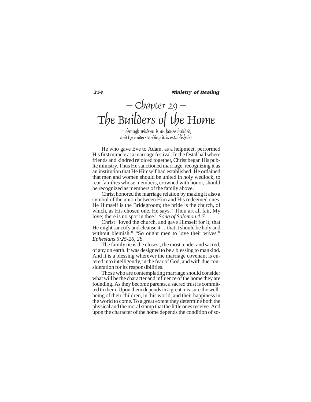$-\mathsf{C}$ hapter 29  $-$ The Builders of the Home

"Through wisdom is an house builded; and by understanding it is established."

He who gave Eve to Adam, as a helpmeet, performed His first miracle at a marriage festival. In the festal hall where friends and kindred rejoiced together, Christ began His public ministry. Thus He sanctioned marriage, recognizing it as an institution that He Himself had established. He ordained that men and women should be united in holy wedlock, to rear families whose members, crowned with honor, should be recognized as members of the family above.

Christ honored the marriage relation by making it also a symbol of the union between Him and His redeemed ones. He Himself is the Bridegroom; the bride is the church, of which, as His chosen one, He says, "Thou art all fair, My love; there is no spot in thee." *Song of Solomon 4:7.*

Christ "loved the church, and gave Himself for it; that He might sanctify and cleanse it . . that it should be holy and without blemish." "So ought men to love their wives." *Ephesians 5:25-26, 28.*

The family tie is the closest, the most tender and sacred, of any on earth. It was designed to be a blessing to mankind. And it is a blessing wherever the marriage covenant is entered into intelligently, in the fear of God, and with due consideration for its responsibilities.

Those who are contemplating marriage should consider what will be the character and influence of the home they are founding. As they become parents, a sacred trust is committed to them. Upon them depends in a great measure the wellbeing of their children, in this world, and their happiness in the world to come. To a great extent they determine both the physical and the moral stamp that the little ones receive. And upon the character of the home depends the condition of so-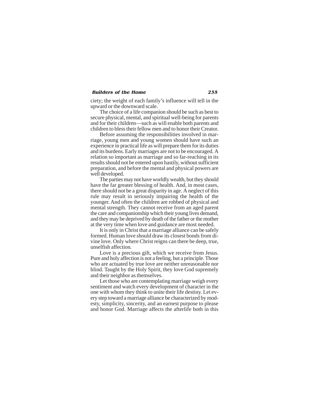#### **Builders of the Home**

ciety; the weight of each family's influence will tell in the upward or the downward scale.

The choice of a life companion should be such as best to secure physical, mental, and spiritual well-being for parents and for their children—such as will enable both parents and children to bless their fellow men and to honor their Creator.

Before assuming the responsibilities involved in marriage, young men and young women should have such an experience in practical life as will prepare them for its duties and its burdens. Early marriages are not to be encouraged. A relation so important as marriage and so far-reaching in its results should not be entered upon hastily, without sufficient preparation, and before the mental and physical powers are well developed.

The parties may not have worldly wealth, but they should have the far greater blessing of health. And, in most cases, there should not be a great disparity in age. A neglect of this rule may result in seriously impairing the health of the younger. And often the children are robbed of physical and mental strength. They cannot receive from an aged parent the care and companionship which their young lives demand, and they may be deprived by death of the father or the mother at the very time when love and guidance are most needed.

It is only in Christ that a marriage alliance can be safely formed. Human love should draw its closest bonds from divine love. Only where Christ reigns can there be deep, true, unselfish affection.

Love is a precious gift, which we receive from Jesus. Pure and holy affection is not a feeling, but a principle. Those who are actuated by true love are neither unreasonable nor blind. Taught by the Holy Spirit, they love God supremely and their neighbor as themselves.

Let those who are contemplating marriage weigh every sentiment and watch every development of character in the one with whom they think to unite their life destiny. Let every step toward a marriage alliance be characterized by modesty, simplicity, sincerity, and an earnest purpose to please and honor God. Marriage affects the afterlife both in this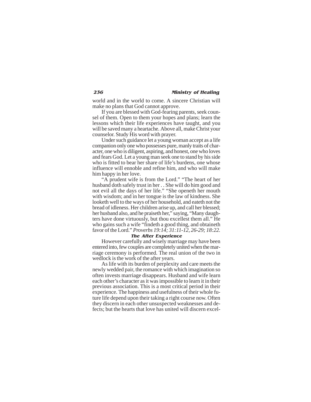world and in the world to come. A sincere Christian will make no plans that God cannot approve.

If you are blessed with God-fearing parents, seek counsel of them. Open to them your hopes and plans; learn the lessons which their life experiences have taught, and you will be saved many a heartache. Above all, make Christ your counselor. Study His word with prayer.

Under such guidance let a young woman accept as a life companion only one who possesses pure, manly traits of character, one who is diligent, aspiring, and honest, one who loves and fears God. Let a young man seek one to stand by his side who is fitted to bear her share of life's burdens, one whose influence will ennoble and refine him, and who will make him happy in her love.

"A prudent wife is from the Lord." "The heart of her husband doth safely trust in her . . She will do him good and not evil all the days of her life." "She openeth her mouth with wisdom; and in her tongue is the law of kindness. She looketh well to the ways of her household, and eateth not the bread of idleness. Her children arise up, and call her blessed; her husband also, and he praiseth her," saying, "Many daughters have done virtuously, but thou excellest them all." He who gains such a wife "findeth a good thing, and obtaineth favor of the Lord." *Proverbs 19:14; 31:11-12, 26-29; 18:22*.

## **The After Experience**

However carefully and wisely marriage may have been entered into, few couples are completely united when the marriage ceremony is performed. The real union of the two in wedlock is the work of the after years.

As life with its burden of perplexity and care meets the newly wedded pair, the romance with which imagination so often invests marriage disappears. Husband and wife learn each other's character as it was impossible to learn it in their previous association. This is a most critical period in their experience. The happiness and usefulness of their whole future life depend upon their taking a right course now. Often they discern in each other unsuspected weaknesses and defects; but the hearts that love has united will discern excel-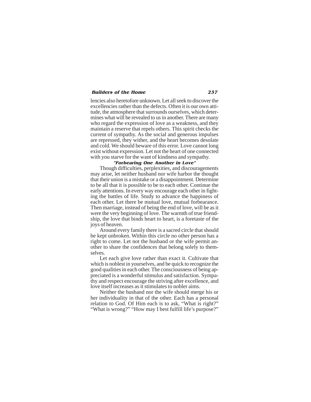#### **Builders of the Home**

lencies also heretofore unknown. Let all seek to discover the excellencies rather than the defects. Often it is our own attitude, the atmosphere that surrounds ourselves, which determines what will be revealed to us in another. There are many who regard the expression of love as a weakness, and they maintain a reserve that repels others. This spirit checks the current of sympathy. As the social and generous impulses are repressed, they wither, and the heart becomes desolate and cold. We should beware of this error. Love cannot long exist without expression. Let not the heart of one connected with you starve for the want of kindness and sympathy.

#### **"Forbearing One Another in Love"**

Though difficulties, perplexities, and discouragements may arise, let neither husband nor wife harbor the thought that their union is a mistake or a disappointment. Determine to be all that it is possible to be to each other. Continue the early attentions. In every way encourage each other in fighting the battles of life. Study to advance the happiness of each other. Let there be mutual love, mutual forbearance. Then marriage, instead of being the end of love, will be as it were the very beginning of love. The warmth of true friendship, the love that binds heart to heart, is a foretaste of the joys of heaven.

Around every family there is a sacred circle that should be kept unbroken. Within this circle no other person has a right to come. Let not the husband or the wife permit another to share the confidences that belong solely to themselves.

Let each give love rather than exact it. Cultivate that which is noblest in yourselves, and be quick to recognize the good qualities in each other. The consciousness of being appreciated is a wonderful stimulus and satisfaction. Sympathy and respect encourage the striving after excellence, and love itself increases as it stimulates to nobler aims.

Neither the husband nor the wife should merge his or her individuality in that of the other. Each has a personal relation to God. Of Him each is to ask, "What is right?" "What is wrong?" "How may I best fulfill life's purpose?"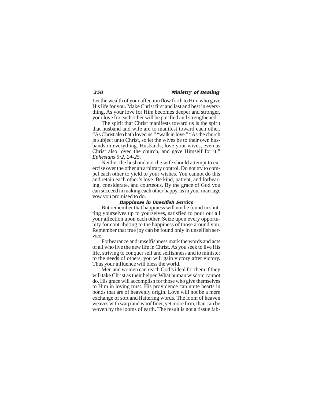Let the wealth of your affection flow forth to Him who gave His life for you. Make Christ first and last and best in everything. As your love for Him becomes deeper and stronger, your love for each other will be purified and strengthened.

The spirit that Christ manifests toward us is the spirit that husband and wife are to manifest toward each other. "As Christ also hath loved us," "walk in love." "As the church is subject unto Christ, so let the wives be to their own husbands in everything. Husbands, love your wives, even as Christ also loved the church, and gave Himself for it." *Ephesians 5:2, 24-25*.

Neither the husband nor the wife should attempt to exercise over the other an arbitrary control. Do not try to compel each other to yield to your wishes. You cannot do this and retain each other's love. Be kind, patient, and forbearing, considerate, and courteous. By the grace of God you can succeed in making each other happy, as in your marriage vow you promised to do.

### **Happiness in Unselfish Service**

But remember that happiness will not be found in shutting yourselves up to yourselves, satisfied to pour out all your affection upon each other. Seize upon every opportunity for contributing to the happiness of those around you. Remember that true joy can be found only in unselfish service.

Forbearance and unselfishness mark the words and acts of all who live the new life in Christ. As you seek to live His life, striving to conquer self and selfishness and to minister to the needs of others, you will gain victory after victory. Thus your influence will bless the world.

Men and women can reach God's ideal for them if they will take Christ as their helper. What human wisdom cannot do, His grace will accomplish for those who give themselves to Him in loving trust. His providence can unite hearts in bonds that are of heavenly origin. Love will not be a mere exchange of soft and flattering words. The loom of heaven weaves with warp and woof finer, yet more firm, than can be woven by the looms of earth. The result is not a tissue fab-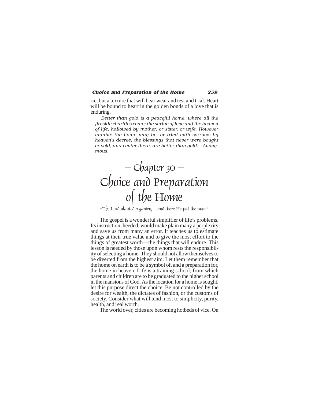#### **239 Choice and Preparation of the Home**

ric, but a texture that will bear wear and test and trial. Heart will be bound to heart in the golden bonds of a love that is enduring.

*Better than gold is a peaceful home, where all the fireside charities come; the shrine of love and the heaven of life, hallowed by mother, or sister, or wife. However humble the home may be, or tried with sorrows by heaven's decree, the blessings that never were bought or sold, and center there, are better than gold.—Anonymous.*

# – Chapter 30 – Choice and Preparation of the Home

"The Lord planted a garden, . . and there He put the man."

The gospel is a wonderful simplifier of life's problems. Its instruction, heeded, would make plain many a perplexity and save us from many an error. It teaches us to estimate things at their true value and to give the most effort to the things of greatest worth—the things that will endure. This lesson is needed by those upon whom rests the responsibility of selecting a home. They should not allow themselves to be diverted from the highest aim. Let them remember that the home on earth is to be a symbol of, and a preparation for, the home in heaven. Life is a training school, from which parents and children are to be graduated to the higher school in the mansions of God. As the location for a home is sought, let this purpose direct the choice. Be not controlled by the desire for wealth, the dictates of fashion, or the customs of society. Consider what will tend most to simplicity, purity, health, and real worth.

The world over, cities are becoming hotbeds of vice. On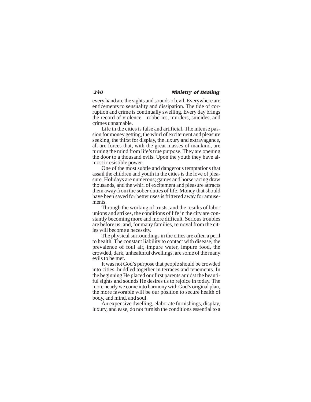every hand are the sights and sounds of evil. Everywhere are enticements to sensuality and dissipation. The tide of corruption and crime is continually swelling. Every day brings the record of violence—robberies, murders, suicides, and crimes unnamable.

Life in the cities is false and artificial. The intense passion for money getting, the whirl of excitement and pleasure seeking, the thirst for display, the luxury and extravagance, all are forces that, with the great masses of mankind, are turning the mind from life's true purpose. They are opening the door to a thousand evils. Upon the youth they have almost irresistible power.

One of the most subtle and dangerous temptations that assail the children and youth in the cities is the love of pleasure. Holidays are numerous; games and horse racing draw thousands, and the whirl of excitement and pleasure attracts them away from the sober duties of life. Money that should have been saved for better uses is frittered away for amusements.

Through the working of trusts, and the results of labor unions and strikes, the conditions of life in the city are constantly becoming more and more difficult. Serious troubles are before us; and, for many families, removal from the cities will become a necessity.

The physical surroundings in the cities are often a peril to health. The constant liability to contact with disease, the prevalence of foul air, impure water, impure food, the crowded, dark, unhealthful dwellings, are some of the many evils to be met.

It was not God's purpose that people should be crowded into cities, huddled together in terraces and tenements. In the beginning He placed our first parents amidst the beautiful sights and sounds He desires us to rejoice in today. The more nearly we come into harmony with God's original plan, the more favorable will be our position to secure health of body, and mind, and soul.

An expensive dwelling, elaborate furnishings, display, luxury, and ease, do not furnish the conditions essential to a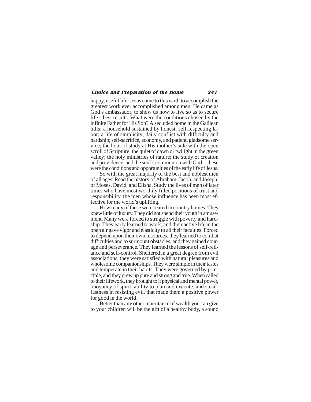### **Choice and Preparation of the Home**

happy, useful life. Jesus came to this earth to accomplish the greatest work ever accomplished among men. He came as God's ambassador, to show us how to live so as to secure life's best results. What were the conditions chosen by the infinite Father for His Son? A secluded home in the Galilean hills; a household sustained by honest, self-respecting labor; a life of simplicity; daily conflict with difficulty and hardship; self-sacrifice, economy, and patient, gladsome service; the hour of study at His mother's side with the open scroll of Scripture; the quiet of dawn or twilight in the green valley; the holy ministries of nature; the study of creation and providence; and the soul's communion with God—these were the conditions and opportunities of the early life of Jesus.

So with the great majority of the best and noblest men of all ages. Read the history of Abraham, Jacob, and Joseph, of Moses, David, and Elisha. Study the lives of men of later times who have most worthily filled positions of trust and responsibility, the men whose influence has been most effective for the world's uplifting.

How many of these were reared in country homes. They knew little of luxury. They did not spend their youth in amusement. Many were forced to struggle with poverty and hardship. They early learned to work, and their active life in the open air gave vigor and elasticity to all their faculties. Forced to depend upon their own resources, they learned to combat difficulties and to surmount obstacles, and they gained courage and perseverance. They learned the lessons of self-reliance and self-control. Sheltered in a great degree from evil associations, they were satisfied with natural pleasures and wholesome companionships. They were simple in their tastes and temperate in their habits. They were governed by principle, and they grew up pure and strong and true. When called to their lifework, they brought to it physical and mental power, buoyancy of spirit, ability to plan and execute, and steadfastness in resisting evil, that made them a positive power for good in the world.

Better than any other inheritance of wealth you can give to your children will be the gift of a healthy body, a sound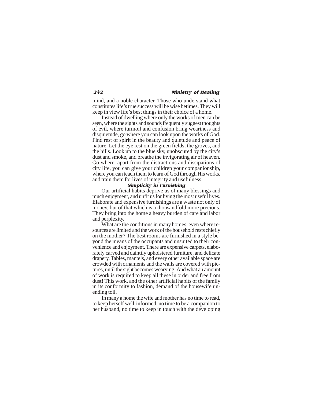mind, and a noble character. Those who understand what constitutes life's true success will be wise betimes. They will keep in view life's best things in their choice of a home.

Instead of dwelling where only the works of men can be seen, where the sights and sounds frequently suggest thoughts of evil, where turmoil and confusion bring weariness and disquietude, go where you can look upon the works of God. Find rest of spirit in the beauty and quietude and peace of nature. Let the eye rest on the green fields, the groves, and the hills. Look up to the blue sky, unobscured by the city's dust and smoke, and breathe the invigorating air of heaven. Go where, apart from the distractions and dissipations of city life, you can give your children your companionship, where you can teach them to learn of God through His works, and train them for lives of integrity and usefulness.

### **Simplicity in Furnishing**

Our artificial habits deprive us of many blessings and much enjoyment, and unfit us for living the most useful lives. Elaborate and expensive furnishings are a waste not only of money, but of that which is a thousandfold more precious. They bring into the home a heavy burden of care and labor and perplexity.

What are the conditions in many homes, even where resources are limited and the work of the household rests chiefly on the mother? The best rooms are furnished in a style beyond the means of the occupants and unsuited to their convenience and enjoyment. There are expensive carpets, elaborately carved and daintily upholstered furniture, and delicate drapery. Tables, mantels, and every other available space are crowded with ornaments and the walls are covered with pictures, until the sight becomes wearying. And what an amount of work is required to keep all these in order and free from dust! This work, and the other artificial habits of the family in its conformity to fashion, demand of the housewife unending toil.

In many a home the wife and mother has no time to read, to keep herself well-informed, no time to be a companion to her husband, no time to keep in touch with the developing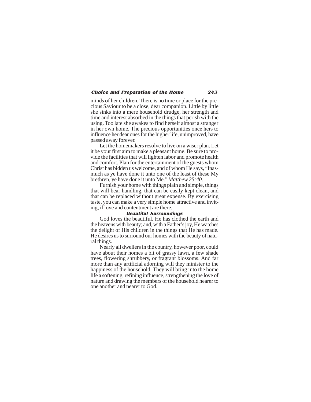#### **Choice and Preparation of the Home**

minds of her children. There is no time or place for the precious Saviour to be a close, dear companion. Little by little she sinks into a mere household drudge, her strength and time and interest absorbed in the things that perish with the using. Too late she awakes to find herself almost a stranger in her own home. The precious opportunities once hers to influence her dear ones for the higher life, unimproved, have passed away forever.

Let the homemakers resolve to live on a wiser plan. Let it be your first aim to make a pleasant home. Be sure to provide the facilities that will lighten labor and promote health and comfort. Plan for the entertainment of the guests whom Christ has bidden us welcome, and of whom He says, "Inasmuch as ye have done it unto one of the least of these My brethren, ye have done it unto Me." *Matthew 25:40*.

Furnish your home with things plain and simple, things that will bear handling, that can be easily kept clean, and that can be replaced without great expense. By exercising taste, you can make a very simple home attractive and inviting, if love and contentment are there.

#### **Beautiful Surroundings**

God loves the beautiful. He has clothed the earth and the heavens with beauty; and, with a Father's joy, He watches the delight of His children in the things that He has made. He desires us to surround our homes with the beauty of natural things.

Nearly all dwellers in the country, however poor, could have about their homes a bit of grassy lawn, a few shade trees, flowering shrubbery, or fragrant blossoms. And far more than any artificial adorning will they minister to the happiness of the household. They will bring into the home life a softening, refining influence, strengthening the love of nature and drawing the members of the household nearer to one another and nearer to God.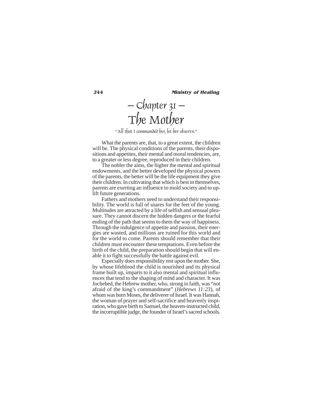– Chapter 31 – The Mother

"All that I commanded her, let her observe."

What the parents are, that, to a great extent, the children will be. The physical conditions of the parents, their dispositions and appetites, their mental and moral tendencies, are, to a greater or less degree, reproduced in their children.

The nobler the aims, the higher the mental and spiritual endowments, and the better developed the physical powers of the parents, the better will be the life equipment they give their children. In cultivating that which is best in themselves, parents are exerting an influence to mold society and to uplift future generations.

Fathers and mothers need to understand their responsibility. The world is full of snares for the feet of the young. Multitudes are attracted by a life of selfish and sensual pleasure. They cannot discern the hidden dangers or the fearful ending of the path that seems to them the way of happiness. Through the indulgence of appetite and passion, their energies are wasted, and millions are ruined for this world and for the world to come. Parents should remember that their children must encounter these temptations. Even before the birth of the child, the preparation should begin that will enable it to fight successfully the battle against evil.

Especially does responsibility rest upon the mother. She, by whose lifeblood the child is nourished and its physical frame built up, imparts to it also mental and spiritual influences that tend to the shaping of mind and character. It was Jochebed, the Hebrew mother, who, strong in faith, was "not afraid of the king's commandment" (*Hebrews 11:23*), of whom was born Moses, the deliverer of Israel. It was Hannah, the woman of prayer and self-sacrifice and heavenly inspiration, who gave birth to Samuel, the heaven-instructed child, the incorruptible judge, the founder of Israel's sacred schools.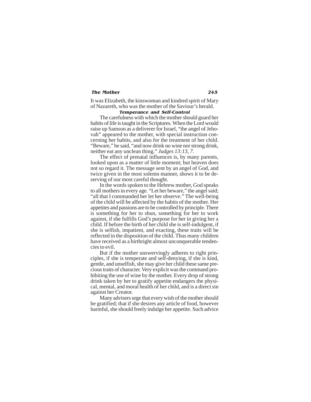#### **The Mother**

It was Elizabeth, the kinswoman and kindred spirit of Mary of Nazareth, who was the mother of the Saviour's herald.

### **Temperance and Self-Control**

The carefulness with which the mother should guard her habits of life is taught in the Scriptures. When the Lord would raise up Samson as a deliverer for Israel, "the angel of Jehovah" appeared to the mother, with special instruction concerning her habits, and also for the treatment of her child. "Beware," he said, "and now drink no wine nor strong drink, neither eat any unclean thing." *Judges 13:13, 7.*

The effect of prenatal influences is, by many parents, looked upon as a matter of little moment; but heaven does not so regard it. The message sent by an angel of God, and twice given in the most solemn manner, shows it to be deserving of our most careful thought.

In the words spoken to the Hebrew mother, God speaks to all mothers in every age. "Let her beware," the angel said; "all that I commanded her let her observe." The well-being of the child will be affected by the habits of the mother. Her appetites and passions are to be controlled by principle. There is something for her to shun, something for her to work against, if she fulfills God's purpose for her in giving her a child. If before the birth of her child she is self-indulgent, if she is selfish, impatient, and exacting, these traits will be reflected in the disposition of the child. Thus many children have received as a birthright almost unconquerable tendencies to evil.

But if the mother unswervingly adheres to right principles, if she is temperate and self-denying, if she is kind, gentle, and unselfish, she may give her child these same precious traits of character. Very explicit was the command prohibiting the use of wine by the mother. Every drop of strong drink taken by her to gratify appetite endangers the physical, mental, and moral health of her child, and is a direct sin against her Creator.

Many advisers urge that every wish of the mother should be gratified; that if she desires any article of food, however harmful, she should freely indulge her appetite. Such advice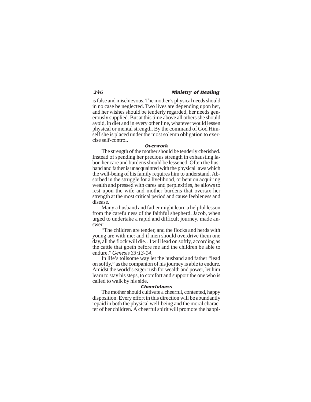is false and mischievous. The mother's physical needs should in no case be neglected. Two lives are depending upon her, and her wishes should be tenderly regarded, her needs generously supplied. But at this time above all others she should avoid, in diet and in every other line, whatever would lessen physical or mental strength. By the command of God Himself she is placed under the most solemn obligation to exercise self-control.

#### **Overwork**

The strength of the mother should be tenderly cherished. Instead of spending her precious strength in exhausting labor, her care and burdens should be lessened. Often the husband and father is unacquainted with the physical laws which the well-being of his family requires him to understand. Absorbed in the struggle for a livelihood, or bent on acquiring wealth and pressed with cares and perplexities, he allows to rest upon the wife and mother burdens that overtax her strength at the most critical period and cause feebleness and disease.

Many a husband and father might learn a helpful lesson from the carefulness of the faithful shepherd. Jacob, when urged to undertake a rapid and difficult journey, made answer:

"The children are tender, and the flocks and herds with young are with me: and if men should overdrive them one day, all the flock will die. . I will lead on softly, according as the cattle that goeth before me and the children be able to endure." *Genesis 33:13-14*.

In life's toilsome way let the husband and father "lead on softly," as the companion of his journey is able to endure. Amidst the world's eager rush for wealth and power, let him learn to stay his steps, to comfort and support the one who is called to walk by his side.

#### **Cheerfulness**

The mother should cultivate a cheerful, contented, happy disposition. Every effort in this direction will be abundantly repaid in both the physical well-being and the moral character of her children. A cheerful spirit will promote the happi-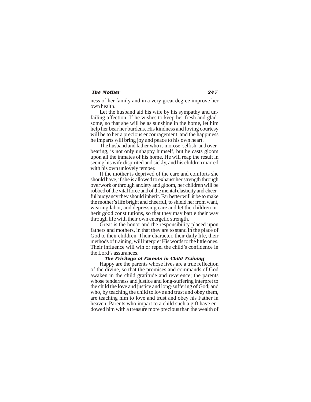#### **The Mother**

ness of her family and in a very great degree improve her own health.

Let the husband aid his wife by his sympathy and unfailing affection. If he wishes to keep her fresh and gladsome, so that she will be as sunshine in the home, let him help her bear her burdens. His kindness and loving courtesy will be to her a precious encouragement, and the happiness he imparts will bring joy and peace to his own heart.

The husband and father who is morose, selfish, and overbearing, is not only unhappy himself, but he casts gloom upon all the inmates of his home. He will reap the result in seeing his wife dispirited and sickly, and his children marred with his own unlovely temper.

If the mother is deprived of the care and comforts she should have, if she is allowed to exhaust her strength through overwork or through anxiety and gloom, her children will be robbed of the vital force and of the mental elasticity and cheerful buoyancy they should inherit. Far better will it be to make the mother's life bright and cheerful, to shield her from want, wearing labor, and depressing care and let the children inherit good constitutions, so that they may battle their way through life with their own energetic strength.

Great is the honor and the responsibility placed upon fathers and mothers, in that they are to stand in the place of God to their children. Their character, their daily life, their methods of training, will interpret His words to the little ones. Their influence will win or repel the child's confidence in the Lord's assurances.

#### **The Privilege of Parents in Child Training**

Happy are the parents whose lives are a true reflection of the divine, so that the promises and commands of God awaken in the child gratitude and reverence; the parents whose tenderness and justice and long-suffering interpret to the child the love and justice and long-suffering of God; and who, by teaching the child to love and trust and obey them, are teaching him to love and trust and obey his Father in heaven. Parents who impart to a child such a gift have endowed him with a treasure more precious than the wealth of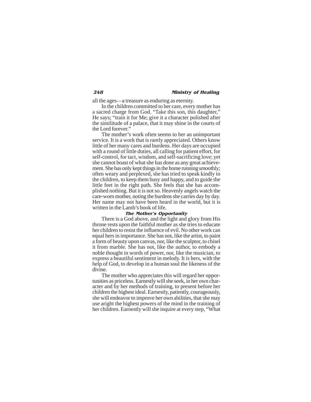all the ages—a treasure as enduring as eternity.

In the children committed to her care, every mother has a sacred charge from God. "Take this son, this daughter," He says; "train it for Me; give it a character polished after the similitude of a palace, that it may shine in the courts of the Lord forever."

The mother's work often seems to her an unimportant service. It is a work that is rarely appreciated. Others know little of her many cares and burdens. Her days are occupied with a round of little duties, all calling for patient effort, for self-control, for tact, wisdom, and self-sacrificing love; yet she cannot boast of what she has done as any great achievement. She has only kept things in the home running smoothly; often weary and perplexed, she has tried to speak kindly to the children, to keep them busy and happy, and to guide the little feet in the right path. She feels that she has accomplished nothing. But it is not so. Heavenly angels watch the care-worn mother, noting the burdens she carries day by day. Her name may not have been heard in the world, but it is written in the Lamb's book of life.

### **The Mother's Opportunity**

There is a God above, and the light and glory from His throne rests upon the faithful mother as she tries to educate her children to resist the influence of evil. No other work can equal hers in importance. She has not, like the artist, to paint a form of beauty upon canvas, nor, like the sculptor, to chisel it from marble. She has not, like the author, to embody a noble thought in words of power, nor, like the musician, to express a beautiful sentiment in melody. It is hers, with the help of God, to develop in a human soul the likeness of the divine.

The mother who appreciates this will regard her opportunities as priceless. Earnestly will she seek, in her own character and by her methods of training, to present before her children the highest ideal. Earnestly, patiently, courageously, she will endeavor to improve her own abilities, that she may use aright the highest powers of the mind in the training of her children. Earnestly will she inquire at every step, "What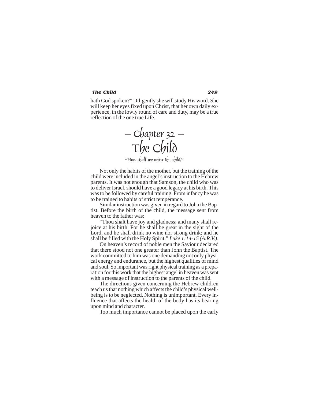#### **The Child**

hath God spoken?" Diligently she will study His word. She will keep her eyes fixed upon Christ, that her own daily experience, in the lowly round of care and duty, may be a true reflection of the one true Life.

– Chapter 32 – The Child

"How shall we order the child?"

Not only the habits of the mother, but the training of the child were included in the angel's instruction to the Hebrew parents. It was not enough that Samson, the child who was to deliver Israel, should have a good legacy at his birth. This was to be followed by careful training. From infancy he was to be trained to habits of strict temperance.

Similar instruction was given in regard to John the Baptist. Before the birth of the child, the message sent from heaven to the father was:

"Thou shalt have joy and gladness; and many shall rejoice at his birth. For he shall be great in the sight of the Lord, and he shall drink no wine nor strong drink; and he shall be filled with the Holy Spirit." *Luke 1:14-15 (A.R.V.)*.

On heaven's record of noble men the Saviour declared that there stood not one greater than John the Baptist. The work committed to him was one demanding not only physical energy and endurance, but the highest qualities of mind and soul. So important was right physical training as a preparation for this work that the highest angel in heaven was sent with a message of instruction to the parents of the child.

The directions given concerning the Hebrew children teach us that nothing which affects the child's physical wellbeing is to be neglected. Nothing is unimportant. Every influence that affects the health of the body has its bearing upon mind and character.

Too much importance cannot be placed upon the early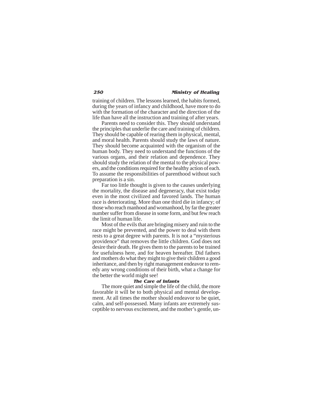training of children. The lessons learned, the habits formed, during the years of infancy and childhood, have more to do with the formation of the character and the direction of the life than have all the instruction and training of after years.

Parents need to consider this. They should understand the principles that underlie the care and training of children. They should be capable of rearing them in physical, mental, and moral health. Parents should study the laws of nature. They should become acquainted with the organism of the human body. They need to understand the functions of the various organs, and their relation and dependence. They should study the relation of the mental to the physical powers, and the conditions required for the healthy action of each. To assume the responsibilities of parenthood without such preparation is a sin.

Far too little thought is given to the causes underlying the mortality, the disease and degeneracy, that exist today even in the most civilized and favored lands. The human race is deteriorating. More than one third die in infancy; of those who reach manhood and womanhood, by far the greater number suffer from disease in some form, and but few reach the limit of human life.

Most of the evils that are bringing misery and ruin to the race might be prevented, and the power to deal with them rests to a great degree with parents. It is not a "mysterious providence" that removes the little children. God does not desire their death. He gives them to the parents to be trained for usefulness here, and for heaven hereafter. Did fathers and mothers do what they might to give their children a good inheritance, and then by right management endeavor to remedy any wrong conditions of their birth, what a change for the better the world might see!

#### **The Care of Infants**

The more quiet and simple the life of the child, the more favorable it will be to both physical and mental development. At all times the mother should endeavor to be quiet, calm, and self-possessed. Many infants are extremely susceptible to nervous excitement, and the mother's gentle, un-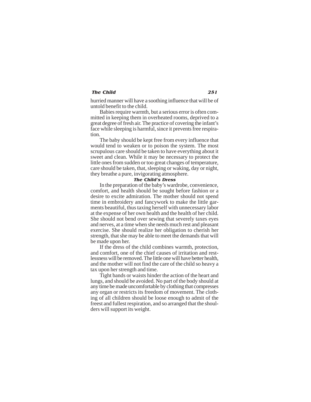### **The Child**

hurried manner will have a soothing influence that will be of untold benefit to the child.

Babies require warmth, but a serious error is often committed in keeping them in overheated rooms, deprived to a great degree of fresh air. The practice of covering the infant's face while sleeping is harmful, since it prevents free respiration.

The baby should be kept free from every influence that would tend to weaken or to poison the system. The most scrupulous care should be taken to have everything about it sweet and clean. While it may be necessary to protect the little ones from sudden or too great changes of temperature, care should be taken, that, sleeping or waking, day or night, they breathe a pure, invigorating atmosphere.

#### **The Child's Dress**

In the preparation of the baby's wardrobe, convenience, comfort, and health should be sought before fashion or a desire to excite admiration. The mother should not spend time in embroidery and fancywork to make the little garments beautiful, thus taxing herself with unnecessary labor at the expense of her own health and the health of her child. She should not bend over sewing that severely taxes eyes and nerves, at a time when she needs much rest and pleasant exercise. She should realize her obligation to cherish her strength, that she may be able to meet the demands that will be made upon her.

If the dress of the child combines warmth, protection, and comfort, one of the chief causes of irritation and restlessness will be removed. The little one will have better health, and the mother will not find the care of the child so heavy a tax upon her strength and time.

Tight bands or waists hinder the action of the heart and lungs, and should be avoided. No part of the body should at any time be made uncomfortable by clothing that compresses any organ or restricts its freedom of movement. The clothing of all children should be loose enough to admit of the freest and fullest respiration, and so arranged that the shoulders will support its weight.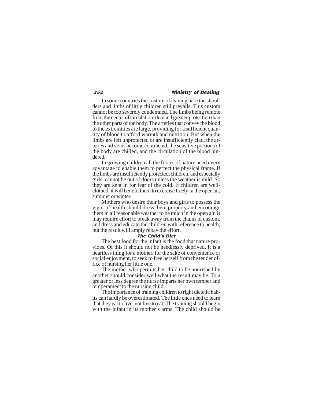In some countries the custom of leaving bare the shoulders and limbs of little children still prevails. This custom cannot be too severely condemned. The limbs being remote from the center of circulation, demand greater protection than the other parts of the body. The arteries that convey the blood to the extremities are large, providing for a sufficient quantity of blood to afford warmth and nutrition. But when the limbs are left unprotected or are insufficiently clad, the arteries and veins become contracted, the sensitive portions of the body are chilled, and the circulation of the blood hindered.

In growing children all the forces of nature need every advantage to enable them to perfect the physical frame. If the limbs are insufficiently protected, children, and especially girls, cannot be out of doors unless the weather is mild. So they are kept in for fear of the cold. If children are wellclothed, it will benefit them to exercise freely in the open air, summer or winter.

Mothers who desire their boys and girls to possess the vigor of health should dress them properly and encourage them in all reasonable weather to be much in the open air. It may require effort to break away from the chains of custom, and dress and educate the children with reference to health; but the result will amply repay the effort.

### **The Child's Diet**

The best food for the infant is the food that nature provides. Of this it should not be needlessly deprived. It is a heartless thing for a mother, for the sake of convenience or social enjoyment, to seek to free herself from the tender office of nursing her little one.

The mother who permits her child to be nourished by another should consider well what the result may be. To a greater or less degree the nurse imparts her own temper and temperament to the nursing child.

The importance of training children to right dietetic habits can hardly be overestimated. The little ones need to learn that they eat to live, not live to eat. The training should begin with the infant in its mother's arms. The child should be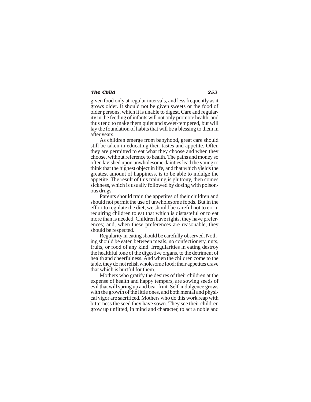# **The Child**

given food only at regular intervals, and less frequently as it grows older. It should not be given sweets or the food of older persons, which it is unable to digest. Care and regularity in the feeding of infants will not only promote health, and thus tend to make them quiet and sweet-tempered, but will lay the foundation of habits that will be a blessing to them in after years.

As children emerge from babyhood, great care should still be taken in educating their tastes and appetite. Often they are permitted to eat what they choose and when they choose, without reference to health. The pains and money so often lavished upon unwholesome dainties lead the young to think that the highest object in life, and that which yields the greatest amount of happiness, is to be able to indulge the appetite. The result of this training is gluttony, then comes sickness, which is usually followed by dosing with poisonous drugs.

Parents should train the appetites of their children and should not permit the use of unwholesome foods. But in the effort to regulate the diet, we should be careful not to err in requiring children to eat that which is distasteful or to eat more than is needed. Children have rights, they have preferences; and, when these preferences are reasonable, they should be respected.

Regularity in eating should be carefully observed. Nothing should be eaten between meals, no confectionery, nuts, fruits, or food of any kind. Irregularities in eating destroy the healthful tone of the digestive organs, to the detriment of health and cheerfulness. And when the children come to the table, they do not relish wholesome food; their appetites crave that which is hurtful for them.

Mothers who gratify the desires of their children at the expense of health and happy tempers, are sowing seeds of evil that will spring up and bear fruit. Self-indulgence grows with the growth of the little ones, and both mental and physical vigor are sacrificed. Mothers who do this work reap with bitterness the seed they have sown. They see their children grow up unfitted, in mind and character, to act a noble and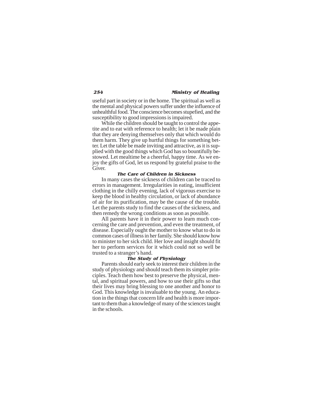useful part in society or in the home. The spiritual as well as the mental and physical powers suffer under the influence of unhealthful food. The conscience becomes stupefied, and the susceptibility to good impressions is impaired.

While the children should be taught to control the appetite and to eat with reference to health; let it be made plain that they are denying themselves only that which would do them harm. They give up hurtful things for something better. Let the table be made inviting and attractive, as it is supplied with the good things which God has so bountifully bestowed. Let mealtime be a cheerful, happy time. As we enjoy the gifts of God, let us respond by grateful praise to the Giver.

# **The Care of Children in Sickness**

In many cases the sickness of children can be traced to errors in management. Irregularities in eating, insufficient clothing in the chilly evening, lack of vigorous exercise to keep the blood in healthy circulation, or lack of abundance of air for its purification, may be the cause of the trouble. Let the parents study to find the causes of the sickness, and then remedy the wrong conditions as soon as possible.

All parents have it in their power to learn much concerning the care and prevention, and even the treatment, of disease. Especially ought the mother to know what to do in common cases of illness in her family. She should know how to minister to her sick child. Her love and insight should fit her to perform services for it which could not so well be trusted to a stranger's hand.

# **The Study of Physiology**

Parents should early seek to interest their children in the study of physiology and should teach them its simpler principles. Teach them how best to preserve the physical, mental, and spiritual powers, and how to use their gifts so that their lives may bring blessing to one another and honor to God. This knowledge is invaluable to the young. An education in the things that concern life and health is more important to them than a knowledge of many of the sciences taught in the schools.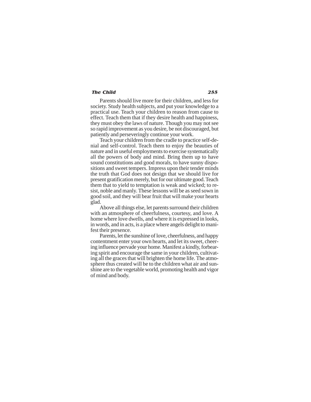### **The Child**

Parents should live more for their children, and less for society. Study health subjects, and put your knowledge to a practical use. Teach your children to reason from cause to effect. Teach them that if they desire health and happiness, they must obey the laws of nature. Though you may not see so rapid improvement as you desire, be not discouraged, but patiently and perseveringly continue your work.

Teach your children from the cradle to practice self-denial and self-control. Teach them to enjoy the beauties of nature and in useful employments to exercise systematically all the powers of body and mind. Bring them up to have sound constitutions and good morals, to have sunny dispositions and sweet tempers. Impress upon their tender minds the truth that God does not design that we should live for present gratification merely, but for our ultimate good. Teach them that to yield to temptation is weak and wicked; to resist, noble and manly. These lessons will be as seed sown in good soil, and they will bear fruit that will make your hearts glad.

Above all things else, let parents surround their children with an atmosphere of cheerfulness, courtesy, and love. A home where love dwells, and where it is expressed in looks, in words, and in acts, is a place where angels delight to manifest their presence.

Parents, let the sunshine of love, cheerfulness, and happy contentment enter your own hearts, and let its sweet, cheering influence pervade your home. Manifest a kindly, forbearing spirit and encourage the same in your children, cultivating all the graces that will brighten the home life. The atmosphere thus created will be to the children what air and sunshine are to the vegetable world, promoting health and vigor of mind and body.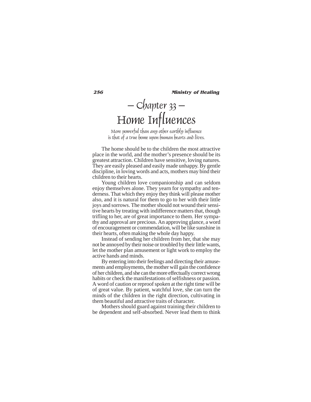# $-\text{Cb$ apter 33 – Home Influences

More powerful than any other earthly influence is that of a true home upon human hearts and lives.

The home should be to the children the most attractive place in the world, and the mother's presence should be its greatest attraction. Children have sensitive, loving natures. They are easily pleased and easily made unhappy. By gentle discipline, in loving words and acts, mothers may bind their children to their hearts.

Young children love companionship and can seldom enjoy themselves alone. They yearn for sympathy and tenderness. That which they enjoy they think will please mother also, and it is natural for them to go to her with their little joys and sorrows. The mother should not wound their sensitive hearts by treating with indifference matters that, though trifling to her, are of great importance to them. Her sympathy and approval are precious. An approving glance, a word of encouragement or commendation, will be like sunshine in their hearts, often making the whole day happy.

Instead of sending her children from her, that she may not be annoyed by their noise or troubled by their little wants, let the mother plan amusement or light work to employ the active hands and minds.

By entering into their feelings and directing their amusements and employments, the mother will gain the confidence of her children, and she can the more effectually correct wrong habits or check the manifestations of selfishness or passion. A word of caution or reproof spoken at the right time will be of great value. By patient, watchful love, she can turn the minds of the children in the right direction, cultivating in them beautiful and attractive traits of character.

Mothers should guard against training their children to be dependent and self-absorbed. Never lead them to think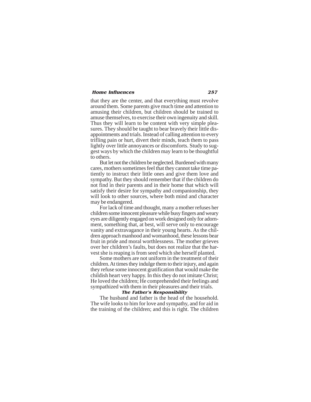### **Home Influences**

that they are the center, and that everything must revolve around them. Some parents give much time and attention to amusing their children, but children should be trained to amuse themselves, to exercise their own ingenuity and skill. Thus they will learn to be content with very simple pleasures. They should be taught to bear bravely their little disappointments and trials. Instead of calling attention to every trifling pain or hurt, divert their minds, teach them to pass lightly over little annoyances or discomforts. Study to suggest ways by which the children may learn to be thoughtful to others.

But let not the children be neglected. Burdened with many cares, mothers sometimes feel that they cannot take time patiently to instruct their little ones and give them love and sympathy. But they should remember that if the children do not find in their parents and in their home that which will satisfy their desire for sympathy and companionship, they will look to other sources, where both mind and character may be endangered.

For lack of time and thought, many a mother refuses her children some innocent pleasure while busy fingers and weary eyes are diligently engaged on work designed only for adornment, something that, at best, will serve only to encourage vanity and extravagance in their young hearts. As the children approach manhood and womanhood, these lessons bear fruit in pride and moral worthlessness. The mother grieves over her children's faults, but does not realize that the harvest she is reaping is from seed which she herself planted.

Some mothers are not uniform in the treatment of their children. At times they indulge them to their injury, and again they refuse some innocent gratification that would make the childish heart very happy. In this they do not imitate Christ; He loved the children; He comprehended their feelings and sympathized with them in their pleasures and their trials.

# **The Father's Responsibility**

The husband and father is the head of the household. The wife looks to him for love and sympathy, and for aid in the training of the children; and this is right. The children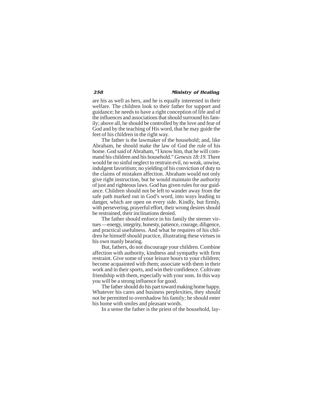are his as well as hers, and he is equally interested in their welfare. The children look to their father for support and guidance; he needs to have a right conception of life and of the influences and associations that should surround his family; above all, he should be controlled by the love and fear of God and by the teaching of His word, that he may guide the feet of his children in the right way.

The father is the lawmaker of the household; and, like Abraham, he should make the law of God the rule of his home. God said of Abraham, "I know him, that he will command his children and his household." *Genesis 18:19*. There would be no sinful neglect to restrain evil, no weak, unwise, indulgent favoritism; no yielding of his conviction of duty to the claims of mistaken affection. Abraham would not only give right instruction, but he would maintain the authority of just and righteous laws. God has given rules for our guidance. Children should not be left to wander away from the safe path marked out in God's word, into ways leading to danger, which are open on every side. Kindly, but firmly, with persevering, prayerful effort, their wrong desires should be restrained, their inclinations denied.

The father should enforce in his family the sterner virtues —energy, integrity, honesty, patience, courage, diligence, and practical usefulness. And what he requires of his children he himself should practice, illustrating these virtues in his own manly bearing.

But, fathers, do not discourage your children. Combine affection with authority, kindness and sympathy with firm restraint. Give some of your leisure hours to your children; become acquainted with them; associate with them in their work and in their sports, and win their confidence. Cultivate friendship with them, especially with your sons. In this way you will be a strong influence for good.

The father should do his part toward making home happy. Whatever his cares and business perplexities, they should not be permitted to overshadow his family; he should enter his home with smiles and pleasant words.

In a sense the father is the priest of the household, lay-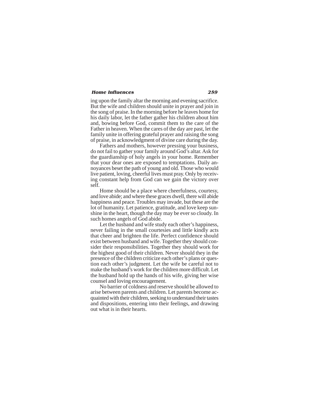#### **Home Influences**

ing upon the family altar the morning and evening sacrifice. But the wife and children should unite in prayer and join in the song of praise. In the morning before he leaves home for his daily labor, let the father gather his children about him and, bowing before God, commit them to the care of the Father in heaven. When the cares of the day are past, let the family unite in offering grateful prayer and raising the song of praise, in acknowledgment of divine care during the day.

Fathers and mothers, however pressing your business, do not fail to gather your family around God's altar. Ask for the guardianship of holy angels in your home. Remember that your dear ones are exposed to temptations. Daily annoyances beset the path of young and old. Those who would live patient, loving, cheerful lives must pray. Only by receiving constant help from God can we gain the victory over self.

Home should be a place where cheerfulness, courtesy, and love abide; and where these graces dwell, there will abide happiness and peace. Troubles may invade, but these are the lot of humanity. Let patience, gratitude, and love keep sunshine in the heart, though the day may be ever so cloudy. In such homes angels of God abide.

Let the husband and wife study each other's happiness, never failing in the small courtesies and little kindly acts that cheer and brighten the life. Perfect confidence should exist between husband and wife. Together they should consider their responsibilities. Together they should work for the highest good of their children. Never should they in the presence of the children criticize each other's plans or question each other's judgment. Let the wife be careful not to make the husband's work for the children more difficult. Let the husband hold up the hands of his wife, giving her wise counsel and loving encouragement.

No barrier of coldness and reserve should be allowed to arise between parents and children. Let parents become acquainted with their children, seeking to understand their tastes and dispositions, entering into their feelings, and drawing out what is in their hearts.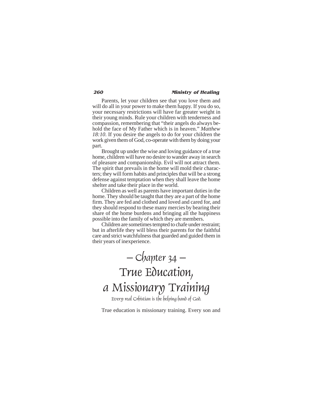Parents, let your children see that you love them and will do all in your power to make them happy. If you do so, your necessary restrictions will have far greater weight in their young minds. Rule your children with tenderness and compassion, remembering that "their angels do always behold the face of My Father which is in heaven." *Matthew 18:10*. If you desire the angels to do for your children the work given them of God, co-operate with them by doing your part.

Brought up under the wise and loving guidance of a true home, children will have no desire to wander away in search of pleasure and companionship. Evil will not attract them. The spirit that prevails in the home will mold their characters; they will form habits and principles that will be a strong defense against temptation when they shall leave the home shelter and take their place in the world.

Children as well as parents have important duties in the home. They should be taught that they are a part of the home firm. They are fed and clothed and loved and cared for, and they should respond to these many mercies by bearing their share of the home burdens and bringing all the happiness possible into the family of which they are members.

Children are sometimes tempted to chafe under restraint; but in afterlife they will bless their parents for the faithful care and strict watchfulness that guarded and guided them in their years of inexperience.

 $-\mathsf{C}$ hapter 34  $-$ True Education, a Missionary Training Every real Crhistian is the helping hand of God.

True education is missionary training. Every son and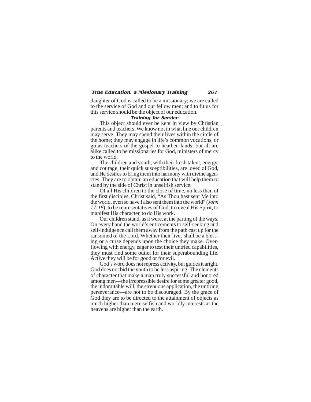# **True Education, a Missionary Training**

daughter of God is called to be a missionary; we are called to the service of God and our fellow men; and to fit us for this service should be the object of our education.

# **Training for Service**

This object should ever be kept in view by Christian parents and teachers. We know not in what line our children may serve. They may spend their lives within the circle of the home; they may engage in life's common vocations, or go as teachers of the gospel to heathen lands; but all are alike called to be missionaries for God, ministers of mercy to the world.

The children and youth, with their fresh talent, energy, and courage, their quick susceptibilities, are loved of God, and He desires to bring them into harmony with divine agencies. They are to obtain an education that will help them to stand by the side of Christ in unselfish service.

Of all His children to the close of time, no less than of the first disciples, Christ said, "As Thou hast sent Me into the world, even so have I also sent them into the world" (*John 17:18*), to be representatives of God, to reveal His Spirit, to manifest His character, to do His work.

Our children stand, as it were, at the parting of the ways. On every hand the world's enticements to self-seeking and self-indulgence call them away from the path cast up for the ransomed of the Lord. Whether their lives shall be a blessing or a curse depends upon the choice they make. Overflowing with energy, eager to test their untried capabilities, they must find some outlet for their superabounding life. Active they will be for good or for evil.

God's word does not repress activity, but guides it aright. God does not bid the youth to be less aspiring. The elements of character that make a man truly successful and honored among men—the irrepressible desire for some greater good, the indomitable will, the strenuous application, the untiring perseverance—are not to be discouraged. By the grace of God they are to be directed to the attainment of objects as much higher than mere selfish and worldly interests as the heavens are higher than the earth.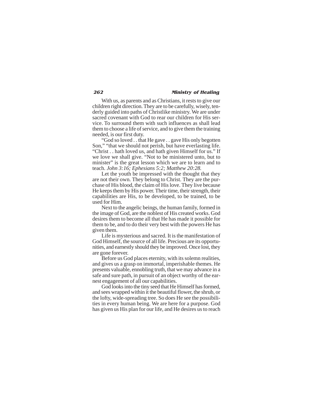With us, as parents and as Christians, it rests to give our children right direction. They are to be carefully, wisely, tenderly guided into paths of Christlike ministry. We are under sacred covenant with God to rear our children for His service. To surround them with such influences as shall lead them to choose a life of service, and to give them the training needed, is our first duty.

"God so loved . . that He gave . . gave His only begotten Son," "that we should not perish, but have everlasting life. "Christ . . hath loved us, and hath given Himself for us." If we love we shall give. "Not to be ministered unto, but to minister" is the great lesson which we are to learn and to teach. *John 3:16; Ephesians 5:2; Matthew 20:28.*

Let the youth be impressed with the thought that they are not their own. They belong to Christ. They are the purchase of His blood, the claim of His love. They live because He keeps them by His power. Their time, their strength, their capabilities are His, to be developed, to be trained, to be used for Him.

Next to the angelic beings, the human family, formed in the image of God, are the noblest of His created works. God desires them to become all that He has made it possible for them to be, and to do their very best with the powers He has given them.

Life is mysterious and sacred. It is the manifestation of God Himself, the source of all life. Precious are its opportunities, and earnestly should they be improved. Once lost, they are gone forever.

Before us God places eternity, with its solemn realities, and gives us a grasp on immortal, imperishable themes. He presents valuable, ennobling truth, that we may advance in a safe and sure path, in pursuit of an object worthy of the earnest engagement of all our capabilities.

God looks into the tiny seed that He Himself has formed, and sees wrapped within it the beautiful flower, the shrub, or the lofty, wide-spreading tree. So does He see the possibilities in every human being. We are here for a purpose. God has given us His plan for our life, and He desires us to reach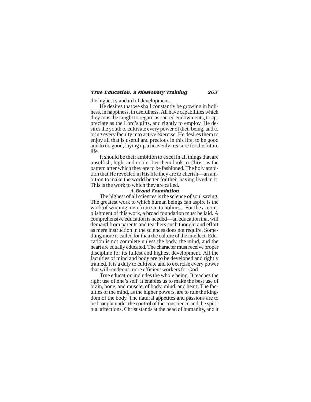### **True Education, a Missionary Training**

the highest standard of development.

He desires that we shall constantly be growing in holiness, in happiness, in usefulness. All have capabilities which they must be taught to regard as sacred endowments, to appreciate as the Lord's gifts, and rightly to employ. He desires the youth to cultivate every power of their being, and to bring every faculty into active exercise. He desires them to enjoy all that is useful and precious in this life, to be good and to do good, laying up a heavenly treasure for the future life.

It should be their ambition to excel in all things that are unselfish, high, and noble. Let them look to Christ as the pattern after which they are to be fashioned. The holy ambition that He revealed in His life they are to cherish—an ambition to make the world better for their having lived in it. This is the work to which they are called.

# **A Broad Foundation**

The highest of all sciences is the science of soul saving. The greatest work to which human beings can aspire is the work of winning men from sin to holiness. For the accomplishment of this work, a broad foundation must be laid. A comprehensive education is needed—an education that will demand from parents and teachers such thought and effort as mere instruction in the sciences does not require. Something more is called for than the culture of the intellect. Education is not complete unless the body, the mind, and the heart are equally educated. The character must receive proper discipline for its fullest and highest development. All the faculties of mind and body are to be developed and rightly trained. It is a duty to cultivate and to exercise every power that will render us more efficient workers for God.

True education includes the whole being. It teaches the right use of one's self. It enables us to make the best use of brain, bone, and muscle, of body, mind, and heart. The faculties of the mind, as the higher powers, are to rule the kingdom of the body. The natural appetites and passions are to be brought under the control of the conscience and the spiritual affections. Christ stands at the head of humanity, and it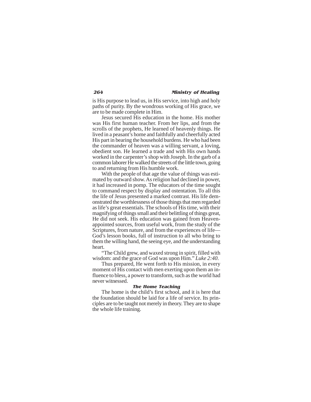is His purpose to lead us, in His service, into high and holy paths of purity. By the wondrous working of His grace, we are to be made complete in Him.

Jesus secured His education in the home. His mother was His first human teacher. From her lips, and from the scrolls of the prophets, He learned of heavenly things. He lived in a peasant's home and faithfully and cheerfully acted His part in bearing the household burdens. He who had been the commander of heaven was a willing servant, a loving, obedient son. He learned a trade and with His own hands worked in the carpenter's shop with Joseph. In the garb of a common laborer He walked the streets of the little town, going to and returning from His humble work.

With the people of that age the value of things was estimated by outward show. As religion had declined in power, it had increased in pomp. The educators of the time sought to command respect by display and ostentation. To all this the life of Jesus presented a marked contrast. His life demonstrated the worthlessness of those things that men regarded as life's great essentials. The schools of His time, with their magnifying of things small and their belittling of things great, He did not seek. His education was gained from Heavenappointed sources, from useful work, from the study of the Scriptures, from nature, and from the experiences of life— God's lesson books, full of instruction to all who bring to them the willing hand, the seeing eye, and the understanding heart.

"The Child grew, and waxed strong in spirit, filled with wisdom: and the grace of God was upon Him." *Luke 2:40*.

Thus prepared, He went forth to His mission, in every moment of His contact with men exerting upon them an influence to bless, a power to transform, such as the world had never witnessed.

### **The Home Teaching**

The home is the child's first school, and it is here that the foundation should be laid for a life of service. Its principles are to be taught not merely in theory. They are to shape the whole life training.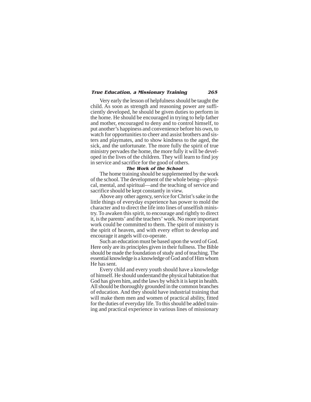### **True Education, a Missionary Training**

Very early the lesson of helpfulness should be taught the child. As soon as strength and reasoning power are sufficiently developed, he should be given duties to perform in the home. He should be encouraged in trying to help father and mother, encouraged to deny and to control himself, to put another's happiness and convenience before his own, to watch for opportunities to cheer and assist brothers and sisters and playmates, and to show kindness to the aged, the sick, and the unfortunate. The more fully the spirit of true ministry pervades the home, the more fully it will be developed in the lives of the children. They will learn to find joy in service and sacrifice for the good of others.

# **The Work of the School**

The home training should be supplemented by the work of the school. The development of the whole being—physical, mental, and spiritual—and the teaching of service and sacrifice should be kept constantly in view.

Above any other agency, service for Christ's sake in the little things of everyday experience has power to mold the character and to direct the life into lines of unselfish ministry. To awaken this spirit, to encourage and rightly to direct it, is the parents' and the teachers' work. No more important work could be committed to them. The spirit of ministry is the spirit of heaven, and with every effort to develop and encourage it angels will co-operate.

Such an education must be based upon the word of God. Here only are its principles given in their fullness. The Bible should be made the foundation of study and of teaching. The essential knowledge is a knowledge of God and of Him whom He has sent.

Every child and every youth should have a knowledge of himself. He should understand the physical habitation that God has given him, and the laws by which it is kept in health. All should be thoroughly grounded in the common branches of education. And they should have industrial training that will make them men and women of practical ability, fitted for the duties of everyday life. To this should be added training and practical experience in various lines of missionary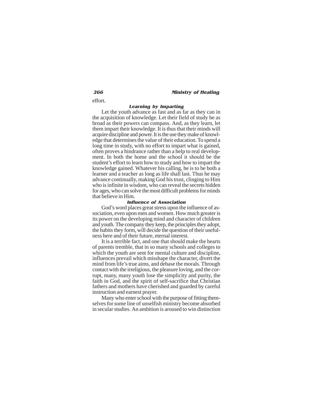effort.

# **Learning by Imparting**

Let the youth advance as fast and as far as they can in the acquisition of knowledge. Let their field of study be as broad as their powers can compass. And, as they learn, let them impart their knowledge. It is thus that their minds will acquire discipline and power. It is the use they make of knowledge that determines the value of their education. To spend a long time in study, with no effort to impart what is gained, often proves a hindrance rather than a help to real development. In both the home and the school it should be the student's effort to learn how to study and how to impart the knowledge gained. Whatever his calling, he is to be both a learner and a teacher as long as life shall last. Thus he may advance continually, making God his trust, clinging to Him who is infinite in wisdom, who can reveal the secrets hidden for ages, who can solve the most difficult problems for minds that believe in Him.

# **Influence of Association**

God's word places great stress upon the influence of association, even upon men and women. How much greater is its power on the developing mind and character of children and youth. The company they keep, the principles they adopt, the habits they form, will decide the question of their usefulness here and of their future, eternal interest.

It is a terrible fact, and one that should make the hearts of parents tremble, that in so many schools and colleges to which the youth are sent for mental culture and discipline, influences prevail which misshape the character, divert the mind from life's true aims, and debase the morals. Through contact with the irreligious, the pleasure loving, and the corrupt, many, many youth lose the simplicity and purity, the faith in God, and the spirit of self-sacrifice that Christian fathers and mothers have cherished and guarded by careful instruction and earnest prayer.

Many who enter school with the purpose of fitting themselves for some line of unselfish ministry become absorbed in secular studies. An ambition is aroused to win distinction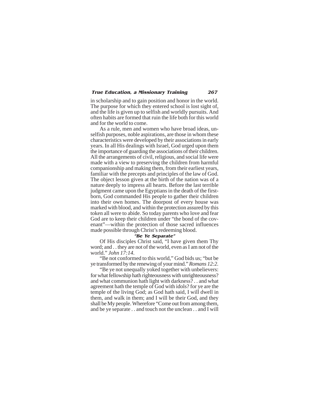**True Education, a Missionary Training**

in scholarship and to gain position and honor in the world. The purpose for which they entered school is lost sight of, and the life is given up to selfish and worldly pursuits. And often habits are formed that ruin the life both for this world and for the world to come.

As a rule, men and women who have broad ideas, unselfish purposes, noble aspirations, are those in whom these characteristics were developed by their associations in early years. In all His dealings with Israel, God urged upon them the importance of guarding the associations of their children. All the arrangements of civil, religious, and social life were made with a view to preserving the children from harmful companionship and making them, from their earliest years, familiar with the precepts and principles of the law of God. The object lesson given at the birth of the nation was of a nature deeply to impress all hearts. Before the last terrible judgment came upon the Egyptians in the death of the firstborn, God commanded His people to gather their children into their own homes. The doorpost of every house was marked with blood, and within the protection assured by this token all were to abide. So today parents who love and fear God are to keep their children under "the bond of the covenant"—within the protection of those sacred influences made possible through Christ's redeeming blood.

#### **"Be Ye Separate"**

Of His disciples Christ said, "I have given them Thy word; and . . they are not of the world, even as I am not of the world." *John 17:14*.

"Be not conformed to this world," God bids us; "but be ye transformed by the renewing of your mind." *Romans 12:2*.

"Be ye not unequally yoked together with unbelievers: for what fellowship hath righteousness with unrighteousness? and what communion hath light with darkness? . . and what agreement hath the temple of God with idols? for ye are the temple of the living God; as God hath said, I will dwell in them, and walk in them; and I will be their God, and they shall be My people. Wherefore "Come out from among them, and be ye separate . . and touch not the unclean . . and I will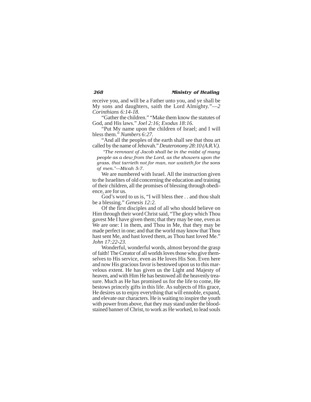receive you, and will be a Father unto you, and ye shall be My sons and daughters, saith the Lord Almighty."—*2 Corinthians 6:14-18.*

"Gather the children." "Make them know the statutes of God, and His laws." *Joel 2:16; Exodus 18:16.*

"Put My name upon the children of Israel; and I will bless them." *Numbers 6:27.*

"And all the peoples of the earth shall see that thou art called by the name of Jehovah." *Deuteronomy 28:10 (A.R.V.).*

*"The remnant of Jacob shall be in the midst of many people as a dew from the Lord, as the showers upon the grass, that tarrieth not for man, nor waiteth for the sons of men."—Micah 5:7.*

We are numbered with Israel. All the instruction given to the Israelites of old concerning the education and training of their children, all the promises of blessing through obedience, are for us.

God's word to us is, "I will bless thee . . and thou shalt be a blessing." *Genesis 12:2.*

Of the first disciples and of all who should believe on Him through their word Christ said, "The glory which Thou gavest Me I have given them; that they may be one, even as We are one: I in them, and Thou in Me, that they may be made perfect in one; and that the world may know that Thou hast sent Me, and hast loved them, as Thou hast loved Me." *John 17:22-23*.

Wonderful, wonderful words, almost beyond the grasp of faith! The Creator of all worlds loves those who give themselves to His service, even as He loves His Son. Even here and now His gracious favor is bestowed upon us to this marvelous extent. He has given us the Light and Majesty of heaven, and with Him He has bestowed all the heavenly treasure. Much as He has promised us for the life to come, He bestows princely gifts in this life. As subjects of His grace, He desires us to enjoy everything that will ennoble, expand, and elevate our characters. He is waiting to inspire the youth with power from above, that they may stand under the bloodstained banner of Christ, to work as He worked, to lead souls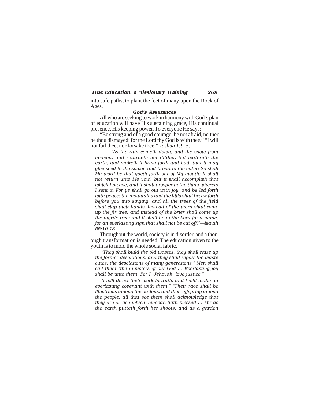### **True Education, a Missionary Training**

into safe paths, to plant the feet of many upon the Rock of Ages.

#### **God's Assurances**

All who are seeking to work in harmony with God's plan of education will have His sustaining grace, His continual presence, His keeping power. To everyone He says:

"Be strong and of a good courage; be not afraid, neither be thou dismayed: for the Lord thy God is with thee." "I will not fail thee, nor forsake thee." *Joshua 1:9, 5*.

 *"As the rain cometh down, and the snow from heaven, and returneth not thither, but watereth the earth, and maketh it bring forth and bud, that it may give seed to the sower, and bread to the eater: So shall My word be that goeth forth out of My mouth: It shall not return unto Me void, but it shall accomplish that which I please, and it shall prosper in the thing whereto I sent it. For ye shall go out with joy, and be led forth with peace: the mountains and the hills shall break forth before you into singing, and all the trees of the field shall clap their hands. Instead of the thorn shall come up the fir tree, and instead of the brier shall come up the myrtle tree: and it shall be to the Lord for a name, for an everlasting sign that shall not be cut off."—Isaiah 55:10-13.*

Throughout the world, society is in disorder, and a thorough transformation is needed. The education given to the youth is to mold the whole social fabric.

*"They shall build the old wastes, they shall raise up the former desolations, and they shall repair the waste cities, the desolations of many generations." Men shall call them "the ministers of our God . . Everlasting joy shall be unto them. For I, Jehovah, love justice."*

*"I will direct their work in truth, and I will make an everlasting covenant with them." "Their race shall be illustrious among the nations, and their offspring among the people; all that see them shall acknowledge that they are a race which Jehovah hath blessed . . For as the earth putteth forth her shoots, and as a garden*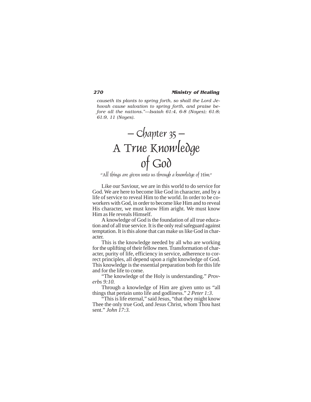*causeth its plants to spring forth, so shall the Lord Jehovah cause salvation to spring forth, and praise before all the nations."—Isaiah 61:4, 6-8 (Noyes); 61:8; 61:9, 11 (Noyes).*



"All things are given unto us through a knowledge of Him."

Like our Saviour, we are in this world to do service for God. We are here to become like God in character, and by a life of service to reveal Him to the world. In order to be coworkers with God, in order to become like Him and to reveal His character, we must know Him aright. We must know Him as He reveals Himself.

A knowledge of God is the foundation of all true education and of all true service. It is the only real safeguard against temptation. It is this alone that can make us like God in character.

This is the knowledge needed by all who are working for the uplifting of their fellow men. Transformation of character, purity of life, efficiency in service, adherence to correct principles, all depend upon a right knowledge of God. This knowledge is the essential preparation both for this life and for the life to come.

"The knowledge of the Holy is understanding." *Proverbs 9:10.*

Through a knowledge of Him are given unto us "all things that pertain unto life and godliness." *2 Peter 1:3*.

"This is life eternal," said Jesus, "that they might know Thee the only true God, and Jesus Christ, whom Thou hast sent." *John 17:3.*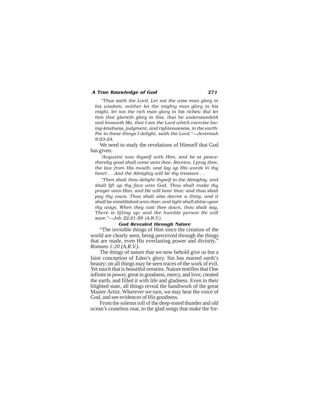### **A True Knowledge of God**

*"Thus saith the Lord, Let not the wise man glory in his wisdom, neither let the mighty man glory in his might, let not the rich man glory in his riches: But let him that glorieth glory in this, that he understandeth and knoweth Me, that I am the Lord which exercise loving-kindness, judgment, and righteousness, in the earth: For in these things I delight, saith the Lord."—Jeremiah 9:23-24.*

We need to study the revelations of Himself that God has given.

*"Acquaint now thyself with Him, and be at peace: thereby good shall come unto thee. Receive, I pray thee, the law from His mouth, and lay up His words in thy heart . . And the Almighty will be thy treasure . .*

*"Then shalt thou delight thyself in the Almighty, and shalt lift up thy face unto God. Thou shalt make thy prayer unto Him, and He will hear thee; and thou shalt pay thy vows. Thou shalt also decree a thing, and it shall be established unto thee; and light shall shine upon thy ways. When they cast thee down, thou shalt say, There is lifting up; and the humble person He will save."—Job 22:21-29 (A.R.V.).*

# **God Revealed through Nature**

"The invisible things of Him since the creation of the world are clearly seen, being perceived through the things that are made, even His everlasting power and divinity." *Romans 1:20 (A.R.V.).*

The things of nature that we now behold give us but a faint conception of Eden's glory. Sin has marred earth's beauty; on all things may be seen traces of the work of evil. Yet much that is beautiful remains. Nature testifies that One infinite in power, great in goodness, mercy, and love, created the earth, and filled it with life and gladness. Even in their blighted state, all things reveal the handiwork of the great Master Artist. Wherever we turn, we may hear the voice of God, and see evidences of His goodness.

From the solemn roll of the deep-toned thunder and old ocean's ceaseless roar, to the glad songs that make the for-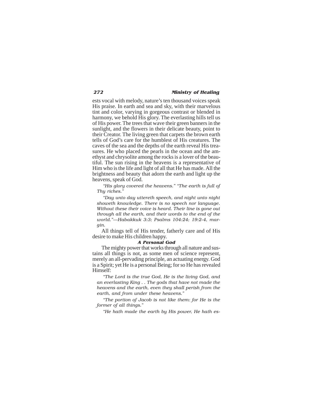ests vocal with melody, nature's ten thousand voices speak His praise. In earth and sea and sky, with their marvelous tint and color, varying in gorgeous contrast or blended in harmony, we behold His glory. The everlasting hills tell us of His power. The trees that wave their green banners in the sunlight, and the flowers in their delicate beauty, point to their Creator. The living green that carpets the brown earth tells of God's care for the humblest of His creatures. The caves of the sea and the depths of the earth reveal His treasures. He who placed the pearls in the ocean and the amethyst and chrysolite among the rocks is a lover of the beautiful. The sun rising in the heavens is a representative of Him who is the life and light of all that He has made. All the brightness and beauty that adorn the earth and light up the heavens, speak of God.

*"His glory covered the heavens." "The earth is full of Thy riches."*

*"Day unto day uttereth speech, and night unto night showeth knowledge. There is no speech nor language. Without these their voice is heard. Their line is gone out through all the earth, and their words to the end of the world."—Habakkuk 3:3; Psalms 104:24; 19:2-4, margin.*

All things tell of His tender, fatherly care and of His desire to make His children happy.

### **A Personal God**

The mighty power that works through all nature and sustains all things is not, as some men of science represent, merely an all-pervading principle, an actuating energy. God is a Spirit; yet He is a personal Being; for so He has revealed Himself:

*"The Lord is the true God, He is the living God, and an everlasting King . . The gods that have not made the heavens and the earth, even they shall perish from the earth, and from under these heavens."*

*"The portion of Jacob is not like them: for He is the former of all things."*

*"He hath made the earth by His power, He hath es-*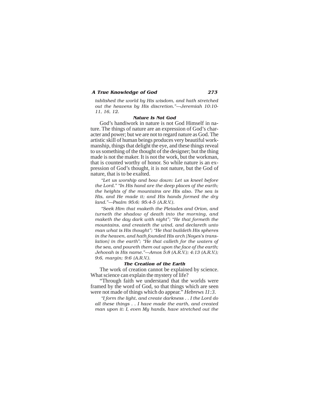#### **A True Knowledge of God**

*tablished the world by His wisdom, and hath stretched out the heavens by His discretion."—Jeremiah 10:10- 11, 16, 12.*

# **Nature Is Not God**

God's handiwork in nature is not God Himself in nature. The things of nature are an expression of God's character and power; but we are not to regard nature as God. The artistic skill of human beings produces very beautiful workmanship, things that delight the eye, and these things reveal to us something of the thought of the designer; but the thing made is not the maker. It is not the work, but the workman, that is counted worthy of honor. So while nature is an expression of God's thought, it is not nature, but the God of nature, that is to be exalted.

*"Let us worship and bow down: Let us kneel before the Lord." "In His hand are the deep places of the earth; the heights of the mountains are His also. The sea is His, and He made it; and His hands formed the dry land."—Psalm 95:6; 95:4-5 (A.R.V.).*

*"Seek Him that maketh the Pleiades and Orion, and turneth the shadow of death into the morning, and maketh the day dark with night"; "He that formeth the mountains, and createth the wind, and declareth unto man what is His thought"; "He that buildeth His spheres in the heaven, and hath founded His arch [Noyes's translation] in the earth"; "He that calleth for the waters of the sea, and poureth them out upon the face of the earth; Jehovah is His name."—Amos 5:8 (A.R.V.); 4:13 (A.R.V.); 9:6, margin; 9:6 (A.R.V.).*

# **The Creation of the Earth**

The work of creation cannot be explained by science. What science can explain the mystery of life?

"Through faith we understand that the worlds were framed by the word of God, so that things which are seen were not made of things which do appear." *Hebrews 11:3*.

*"I form the light, and create darkness . . I the Lord do all these things . . I have made the earth, and created man upon it: I, even My hands, have stretched out the*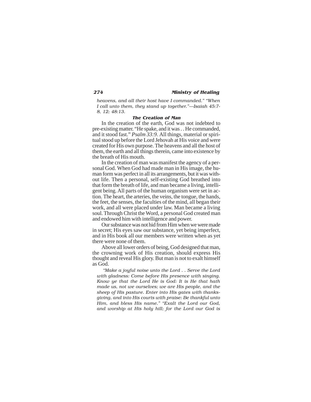*heavens, and all their host have I commanded." "When I call unto them, they stand up together."—Isaiah 45:7- 8, 12; 48:13.*

# **The Creation of Man**

In the creation of the earth, God was not indebted to pre-existing matter. "He spake, and it was . . He commanded, and it stood fast." *Psalm 33:9*. All things, material or spiritual stood up before the Lord Jehovah at His voice and were created for His own purpose. The heavens and all the host of them, the earth and all things therein, came into existence by the breath of His mouth.

In the creation of man was manifest the agency of a personal God. When God had made man in His image, the human form was perfect in all its arrangements, but it was without life. Then a personal, self-existing God breathed into that form the breath of life, and man became a living, intelligent being. All parts of the human organism were set in action. The heart, the arteries, the veins, the tongue, the hands, the feet, the senses, the faculties of the mind, all began their work, and all were placed under law. Man became a living soul. Through Christ the Word, a personal God created man and endowed him with intelligence and power.

Our substance was not hid from Him when we were made in secret; His eyes saw our substance, yet being imperfect, and in His book all our members were written when as yet there were none of them.

Above all lower orders of being, God designed that man, the crowning work of His creation, should express His thought and reveal His glory. But man is not to exalt himself as God.

*"Make a joyful noise unto the Lord . . Serve the Lord with gladness: Come before His presence with singing. Know ye that the Lord He is God: It is He that hath made us, not we ourselves; we are His people, and the sheep of His pasture. Enter into His gates with thanksgiving, and into His courts with praise: Be thankful unto Him, and bless His name." "Exalt the Lord our God, and worship at His holy hill; for the Lord our God is*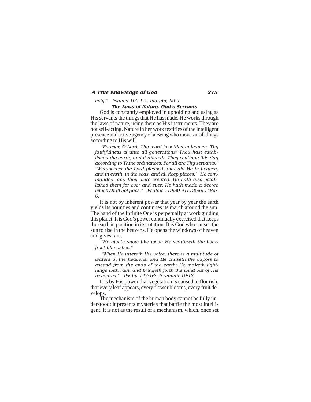### **A True Knowledge of God**

*holy."—Psalms 100:1-4, margin; 99:9.*

### **The Laws of Nature, God's Servants**

God is constantly employed in upholding and using as His servants the things that He has made. He works through the laws of nature, using them as His instruments. They are not self-acting. Nature in her work testifies of the intelligent presence and active agency of a Being who moves in all things according to His will.

*"Forever, O Lord, Thy word is settled in heaven. Thy faithfulness is unto all generations: Thou hast established the earth, and it abideth. They continue this day according to Thine ordinances: For all are Thy servants." "Whatsoever the Lord pleased, that did He in heaven, and in earth, in the seas, and all deep places." "He commanded, and they were created. He hath also established them for ever and ever: He hath made a decree which shall not pass."—Psalms 119:89-91; 135:6; 148:5- 6.*

It is not by inherent power that year by year the earth yields its bounties and continues its march around the sun. The hand of the Infinite One is perpetually at work guiding this planet. It is God's power continually exercised that keeps the earth in position in its rotation. It is God who causes the sun to rise in the heavens. He opens the windows of heaven and gives rain.

*"He giveth snow like wool: He scattereth the hoarfrost like ashes."*

*"When He uttereth His voice, there is a multitude of waters in the heavens, and He causeth the vapors to ascend from the ends of the earth; He maketh lightnings with rain, and bringeth forth the wind out of His treasures."—Psalm 147:16; Jeremiah 10:13.*

It is by His power that vegetation is caused to flourish, that every leaf appears, every flower blooms, every fruit develops.

The mechanism of the human body cannot be fully understood; it presents mysteries that baffle the most intelligent. It is not as the result of a mechanism, which, once set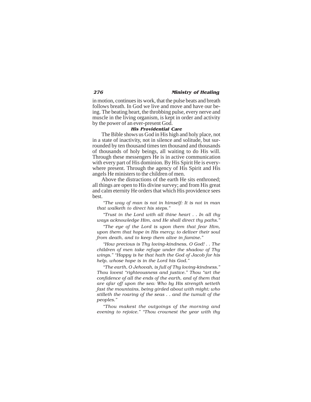in motion, continues its work, that the pulse beats and breath follows breath. In God we live and move and have our being. The beating heart, the throbbing pulse, every nerve and muscle in the living organism, is kept in order and activity by the power of an ever-present God.

# **His Providential Care**

The Bible shows us God in His high and holy place, not in a state of inactivity, not in silence and solitude, but surrounded by ten thousand times ten thousand and thousands of thousands of holy beings, all waiting to do His will. Through these messengers He is in active communication with every part of His dominion. By His Spirit He is everywhere present. Through the agency of His Spirit and His angels He ministers to the children of men.

Above the distractions of the earth He sits enthroned; all things are open to His divine survey; and from His great and calm eternity He orders that which His providence sees best.

*"The way of man is not in himself: It is not in man that walketh to direct his steps."*

*"Trust in the Lord with all thine heart . . In all thy ways acknowledge Him, and He shall direct thy paths."*

*"The eye of the Lord is upon them that fear Him, upon them that hope in His mercy; to deliver their soul from death, and to keep them alive in famine."*

*"How precious is Thy loving-kindness, O God! . . The children of men take refuge under the shadow of Thy wings." "Happy is he that hath the God of Jacob for his help, whose hope is in the Lord his God."*

*"The earth, O Jehovah, is full of Thy loving-kindness." Thou lovest "righteousness and justice." Thou "art the confidence of all the ends of the earth, and of them that are afar off upon the sea: Who by His strength setteth fast the mountains, being girded about with might; who stilleth the roaring of the seas . . and the tumult of the peoples."*

*"Thou makest the outgoings of the morning and evening to rejoice." "Thou crownest the year with thy*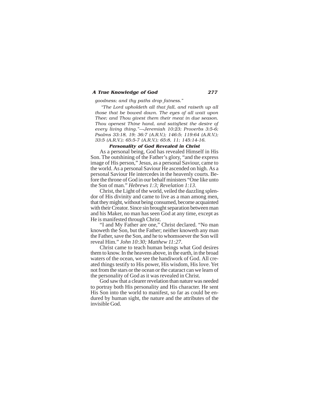# **A True Knowledge of God**

*goodness; and thy paths drop fatness."*

*"The Lord upholdeth all that fall, and raiseth up all those that be bowed down. The eyes of all wait upon Thee; and Thou givest them their meat in due season. Thou openest Thine hand, and satisfiest the desire of every living thing."—Jeremiah 10:23; Proverbs 3:5-6; Psalms 33:18, 19; 36:7 (A.R.V.); 146:5; 119:64 (A.R.V.); 33:5 (A.R.V.); 65:5-7 (A.R.V.); 65:8, 11; 145:14-16.*

# **Personality of God Revealed in Christ**

As a personal being, God has revealed Himself in His Son. The outshining of the Father's glory, "and the express image of His person," Jesus, as a personal Saviour, came to the world. As a personal Saviour He ascended on high. As a personal Saviour He intercedes in the heavenly courts. Before the throne of God in our behalf ministers "One like unto the Son of man." *Hebrews 1:3; Revelation 1:13*.

Christ, the Light of the world, veiled the dazzling splendor of His divinity and came to live as a man among men, that they might, without being consumed, become acquainted with their Creator. Since sin brought separation between man and his Maker, no man has seen God at any time, except as He is manifested through Christ.

"I and My Father are one," Christ declared. "No man knoweth the Son, but the Father; neither knoweth any man the Father, save the Son, and he to whomsoever the Son will reveal Him." *John 10:30; Matthew 11:27*.

Christ came to teach human beings what God desires them to know. In the heavens above, in the earth, in the broad waters of the ocean, we see the handiwork of God. All created things testify to His power, His wisdom, His love. Yet not from the stars or the ocean or the cataract can we learn of the personality of God as it was revealed in Christ.

God saw that a clearer revelation than nature was needed to portray both His personality and His character. He sent His Son into the world to manifest, so far as could be endured by human sight, the nature and the attributes of the invisible God.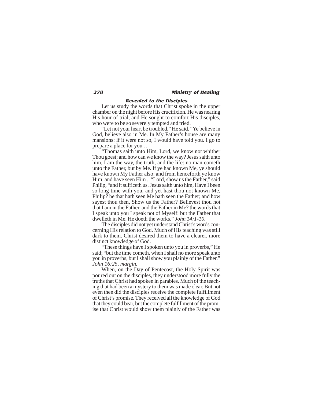# **Revealed to the Disciples**

Let us study the words that Christ spoke in the upper chamber on the night before His crucifixion. He was nearing His hour of trial, and He sought to comfort His disciples, who were to be so severely tempted and tried.

"Let not your heart be troubled," He said. "Ye believe in God, believe also in Me. In My Father's house are many mansions: if it were not so, I would have told you. I go to prepare a place for you . .

"Thomas saith unto Him, Lord, we know not whither Thou goest; and how can we know the way? Jesus saith unto him, I am the way, the truth, and the life: no man cometh unto the Father, but by Me. If ye had known Me, ye should have known My Father also: and from henceforth ye know Him, and have seen Him . ."Lord, show us the Father," said Philip, "and it sufficeth us. Jesus saith unto him, Have I been so long time with you, and yet hast thou not known Me, Philip? he that hath seen Me hath seen the Father; and how sayest thou then, Show us the Father? Believest thou not that I am in the Father, and the Father in Me? the words that I speak unto you I speak not of Myself: but the Father that dwelleth in Me, He doeth the works." *John 14:1-10*.

The disciples did not yet understand Christ's words concerning His relation to God. Much of His teaching was still dark to them. Christ desired them to have a clearer, more distinct knowledge of God.

"These things have I spoken unto you in proverbs," He said; "but the time cometh, when I shall no more speak unto you in proverbs, but I shall show you plainly of the Father." *John 16:25, margin.*

When, on the Day of Pentecost, the Holy Spirit was poured out on the disciples, they understood more fully the truths that Christ had spoken in parables. Much of the teaching that had been a mystery to them was made clear. But not even then did the disciples receive the complete fulfillment of Christ's promise. They received all the knowledge of God that they could bear, but the complete fulfillment of the promise that Christ would show them plainly of the Father was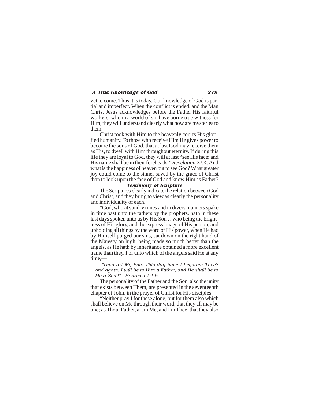# **A True Knowledge of God**

yet to come. Thus it is today. Our knowledge of God is partial and imperfect. When the conflict is ended, and the Man Christ Jesus acknowledges before the Father His faithful workers, who in a world of sin have borne true witness for Him, they will understand clearly what now are mysteries to them.

Christ took with Him to the heavenly courts His glorified humanity. To those who receive Him He gives power to become the sons of God, that at last God may receive them as His, to dwell with Him throughout eternity. If during this life they are loyal to God, they will at last "see His face; and His name shall be in their foreheads." *Revelation 22:4*. And what is the happiness of heaven but to see God? What greater joy could come to the sinner saved by the grace of Christ than to look upon the face of God and know Him as Father?

# **Testimony of Scripture**

The Scriptures clearly indicate the relation between God and Christ, and they bring to view as clearly the personality and individuality of each.

"God, who at sundry times and in divers manners spake in time past unto the fathers by the prophets, hath in these last days spoken unto us by His Son . . who being the brightness of His glory, and the express image of His person, and upholding all things by the word of His power, when He had by Himself purged our sins, sat down on the right hand of the Majesty on high; being made so much better than the angels, as He hath by inheritance obtained a more excellent name than they. For unto which of the angels said He at any time,—

*"Thou art My Son. This day have I begotten Thee? And again, I will be to Him a Father, and He shall be to Me a Son?"—Hebrews 1:1-5.*

The personality of the Father and the Son, also the unity that exists between Them, are presented in the seventeenth chapter of John, in the prayer of Christ for His disciples:

"Neither pray I for these alone, but for them also which shall believe on Me through their word; that they all may be one; as Thou, Father, art in Me, and I in Thee, that they also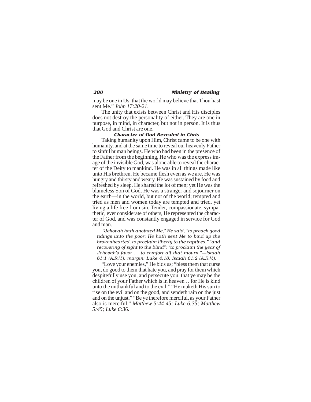may be one in Us: that the world may believe that Thou hast sent Me." *John 17:20-21*.

The unity that exists between Christ and His disciples does not destroy the personality of either. They are one in purpose, in mind, in character, but not in person. It is thus that God and Christ are one.

# **Character of God Revealed in Chris**

Taking humanity upon Him, Christ came to be one with humanity, and at the same time to reveal our heavenly Father to sinful human beings. He who had been in the presence of the Father from the beginning, He who was the express image of the invisible God, was alone able to reveal the character of the Deity to mankind. He was in all things made like unto His brethren. He became flesh even as we are. He was hungry and thirsty and weary. He was sustained by food and refreshed by sleep. He shared the lot of men; yet He was the blameless Son of God. He was a stranger and sojourner on the earth—in the world, but not of the world; tempted and tried as men and women today are tempted and tried, yet living a life free from sin. Tender, compassionate, sympathetic, ever considerate of others, He represented the character of God, and was constantly engaged in service for God and man.

*"Jehovah hath anointed Me," He said, "to preach good tidings unto the poor; He hath sent Me to bind up the brokenhearted, to proclaim liberty to the captives," "and recovering of sight to the blind"; "to proclaim the year of Jehovah's favor . . to comfort all that mourn."—Isaiah 61:1 (A.R.V.), margin; Luke 4:18; Isaiah 61:2 (A.R.V.).*

"Love your enemies," He bids us; "bless them that curse you, do good to them that hate you, and pray for them which despitefully use you, and persecute you; that ye may be the children of your Father which is in heaven . . for He is kind unto the unthankful and to the evil." "He maketh His sun to rise on the evil and on the good, and sendeth rain on the just and on the unjust." "Be ye therefore merciful, as your Father also is merciful." *Matthew 5:44-45; Luke 6:35; Matthew 5:45; Luke 6:36.*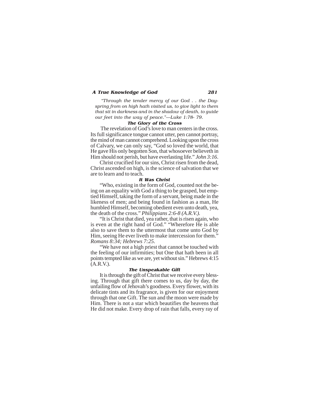### **A True Knowledge of God**

*"Through the tender mercy of our God . . the Dayspring from on high hath visited us, to give light to them that sit in darkness and in the shadow of death, to guide our feet into the way of peace."—Luke 1:78- 79.*

# **The Glory of the Cross**

 The revelation of God's love to man centers in the cross. Its full significance tongue cannot utter, pen cannot portray, the mind of man cannot comprehend. Looking upon the cross of Calvary, we can only say, "God so loved the world, that He gave His only begotten Son, that whosoever believeth in Him should not perish, but have everlasting life." *John 3:16*.

Christ crucified for our sins, Christ risen from the dead, Christ ascended on high, is the science of salvation that we are to learn and to teach.

#### **It Was Christ**

"Who, existing in the form of God, counted not the being on an equality with God a thing to be grasped, but emptied Himself, taking the form of a servant, being made in the likeness of men; and being found in fashion as a man, He humbled Himself, becoming obedient even unto death, yea, the death of the cross." *Philippians 2:6-8 (A.R.V.).*

"It is Christ that died, yea rather, that is risen again, who is even at the right hand of God." "Wherefore He is able also to save them to the uttermost that come unto God by Him, seeing He ever liveth to make intercession for them." *Romans 8:34; Hebrews 7:25*.

"We have not a high priest that cannot be touched with the feeling of our infirmities; but One that hath been in all points tempted like as we are, yet without sin." Hebrews 4:15  $(A.R.V.).$ 

### **The Unspeakable Gift**

It is through the gift of Christ that we receive every blessing. Through that gift there comes to us, day by day, the unfailing flow of Jehovah's goodness. Every flower, with its delicate tints and its fragrance, is given for our enjoyment through that one Gift. The sun and the moon were made by Him. There is not a star which beautifies the heavens that He did not make. Every drop of rain that falls, every ray of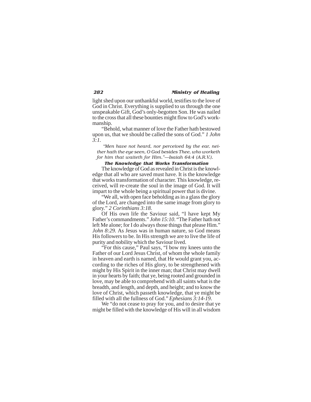light shed upon our unthankful world, testifies to the love of God in Christ. Everything is supplied to us through the one unspeakable Gift, God's only-begotten Son. He was nailed to the cross that all these bounties might flow to God's workmanship.

"Behold, what manner of love the Father hath bestowed upon us, that we should be called the sons of God." *1 John 3:1.*

*"Men have not heard, nor perceived by the ear, neither hath the eye seen, O God besides Thee, who worketh for him that waiteth for Him."—Isaiah 64:4 (A.R.V.).*

# **The Knowledge that Works Transformation**

The knowledge of God as revealed in Christ is the knowledge that all who are saved must have. It is the knowledge that works transformation of character. This knowledge, received, will re-create the soul in the image of God. It will impart to the whole being a spiritual power that is divine.

"We all, with open face beholding as in a glass the glory of the Lord, are changed into the same image from glory to glory." *2 Corinthians 3:18*.

Of His own life the Saviour said, "I have kept My Father's commandments." *John 15:10*. "The Father hath not left Me alone; for I do always those things that please Him." *John 8:29.* As Jesus was in human nature, so God means His followers to be. In His strength we are to live the life of purity and nobility which the Saviour lived.

"For this cause," Paul says, "I bow my knees unto the Father of our Lord Jesus Christ, of whom the whole family in heaven and earth is named, that He would grant you, according to the riches of His glory, to be strengthened with might by His Spirit in the inner man; that Christ may dwell in your hearts by faith; that ye, being rooted and grounded in love, may be able to comprehend with all saints what is the breadth, and length, and depth, and height; and to know the love of Christ, which passeth knowledge, that ye might be filled with all the fullness of God." *Ephesians 3:14-19*.

We "do not cease to pray for you, and to desire that ye might be filled with the knowledge of His will in all wisdom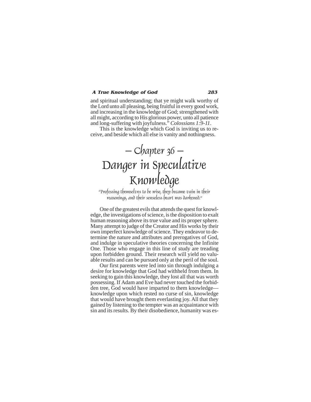# **A True Knowledge of God**

and spiritual understanding; that ye might walk worthy of the Lord unto all pleasing, being fruitful in every good work, and increasing in the knowledge of God; strengthened with all might, according to His glorious power, unto all patience and long-suffering with joyfulness." *Colossians 1:9-11*.

This is the knowledge which God is inviting us to receive, and beside which all else is vanity and nothingness.

– Chapter 36 – Danger in Speculative Knowledge

"Professing themselves to be wise, they became vain in their reasonings, and their senseless heart was darkened."

One of the greatest evils that attends the quest for knowledge, the investigations of science, is the disposition to exalt human reasoning above its true value and its proper sphere. Many attempt to judge of the Creator and His works by their own imperfect knowledge of science. They endeavor to determine the nature and attributes and prerogatives of God, and indulge in speculative theories concerning the Infinite One. Those who engage in this line of study are treading upon forbidden ground. Their research will yield no valuable results and can be pursued only at the peril of the soul.

Our first parents were led into sin through indulging a desire for knowledge that God had withheld from them. In seeking to gain this knowledge, they lost all that was worth possessing. If Adam and Eve had never touched the forbidden tree, God would have imparted to them knowledge knowledge upon which rested no curse of sin, knowledge that would have brought them everlasting joy. All that they gained by listening to the tempter was an acquaintance with sin and its results. By their disobedience, humanity was es-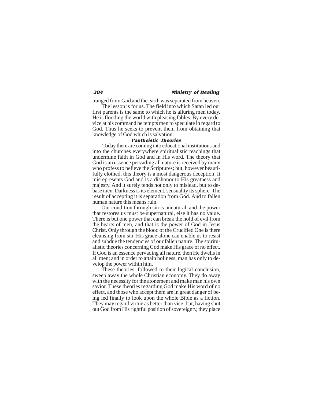tranged from God and the earth was separated from heaven.

The lesson is for us. The field into which Satan led our first parents is the same to which he is alluring men today. He is flooding the world with pleasing fables. By every device at his command he tempts men to speculate in regard to God. Thus he seeks to prevent them from obtaining that knowledge of God which is salvation.

### **Pantheistic Theories**

 Today there are coming into educational institutions and into the churches everywhere spiritualistic teachings that undermine faith in God and in His word. The theory that God is an essence pervading all nature is received by many who profess to believe the Scriptures; but, however beautifully clothed, this theory is a most dangerous deception. It misrepresents God and is a dishonor to His greatness and majesty. And it surely tends not only to mislead, but to debase men. Darkness is its element, sensuality its sphere. The result of accepting it is separation from God. And to fallen human nature this means ruin.

Our condition through sin is unnatural, and the power that restores us must be supernatural, else it has no value. There is but one power that can break the hold of evil from the hearts of men, and that is the power of God in Jesus Christ. Only through the blood of the Crucified One is there cleansing from sin. His grace alone can enable us to resist and subdue the tendencies of our fallen nature. The spiritualistic theories concerning God make His grace of no effect. If God is an essence pervading all nature, then He dwells in all men; and in order to attain holiness, man has only to develop the power within him.

These theories, followed to their logical conclusion, sweep away the whole Christian economy. They do away with the necessity for the atonement and make man his own savior. These theories regarding God make His word of no effect, and those who accept them are in great danger of being led finally to look upon the whole Bible as a fiction. They may regard virtue as better than vice; but, having shut out God from His rightful position of sovereignty, they place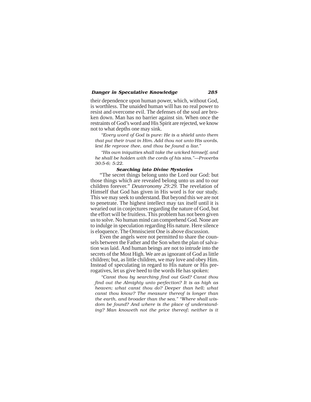# **Danger in Speculative Knowledge**

their dependence upon human power, which, without God, is worthless. The unaided human will has no real power to resist and overcome evil. The defenses of the soul are broken down. Man has no barrier against sin. When once the restraints of God's word and His Spirit are rejected, we know not to what depths one may sink.

*"Every word of God is pure: He is a shield unto them that put their trust in Him. Add thou not unto His words, lest He reprove thee, and thou be found a liar."*

*"His own iniquities shall take the wicked himself, and he shall be holden with the cords of his sins."—Proverbs 30:5-6; 5:22.*

# **Searching into Divine Mysteries**

"The secret things belong unto the Lord our God: but those things which are revealed belong unto us and to our children forever." *Deuteronomy 29:29*. The revelation of Himself that God has given in His word is for our study. This we may seek to understand. But beyond this we are not to penetrate. The highest intellect may tax itself until it is wearied out in conjectures regarding the nature of God, but the effort will be fruitless. This problem has not been given us to solve. No human mind can comprehend God. None are to indulge in speculation regarding His nature. Here silence is eloquence. The Omniscient One is above discussion.

Even the angels were not permitted to share the counsels between the Father and the Son when the plan of salvation was laid. And human beings are not to intrude into the secrets of the Most High. We are as ignorant of God as little children; but, as little children, we may love and obey Him. Instead of speculating in regard to His nature or His prerogatives, let us give heed to the words He has spoken:

*"Canst thou by searching find out God? Canst thou find out the Almighty unto perfection? It is as high as heaven; what canst thou do? Deeper than hell; what canst thou know? The measure thereof is longer than the earth, and broader than the sea." "Where shall wisdom be found? And where is the place of understanding? Man knoweth not the price thereof; neither is it*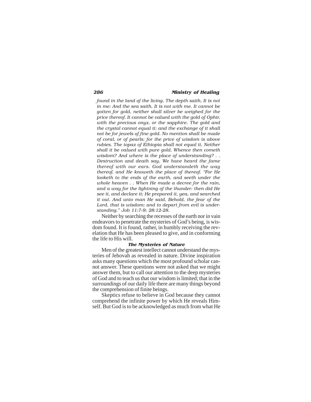*found in the land of the living. The depth saith, It is not in me: And the sea saith, It is not with me. It cannot be gotten for gold, neither shall silver be weighed for the price thereof. It cannot be valued with the gold of Ophir, with the precious onyx, or the sapphire. The gold and the crystal cannot equal it: and the exchange of it shall not be for jewels of fine gold. No mention shall be made of coral, or of pearls: for the price of wisdom is above rubies. The topaz of Ethiopia shall not equal it, Neither shall it be valued with pure gold. Whence then cometh wisdom? And where is the place of understanding? . . Destruction and death say, We have heard the fame thereof with our ears. God understandeth the way thereof, and He knoweth the place of thereof. "For He looketh to the ends of the earth, and seeth under the whole heaven . . When He made a decree for the rain, and a way for the lightning of the thunder: then did He see it, and declare it; He prepared it, yea, and searched it out. And unto man He said, Behold, the fear of the Lord, that is wisdom; and to depart from evil is understanding." Job 11:7-9; 28:12-28.*

Neither by searching the recesses of the earth nor in vain endeavors to penetrate the mysteries of God's being, is wisdom found. It is found, rather, in humbly receiving the revelation that He has been pleased to give, and in conforming the life to His will.

### **The Mysteries of Nature**

Men of the greatest intellect cannot understand the mysteries of Jehovah as revealed in nature. Divine inspiration asks many questions which the most profound scholar cannot answer. These questions were not asked that we might answer them, but to call our attention to the deep mysteries of God and to teach us that our wisdom is limited; that in the surroundings of our daily life there are many things beyond the comprehension of finite beings.

Skeptics refuse to believe in God because they cannot comprehend the infinite power by which He reveals Himself. But God is to be acknowledged as much from what He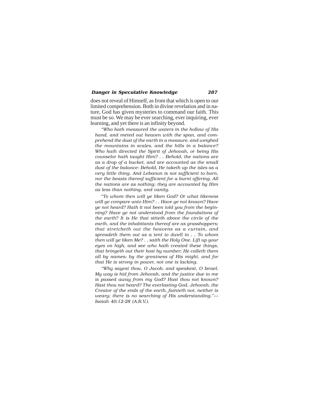# **Danger in Speculative Knowledge**

does not reveal of Himself, as from that which is open to our limited comprehension. Both in divine revelation and in nature, God has given mysteries to command our faith. This must be so. We may be ever searching, ever inquiring, ever learning, and yet there is an infinity beyond.

*"Who hath measured the waters in the hollow of His hand, and meted out heaven with the span, and comprehend the dust of the earth in a measure, and weighed the mountains in scales, and the hills in a balance? Who hath directed the Spirit of Jehovah, or being His counselor hath taught Him? . . Behold, the nations are as a drop of a bucket, and are accounted as the small dust of the balance: Behold, He taketh up the isles as a very little thing. And Lebanon is not sufficient to burn, nor the beasts thereof sufficient for a burnt offering. All the nations are as nothing; they are accounted by Him as less than nothing, and vanity.*

*"To whom then will ye liken God? Or what likeness will ye compare unto Him? . . Have ye not known? Have ye not heard? Hath it not been told you from the beginning? Have ye not understood from the foundations of the earth? It is He that sitteth above the circle of the earth, and the inhabitants thereof are as grasshoppers; that stretcheth out the heavens as a curtain, and spreadeth them out as a tent to dwell in . . To whom then will ye liken Me? . . saith the Holy One. Lift up your eyes on high, and see who hath created these things, that bringeth out their host by number; He calleth them all by names; by the greatness of His might, and for that He is strong in power, not one is lacking.*

*"Why sayest thou, O Jacob, and speakest, O Israel, My way is hid from Jehovah, and the justice due to me is passed away from my God? Hast thou not known? Hast thou not heard? The everlasting God, Jehovah, the Creator of the ends of the earth, fainteth not, neither is weary; there is no searching of His understanding."— Isaiah 40:12-28 (A.R.V.).*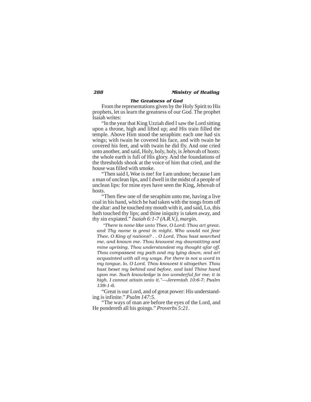# **The Greatness of God**

From the representations given by the Holy Spirit to His prophets, let us learn the greatness of our God. The prophet Isaiah writes:

"In the year that King Uzziah died I saw the Lord sitting upon a throne, high and lifted up; and His train filled the temple. Above Him stood the seraphim: each one had six wings; with twain he covered his face, and with twain he covered his feet, and with twain he did fly. And one cried unto another, and said, Holy, holy, holy, is Jehovah of hosts: the whole earth is full of His glory. And the foundations of the thresholds shook at the voice of him that cried, and the house was filled with smoke.

"Then said I, Woe is me! for I am undone; because I am a man of unclean lips, and I dwell in the midst of a people of unclean lips: for mine eyes have seen the King, Jehovah of hosts.

"Then flew one of the seraphim unto me, having a live coal in his hand, which he had taken with the tongs from off the altar: and he touched my mouth with it, and said, Lo, this hath touched thy lips; and thine iniquity is taken away, and thy sin expiated." *Isaiah 6:1-7 (A.R.V.), margin*.

*"There is none like unto Thee, O Lord; Thou art great, and Thy name is great in might. Who would not fear Thee, O King of nations? . . O Lord, Thou hast searched me, and known me. Thou knowest my downsitting and mine uprising, Thou understandest my thought afar off. Thou compassest my path and my lying down, and art acquainted with all my ways. For there is not a word in my tongue, lo, O Lord, Thou knowest it altogether. Thou hast beset my behind and before, and laid Thine hand upon me. Such knowledge is too wonderful for me; it is high, I cannot attain unto it."—Jeremiah 10:6-7; Psalm 139:1-6.*

"Great is our Lord, and of great power: His understanding is infinite." *Psalm 147:5*.

"The ways of man are before the eyes of the Lord, and He pondereth all his goings." *Proverbs 5:21*.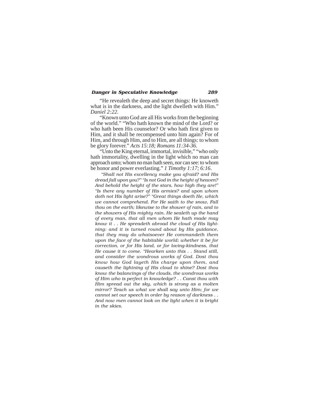#### **Danger in Speculative Knowledge**

"He revealeth the deep and secret things: He knoweth what is in the darkness, and the light dwelleth with Him." *Daniel 2:22*.

"Known unto God are all His works from the beginning of the world." "Who hath known the mind of the Lord? or who hath been His counselor? Or who hath first given to Him, and it shall be recompensed unto him again? For of Him, and through Him, and to Him, are all things: to whom be glory forever." *Acts 15:18; Romans 11:34-36*.

"Unto the King eternal, immortal, invisible," "who only hath immortality, dwelling in the light which no man can approach unto; whom no man hath seen, nor can see: to whom be honor and power everlasting." *1 Timothy 1:17; 6:16*.

*"Shall not His excellency make you afraid? and His dread fall upon you?" "Is not God in the height of heaven? And behold the height of the stars, how high they are!" "Is there any number of His armies? and upon whom doth not His light arise?" "Great things doeth He, which we cannot comprehend. For He saith to the snow, Fall thou on the earth; likewise to the shower of rain, and to the showers of His mighty rain. He sealeth up the hand of every man, that all men whom He hath made may know it . . He spreadeth abroad the cloud of His lightning: and it is turned round about by His guidance, that they may do whatsoever He commandeth them upon the face of the habitable world; whether it be for correction, or for His land, or for loving-kindness, that He cause it to come. "Hearken unto this . . Stand still, and consider the wondrous works of God. Dost thou know how God layeth His charge upon them, and causeth the lightning of His cloud to shine? Dost thou know the balancings of the clouds, the wondrous works of Him who is perfect in knowledge? . . Canst thou with Him spread out the sky, which is strong as a molten mirror? Teach us what we shall say unto Him; for we cannot set our speech in order by reason of darkness . . And now men cannot look on the light when it is bright in the skies.*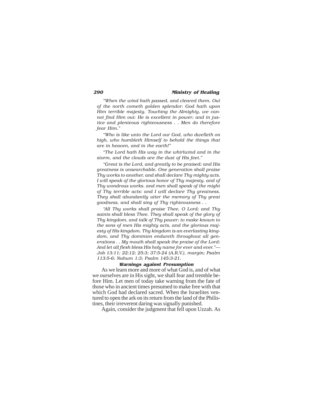*"When the wind hath passed, and cleared them. Out of the north cometh golden splendor: God hath upon Him terrible majesty. Touching the Almighty, we cannot find Him out: He is excellent in power; and in justice and plenteous righteousness . . Men do therefore fear Him."*

*"Who is like unto the Lord our God, who dwelleth on high, who humbleth Himself to behold the things that are in heaven, and in the earth!"*

*"The Lord hath His way in the whirlwind and in the storm, and the clouds are the dust of His feet."*

*"Great is the Lord, and greatly to be praised; and His greatness is unsearchable. One generation shall praise Thy works to another, and shall declare Thy mighty acts. I will speak of the glorious honor of Thy majesty, and of Thy wondrous works. and men shall speak of the might of Thy terrible acts: and I will declare Thy greatness. They shall abundantly utter the memory of Thy great goodness, and shall sing of Thy righteousness . .*

*"All Thy works shall praise Thee, O Lord; and Thy saints shall bless Thee. They shall speak of the glory of Thy kingdom, and talk of Thy power; to make known to the sons of men His mighty acts, and the glorious majesty of His kingdom. Thy kingdom is an everlasting kingdom, and Thy dominion endureth throughout all generations . . My mouth shall speak the praise of the Lord: And let all flesh bless His holy name for ever and ever."— Job 13:11; 22:12; 25:3; 37:5-24 (A.R.V.), margin; Psalm 113:5-6; Nahum 1:3; Psalm 145:3-21.*

# **Warnings against Presumption**

As we learn more and more of what God is, and of what we ourselves are in His sight, we shall fear and tremble before Him. Let men of today take warning from the fate of those who in ancient times presumed to make free with that which God had declared sacred. When the Israelites ventured to open the ark on its return from the land of the Philistines, their irreverent daring was signally punished.

Again, consider the judgment that fell upon Uzzah. As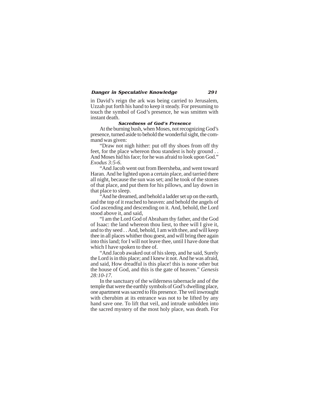### **Danger in Speculative Knowledge**

in David's reign the ark was being carried to Jerusalem, Uzzah put forth his hand to keep it steady. For presuming to touch the symbol of God's presence, he was smitten with instant death.

### **Sacredness of God's Presence**

At the burning bush, when Moses, not recognizing God's presence, turned aside to behold the wonderful sight, the command was given:

"Draw not nigh hither: put off thy shoes from off thy feet, for the place whereon thou standest is holy ground . . And Moses hid his face; for he was afraid to look upon God." *Exodus 3:5-6*.

"And Jacob went out from Beersheba, and went toward Haran. And he lighted upon a certain place, and tarried there all night, because the sun was set; and he took of the stones of that place, and put them for his pillows, and lay down in that place to sleep.

"And he dreamed, and behold a ladder set up on the earth, and the top of it reached to heaven: and behold the angels of God ascending and descending on it. And, behold, the Lord stood above it, and said,

"I am the Lord God of Abraham thy father, and the God of Isaac: the land whereon thou liest, to thee will I give it, and to thy seed . . And, behold, I am with thee, and will keep thee in all places whither thou goest, and will bring thee again into this land; for I will not leave thee, until I have done that which I have spoken to thee of.

"And Jacob awaked out of his sleep, and he said, Surely the Lord is in this place; and I knew it not. And he was afraid, and said, How dreadful is this place! this is none other but the house of God, and this is the gate of heaven." *Genesis 28:10-17.*

In the sanctuary of the wilderness tabernacle and of the temple that were the earthly symbols of God's dwelling place, one apartment was sacred to His presence. The veil inwrought with cherubim at its entrance was not to be lifted by any hand save one. To lift that veil, and intrude unbidden into the sacred mystery of the most holy place, was death. For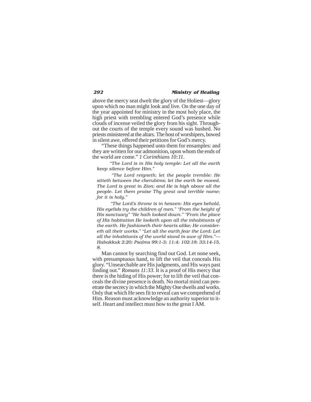above the mercy seat dwelt the glory of the Holiest—glory upon which no man might look and live. On the one day of the year appointed for ministry in the most holy place, the high priest with trembling entered God's presence while clouds of incense veiled the glory from his sight. Throughout the courts of the temple every sound was hushed. No priests ministered at the altars. The host of worshipers, bowed in silent awe, offered their petitions for God's mercy.

"These things happened unto them for ensamples: and they are written for our admonition, upon whom the ends of the world are come." *1 Corinthians 10:11*.

 *"The Lord is in His holy temple: Let all the earth keep silence before Him."*

 *"The Lord reigneth; let the people tremble: He sitteth between the cherubims; let the earth be moved. The Lord is great in Zion; and He is high above all the people. Let them praise Thy great and terrible name; for it is holy."*

 *"The Lord's throne is in heaven: His eyes behold, His eyelids try the children of men." "From the height of His sanctuary" "He hath looked down." "From the place of His habitation He looketh upon all the inhabitants of the earth. He fashioneth their hearts alike; He considereth all their works." "Let all the earth fear the Lord: Let all the inhabitants of the world stand in awe of Him."— Habakkuk 2:20; Psalms 99:1-3; 11:4; 102:19; 33:14-15, 8.*

Man cannot by searching find out God. Let none seek, with presumptuous hand, to lift the veil that conceals His glory. "Unsearchable are His judgments, and His ways past finding out." *Romans 11:33*. It is a proof of His mercy that there is the hiding of His power; for to lift the veil that conceals the divine presence is death. No mortal mind can penetrate the secrecy in which the Mighty One dwells and works. Only that which He sees fit to reveal can we comprehend of Him. Reason must acknowledge an authority superior to itself. Heart and intellect must bow to the great I AM.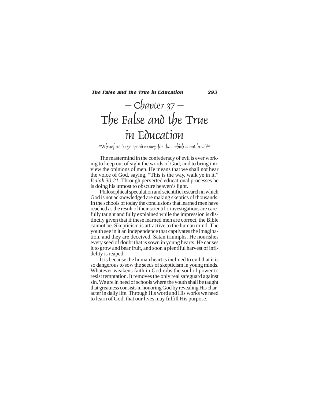# $-\mathsf{C}$ hapter 37  $-$ The False and the True in Education

"Wherefore do ye spend money for that which is not bread?"

The mastermind in the confederacy of evil is ever working to keep out of sight the words of God, and to bring into view the opinions of men. He means that we shall not hear the voice of God, saying, "This is the way, walk ye in it." *Isaiah 30:21*. Through perverted educational processes he is doing his utmost to obscure heaven's light.

Philosophical speculation and scientific research in which God is not acknowledged are making skeptics of thousands. In the schools of today the conclusions that learned men have reached as the result of their scientific investigations are carefully taught and fully explained while the impression is distinctly given that if these learned men are correct, the Bible cannot be. Skepticism is attractive to the human mind. The youth see in it an independence that captivates the imagination, and they are deceived. Satan triumphs. He nourishes every seed of doubt that is sown in young hearts. He causes it to grow and bear fruit, and soon a plentiful harvest of infidelity is reaped.

It is because the human heart is inclined to evil that it is so dangerous to sow the seeds of skepticism in young minds. Whatever weakens faith in God robs the soul of power to resist temptation. It removes the only real safeguard against sin. We are in need of schools where the youth shall be taught that greatness consists in honoring God by revealing His character in daily life. Through His word and His works we need to learn of God, that our lives may fulfill His purpose.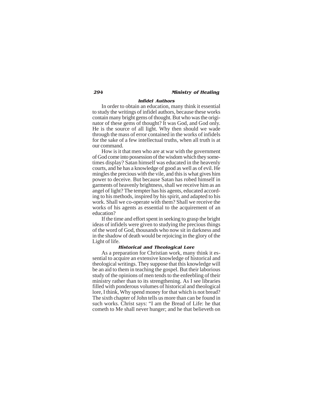#### **Infidel Authors**

In order to obtain an education, many think it essential to study the writings of infidel authors, because these works contain many bright gems of thought. But who was the originator of these gems of thought? It was God, and God only. He is the source of all light. Why then should we wade through the mass of error contained in the works of infidels for the sake of a few intellectual truths, when all truth is at our command.

How is it that men who are at war with the government of God come into possession of the wisdom which they sometimes display? Satan himself was educated in the heavenly courts, and he has a knowledge of good as well as of evil. He mingles the precious with the vile, and this is what gives him power to deceive. But because Satan has robed himself in garments of heavenly brightness, shall we receive him as an angel of light? The tempter has his agents, educated according to his methods, inspired by his spirit, and adapted to his work. Shall we co-operate with them? Shall we receive the works of his agents as essential to the acquirement of an education?

If the time and effort spent in seeking to grasp the bright ideas of infidels were given to studying the precious things of the word of God, thousands who now sit in darkness and in the shadow of death would be rejoicing in the glory of the Light of life.

### **Historical and Theological Lore**

As a preparation for Christian work, many think it essential to acquire an extensive knowledge of historical and theological writings. They suppose that this knowledge will be an aid to them in teaching the gospel. But their laborious study of the opinions of men tends to the enfeebling of their ministry rather than to its strengthening. As I see libraries filled with ponderous volumes of historical and theological lore, I think, Why spend money for that which is not bread? The sixth chapter of John tells us more than can be found in such works. Christ says: "I am the Bread of Life: he that cometh to Me shall never hunger; and he that believeth on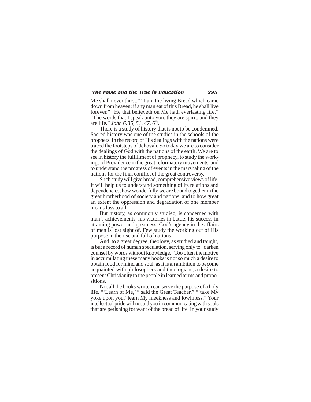**The False and the True in Education**

Me shall never thirst." "I am the living Bread which came down from heaven: if any man eat of this Bread, he shall live forever." "He that believeth on Me hath everlasting life." "The words that I speak unto you, they are spirit, and they are life." *John 6:35, 51, 47, 63*.

There is a study of history that is not to be condemned. Sacred history was one of the studies in the schools of the prophets. In the record of His dealings with the nations were traced the footsteps of Jehovah. So today we are to consider the dealings of God with the nations of the earth. We are to see in history the fulfillment of prophecy, to study the workings of Providence in the great reformatory movements, and to understand the progress of events in the marshaling of the nations for the final conflict of the great controversy.

Such study will give broad, comprehensive views of life. It will help us to understand something of its relations and dependencies, how wonderfully we are bound together in the great brotherhood of society and nations, and to how great an extent the oppression and degradation of one member means loss to all.

But history, as commonly studied, is concerned with man's achievements, his victories in battle, his success in attaining power and greatness. God's agency in the affairs of men is lost sight of. Few study the working out of His purpose in the rise and fall of nations.

And, to a great degree, theology, as studied and taught, is but a record of human speculation, serving only to "darken counsel by words without knowledge." Too often the motive in accumulating these many books is not so much a desire to obtain food for mind and soul, as it is an ambition to become acquainted with philosophers and theologians, a desire to present Christianity to the people in learned terms and propositions.

Not all the books written can serve the purpose of a holy life. "'Learn of Me,' " said the Great Teacher," "'take My yoke upon you,' learn My meekness and lowliness." Your intellectual pride will not aid you in communicating with souls that are perishing for want of the bread of life. In your study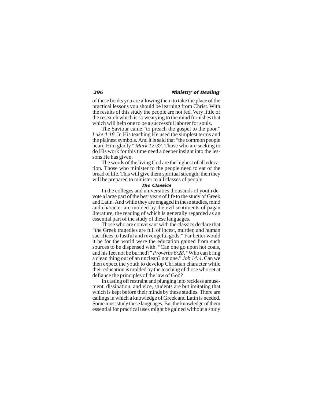of these books you are allowing them to take the place of the practical lessons you should be learning from Christ. With the results of this study the people are not fed. Very little of the research which is so wearying to the mind furnishes that which will help one to be a successful laborer for souls.

The Saviour came "to preach the gospel to the poor." *Luke 4:18*. In His teaching He used the simplest terms and the plainest symbols. And it is said that "the common people heard Him gladly." *Mark 12:37*. Those who are seeking to do His work for this time need a deeper insight into the lessons He has given.

The words of the living God are the highest of all education. Those who minister to the people need to eat of the bread of life. This will give them spiritual strength; then they will be prepared to minister to all classes of people.

#### **The Classics**

In the colleges and universities thousands of youth devote a large part of the best years of life to the study of Greek and Latin. And while they are engaged in these studies, mind and character are molded by the evil sentiments of pagan literature, the reading of which is generally regarded as an essential part of the study of these languages.

Those who are conversant with the classics declare that "the Greek tragedies are full of incest, murder, and human sacrifices to lustful and revengeful gods." Far better would it be for the world were the education gained from such sources to be dispensed with. "Can one go upon hot coals, and his feet not be burned?" *Proverbs 6:28*. "Who can bring a clean thing out of an unclean? not one." *Job 14:4*. Can we then expect the youth to develop Christian character while their education is molded by the teaching of those who set at defiance the principles of the law of God?

In casting off restraint and plunging into reckless amusement, dissipation, and vice, students are but imitating that which is kept before their minds by these studies. There are callings in which a knowledge of Greek and Latin is needed. Some must study these languages. But the knowledge of them essential for practical uses might be gained without a study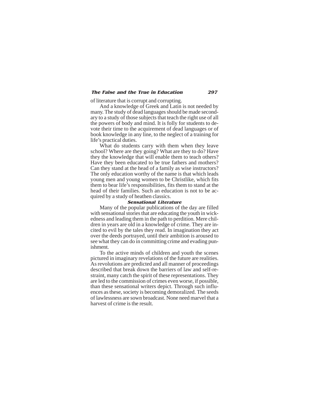#### **The False and the True in Education**

of literature that is corrupt and corrupting.

And a knowledge of Greek and Latin is not needed by many. The study of dead languages should be made secondary to a study of those subjects that teach the right use of all the powers of body and mind. It is folly for students to devote their time to the acquirement of dead languages or of book knowledge in any line, to the neglect of a training for life's practical duties.

What do students carry with them when they leave school? Where are they going? What are they to do? Have they the knowledge that will enable them to teach others? Have they been educated to be true fathers and mothers? Can they stand at the head of a family as wise instructors? The only education worthy of the name is that which leads young men and young women to be Christlike, which fits them to bear life's responsibilities, fits them to stand at the head of their families. Such an education is not to be acquired by a study of heathen classics.

### **Sensational Literature**

Many of the popular publications of the day are filled with sensational stories that are educating the youth in wickedness and leading them in the path to perdition. Mere children in years are old in a knowledge of crime. They are incited to evil by the tales they read. In imagination they act over the deeds portrayed, until their ambition is aroused to see what they can do in committing crime and evading punishment.

To the active minds of children and youth the scenes pictured in imaginary revelations of the future are realities. As revolutions are predicted and all manner of proceedings described that break down the barriers of law and self-restraint, many catch the spirit of these representations. They are led to the commission of crimes even worse, if possible, than these sensational writers depict. Through such influences as these, society is becoming demoralized. The seeds of lawlessness are sown broadcast. None need marvel that a harvest of crime is the result.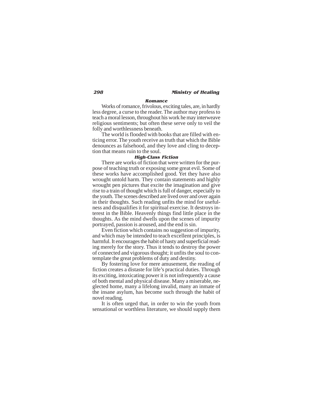#### **Romance**

Works of romance, frivolous, exciting tales, are, in hardly less degree, a curse to the reader. The author may profess to teach a moral lesson, throughout his work he may interweave religious sentiments; but often these serve only to veil the folly and worthlessness beneath.

The world is flooded with books that are filled with enticing error. The youth receive as truth that which the Bible denounces as falsehood, and they love and cling to deception that means ruin to the soul.

#### **High-Class Fiction**

There are works of fiction that were written for the purpose of teaching truth or exposing some great evil. Some of these works have accomplished good. Yet they have also wrought untold harm. They contain statements and highly wrought pen pictures that excite the imagination and give rise to a train of thought which is full of danger, especially to the youth. The scenes described are lived over and over again in their thoughts. Such reading unfits the mind for usefulness and disqualifies it for spiritual exercise. It destroys interest in the Bible. Heavenly things find little place in the thoughts. As the mind dwells upon the scenes of impurity portrayed, passion is aroused, and the end is sin.

Even fiction which contains no suggestion of impurity, and which may be intended to teach excellent principles, is harmful. It encourages the habit of hasty and superficial reading merely for the story. Thus it tends to destroy the power of connected and vigorous thought; it unfits the soul to contemplate the great problems of duty and destiny.

By fostering love for mere amusement, the reading of fiction creates a distaste for life's practical duties. Through its exciting, intoxicating power it is not infrequently a cause of both mental and physical disease. Many a miserable, neglected home, many a lifelong invalid, many an inmate of the insane asylum, has become such through the habit of novel reading.

It is often urged that, in order to win the youth from sensational or worthless literature, we should supply them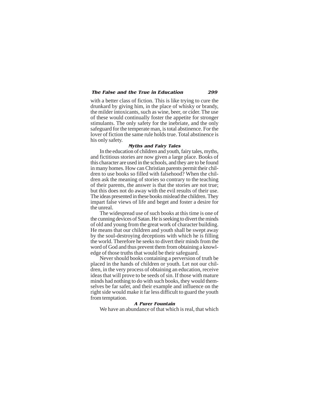#### **The False and the True in Education**

with a better class of fiction. This is like trying to cure the drunkard by giving him, in the place of whisky or brandy, the milder intoxicants, such as wine, beer, or cider. The use of these would continually foster the appetite for stronger stimulants. The only safety for the inebriate, and the only safeguard for the temperate man, is total abstinence. For the lover of fiction the same rule holds true. Total abstinence is his only safety.

#### **Myths and Fairy Tales**

In the education of children and youth, fairy tales, myths, and fictitious stories are now given a large place. Books of this character are used in the schools, and they are to be found in many homes. How can Christian parents permit their children to use books so filled with falsehood? When the children ask the meaning of stories so contrary to the teaching of their parents, the answer is that the stories are not true; but this does not do away with the evil results of their use. The ideas presented in these books mislead the children. They impart false views of life and beget and foster a desire for the unreal.

The widespread use of such books at this time is one of the cunning devices of Satan. He is seeking to divert the minds of old and young from the great work of character building. He means that our children and youth shall be swept away by the soul-destroying deceptions with which he is filling the world. Therefore he seeks to divert their minds from the word of God and thus prevent them from obtaining a knowledge of those truths that would be their safeguard.

Never should books containing a perversion of truth be placed in the hands of children or youth. Let not our children, in the very process of obtaining an education, receive ideas that will prove to be seeds of sin. If those with mature minds had nothing to do with such books, they would themselves be far safer, and their example and influence on the right side would make it far less difficult to guard the youth from temptation.

#### **A Purer Fountain**

We have an abundance of that which is real, that which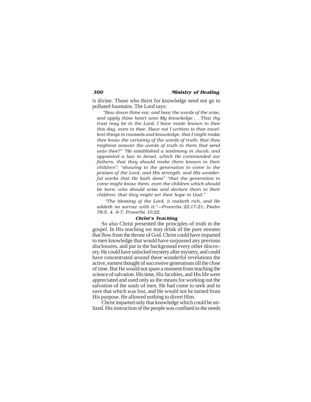is divine. Those who thirst for knowledge need not go to polluted fountains. The Lord says:

*"Bow down thine ear, and hear the words of the wise, and apply thine heart unto My knowledge . . That thy trust may be in the Lord, I have made known to thee this day, even to thee. Have not I written to thee excellent things in counsels and knowledge, that I might make thee know the certainty of the words of truth; that thou mightest answer the words of truth to them that send unto thee?" "He established a testimony in Jacob, and appointed a law in Israel, which He commanded our fathers, that they should make them known to their children"; "showing to the generation to come to the praises of the Lord, and His strength, and His wonderful works that He hath done" "that the generation to come might know them, even the children which should be born; who should arise and declare them to their children: that they might set their hope in God."*

 *"The blessing of the Lord, it maketh rich, and He addeth no sorrow with it."—Proverbs 22:17-21; Psalm 78:5, 4, 6-7; Proverbs 10:22.*

#### **Christ's Teaching**

So also Christ presented the principles of truth in the gospel. In His teaching we may drink of the pure streams that flow from the throne of God. Christ could have imparted to men knowledge that would have surpassed any previous disclosures, and put in the background every other discovery. He could have unlocked mystery after mystery, and could have concentrated around these wonderful revelations the active, earnest thought of successive generations till the close of time. But He would not spare a moment from teaching the science of salvation. His time, His faculties, and His life were appreciated and used only as the means for working out the salvation of the souls of men. He had come to seek and to save that which was lost, and He would not be turned from His purpose. He allowed nothing to divert Him.

Christ imparted only that knowledge which could be utilized. His instruction of the people was confined to the needs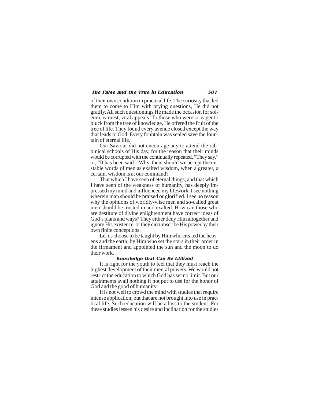#### **The False and the True in Education**

of their own condition in practical life. The curiosity that led them to come to Him with prying questions, He did not gratify. All such questionings He made the occasion for solemn, earnest, vital appeals. To those who were so eager to pluck from the tree of knowledge, He offered the fruit of the tree of life. They found every avenue closed except the way that leads to God. Every fountain was sealed save the fountain of eternal life.

Our Saviour did not encourage any to attend the rabbinical schools of His day, for the reason that their minds would be corrupted with the continually repeated, "They say," or, "It has been said." Why, then, should we accept the unstable words of men as exalted wisdom, when a greater, a certain, wisdom is at our command?

That which I have seen of eternal things, and that which I have seen of the weakness of humanity, has deeply impressed my mind and influenced my lifework. I see nothing wherein man should be praised or glorified. I see no reason why the opinions of worldly-wise men and so-called great men should be trusted in and exalted. How can those who are destitute of divine enlightenment have correct ideas of God's plans and ways? They either deny Him altogether and ignore His existence, or they circumscribe His power by their own finite conceptions.

Let us choose to be taught by Him who created the heavens and the earth, by Him who set the stars in their order in the firmament and appointed the sun and the moon to do their work.

### **Knowledge that Can Be Utilized**

It is right for the youth to feel that they must reach the highest development of their mental powers. We would not restrict the education to which God has set no limit. But our attainments avail nothing if not put to use for the honor of God and the good of humanity.

It is not well to crowd the mind with studies that require intense application, but that are not brought into use in practical life. Such education will be a loss to the student. For these studies lessen his desire and inclination for the studies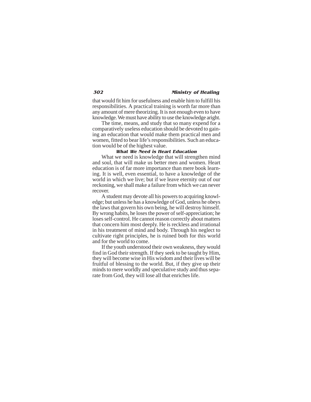that would fit him for usefulness and enable him to fulfill his responsibilities. A practical training is worth far more than any amount of mere theorizing. It is not enough even to have knowledge. We must have ability to use the knowledge aright.

The time, means, and study that so many expend for a comparatively useless education should be devoted to gaining an education that would make them practical men and women, fitted to bear life's responsibilities. Such an education would be of the highest value.

### **What We Need is Heart Education**

What we need is knowledge that will strengthen mind and soul, that will make us better men and women. Heart education is of far more importance than mere book learning. It is well, even essential, to have a knowledge of the world in which we live; but if we leave eternity out of our reckoning, we shall make a failure from which we can never recover.

A student may devote all his powers to acquiring knowledge; but unless he has a knowledge of God, unless he obeys the laws that govern his own being, he will destroy himself. By wrong habits, he loses the power of self-appreciation; he loses self-control. He cannot reason correctly about matters that concern him most deeply. He is reckless and irrational in his treatment of mind and body. Through his neglect to cultivate right principles, he is ruined both for this world and for the world to come.

If the youth understood their own weakness, they would find in God their strength. If they seek to be taught by Him, they will become wise in His wisdom and their lives will be fruitful of blessing to the world. But, if they give up their minds to mere worldly and speculative study and thus separate from God, they will lose all that enriches life.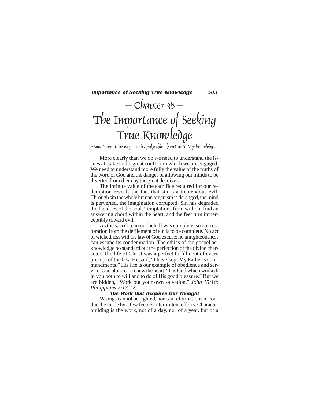$-$  Chapter 38  $-$ The Importance of Seeking True Knowledge

"Bow down thine ear, . . and apply thine heart unto My knowledge."

More clearly than we do we need to understand the issues at stake in the great conflict in which we are engaged. We need to understand more fully the value of the truths of the word of God and the danger of allowing our minds to be diverted from them by the great deceiver.

The infinite value of the sacrifice required for our redemption reveals the fact that sin is a tremendous evil. Through sin the whole human organism is deranged, the mind is perverted, the imagination corrupted. Sin has degraded the faculties of the soul. Temptations from without find an answering chord within the heart, and the feet turn imperceptibly toward evil.

As the sacrifice in our behalf was complete, so our restoration from the defilement of sin is to be complete. No act of wickedness will the law of God excuse; no unrighteousness can escape its condemnation. The ethics of the gospel acknowledge no standard but the perfection of the divine character. The life of Christ was a perfect fulfillment of every precept of the law. He said, "I have kept My Father's commandments." His life is our example of obedience and service. God alone can renew the heart. "It is God which worketh in you both to will and to do of His good pleasure." But we are bidden, "Work out your own salvation." *John 15:10; Philippians 2:13-12.*

#### **The Work that Requires Our Thought**

Wrongs cannot be righted, nor can reformations in conduct be made by a few feeble, intermittent efforts. Character building is the work, not of a day, nor of a year, but of a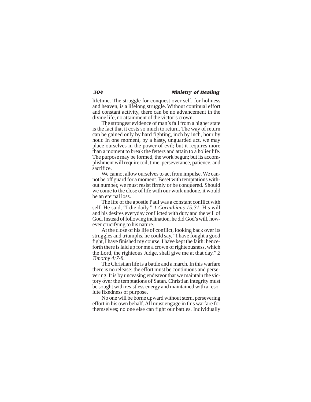lifetime. The struggle for conquest over self, for holiness and heaven, is a lifelong struggle. Without continual effort and constant activity, there can be no advancement in the divine life, no attainment of the victor's crown.

The strongest evidence of man's fall from a higher state is the fact that it costs so much to return. The way of return can be gained only by hard fighting, inch by inch, hour by hour. In one moment, by a hasty, unguarded act, we may place ourselves in the power of evil; but it requires more than a moment to break the fetters and attain to a holier life. The purpose may be formed, the work begun; but its accomplishment will require toil, time, perseverance, patience, and sacrifice.

We cannot allow ourselves to act from impulse. We cannot be off guard for a moment. Beset with temptations without number, we must resist firmly or be conquered. Should we come to the close of life with our work undone, it would be an eternal loss.

The life of the apostle Paul was a constant conflict with self. He said, "I die daily." *1 Corinthians 15:31*. His will and his desires everyday conflicted with duty and the will of God. Instead of following inclination, he did God's will, however crucifying to his nature.

At the close of his life of conflict, looking back over its struggles and triumphs, he could say, "I have fought a good fight, I have finished my course, I have kept the faith: henceforth there is laid up for me a crown of righteousness, which the Lord, the righteous Judge, shall give me at that day." *2 Timothy 4:7-8.*

The Christian life is a battle and a march. In this warfare there is no release; the effort must be continuous and persevering. It is by unceasing endeavor that we maintain the victory over the temptations of Satan. Christian integrity must be sought with resistless energy and maintained with a resolute fixedness of purpose.

No one will be borne upward without stern, persevering effort in his own behalf. All must engage in this warfare for themselves; no one else can fight our battles. Individually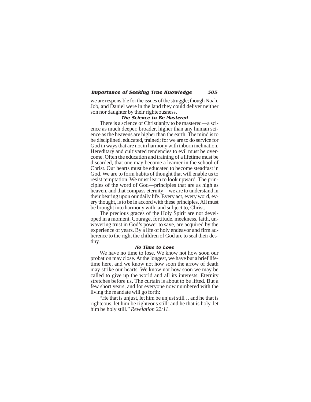#### **305 Importance of Seeking True Knowledge**

we are responsible for the issues of the struggle; though Noah, Job, and Daniel were in the land they could deliver neither son nor daughter by their righteousness.

# **The Science to Be Mastered**

There is a science of Christianity to be mastered—a science as much deeper, broader, higher than any human science as the heavens are higher than the earth. The mind is to be disciplined, educated, trained; for we are to do service for God in ways that are not in harmony with inborn inclination. Hereditary and cultivated tendencies to evil must be overcome. Often the education and training of a lifetime must be discarded, that one may become a learner in the school of Christ. Our hearts must be educated to become steadfast in God. We are to form habits of thought that will enable us to resist temptation. We must learn to look upward. The principles of the word of God—principles that are as high as heaven, and that compass eternity—we are to understand in their bearing upon our daily life. Every act, every word, every thought, is to be in accord with these principles. All must be brought into harmony with, and subject to, Christ.

The precious graces of the Holy Spirit are not developed in a moment. Courage, fortitude, meekness, faith, unwavering trust in God's power to save, are acquired by the experience of years. By a life of holy endeavor and firm adherence to the right the children of God are to seal their destiny.

# **No Time to Lose**

We have no time to lose. We know not how soon our probation may close. At the longest, we have but a brief lifetime here, and we know not how soon the arrow of death may strike our hearts. We know not how soon we may be called to give up the world and all its interests. Eternity stretches before us. The curtain is about to be lifted. But a few short years, and for everyone now numbered with the living the mandate will go forth:

"He that is unjust, let him be unjust still . . and he that is righteous, let him be righteous still: and he that is holy, let him be holy still." *Revelation 22:11*.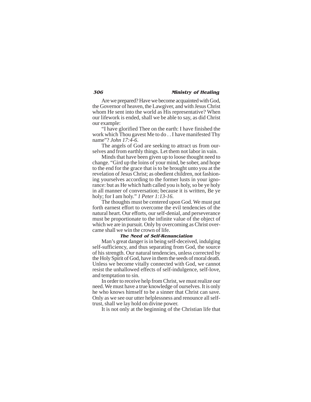Are we prepared? Have we become acquainted with God, the Governor of heaven, the Lawgiver, and with Jesus Christ whom He sent into the world as His representative? When our lifework is ended, shall we be able to say, as did Christ our example:

"I have glorified Thee on the earth: I have finished the work which Thou gavest Me to do . . I have manifested Thy name"? *John 17:4-6*.

The angels of God are seeking to attract us from ourselves and from earthly things. Let them not labor in vain.

Minds that have been given up to loose thought need to change. "Gird up the loins of your mind, be sober, and hope to the end for the grace that is to be brought unto you at the revelation of Jesus Christ; as obedient children, not fashioning yourselves according to the former lusts in your ignorance: but as He which hath called you is holy, so be ye holy in all manner of conversation; because it is written, Be ye holy; for I am holy." *1 Peter 1:13-16.*

The thoughts must be centered upon God. We must put forth earnest effort to overcome the evil tendencies of the natural heart. Our efforts, our self-denial, and perseverance must be proportionate to the infinite value of the object of which we are in pursuit. Only by overcoming as Christ overcame shall we win the crown of life.

### **The Need of Self-Renunciation**

Man's great danger is in being self-deceived, indulging self-sufficiency, and thus separating from God, the source of his strength. Our natural tendencies, unless corrected by the Holy Spirit of God, have in them the seeds of moral death. Unless we become vitally connected with God, we cannot resist the unhallowed effects of self-indulgence, self-love, and temptation to sin.

In order to receive help from Christ, we must realize our need. We must have a true knowledge of ourselves. It is only he who knows himself to be a sinner that Christ can save. Only as we see our utter helplessness and renounce all selftrust, shall we lay hold on divine power.

It is not only at the beginning of the Christian life that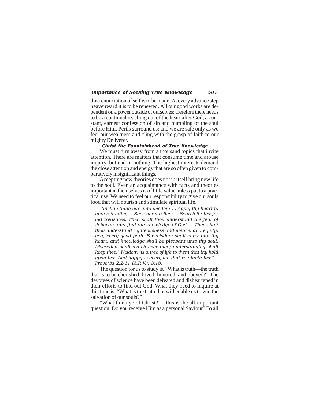#### **307 Importance of Seeking True Knowledge**

this renunciation of self is to be made. At every advance step heavenward it is to be renewed. All our good works are dependent on a power outside of ourselves; therefore there needs to be a continual reaching out of the heart after God, a constant, earnest confession of sin and humbling of the soul before Him. Perils surround us; and we are safe only as we feel our weakness and cling with the grasp of faith to our mighty Deliverer.

### **Christ the Fountainhead of True Knowledge**

We must turn away from a thousand topics that invite attention. There are matters that consume time and arouse inquiry, but end in nothing. The highest interests demand the close attention and energy that are so often given to comparatively insignificant things.

Accepting new theories does not in itself bring new life to the soul. Even an acquaintance with facts and theories important in themselves is of little value unless put to a practical use. We need to feel our responsibility to give our souls food that will nourish and stimulate spiritual life.

*"Incline thine ear unto wisdom . . Apply thy heart to understanding . . Seek her as silver . . Search for her for hid treasures: Then shalt thou understand the fear of Jehovah, and find the knowledge of God . . Then shalt thou understand righteousness and justice, and equity, yea, every good path. For wisdom shall enter into thy heart, and knowledge shall be pleasant unto thy soul. Discretion shall watch over thee; understanding shall keep thee." Wisdom "is a tree of life to them that lay hold upon her: And happy is everyone that retaineth her."— Proverbs 2:2-11 (A.R.V.); 3:18.*

The question for us to study is, "What is truth—the truth that is to be cherished, loved, honored, and obeyed?" The devotees of science have been defeated and disheartened in their efforts to find out God. What they need to inquire at this time is, "What is the truth that will enable us to win the salvation of our souls?"

"What think ye of Christ?"—this is the all-important question. Do you receive Him as a personal Saviour? To all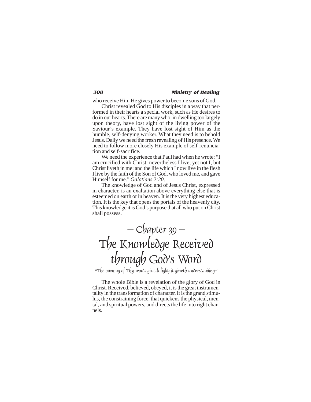who receive Him He gives power to become sons of God.

Christ revealed God to His disciples in a way that performed in their hearts a special work, such as He desires to do in our hearts. There are many who, in dwelling too largely upon theory, have lost sight of the living power of the Saviour's example. They have lost sight of Him as the humble, self-denying worker. What they need is to behold Jesus. Daily we need the fresh revealing of His presence. We need to follow more closely His example of self-renunciation and self-sacrifice.

We need the experience that Paul had when he wrote: "I am crucified with Christ: nevertheless I live; yet not I, but Christ liveth in me: and the life which I now live in the flesh I live by the faith of the Son of God, who loved me, and gave Himself for me." *Galatians 2:20*.

The knowledge of God and of Jesus Christ, expressed in character, is an exaltation above everything else that is esteemed on earth or in heaven. It is the very highest education. It is the key that opens the portals of the heavenly city. This knowledge it is God's purpose that all who put on Christ shall possess.

# $-$  Chapter 39  $-$ The Knowledge Received through God's Word

"The opening of Thy words giveth light; it giveth understanding."

The whole Bible is a revelation of the glory of God in Christ. Received, believed, obeyed, it is the great instrumentality in the transformation of character. It is the grand stimulus, the constraining force, that quickens the physical, mental, and spiritual powers, and directs the life into right channels.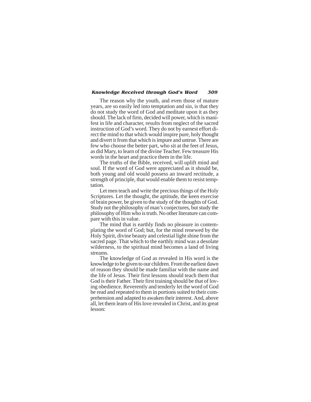#### **309 Knowledge Received through God's Word**

The reason why the youth, and even those of mature years, are so easily led into temptation and sin, is that they do not study the word of God and meditate upon it as they should. The lack of firm, decided will power, which is manifest in life and character, results from neglect of the sacred instruction of God's word. They do not by earnest effort direct the mind to that which would inspire pure, holy thought and divert it from that which is impure and untrue. There are few who choose the better part, who sit at the feet of Jesus, as did Mary, to learn of the divine Teacher. Few treasure His words in the heart and practice them in the life.

The truths of the Bible, received, will uplift mind and soul. If the word of God were appreciated as it should be, both young and old would possess an inward rectitude, a strength of principle, that would enable them to resist temptation.

Let men teach and write the precious things of the Holy Scriptures. Let the thought, the aptitude, the keen exercise of brain power, be given to the study of the thoughts of God. Study not the philosophy of man's conjectures, but study the philosophy of Him who is truth. No other literature can compare with this in value.

The mind that is earthly finds no pleasure in contemplating the word of God; but, for the mind renewed by the Holy Spirit, divine beauty and celestial light shine from the sacred page. That which to the earthly mind was a desolate wilderness, to the spiritual mind becomes a land of living streams.

The knowledge of God as revealed in His word is the knowledge to be given to our children. From the earliest dawn of reason they should be made familiar with the name and the life of Jesus. Their first lessons should teach them that God is their Father. Their first training should be that of loving obedience. Reverently and tenderly let the word of God be read and repeated to them in portions suited to their comprehension and adapted to awaken their interest. And, above all, let them learn of His love revealed in Christ, and its great lesson: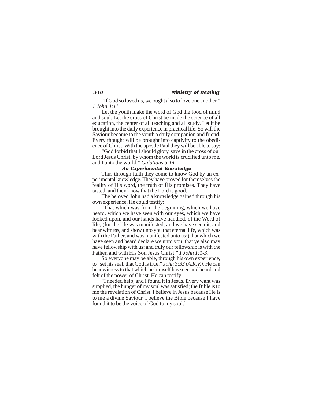"If God so loved us, we ought also to love one another." *1 John 4:11.*

Let the youth make the word of God the food of mind and soul. Let the cross of Christ be made the science of all education, the center of all teaching and all study. Let it be brought into the daily experience in practical life. So will the Saviour become to the youth a daily companion and friend. Every thought will be brought into captivity to the obedience of Christ. With the apostle Paul they will be able to say:

"God forbid that I should glory, save in the cross of our Lord Jesus Christ, by whom the world is crucified unto me, and I unto the world." *Galatians 6:14*.

#### **An Experimental Knowledge**

Thus through faith they come to know God by an experimental knowledge. They have proved for themselves the reality of His word, the truth of His promises. They have tasted, and they know that the Lord is good.

The beloved John had a knowledge gained through his own experience. He could testify:

"That which was from the beginning, which we have heard, which we have seen with our eyes, which we have looked upon, and our hands have handled, of the Word of life; (for the life was manifested, and we have seen it, and bear witness, and show unto you that eternal life, which was with the Father, and was manifested unto us;) that which we have seen and heard declare we unto you, that ye also may have fellowship with us: and truly our fellowship is with the Father, and with His Son Jesus Christ." *1 John 1:1-3*.

So everyone may be able, through his own experience, to "set his seal, that God is true." *John 3:33 (A.R.V.).* He can bear witness to that which he himself has seen and heard and felt of the power of Christ. He can testify:

"I needed help, and I found it in Jesus. Every want was supplied, the hunger of my soul was satisfied; the Bible is to me the revelation of Christ. I believe in Jesus because He is to me a divine Saviour. I believe the Bible because I have found it to be the voice of God to my soul."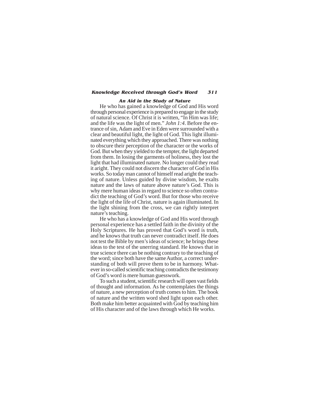#### **311 Knowledge Received through God's Word**

### **An Aid in the Study of Nature**

He who has gained a knowledge of God and His word through personal experience is prepared to engage in the study of natural science. Of Christ it is written, "In Him was life; and the life was the light of men." *John 1:4*. Before the entrance of sin, Adam and Eve in Eden were surrounded with a clear and beautiful light, the light of God. This light illuminated everything which they approached. There was nothing to obscure their perception of the character or the works of God. But when they yielded to the tempter, the light departed from them. In losing the garments of holiness, they lost the light that had illuminated nature. No longer could they read it aright. They could not discern the character of God in His works. So today man cannot of himself read aright the teaching of nature. Unless guided by divine wisdom, he exalts nature and the laws of nature above nature's God. This is why mere human ideas in regard to science so often contradict the teaching of God's word. But for those who receive the light of the life of Christ, nature is again illuminated. In the light shining from the cross, we can rightly interpret nature's teaching.

He who has a knowledge of God and His word through personal experience has a settled faith in the divinity of the Holy Scriptures. He has proved that God's word is truth, and he knows that truth can never contradict itself. He does not test the Bible by men's ideas of science; he brings these ideas to the test of the unerring standard. He knows that in true science there can be nothing contrary to the teaching of the word; since both have the same Author, a correct understanding of both will prove them to be in harmony. Whatever in so-called scientific teaching contradicts the testimony of God's word is mere human guesswork.

To such a student, scientific research will open vast fields of thought and information. As he contemplates the things of nature, a new perception of truth comes to him. The book of nature and the written word shed light upon each other. Both make him better acquainted with God by teaching him of His character and of the laws through which He works.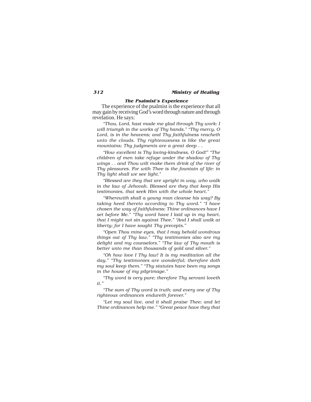#### **The Psalmist's Experience**

The experience of the psalmist is the experience that all may gain by receiving God's word through nature and through revelation. He says:

*"Thou, Lord, hast made me glad through Thy work: I will triumph in the works of Thy hands." "Thy mercy, O Lord, is in the heavens; and Thy faithfulness reacheth unto the clouds. Thy righteousness is like the great mountains; Thy judgments are a great deep . .*

*"How excellent is Thy loving-kindness, O God!" "The children of men take refuge under the shadow of Thy wings . . and Thou wilt make them drink of the river of Thy pleasures. For with Thee is the fountain of life: in Thy light shall we see light."*

*"Blessed are they that are upright in way, who walk in the law of Jehovah. Blessed are they that keep His testimonies, that seek Him with the whole heart."*

*"Wherewith shall a young man cleanse his way? By taking heed thereto according to Thy word." "I have chosen the way of faithfulness: Thine ordinances have I set before Me." "Thy word have I laid up in my heart, that I might not sin against Thee." "And I shall walk at liberty; for I have sought Thy precepts."*

*"Open Thou mine eyes, that I may behold wondrous things out of Thy law." "Thy testimonies also are my delight and my counselors." "The law of Thy mouth is better unto me than thousands of gold and silver."*

*"Oh how love I Thy law! It is my meditation all the day." "Thy testimonies are wonderful; therefore doth my soul keep them." "Thy statutes have been my songs in the house of my pilgrimage."*

*"Thy word is very pure; therefore Thy servant loveth it."*

*"The sum of Thy word is truth; and every one of Thy righteous ordinances endureth forever."*

*"Let my soul live, and it shall praise Thee; and let Thine ordinances help me." "Great peace have they that*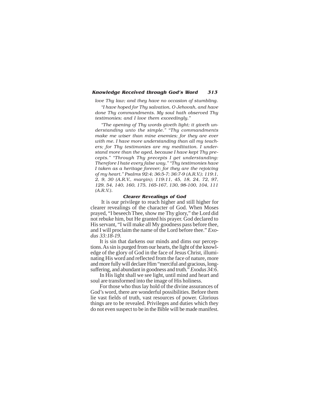#### **313 Knowledge Received through God's Word**

*love Thy law; and they have no occasion of stumbling.*

*"I have hoped for Thy salvation, O Jehovah, and have done Thy commandments. My soul hath observed Thy testimonies; and I love them exceedingly."*

*"The opening of Thy words giveth light; it giveth understanding unto the simple." "Thy commandments make me wiser than mine enemies; for they are ever with me. I have more understanding than all my teachers; for Thy testimonies are my meditation. I understand more than the aged, because I have kept Thy precepts." "Through Thy precepts I get understanding: Therefore I hate every false way." "Thy testimonies have I taken as a heritage forever; for they are the rejoicing of my heart." Psalms 92:4; 36:5-7; 36:7-9 (A.R.V.); 119:1, 2, 9, 30 (A.R.V., margin); 119:11, 45, 18, 24, 72, 97, 129, 54, 140, 160, 175, 165-167, 130, 98-100, 104, 111 (A.R.V.).*

### **Clearer Revealings of God**

 It is our privilege to reach higher and still higher for clearer revealings of the character of God. When Moses prayed, "I beseech Thee, show me Thy glory," the Lord did not rebuke him, but He granted his prayer. God declared to His servant, "I will make all My goodness pass before thee, and I will proclaim the name of the Lord before thee." *Exodus 33:18-19.*

It is sin that darkens our minds and dims our perceptions. As sin is purged from our hearts, the light of the knowledge of the glory of God in the face of Jesus Christ, illuminating His word and reflected from the face of nature, more and more fully will declare Him "merciful and gracious, longsuffering, and abundant in goodness and truth." *Exodus 34:6*.

In His light shall we see light, until mind and heart and soul are transformed into the image of His holiness.

For those who thus lay hold of the divine assurances of God's word, there are wonderful possibilities. Before them lie vast fields of truth, vast resources of power. Glorious things are to be revealed. Privileges and duties which they do not even suspect to be in the Bible will be made manifest.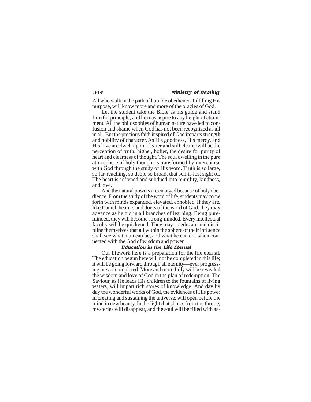All who walk in the path of humble obedience, fulfilling His purpose, will know more and more of the oracles of God.

Let the student take the Bible as his guide and stand firm for principle, and he may aspire to any height of attainment. All the philosophies of human nature have led to confusion and shame when God has not been recognized as all in all. But the precious faith inspired of God imparts strength and nobility of character. As His goodness, His mercy, and His love are dwelt upon, clearer and still clearer will be the perception of truth; higher, holier, the desire for purity of heart and clearness of thought. The soul dwelling in the pure atmosphere of holy thought is transformed by intercourse with God through the study of His word. Truth is so large, so far-reaching, so deep, so broad, that self is lost sight of. The heart is softened and subdued into humility, kindness, and love.

And the natural powers are enlarged because of holy obedience. From the study of the word of life, students may come forth with minds expanded, elevated, ennobled. If they are, like Daniel, hearers and doers of the word of God, they may advance as he did in all branches of learning. Being pureminded, they will become strong-minded. Every intellectual faculty will be quickened. They may so educate and discipline themselves that all within the sphere of their influence shall see what man can be, and what he can do, when connected with the God of wisdom and power.

# **Education in the Life Eternal**

Our lifework here is a preparation for the life eternal. The education begun here will not be completed in this life; it will be going forward through all eternity—ever progressing, never completed. More and more fully will be revealed the wisdom and love of God in the plan of redemption. The Saviour, as He leads His children to the fountains of living waters, will impart rich stores of knowledge. And day by day the wonderful works of God, the evidences of His power in creating and sustaining the universe, will open before the mind in new beauty. In the light that shines from the throne, mysteries will disappear, and the soul will be filled with as-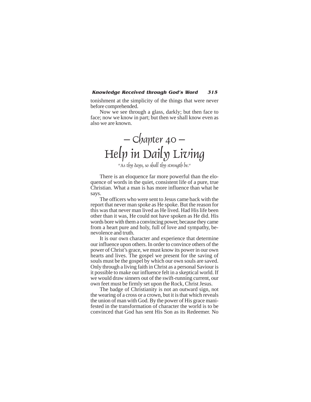#### **315 Knowledge Received through God's Word**

tonishment at the simplicity of the things that were never before comprehended.

Now we see through a glass, darkly; but then face to face; now we know in part; but then we shall know even as also we are known.

> – Chapter 40 – Help in Daily Living

"As thy days, so shall thy strength be."

There is an eloquence far more powerful than the eloquence of words in the quiet, consistent life of a pure, true Christian. What a man is has more influence than what he says.

The officers who were sent to Jesus came back with the report that never man spoke as He spoke. But the reason for this was that never man lived as He lived. Had His life been other than it was, He could not have spoken as He did. His words bore with them a convincing power, because they came from a heart pure and holy, full of love and sympathy, benevolence and truth.

It is our own character and experience that determine our influence upon others. In order to convince others of the power of Christ's grace, we must know its power in our own hearts and lives. The gospel we present for the saving of souls must be the gospel by which our own souls are saved. Only through a living faith in Christ as a personal Saviour is it possible to make our influence felt in a skeptical world. If we would draw sinners out of the swift-running current, our own feet must be firmly set upon the Rock, Christ Jesus.

The badge of Christianity is not an outward sign, not the wearing of a cross or a crown, but it is that which reveals the union of man with God. By the power of His grace manifested in the transformation of character the world is to be convinced that God has sent His Son as its Redeemer. No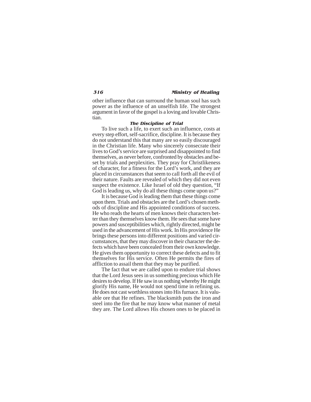other influence that can surround the human soul has such power as the influence of an unselfish life. The strongest argument in favor of the gospel is a loving and lovable Christian.

#### **The Discipline of Trial**

To live such a life, to exert such an influence, costs at every step effort, self-sacrifice, discipline. It is because they do not understand this that many are so easily discouraged in the Christian life. Many who sincerely consecrate their lives to God's service are surprised and disappointed to find themselves, as never before, confronted by obstacles and beset by trials and perplexities. They pray for Christlikeness of character, for a fitness for the Lord's work, and they are placed in circumstances that seem to call forth all the evil of their nature. Faults are revealed of which they did not even suspect the existence. Like Israel of old they question, "If God is leading us, why do all these things come upon us?"

It is because God is leading them that these things come upon them. Trials and obstacles are the Lord's chosen methods of discipline and His appointed conditions of success. He who reads the hearts of men knows their characters better than they themselves know them. He sees that some have powers and susceptibilities which, rightly directed, might be used in the advancement of His work. In His providence He brings these persons into different positions and varied circumstances, that they may discover in their character the defects which have been concealed from their own knowledge. He gives them opportunity to correct these defects and to fit themselves for His service. Often He permits the fires of affliction to assail them that they may be purified.

The fact that we are called upon to endure trial shows that the Lord Jesus sees in us something precious which He desires to develop. If He saw in us nothing whereby He might glorify His name, He would not spend time in refining us. He does not cast worthless stones into His furnace. It is valuable ore that He refines. The blacksmith puts the iron and steel into the fire that he may know what manner of metal they are. The Lord allows His chosen ones to be placed in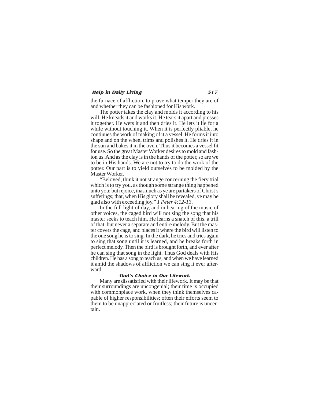### **Help in Daily Living**

the furnace of affliction, to prove what temper they are of and whether they can be fashioned for His work.

The potter takes the clay and molds it according to his will. He kneads it and works it. He tears it apart and presses it together. He wets it and then dries it. He lets it lie for a while without touching it. When it is perfectly pliable, he continues the work of making of it a vessel. He forms it into shape and on the wheel trims and polishes it. He dries it in the sun and bakes it in the oven. Thus it becomes a vessel fit for use. So the great Master Worker desires to mold and fashion us. And as the clay is in the hands of the potter, so are we to be in His hands. We are not to try to do the work of the potter. Our part is to yield ourselves to be molded by the Master Worker.

"Beloved, think it not strange concerning the fiery trial which is to try you, as though some strange thing happened unto you: but rejoice, inasmuch as ye are partakers of Christ's sufferings; that, when His glory shall be revealed, ye may be glad also with exceeding joy." *1 Peter 4:12-13*.

In the full light of day, and in hearing of the music of other voices, the caged bird will not sing the song that his master seeks to teach him. He learns a snatch of this, a trill of that, but never a separate and entire melody. But the master covers the cage, and places it where the bird will listen to the one song he is to sing. In the dark, he tries and tries again to sing that song until it is learned, and he breaks forth in perfect melody. Then the bird is brought forth, and ever after he can sing that song in the light. Thus God deals with His children. He has a song to teach us, and when we have learned it amid the shadows of affliction we can sing it ever afterward.

### **God's Choice in Our Lifework**

Many are dissatisfied with their lifework. It may be that their surroundings are uncongenial; their time is occupied with commonplace work, when they think themselves capable of higher responsibilities; often their efforts seem to them to be unappreciated or fruitless; their future is uncertain.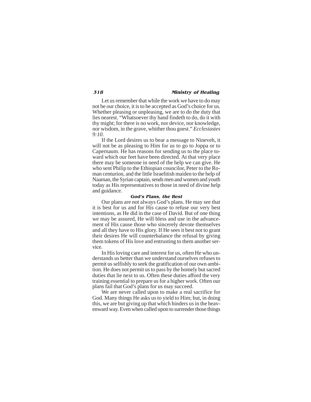Let us remember that while the work we have to do may not be our choice, it is to be accepted as God's choice for us. Whether pleasing or unpleasing, we are to do the duty that lies nearest. "Whatsoever thy hand findeth to do, do it with thy might; for there is no work, nor device, nor knowledge, nor wisdom, in the grave, whither thou goest." *Ecclesiastes 9:10.*

If the Lord desires us to bear a message to Nineveh, it will not be as pleasing to Him for us to go to Joppa or to Capernaum. He has reasons for sending us to the place toward which our feet have been directed. At that very place there may be someone in need of the help we can give. He who sent Philip to the Ethiopian councilor, Peter to the Roman centurion, and the little Israelitish maiden to the help of Naaman, the Syrian captain, sends men and women and youth today as His representatives to those in need of divine help and guidance.

#### **God's Plans, the Best**

Our plans are not always God's plans. He may see that it is best for us and for His cause to refuse our very best intentions, as He did in the case of David. But of one thing we may be assured, He will bless and use in the advancement of His cause those who sincerely devote themselves and all they have to His glory. If He sees it best not to grant their desires He will counterbalance the refusal by giving them tokens of His love and entrusting to them another service.

In His loving care and interest for us, often He who understands us better than we understand ourselves refuses to permit us selfishly to seek the gratification of our own ambition. He does not permit us to pass by the homely but sacred duties that lie next to us. Often these duties afford the very training essential to prepare us for a higher work. Often our plans fail that God's plans for us may succeed.

We are never called upon to make a real sacrifice for God. Many things He asks us to yield to Him; but, in doing this, we are but giving up that which hinders us in the heavenward way. Even when called upon to surrender those things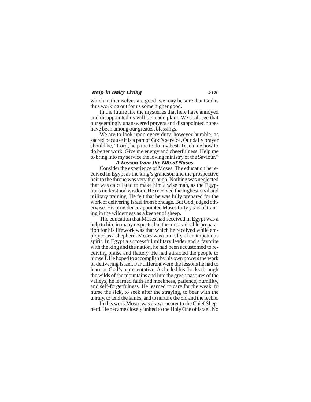# **Help in Daily Living**

which in themselves are good, we may be sure that God is thus working out for us some higher good.

In the future life the mysteries that here have annoyed and disappointed us will be made plain. We shall see that our seemingly unanswered prayers and disappointed hopes have been among our greatest blessings.

We are to look upon every duty, however humble, as sacred because it is a part of God's service. Our daily prayer should be, "Lord, help me to do my best. Teach me how to do better work. Give me energy and cheerfulness. Help me to bring into my service the loving ministry of the Saviour."

#### **A Lesson from the Life of Moses**

Consider the experience of Moses. The education he received in Egypt as the king's grandson and the prospective heir to the throne was very thorough. Nothing was neglected that was calculated to make him a wise man, as the Egyptians understood wisdom. He received the highest civil and military training. He felt that he was fully prepared for the work of delivering Israel from bondage. But God judged otherwise. His providence appointed Moses forty years of training in the wilderness as a keeper of sheep.

The education that Moses had received in Egypt was a help to him in many respects; but the most valuable preparation for his lifework was that which he received while employed as a shepherd. Moses was naturally of an impetuous spirit. In Egypt a successful military leader and a favorite with the king and the nation, he had been accustomed to receiving praise and flattery. He had attracted the people to himself. He hoped to accomplish by his own powers the work of delivering Israel. Far different were the lessons he had to learn as God's representative. As he led his flocks through the wilds of the mountains and into the green pastures of the valleys, he learned faith and meekness, patience, humility, and self-forgetfulness. He learned to care for the weak, to nurse the sick, to seek after the straying, to bear with the unruly, to tend the lambs, and to nurture the old and the feeble.

In this work Moses was drawn nearer to the Chief Shepherd. He became closely united to the Holy One of Israel. No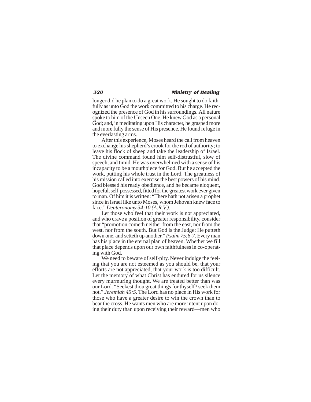longer did he plan to do a great work. He sought to do faithfully as unto God the work committed to his charge. He recognized the presence of God in his surroundings. All nature spoke to him of the Unseen One. He knew God as a personal God; and, in meditating upon His character, he grasped more and more fully the sense of His presence. He found refuge in the everlasting arms.

After this experience, Moses heard the call from heaven to exchange his shepherd's crook for the rod of authority; to leave his flock of sheep and take the leadership of Israel. The divine command found him self-distrustful, slow of speech, and timid. He was overwhelmed with a sense of his incapacity to be a mouthpiece for God. But he accepted the work, putting his whole trust in the Lord. The greatness of his mission called into exercise the best powers of his mind. God blessed his ready obedience, and he became eloquent, hopeful, self-possessed, fitted for the greatest work ever given to man. Of him it is written: "There hath not arisen a prophet since in Israel like unto Moses, whom Jehovah knew face to face." *Deuteronomy 34:10 (A.R.V.).*

Let those who feel that their work is not appreciated, and who crave a position of greater responsibility, consider that "promotion cometh neither from the east, nor from the west, nor from the south. But God is the Judge: He putteth down one, and setteth up another." *Psalm 75:6-7*. Every man has his place in the eternal plan of heaven. Whether we fill that place depends upon our own faithfulness in co-operating with God.

We need to beware of self-pity. Never indulge the feeling that you are not esteemed as you should be, that your efforts are not appreciated, that your work is too difficult. Let the memory of what Christ has endured for us silence every murmuring thought. We are treated better than was our Lord. "Seekest thou great things for thyself? seek them not." *Jeremiah 45:5*. The Lord has no place in His work for those who have a greater desire to win the crown than to bear the cross. He wants men who are more intent upon doing their duty than upon receiving their reward—men who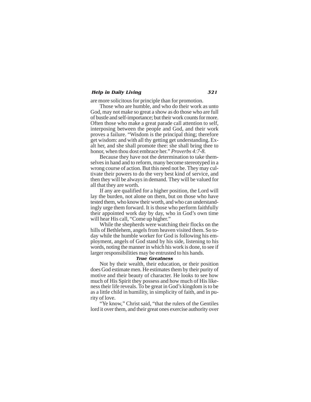### **Help in Daily Living**

are more solicitous for principle than for promotion.

Those who are humble, and who do their work as unto God, may not make so great a show as do those who are full of bustle and self-importance; but their work counts for more. Often those who make a great parade call attention to self, interposing between the people and God, and their work proves a failure. "Wisdom is the principal thing; therefore get wisdom: and with all thy getting get understanding. Exalt her, and she shall promote thee: she shall bring thee to honor, when thou dost embrace her." *Proverbs 4:7-8*.

Because they have not the determination to take themselves in hand and to reform, many become stereotyped in a wrong course of action. But this need not be. They may cultivate their powers to do the very best kind of service, and then they will be always in demand. They will be valued for all that they are worth.

If any are qualified for a higher position, the Lord will lay the burden, not alone on them, but on those who have tested them, who know their worth, and who can understandingly urge them forward. It is those who perform faithfully their appointed work day by day, who in God's own time will hear His call, "Come up higher."

While the shepherds were watching their flocks on the hills of Bethlehem, angels from heaven visited them. So today while the humble worker for God is following his employment, angels of God stand by his side, listening to his words, noting the manner in which his work is done, to see if larger responsibilities may be entrusted to his hands.

#### **True Greatness**

Not by their wealth, their education, or their position does God estimate men. He estimates them by their purity of motive and their beauty of character. He looks to see how much of His Spirit they possess and how much of His likeness their life reveals. To be great in God's kingdom is to be as a little child in humility, in simplicity of faith, and in purity of love.

"Ye know," Christ said, "that the rulers of the Gentiles lord it over them, and their great ones exercise authority over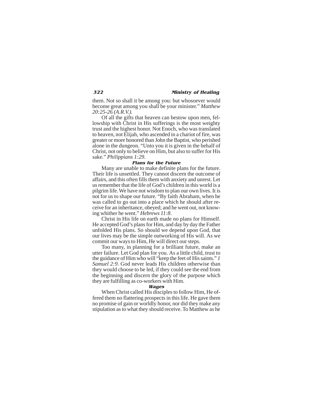them. Not so shall it be among you: but whosoever would become great among you shall be your minister." *Matthew 20:25-26 (A.R.V.).*

Of all the gifts that heaven can bestow upon men, fellowship with Christ in His sufferings is the most weighty trust and the highest honor. Not Enoch, who was translated to heaven, not Elijah, who ascended in a chariot of fire, was greater or more honored than John the Baptist, who perished alone in the dungeon. "Unto you it is given in the behalf of Christ, not only to believe on Him, but also to suffer for His sake." *Philippians 1:29.*

### **Plans for the Future**

Many are unable to make definite plans for the future. Their life is unsettled. They cannot discern the outcome of affairs, and this often fills them with anxiety and unrest. Let us remember that the life of God's children in this world is a pilgrim life. We have not wisdom to plan our own lives. It is not for us to shape our future. "By faith Abraham, when he was called to go out into a place which he should after receive for an inheritance, obeyed; and he went out, not knowing whither he went." *Hebrews 11:8*.

Christ in His life on earth made no plans for Himself. He accepted God's plans for Him, and day by day the Father unfolded His plans. So should we depend upon God, that our lives may be the simple outworking of His will. As we commit our ways to Him, He will direct our steps.

Too many, in planning for a brilliant future, make an utter failure. Let God plan for you. As a little child, trust to the guidance of Him who will "keep the feet of His saints." *1 Samuel 2:9*. God never leads His children otherwise than they would choose to be led, if they could see the end from the beginning and discern the glory of the purpose which they are fulfilling as co-workers with Him.

#### **Wages**

When Christ called His disciples to follow Him, He offered them no flattering prospects in this life. He gave them no promise of gain or worldly honor, nor did they make any stipulation as to what they should receive. To Matthew as he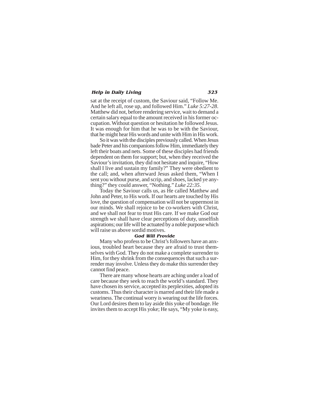#### **Help in Daily Living**

sat at the receipt of custom, the Saviour said, "Follow Me. And he left all, rose up, and followed Him." *Luke 5:27-28*. Matthew did not, before rendering service, wait to demand a certain salary equal to the amount received in his former occupation. Without question or hesitation he followed Jesus. It was enough for him that he was to be with the Saviour, that he might hear His words and unite with Him in His work.

So it was with the disciples previously called. When Jesus bade Peter and his companions follow Him, immediately they left their boats and nets. Some of these disciples had friends dependent on them for support; but, when they received the Saviour's invitation, they did not hesitate and inquire, "How shall I live and sustain my family?" They were obedient to the call; and, when afterward Jesus asked them, "When I sent you without purse, and scrip, and shoes, lacked ye anything?" they could answer, "Nothing." *Luke 22:35*.

Today the Saviour calls us, as He called Matthew and John and Peter, to His work. If our hearts are touched by His love, the question of compensation will not be uppermost in our minds. We shall rejoice to be co-workers with Christ, and we shall not fear to trust His care. If we make God our strength we shall have clear perceptions of duty, unselfish aspirations; our life will be actuated by a noble purpose which will raise us above sordid motives.

#### **God Will Provide**

Many who profess to be Christ's followers have an anxious, troubled heart because they are afraid to trust themselves with God. They do not make a complete surrender to Him, for they shrink from the consequences that such a surrender may involve. Unless they do make this surrender they cannot find peace.

There are many whose hearts are aching under a load of care because they seek to reach the world's standard. They have chosen its service, accepted its perplexities, adopted its customs. Thus their character is marred and their life made a weariness. The continual worry is wearing out the life forces. Our Lord desires them to lay aside this yoke of bondage. He invites them to accept His yoke; He says, "My yoke is easy,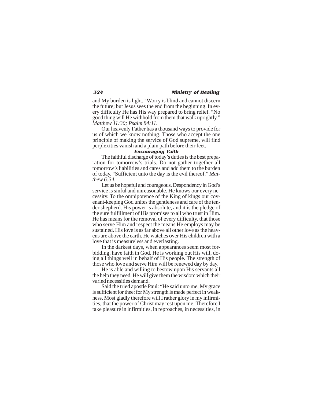and My burden is light." Worry is blind and cannot discern the future; but Jesus sees the end from the beginning. In every difficulty He has His way prepared to bring relief. "No good thing will He withhold from them that walk uprightly." *Matthew 11:30; Psalm 84:11*.

Our heavenly Father has a thousand ways to provide for us of which we know nothing. Those who accept the one principle of making the service of God supreme, will find perplexities vanish and a plain path before their feet.

#### **Encouraging Faith**

The faithful discharge of today's duties is the best preparation for tomorrow's trials. Do not gather together all tomorrow's liabilities and cares and add them to the burden of today. "Sufficient unto the day is the evil thereof." *Matthew 6:34.*

Let us be hopeful and courageous. Despondency in God's service is sinful and unreasonable. He knows our every necessity. To the omnipotence of the King of kings our covenant-keeping God unites the gentleness and care of the tender shepherd. His power is absolute, and it is the pledge of the sure fulfillment of His promises to all who trust in Him. He has means for the removal of every difficulty, that those who serve Him and respect the means He employs may be sustained. His love is as far above all other love as the heavens are above the earth. He watches over His children with a love that is measureless and everlasting.

In the darkest days, when appearances seem most forbidding, have faith in God. He is working out His will, doing all things well in behalf of His people. The strength of those who love and serve Him will be renewed day by day.

He is able and willing to bestow upon His servants all the help they need. He will give them the wisdom which their varied necessities demand.

Said the tried apostle Paul: "He said unto me, My grace is sufficient for thee: for My strength is made perfect in weakness. Most gladly therefore will I rather glory in my infirmities, that the power of Christ may rest upon me. Therefore I take pleasure in infirmities, in reproaches, in necessities, in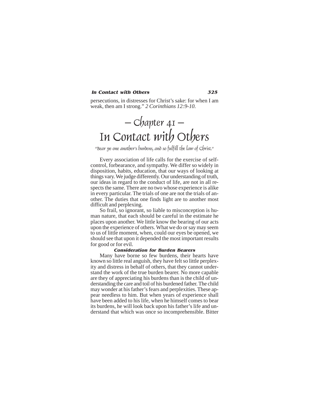#### **In Contact with Others**

persecutions, in distresses for Christ's sake: for when I am weak, then am I strong." *2 Corinthians 12:9-10.*

# $-\mathsf{C}$ hapter 41 – In Contact with Others

"Bear ye one another's burdens, and so fulfill the law of Christ."

Every association of life calls for the exercise of selfcontrol, forbearance, and sympathy. We differ so widely in disposition, habits, education, that our ways of looking at things vary. We judge differently. Our understanding of truth, our ideas in regard to the conduct of life, are not in all respects the same. There are no two whose experience is alike in every particular. The trials of one are not the trials of another. The duties that one finds light are to another most difficult and perplexing.

So frail, so ignorant, so liable to misconception is human nature, that each should be careful in the estimate he places upon another. We little know the bearing of our acts upon the experience of others. What we do or say may seem to us of little moment, when, could our eyes be opened, we should see that upon it depended the most important results for good or for evil.

### **Consideration for Burden Bearers**

Many have borne so few burdens, their hearts have known so little real anguish, they have felt so little perplexity and distress in behalf of others, that they cannot understand the work of the true burden bearer. No more capable are they of appreciating his burdens than is the child of understanding the care and toil of his burdened father. The child may wonder at his father's fears and perplexities. These appear needless to him. But when years of experience shall have been added to his life, when he himself comes to bear its burdens, he will look back upon his father's life and understand that which was once so incomprehensible. Bitter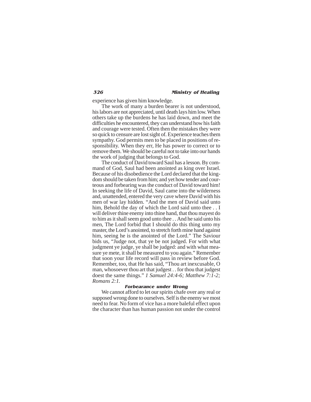experience has given him knowledge.

The work of many a burden bearer is not understood, his labors are not appreciated, until death lays him low. When others take up the burdens he has laid down, and meet the difficulties he encountered, they can understand how his faith and courage were tested. Often then the mistakes they were so quick to censure are lost sight of. Experience teaches them sympathy. God permits men to be placed in positions of responsibility. When they err, He has power to correct or to remove them. We should be careful not to take into our hands the work of judging that belongs to God.

The conduct of David toward Saul has a lesson. By command of God, Saul had been anointed as king over Israel. Because of his disobedience the Lord declared that the kingdom should be taken from him; and yet how tender and courteous and forbearing was the conduct of David toward him! In seeking the life of David, Saul came into the wilderness and, unattended, entered the very cave where David with his men of war lay hidden. "And the men of David said unto him, Behold the day of which the Lord said unto thee . . I will deliver thine enemy into thine hand, that thou mayest do to him as it shall seem good unto thee . . And he said unto his men, The Lord forbid that I should do this thing unto my master, the Lord's anointed, to stretch forth mine hand against him, seeing he is the anointed of the Lord." The Saviour bids us, "Judge not, that ye be not judged. For with what judgment ye judge, ye shall be judged: and with what measure ye mete, it shall be measured to you again." Remember that soon your life record will pass in review before God. Remember, too, that He has said, "Thou art inexcusable, O man, whosoever thou art that judgest . . for thou that judgest doest the same things." *1 Samuel 24:4-6; Matthew 7:1-2; Romans 2:1.*

#### **Forbearance under Wrong**

We cannot afford to let our spirits chafe over any real or supposed wrong done to ourselves. Self is the enemy we most need to fear. No form of vice has a more baleful effect upon the character than has human passion not under the control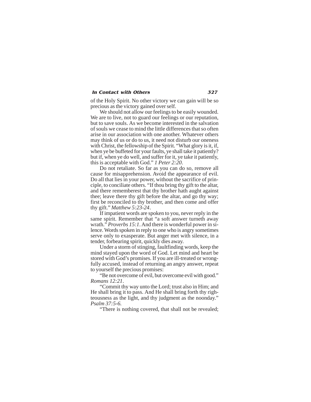### **In Contact with Others**

of the Holy Spirit. No other victory we can gain will be so precious as the victory gained over self.

We should not allow our feelings to be easily wounded. We are to live, not to guard our feelings or our reputation, but to save souls. As we become interested in the salvation of souls we cease to mind the little differences that so often arise in our association with one another. Whatever others may think of us or do to us, it need not disturb our oneness with Christ, the fellowship of the Spirit. "What glory is it, if, when ye be buffeted for your faults, ye shall take it patiently? but if, when ye do well, and suffer for it, ye take it patiently, this is acceptable with God." *1 Peter 2:20*.

Do not retaliate. So far as you can do so, remove all cause for misapprehension. Avoid the appearance of evil. Do all that lies in your power, without the sacrifice of principle, to conciliate others. "If thou bring thy gift to the altar, and there rememberest that thy brother hath aught against thee; leave there thy gift before the altar, and go thy way; first be reconciled to thy brother, and then come and offer thy gift." *Matthew 5:23-24*.

If impatient words are spoken to you, never reply in the same spirit. Remember that "a soft answer turneth away wrath." *Proverbs 15:1*. And there is wonderful power in silence. Words spoken in reply to one who is angry sometimes serve only to exasperate. But anger met with silence, in a tender, forbearing spirit, quickly dies away.

Under a storm of stinging, faultfinding words, keep the mind stayed upon the word of God. Let mind and heart be stored with God's promises. If you are ill-treated or wrongfully accused, instead of returning an angry answer, repeat to yourself the precious promises:

"Be not overcome of evil, but overcome evil with good." *Romans 12:21*.

"Commit thy way unto the Lord; trust also in Him; and He shall bring it to pass. And He shall bring forth thy righteousness as the light, and thy judgment as the noonday." *Psalm 37:5-6.*

"There is nothing covered, that shall not be revealed;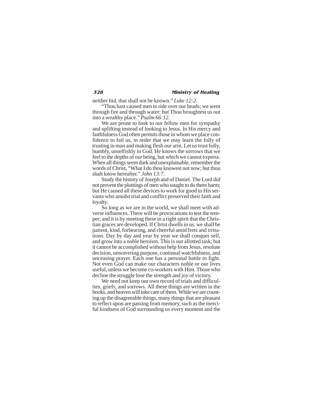neither hid, that shall not be known." *Luke 12:2*.

"Thou hast caused men to ride over our heads; we went through fire and through water: but Thou broughtest us out into a wealthy place." *Psalm 66:12*.

We are prone to look to our fellow men for sympathy and uplifting instead of looking to Jesus. In His mercy and faithfulness God often permits those in whom we place confidence to fail us, in order that we may learn the folly of trusting in man and making flesh our arm. Let us trust fully, humbly, unselfishly in God. He knows the sorrows that we feel to the depths of our being, but which we cannot express. When all things seem dark and unexplainable, remember the words of Christ, "What I do thou knowest not now; but thou shalt know hereafter." *John 13:7*.

Study the history of Joseph and of Daniel. The Lord did not prevent the plottings of men who sought to do them harm; but He caused all these devices to work for good to His servants who amidst trial and conflict preserved their faith and loyalty.

So long as we are in the world, we shall meet with adverse influences. There will be provocations to test the temper; and it is by meeting these in a right spirit that the Christian graces are developed. If Christ dwells in us, we shall be patient, kind, forbearing, and cheerful amid frets and irritations. Day by day and year by year we shall conquer self, and grow into a noble heroism. This is our allotted task; but it cannot be accomplished without help from Jesus, resolute decision, unwavering purpose, continual watchfulness, and unceasing prayer. Each one has a personal battle to fight. Not even God can make our characters noble or our lives useful, unless we become co-workers with Him. Those who decline the struggle lose the strength and joy of victory.

We need not keep our own record of trials and difficulties, griefs, and sorrows. All these things are written in the books, and heaven will take care of them. While we are counting up the disagreeable things, many things that are pleasant to reflect upon are passing from memory, such as the merciful kindness of God surrounding us every moment and the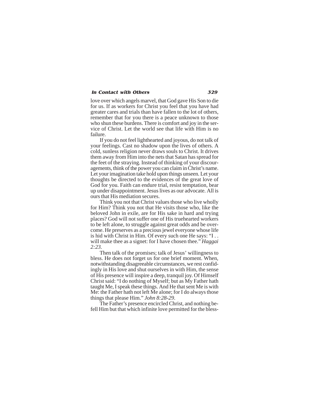#### **In Contact with Others**

love over which angels marvel, that God gave His Son to die for us. If as workers for Christ you feel that you have had greater cares and trials than have fallen to the lot of others, remember that for you there is a peace unknown to those who shun these burdens. There is comfort and joy in the service of Christ. Let the world see that life with Him is no failure.

If you do not feel lighthearted and joyous, do not talk of your feelings. Cast no shadow upon the lives of others. A cold, sunless religion never draws souls to Christ. It drives them away from Him into the nets that Satan has spread for the feet of the straying. Instead of thinking of your discouragements, think of the power you can claim in Christ's name. Let your imagination take hold upon things unseen. Let your thoughts be directed to the evidences of the great love of God for you. Faith can endure trial, resist temptation, bear up under disappointment. Jesus lives as our advocate. All is ours that His mediation secures.

Think you not that Christ values those who live wholly for Him? Think you not that He visits those who, like the beloved John in exile, are for His sake in hard and trying places? God will not suffer one of His truehearted workers to be left alone, to struggle against great odds and be overcome. He preserves as a precious jewel everyone whose life is hid with Christ in Him. Of every such one He says: "I . . will make thee as a signet: for I have chosen thee." *Haggai 2:23.*

Then talk of the promises; talk of Jesus' willingness to bless. He does not forget us for one brief moment. When, notwithstanding disagreeable circumstances, we rest confidingly in His love and shut ourselves in with Him, the sense of His presence will inspire a deep, tranquil joy. Of Himself Christ said: "I do nothing of Myself; but as My Father hath taught Me, I speak these things. And He that sent Me is with Me: the Father hath not left Me alone; for I do always those things that please Him." *John 8:28-29*.

The Father's presence encircled Christ, and nothing befell Him but that which infinite love permitted for the bless-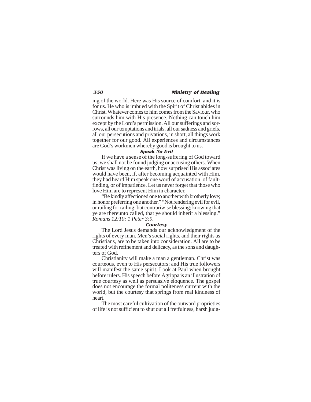ing of the world. Here was His source of comfort, and it is for us. He who is imbued with the Spirit of Christ abides in Christ. Whatever comes to him comes from the Saviour, who surrounds him with His presence. Nothing can touch him except by the Lord's permission. All our sufferings and sorrows, all our temptations and trials, all our sadness and griefs, all our persecutions and privations, in short, all things work together for our good. All experiences and circumstances are God's workmen whereby good is brought to us.

### **Speak No Evil**

If we have a sense of the long-suffering of God toward us, we shall not be found judging or accusing others. When Christ was living on the earth, how surprised His associates would have been, if, after becoming acquainted with Him, they had heard Him speak one word of accusation, of faultfinding, or of impatience. Let us never forget that those who love Him are to represent Him in character.

"Be kindly affectioned one to another with brotherly love; in honor preferring one another." "Not rendering evil for evil, or railing for railing: but contrariwise blessing; knowing that ye are thereunto called, that ye should inherit a blessing." *Romans 12:10; 1 Peter 3:9*.

#### **Courtesy**

The Lord Jesus demands our acknowledgment of the rights of every man. Men's social rights, and their rights as Christians, are to be taken into consideration. All are to be treated with refinement and delicacy, as the sons and daughters of God.

Christianity will make a man a gentleman. Christ was courteous, even to His persecutors; and His true followers will manifest the same spirit. Look at Paul when brought before rulers. His speech before Agrippa is an illustration of true courtesy as well as persuasive eloquence. The gospel does not encourage the formal politeness current with the world, but the courtesy that springs from real kindness of heart.

The most careful cultivation of the outward proprieties of life is not sufficient to shut out all fretfulness, harsh judg-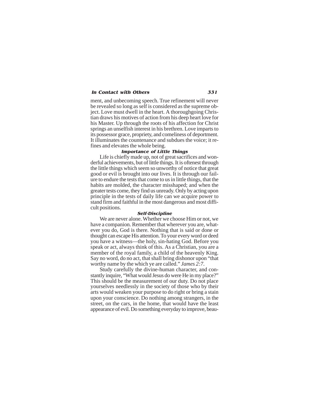#### **In Contact with Others**

ment, and unbecoming speech. True refinement will never be revealed so long as self is considered as the supreme object. Love must dwell in the heart. A thoroughgoing Christian draws his motives of action from his deep heart love for his Master. Up through the roots of his affection for Christ springs an unselfish interest in his brethren. Love imparts to its possessor grace, propriety, and comeliness of deportment. It illuminates the countenance and subdues the voice; it refines and elevates the whole being.

### **Importance of Little Things**

Life is chiefly made up, not of great sacrifices and wonderful achievements, but of little things. It is oftenest through the little things which seem so unworthy of notice that great good or evil is brought into our lives. It is through our failure to endure the tests that come to us in little things, that the habits are molded, the character misshaped; and when the greater tests come, they find us unready. Only by acting upon principle in the tests of daily life can we acquire power to stand firm and faithful in the most dangerous and most difficult positions.

#### **Self-Discipline**

We are never alone. Whether we choose Him or not, we have a companion. Remember that wherever you are, whatever you do, God is there. Nothing that is said or done or thought can escape His attention. To your every word or deed you have a witness—the holy, sin-hating God. Before you speak or act, always think of this. As a Christian, you are a member of the royal family, a child of the heavenly King. Say no word, do no act, that shall bring dishonor upon "that worthy name by the which ye are called." *James 2:7*.

Study carefully the divine-human character, and constantly inquire, "What would Jesus do were He in my place?" This should be the measurement of our duty. Do not place yourselves needlessly in the society of those who by their arts would weaken your purpose to do right or bring a stain upon your conscience. Do nothing among strangers, in the street, on the cars, in the home, that would have the least appearance of evil. Do something everyday to improve, beau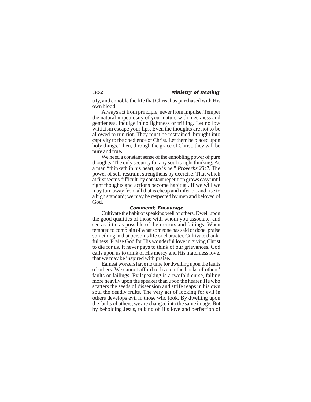tify, and ennoble the life that Christ has purchased with His own blood.

Always act from principle, never from impulse. Temper the natural impetuosity of your nature with meekness and gentleness. Indulge in no lightness or trifling. Let no low witticism escape your lips. Even the thoughts are not to be allowed to run riot. They must be restrained, brought into captivity to the obedience of Christ. Let them be placed upon holy things. Then, through the grace of Christ, they will be pure and true.

We need a constant sense of the ennobling power of pure thoughts. The only security for any soul is right thinking. As a man "thinketh in his heart, so is he." *Proverbs 23:7*. The power of self-restraint strengthens by exercise. That which at first seems difficult, by constant repetition grows easy until right thoughts and actions become habitual. If we will we may turn away from all that is cheap and inferior, and rise to a high standard; we may be respected by men and beloved of God.

### **Commend; Encourage**

Cultivate the habit of speaking well of others. Dwell upon the good qualities of those with whom you associate, and see as little as possible of their errors and failings. When tempted to complain of what someone has said or done, praise something in that person's life or character. Cultivate thankfulness. Praise God for His wonderful love in giving Christ to die for us. It never pays to think of our grievances. God calls upon us to think of His mercy and His matchless love, that we may be inspired with praise.

Earnest workers have no time for dwelling upon the faults of others. We cannot afford to live on the husks of others' faults or failings. Evilspeaking is a twofold curse, falling more heavily upon the speaker than upon the hearer. He who scatters the seeds of dissension and strife reaps in his own soul the deadly fruits. The very act of looking for evil in others develops evil in those who look. By dwelling upon the faults of others, we are changed into the same image. But by beholding Jesus, talking of His love and perfection of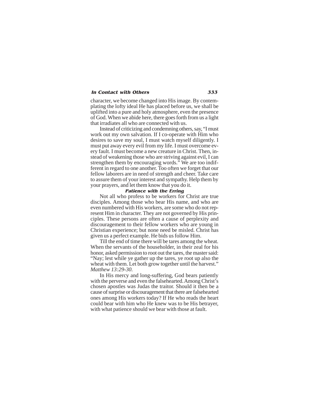#### **In Contact with Others**

character, we become changed into His image. By contemplating the lofty ideal He has placed before us, we shall be uplifted into a pure and holy atmosphere, even the presence of God. When we abide here, there goes forth from us a light that irradiates all who are connected with us.

Instead of criticizing and condemning others, say, "I must work out my own salvation. If I co-operate with Him who desires to save my soul, I must watch myself diligently. I must put away every evil from my life. I must overcome every fault. I must become a new creature in Christ. Then, instead of weakening those who are striving against evil, I can strengthen them by encouraging words." We are too indifferent in regard to one another. Too often we forget that our fellow laborers are in need of strength and cheer. Take care to assure them of your interest and sympathy. Help them by your prayers, and let them know that you do it.

#### **Patience with the Erring**

Not all who profess to be workers for Christ are true disciples. Among those who bear His name, and who are even numbered with His workers, are some who do not represent Him in character. They are not governed by His principles. These persons are often a cause of perplexity and discouragement to their fellow workers who are young in Christian experience; but none need be misled. Christ has given us a perfect example. He bids us follow Him.

Till the end of time there will be tares among the wheat. When the servants of the householder, in their zeal for his honor, asked permission to root out the tares, the master said: "Nay; lest while ye gather up the tares, ye root up also the wheat with them. Let both grow together until the harvest." *Matthew 13:29-30*.

In His mercy and long-suffering, God bears patiently with the perverse and even the falsehearted. Among Christ's chosen apostles was Judas the traitor. Should it then be a cause of surprise or discouragement that there are falsehearted ones among His workers today? If He who reads the heart could bear with him who He knew was to be His betrayer, with what patience should we bear with those at fault.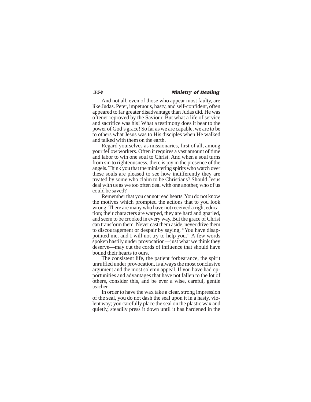And not all, even of those who appear most faulty, are like Judas. Peter, impetuous, hasty, and self-confident, often appeared to far greater disadvantage than Judas did. He was oftener reproved by the Saviour. But what a life of service and sacrifice was his! What a testimony does it bear to the power of God's grace! So far as we are capable, we are to be to others what Jesus was to His disciples when He walked and talked with them on the earth.

Regard yourselves as missionaries, first of all, among your fellow workers. Often it requires a vast amount of time and labor to win one soul to Christ. And when a soul turns from sin to righteousness, there is joy in the presence of the angels. Think you that the ministering spirits who watch over these souls are pleased to see how indifferently they are treated by some who claim to be Christians? Should Jesus deal with us as we too often deal with one another, who of us could be saved?

Remember that you cannot read hearts. You do not know the motives which prompted the actions that to you look wrong. There are many who have not received a right education; their characters are warped, they are hard and gnarled, and seem to be crooked in every way. But the grace of Christ can transform them. Never cast them aside, never drive them to discouragement or despair by saying, "You have disappointed me, and I will not try to help you." A few words spoken hastily under provocation—just what we think they deserve—may cut the cords of influence that should have bound their hearts to ours.

The consistent life, the patient forbearance, the spirit unruffled under provocation, is always the most conclusive argument and the most solemn appeal. If you have had opportunities and advantages that have not fallen to the lot of others, consider this, and be ever a wise, careful, gentle teacher.

In order to have the wax take a clear, strong impression of the seal, you do not dash the seal upon it in a hasty, violent way; you carefully place the seal on the plastic wax and quietly, steadily press it down until it has hardened in the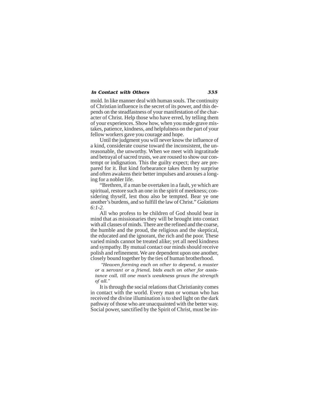#### **In Contact with Others**

mold. In like manner deal with human souls. The continuity of Christian influence is the secret of its power, and this depends on the steadfastness of your manifestation of the character of Christ. Help those who have erred, by telling them of your experiences. Show how, when you made grave mistakes, patience, kindness, and helpfulness on the part of your fellow workers gave you courage and hope.

Until the judgment you will never know the influence of a kind, considerate course toward the inconsistent, the unreasonable, the unworthy. When we meet with ingratitude and betrayal of sacred trusts, we are roused to show our contempt or indignation. This the guilty expect; they are prepared for it. But kind forbearance takes them by surprise and often awakens their better impulses and arouses a longing for a nobler life.

"Brethren, if a man be overtaken in a fault, ye which are spiritual, restore such an one in the spirit of meekness; considering thyself, lest thou also be tempted. Bear ye one another's burdens, and so fulfill the law of Christ." *Galatians 6:1-2.*

All who profess to be children of God should bear in mind that as missionaries they will be brought into contact with all classes of minds. There are the refined and the coarse, the humble and the proud, the religious and the skeptical, the educated and the ignorant, the rich and the poor. These varied minds cannot be treated alike; yet all need kindness and sympathy. By mutual contact our minds should receive polish and refinement. We are dependent upon one another, closely bound together by the ties of human brotherhood.

*"Heaven forming each on other to depend, a master or a servant or a friend, bids each on other for assistance call, till one man's weakness grows the strength of all."*

It is through the social relations that Christianity comes in contact with the world. Every man or woman who has received the divine illumination is to shed light on the dark pathway of those who are unacquainted with the better way. Social power, sanctified by the Spirit of Christ, must be im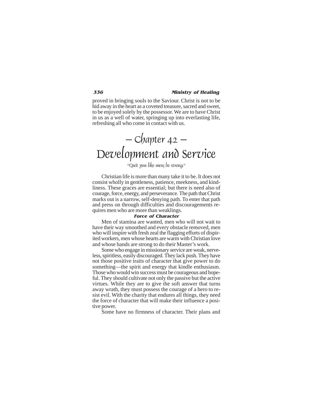proved in bringing souls to the Saviour. Christ is not to be hid away in the heart as a coveted treasure, sacred and sweet, to be enjoyed solely by the possessor. We are to have Christ in us as a well of water, springing up into everlasting life, refreshing all who come in contact with us.

# $-\mathsf{C}$ hapter 42 – Development and Service

"Quit you like men; be strong."

Christian life is more than many take it to be. It does not consist wholly in gentleness, patience, meekness, and kindliness. These graces are essential; but there is need also of courage, force, energy, and perseverance. The path that Christ marks out is a narrow, self-denying path. To enter that path and press on through difficulties and discouragements requires men who are more than weaklings.

#### **Force of Character**

Men of stamina are wanted, men who will not wait to have their way smoothed and every obstacle removed, men who will inspire with fresh zeal the flagging efforts of dispirited workers, men whose hearts are warm with Christian love and whose hands are strong to do their Master's work.

Some who engage in missionary service are weak, nerveless, spiritless, easily discouraged. They lack push. They have not those positive traits of character that give power to do something—the spirit and energy that kindle enthusiasm. Those who would win success must be courageous and hopeful. They should cultivate not only the passive but the active virtues. While they are to give the soft answer that turns away wrath, they must possess the courage of a hero to resist evil. With the charity that endures all things, they need the force of character that will make their influence a positive power.

Some have no firmness of character. Their plans and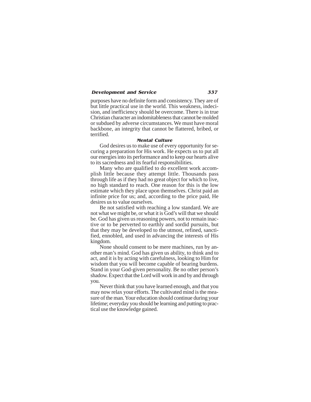#### **Development and Service**

purposes have no definite form and consistency. They are of but little practical use in the world. This weakness, indecision, and inefficiency should be overcome. There is in true Christian character an indomitableness that cannot be molded or subdued by adverse circumstances. We must have moral backbone, an integrity that cannot be flattered, bribed, or terrified.

#### **Mental Culture**

God desires us to make use of every opportunity for securing a preparation for His work. He expects us to put all our energies into its performance and to keep our hearts alive to its sacredness and its fearful responsibilities.

Many who are qualified to do excellent work accomplish little because they attempt little. Thousands pass through life as if they had no great object for which to live, no high standard to reach. One reason for this is the low estimate which they place upon themselves. Christ paid an infinite price for us; and, according to the price paid, He desires us to value ourselves.

Be not satisfied with reaching a low standard. We are not what we might be, or what it is God's will that we should be. God has given us reasoning powers, not to remain inactive or to be perverted to earthly and sordid pursuits, but that they may be developed to the utmost, refined, sanctified, ennobled, and used in advancing the interests of His kingdom.

None should consent to be mere machines, run by another man's mind. God has given us ability, to think and to act, and it is by acting with carefulness, looking to Him for wisdom that you will become capable of bearing burdens. Stand in your God-given personality. Be no other person's shadow. Expect that the Lord will work in and by and through you.

Never think that you have learned enough, and that you may now relax your efforts. The cultivated mind is the measure of the man. Your education should continue during your lifetime; everyday you should be learning and putting to practical use the knowledge gained.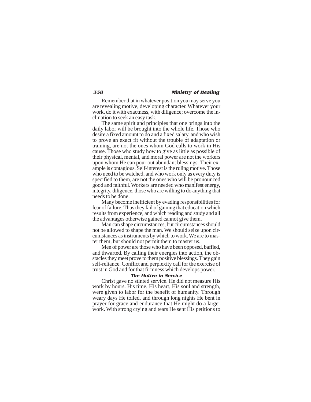Remember that in whatever position you may serve you are revealing motive, developing character. Whatever your work, do it with exactness, with diligence; overcome the inclination to seek an easy task.

The same spirit and principles that one brings into the daily labor will be brought into the whole life. Those who desire a fixed amount to do and a fixed salary, and who wish to prove an exact fit without the trouble of adaptation or training, are not the ones whom God calls to work in His cause. Those who study how to give as little as possible of their physical, mental, and moral power are not the workers upon whom He can pour out abundant blessings. Their example is contagious. Self-interest is the ruling motive. Those who need to be watched, and who work only as every duty is specified to them, are not the ones who will be pronounced good and faithful. Workers are needed who manifest energy, integrity, diligence, those who are willing to do anything that needs to be done.

Many become inefficient by evading responsibilities for fear of failure. Thus they fail of gaining that education which results from experience, and which reading and study and all the advantages otherwise gained cannot give them.

Man can shape circumstances, but circumstances should not be allowed to shape the man. We should seize upon circumstances as instruments by which to work. We are to master them, but should not permit them to master us.

Men of power are those who have been opposed, baffled, and thwarted. By calling their energies into action, the obstacles they meet prove to them positive blessings. They gain self-reliance. Conflict and perplexity call for the exercise of trust in God and for that firmness which develops power.

#### **The Motive in Service**

Christ gave no stinted service. He did not measure His work by hours. His time, His heart, His soul and strength, were given to labor for the benefit of humanity. Through weary days He toiled, and through long nights He bent in prayer for grace and endurance that He might do a larger work. With strong crying and tears He sent His petitions to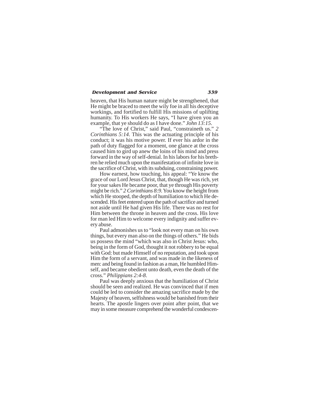#### **Development and Service**

heaven, that His human nature might be strengthened, that He might be braced to meet the wily foe in all his deceptive workings, and fortified to fulfill His missions of uplifting humanity. To His workers He says, "I have given you an example, that ye should do as I have done." *John 13:15*.

"The love of Christ," said Paul, "constraineth us." *2 Corinthians 5:14*. This was the actuating principle of his conduct; it was his motive power. If ever his ardor in the path of duty flagged for a moment, one glance at the cross caused him to gird up anew the loins of his mind and press forward in the way of self-denial. In his labors for his brethren he relied much upon the manifestation of infinite love in the sacrifice of Christ, with its subduing, constraining power.

How earnest, how touching, his appeal: "Ye know the grace of our Lord Jesus Christ, that, though He was rich, yet for your sakes He became poor, that ye through His poverty might be rich." *2 Corinthians 8:9*. You know the height from which He stooped, the depth of humiliation to which He descended. His feet entered upon the path of sacrifice and turned not aside until He had given His life. There was no rest for Him between the throne in heaven and the cross. His love for man led Him to welcome every indignity and suffer every abuse.

Paul admonishes us to "look not every man on his own things, but every man also on the things of others." He bids us possess the mind "which was also in Christ Jesus: who, being in the form of God, thought it not robbery to be equal with God: but made Himself of no reputation, and took upon Him the form of a servant, and was made in the likeness of men: and being found in fashion as a man, He humbled Himself, and became obedient unto death, even the death of the cross." *Philippians 2:4-8*.

Paul was deeply anxious that the humiliation of Christ should be seen and realized. He was convinced that if men could be led to consider the amazing sacrifice made by the Majesty of heaven, selfishness would be banished from their hearts. The apostle lingers over point after point, that we may in some measure comprehend the wonderful condescen-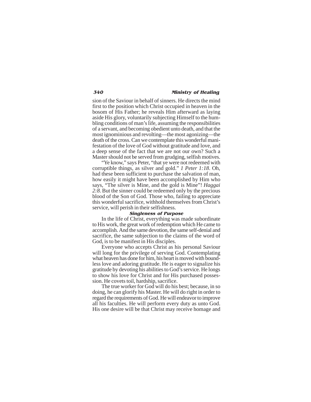sion of the Saviour in behalf of sinners. He directs the mind first to the position which Christ occupied in heaven in the bosom of His Father; he reveals Him afterward as laying aside His glory, voluntarily subjecting Himself to the humbling conditions of man's life, assuming the responsibilities of a servant, and becoming obedient unto death, and that the most ignominious and revolting—the most agonizing—the death of the cross. Can we contemplate this wonderful manifestation of the love of God without gratitude and love, and a deep sense of the fact that we are not our own? Such a Master should not be served from grudging, selfish motives.

"Ye know," says Peter, "that ye were not redeemed with corruptible things, as silver and gold." *1 Peter 1:18*. Oh, had these been sufficient to purchase the salvation of man, how easily it might have been accomplished by Him who says, "The silver is Mine, and the gold is Mine"! *Haggai 2:8*. But the sinner could be redeemed only by the precious blood of the Son of God. Those who, failing to appreciate this wonderful sacrifice, withhold themselves from Christ's service, will perish in their selfishness.

### **Singleness of Purpose**

In the life of Christ, everything was made subordinate to His work, the great work of redemption which He came to accomplish. And the same devotion, the same self-denial and sacrifice, the same subjection to the claims of the word of God, is to be manifest in His disciples.

Everyone who accepts Christ as his personal Saviour will long for the privilege of serving God. Contemplating what heaven has done for him, his heart is moved with boundless love and adoring gratitude. He is eager to signalize his gratitude by devoting his abilities to God's service. He longs to show his love for Christ and for His purchased possession. He covets toil, hardship, sacrifice.

The true worker for God will do his best; because, in so doing, he can glorify his Master. He will do right in order to regard the requirements of God. He will endeavor to improve all his faculties. He will perform every duty as unto God. His one desire will be that Christ may receive homage and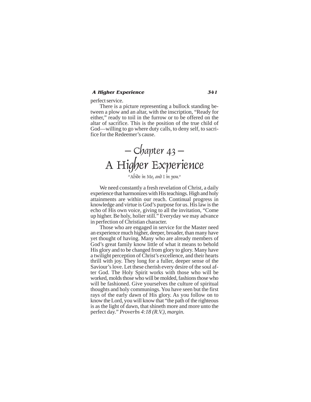#### **A Higher Experience**

perfect service.

There is a picture representing a bullock standing between a plow and an altar, with the inscription, "Ready for either," ready to toil in the furrow or to be offered on the altar of sacrifice. This is the position of the true child of God—willing to go where duty calls, to deny self, to sacrifice for the Redeemer's cause.

– Chapter 43 – A Higher Experience

"Abide in Me, and I in you."

We need constantly a fresh revelation of Christ, a daily experience that harmonizes with His teachings. High and holy attainments are within our reach. Continual progress in knowledge and virtue is God's purpose for us. His law is the echo of His own voice, giving to all the invitation, "Come up higher. Be holy, holier still." Everyday we may advance in perfection of Christian character.

Those who are engaged in service for the Master need an experience much higher, deeper, broader, than many have yet thought of having. Many who are already members of God's great family know little of what it means to behold His glory and to be changed from glory to glory. Many have a twilight perception of Christ's excellence, and their hearts thrill with joy. They long for a fuller, deeper sense of the Saviour's love. Let these cherish every desire of the soul after God. The Holy Spirit works with those who will be worked, molds those who will be molded, fashions those who will be fashioned. Give yourselves the culture of spiritual thoughts and holy communings. You have seen but the first rays of the early dawn of His glory. As you follow on to know the Lord, you will know that "the path of the righteous is as the light of dawn, that shineth more and more unto the perfect day." *Proverbs 4:18 (R.V.), margin.*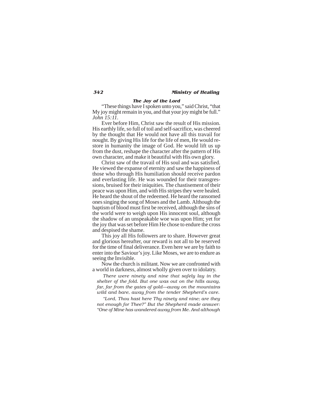#### **The Joy of the Lord**

"These things have I spoken unto you," said Christ, "that My joy might remain in you, and that your joy might be full." *John 15:11*.

Ever before Him, Christ saw the result of His mission. His earthly life, so full of toil and self-sacrifice, was cheered by the thought that He would not have all this travail for nought. By giving His life for the life of men, He would restore in humanity the image of God. He would lift us up from the dust, reshape the character after the pattern of His own character, and make it beautiful with His own glory.

Christ saw of the travail of His soul and was satisfied. He viewed the expanse of eternity and saw the happiness of those who through His humiliation should receive pardon and everlasting life. He was wounded for their transgressions, bruised for their iniquities. The chastisement of their peace was upon Him, and with His stripes they were healed. He heard the shout of the redeemed. He heard the ransomed ones singing the song of Moses and the Lamb. Although the baptism of blood must first be received, although the sins of the world were to weigh upon His innocent soul, although the shadow of an unspeakable woe was upon Him; yet for the joy that was set before Him He chose to endure the cross and despised the shame.

This joy all His followers are to share. However great and glorious hereafter, our reward is not all to be reserved for the time of final deliverance. Even here we are by faith to enter into the Saviour's joy. Like Moses, we are to endure as seeing the Invisible.

Now the church is militant. Now we are confronted with a world in darkness, almost wholly given over to idolatry.

*There were ninety and nine that safely lay in the shelter of the fold. But one was out on the hills away, far, far from the gates of gold—away on the mountains wild and bare, away from the tender Shepherd's care.*

*"Lord, Thou hast here Thy ninety and nine; are they not enough for Thee?" But the Shepherd made answer: "One of Mine has wandered away from Me. And although*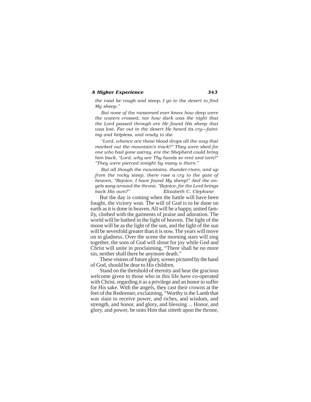#### **A Higher Experience**

*the road be rough and steep, I go to the desert to find My sheep."*

*But none of the ransomed ever knew how deep were the waters crossed, nor how dark was the night that the Lord passed through ere He found His sheep that was lost. Far out in the desert He heard its cry—fainting and helpless, and ready to die.*

*"Lord, whence are these blood drops all the way that marked out the mountain's track?" They were shed for one who had gone astray, ere the Shepherd could bring him back. "Lord, why are Thy hands so rent and torn?" "They were pierced tonight by many a thorn."*

*But all though the mountains, thunder-riven, and up from the rocky steep, there rose a cry to the gate of heaven, "Rejoice, I have found My sheep!" And the angels sang around the throne, "Rejoice, for the Lord brings back His own?" Elizabeth C. Clephane*

But the day is coming when the battle will have been fought, the victory won. The will of God is to be done on earth as it is done in heaven. All will be a happy, united family, clothed with the garments of praise and adoration. The world will be bathed in the light of heaven. The light of the moon will be as the light of the sun, and the light of the sun will be sevenfold greater than it is now. The years will move on in gladness. Over the scene the morning stars will sing together, the sons of God will shout for joy while God and Christ will unite in proclaiming, "There shall be no more sin, neither shall there be anymore death."

These visions of future glory, scenes pictured by the hand of God, should be dear to His children.

Stand on the threshold of eternity and hear the gracious welcome given to those who in this life have co-operated with Christ, regarding it as a privilege and an honor to suffer for His sake. With the angels, they cast their crowns at the feet of the Redeemer, exclaiming, "Worthy is the Lamb that was slain to receive power, and riches, and wisdom, and strength, and honor, and glory, and blessing . . Honor, and glory, and power, be unto Him that sitteth upon the throne,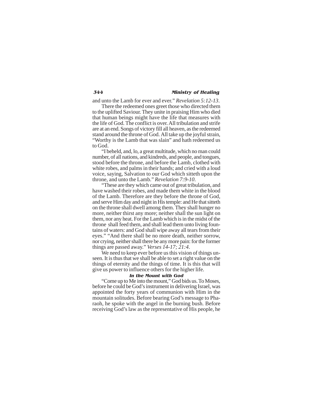and unto the Lamb for ever and ever." *Revelation 5:12-13*.

There the redeemed ones greet those who directed them to the uplifted Saviour. They unite in praising Him who died that human beings might have the life that measures with the life of God. The conflict is over. All tribulation and strife are at an end. Songs of victory fill all heaven, as the redeemed stand around the throne of God. All take up the joyful strain, "Worthy is the Lamb that was slain" and hath redeemed us to God.

"I beheld, and, lo, a great multitude, which no man could number, of all nations, and kindreds, and people, and tongues, stood before the throne, and before the Lamb, clothed with white robes, and palms in their hands; and cried with a loud voice, saying, Salvation to our God which sitteth upon the throne, and unto the Lamb." *Revelation 7:9-10*.

"These are they which came out of great tribulation, and have washed their robes, and made them white in the blood of the Lamb. Therefore are they before the throne of God, and serve Him day and night in His temple: and He that sitteth on the throne shall dwell among them. They shall hunger no more, neither thirst any more; neither shall the sun light on them, nor any heat. For the Lamb which is in the midst of the throne shall feed them, and shall lead them unto living fountains of waters: and God shall wipe away all tears from their eyes." "And there shall be no more death, neither sorrow, nor crying, neither shall there be any more pain: for the former things are passed away." *Verses 14-17; 21:4*.

We need to keep ever before us this vision of things unseen. It is thus that we shall be able to set a right value on the things of eternity and the things of time. It is this that will give us power to influence others for the higher life.

#### **In the Mount with God**

"Come up to Me into the mount," God bids us. To Moses, before he could be God's instrument in delivering Israel, was appointed the forty years of communion with Him in the mountain solitudes. Before bearing God's message to Pharaoh, he spoke with the angel in the burning bush. Before receiving God's law as the representative of His people, he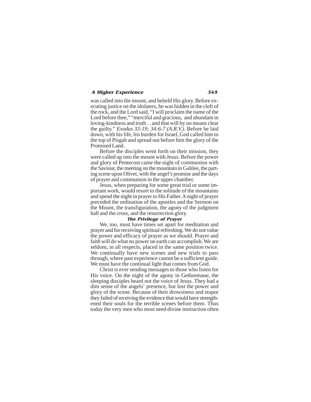### **A Higher Experience**

was called into the mount, and beheld His glory. Before executing justice on the idolaters, he was hidden in the cleft of the rock, and the Lord said, "I will proclaim the name of the Lord before thee," "merciful and gracious, and abundant in loving-kindness and truth . . and that will by no means clear the guilty." *Exodus 33:19; 34:6-7 (A.R.V.).* Before he laid down, with his life, his burden for Israel, God called him to the top of Pisgah and spread out before him the glory of the Promised Land.

Before the disciples went forth on their mission, they were called up into the mount with Jesus. Before the power and glory of Pentecost came the night of communion with the Saviour, the meeting on the mountain in Galilee, the parting scene upon Olivet, with the angel's promise and the days of prayer and communion in the upper chamber.

Jesus, when preparing for some great trial or some important work, would resort to the solitude of the mountains and spend the night in prayer to His Father. A night of prayer preceded the ordination of the apostles and the Sermon on the Mount, the transfiguration, the agony of the judgment hall and the cross, and the resurrection glory.

### **The Privilege of Prayer**

We, too, must have times set apart for meditation and prayer and for receiving spiritual refreshing. We do not value the power and efficacy of prayer as we should. Prayer and faith will do what no power on earth can accomplish. We are seldom, in all respects, placed in the same position twice. We continually have new scenes and new trials to pass through, where past experience cannot be a sufficient guide. We must have the continual light that comes from God.

Christ is ever sending messages to those who listen for His voice. On the night of the agony in Gethsemane, the sleeping disciples heard not the voice of Jesus. They had a dim sense of the angels' presence, but lost the power and glory of the scene. Because of their drowsiness and stupor they failed of receiving the evidence that would have strengthened their souls for the terrible scenes before them. Thus today the very men who most need divine instruction often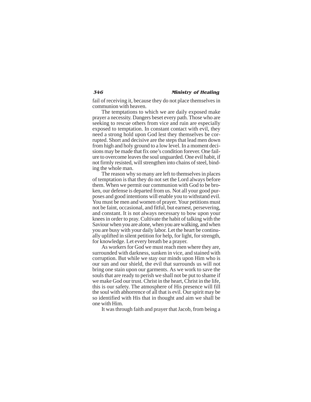fail of receiving it, because they do not place themselves in communion with heaven.

The temptations to which we are daily exposed make prayer a necessity. Dangers beset every path. Those who are seeking to rescue others from vice and ruin are especially exposed to temptation. In constant contact with evil, they need a strong hold upon God lest they themselves be corrupted. Short and decisive are the steps that lead men down from high and holy ground to a low level. In a moment decisions may be made that fix one's condition forever. One failure to overcome leaves the soul unguarded. One evil habit, if not firmly resisted, will strengthen into chains of steel, binding the whole man.

The reason why so many are left to themselves in places of temptation is that they do not set the Lord always before them. When we permit our communion with God to be broken, our defense is departed from us. Not all your good purposes and good intentions will enable you to withstand evil. You must be men and women of prayer. Your petitions must not be faint, occasional, and fitful, but earnest, persevering, and constant. It is not always necessary to bow upon your knees in order to pray. Cultivate the habit of talking with the Saviour when you are alone, when you are walking, and when you are busy with your daily labor. Let the heart be continually uplifted in silent petition for help, for light, for strength, for knowledge. Let every breath be a prayer.

As workers for God we must reach men where they are, surrounded with darkness, sunken in vice, and stained with corruption. But while we stay our minds upon Him who is our sun and our shield, the evil that surrounds us will not bring one stain upon our garments. As we work to save the souls that are ready to perish we shall not be put to shame if we make God our trust. Christ in the heart, Christ in the life, this is our safety. The atmosphere of His presence will fill the soul with abhorrence of all that is evil. Our spirit may be so identified with His that in thought and aim we shall be one with Him.

It was through faith and prayer that Jacob, from being a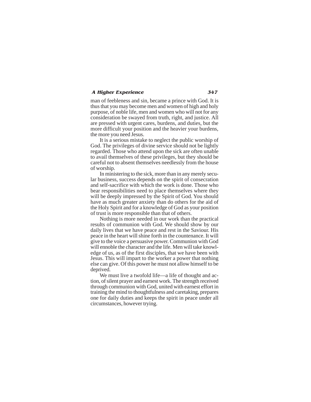### **A Higher Experience**

man of feebleness and sin, became a prince with God. It is thus that you may become men and women of high and holy purpose, of noble life, men and women who will not for any consideration be swayed from truth, right, and justice. All are pressed with urgent cares, burdens, and duties, but the more difficult your position and the heavier your burdens, the more you need Jesus.

It is a serious mistake to neglect the public worship of God. The privileges of divine service should not be lightly regarded. Those who attend upon the sick are often unable to avail themselves of these privileges, but they should be careful not to absent themselves needlessly from the house of worship.

In ministering to the sick, more than in any merely secular business, success depends on the spirit of consecration and self-sacrifice with which the work is done. Those who bear responsibilities need to place themselves where they will be deeply impressed by the Spirit of God. You should have as much greater anxiety than do others for the aid of the Holy Spirit and for a knowledge of God as your position of trust is more responsible than that of others.

Nothing is more needed in our work than the practical results of communion with God. We should show by our daily lives that we have peace and rest in the Saviour. His peace in the heart will shine forth in the countenance. It will give to the voice a persuasive power. Communion with God will ennoble the character and the life. Men will take knowledge of us, as of the first disciples, that we have been with Jesus. This will impart to the worker a power that nothing else can give. Of this power he must not allow himself to be deprived.

We must live a twofold life—a life of thought and action, of silent prayer and earnest work. The strength received through communion with God, united with earnest effort in training the mind to thoughtfulness and caretaking, prepares one for daily duties and keeps the spirit in peace under all circumstances, however trying.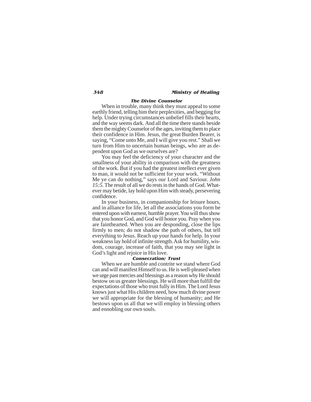#### **The Divine Counselor**

When in trouble, many think they must appeal to some earthly friend, telling him their perplexities, and begging for help. Under trying circumstances unbelief fills their hearts, and the way seems dark. And all the time there stands beside them the mighty Counselor of the ages, inviting them to place their confidence in Him. Jesus, the great Burden Bearer, is saying, "Come unto Me, and I will give you rest." Shall we turn from Him to uncertain human beings, who are as dependent upon God as we ourselves are?

You may feel the deficiency of your character and the smallness of your ability in comparison with the greatness of the work. But if you had the greatest intellect ever given to man, it would not be sufficient for your work. "Without Me ye can do nothing," says our Lord and Saviour. *John 15:5*. The result of all we do rests in the hands of God. Whatever may betide, lay hold upon Him with steady, persevering confidence.

In your business, in companionship for leisure hours, and in alliance for life, let all the associations you form be entered upon with earnest, humble prayer. You will thus show that you honor God, and God will honor you. Pray when you are fainthearted. When you are desponding, close the lips firmly to men; do not shadow the path of others, but tell everything to Jesus. Reach up your hands for help. In your weakness lay hold of infinite strength. Ask for humility, wisdom, courage, increase of faith, that you may see light in God's light and rejoice in His love.

#### **Consecration; Trust**

When we are humble and contrite we stand where God can and will manifest Himself to us. He is well-pleased when we urge past mercies and blessings as a reason why He should bestow on us greater blessings. He will more than fulfill the expectations of those who trust fully in Him. The Lord Jesus knows just what His children need, how much divine power we will appropriate for the blessing of humanity; and He bestows upon us all that we will employ in blessing others and ennobling our own souls.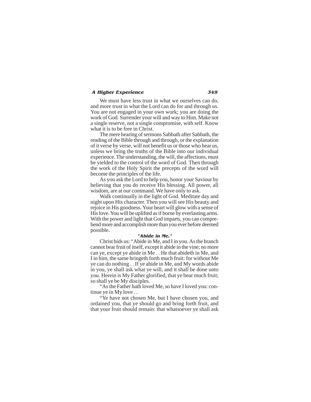### **A Higher Experience**

We must have less trust in what we ourselves can do, and more trust in what the Lord can do for and through us. You are not engaged in your own work; you are doing the work of God. Surrender your will and way to Him. Make not a single reserve, not a single compromise, with self. Know what it is to be free in Christ.

The mere hearing of sermons Sabbath after Sabbath, the reading of the Bible through and through, or the explanation of it verse by verse, will not benefit us or those who hear us, unless we bring the truths of the Bible into our individual experience. The understanding, the will, the affections, must be yielded to the control of the word of God. Then through the work of the Holy Spirit the precepts of the word will become the principles of the life.

As you ask the Lord to help you, honor your Saviour by believing that you do receive His blessing. All power, all wisdom, are at our command. We have only to ask.

Walk continually in the light of God. Meditate day and night upon His character. Then you will see His beauty and rejoice in His goodness. Your heart will glow with a sense of His love. You will be uplifted as if borne by everlasting arms. With the power and light that God imparts, you can comprehend more and accomplish more than you ever before deemed possible.

#### **"Abide in Me."**

Christ bids us: "Abide in Me, and I in you. As the branch cannot bear fruit of itself, except it abide in the vine; no more can ye, except ye abide in Me . . He that abideth in Me, and I in him, the same bringeth forth much fruit: for without Me ye can do nothing . . If ye abide in Me, and My words abide in you, ye shall ask what ye will, and it shall be done unto you. Herein is My Father glorified, that ye bear much fruit; so shall ye be My disciples.

"As the Father hath loved Me, so have I loved you: continue ye in My love . .

"Ye have not chosen Me, but I have chosen you, and ordained you, that ye should go and bring forth fruit, and that your fruit should remain: that whatsoever ye shall ask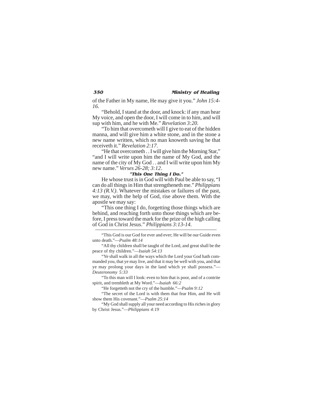of the Father in My name, He may give it you." *John 15:4- 16.*

"Behold, I stand at the door, and knock: if any man hear My voice, and open the door, I will come in to him, and will sup with him, and he with Me." *Revelation 3:20.*

"To him that overcometh will I give to eat of the hidden manna, and will give him a white stone, and in the stone a new name written, which no man knoweth saving he that receiveth it." *Revelation 2:17*.

"He that overcometh . . I will give him the Morning Star," "and I will write upon him the name of My God, and the name of the city of My God . . and I will write upon him My new name." *Verses 26-28; 3:12*.

### **"This One Thing I Do."**

He whose trust is in God will with Paul be able to say, "I can do all things in Him that strengtheneth me." *Philippians 4:13 (R.V.)*. Whatever the mistakes or failures of the past, we may, with the help of God, rise above them. With the apostle we may say:

"This one thing I do, forgetting those things which are behind, and reaching forth unto those things which are before, I press toward the mark for the prize of the high calling of God in Christ Jesus." *Philippians 3:13-14*.

"This God is our God for ever and ever; He will be our Guide even unto death."—*Psalm 48:14*

"All thy children shall be taught of the Lord, and great shall be the peace of thy children."—*Isaiah 54:13*

"Ye shall walk in all the ways which the Lord your God hath commanded you, that ye may live, and that it may be well with you, and that ye may prolong your days in the land which ye shall possess."— *Deuteronomy 5:33*

"To this man will I look: even to him that is poor, and of a contrite spirit, and trembleth at My Word."—*Isaiah 66:2*

"He forgetteth not the cry of the humble."—*Psalm 9:12*

"The secret of the Lord is with them that fear Him, and He will show them His covenant."—*Psalm 25:14*

"My God shall supply all your need according to His riches in glory by Christ Jesus."—*Philippians 4:19*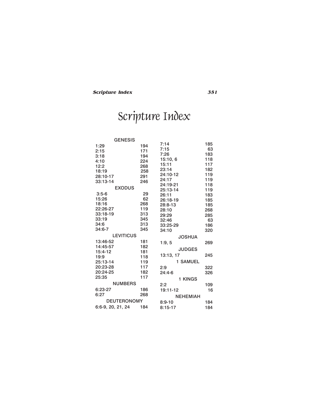# Scripture Index

| <b>GENESIS</b>        |     |                 |     |
|-----------------------|-----|-----------------|-----|
| 1:29                  | 194 | 7:14            | 185 |
| 2:15                  | 171 | 7:15            | 63  |
| 3:18                  | 194 | 7:26            | 183 |
| 4:10                  | 224 | 15:10, 6        | 118 |
| 12:2                  | 268 | 15:11           | 117 |
| 18:19                 | 258 | 23:14           | 182 |
| 28:10-17              | 291 | 24:10-12        | 119 |
| $33:13-14$            | 246 | 24:17           | 119 |
|                       |     | 24:19-21        | 118 |
| <b>EXODUS</b>         |     | 25:13-14        | 119 |
| $3:5-6$               | 29  | 26:11           | 183 |
| 15:26                 | 62  | 26:18-19        | 185 |
| 18:16                 | 268 | $28:8-13$       | 185 |
| 22:26-27              | 119 | 28:10           | 268 |
| $33:18-19$            | 313 | 29:29           | 285 |
| 33:19                 | 345 | 32:46           | 63  |
| 34:6                  | 313 | $33:25-29$      | 186 |
| $34:6 - 7$            | 345 | 34:10           | 320 |
| <b>LEVITICUS</b>      |     | <b>JOSHUA</b>   |     |
| 13:46-52              | 181 | 1:9, 5          | 269 |
| 14:45-57              | 182 | <b>JUDGES</b>   |     |
| 15:4-12               | 181 |                 |     |
| 19:9                  | 118 | 13:13, 17       | 245 |
| 25:13-14              | 119 | <b>1 SAMUEL</b> |     |
| 20:23-28              | 117 | 2:9             | 322 |
| 20:24-25              | 182 | $24:4-6$        | 326 |
| 25:35                 | 117 | 1 KINGS         |     |
| <b>NUMBERS</b>        |     | 2:2             | 109 |
| $6:23-27$             | 186 | 19:11-12        | 16  |
| 6:27                  | 268 | <b>NEHEMIAH</b> |     |
| <b>DEUTERONOMY</b>    |     |                 |     |
|                       |     | $8:9 - 10$      | 184 |
| 6:6-9, 20, 21, 24 184 |     | $8:15-17$       | 184 |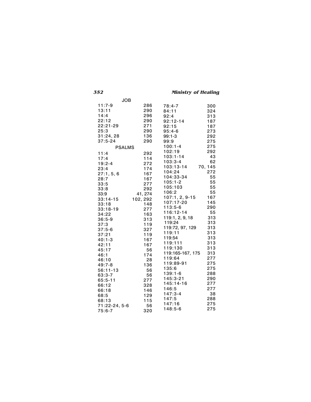| <b>JOB</b>    |          |                      |           |
|---------------|----------|----------------------|-----------|
| $11:7-9$      | 286      | $78:4-7$             | 300       |
| 13:11         | 290      | 84:11                | 324       |
| 14:4          | 296      | 92:4                 | 313       |
| 22:12         | 290      | $92:12-14$           | 187       |
| 22:21-29      | 271      | 92:15                | 187       |
| 25:3          | 290      | $95:4-6$             | 273       |
| 31:24,28      | 136      | $99:1 - 3$           | 292       |
| $37:5 - 24$   | 290      | 99:9                 | 275       |
| <b>PSALMS</b> |          | $100:1 - 4$          | 275       |
|               | 292      | 102:19               | 292       |
| 11:4<br>17:4  | 114      | $103:1 - 14$         | 43        |
| $19:2 - 4$    | 272      | $103:3-4$            | 62        |
| 23:4          | 174      | 103:13-14            | 70, 145   |
| 27:1, 5, 6    | 167      | 104:24               | 272       |
| 28:7          | 167      | 104:33-34            | 55        |
| 33:5          | 277      | $105:1 - 2$          | 55        |
| 33:8          | 292      | 105:103              | 55        |
| 33:9          | 41, 274  | 106:2                | 55        |
| $33:14-15$    | 102, 292 | 107:1, 2, 9-15       | 167       |
| 33:18         | 148      | 107:17-20            | 145       |
| $33:18-19$    | 277      | $113:5-6$            | 290       |
| 34:22         | 163      | 116:12-14            | 55        |
| $36:5-9$      | 313      | 119:1, 2, 9, 18      | 313       |
| 37:3          | 119      | 119:24               | 313       |
| $37:5-6$      | 327      | 119:72, 97, 129      | 313       |
| 37:21         | 119      | 119:11               | 313       |
| $40:1 - 3$    | 167      | 119:54               | 313       |
| 42:11         | 167      | 119:111              | 313       |
| 45:17         | 56       | 119:130              | 313       |
| 46:1          | 174      | 119:165-167, 175     | 313       |
| 46:10         | 28       | 119:64               | 277       |
| $49:7 - 8$    | 136      | 119:89-91            | 275       |
| $56:11 - 13$  | 56       | 135:6                | 275       |
| $63:3 - 7$    | 56       | $139:1-6$            | 288       |
| $65:5 - 11$   | 277      | 145:3-21             | 290       |
| 66:12         | 328      | 145:14-16            | 277       |
| 66:18         | 146      | 146:5                | 277       |
| 68:5          | 129      | $147:3 - 4$<br>147:5 | 38<br>288 |
| 68:13         | 115      |                      |           |
| 71:22-24, 5-6 | 56       | 147:16               | 275       |
| $75:6 - 7$    | 320      | $148:5-6$            | 275       |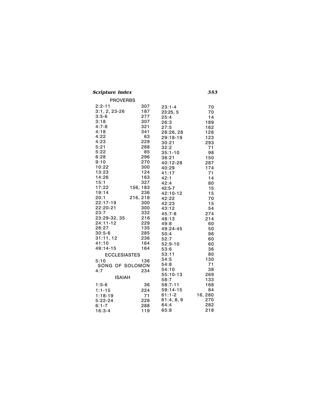# **Scripture Index**

| <b>PROVERBS</b>        |          |             |        |
|------------------------|----------|-------------|--------|
| $2:2 - 11$             | 307      | $23:1 - 4$  | 70     |
| $3:1, 2, 23-26$        | 187      | 23:25, 5    | 70     |
| $3:5-6$                | 277      | 25:4        | 14     |
| 3:18                   | 307      | 26:3        | 189    |
| $4:7 - 8$              | 321      | 27:5        | 162    |
| 4:18                   | 341      | 28:26, 28   | 128    |
| 4:22                   | 63       | 29:18-19    | 123    |
| 4:23                   | 229      | 30:21       | 293    |
| 5:21                   | 288      | 32:2        | 71     |
| 5:22                   | 85       | $35:1 - 10$ | 98     |
| 6:28                   | 296      | 38:21       | 150    |
| 9:10                   | 270      | 40:12-28    | 287    |
| 10:22                  | 300      | 40:29       | 174    |
| 13:23                  | 124      | 41:17       | 71     |
| 14:26                  | 163      | 42:1        | 14     |
| 15:1                   | 327      | 42:4        | 80     |
| 17:22                  | 156, 183 | $42:5 - 7$  | 15     |
| 19:14                  | 236      | 42:10-12    | 15     |
| 20:1                   | 216, 218 | 42:22       | 70     |
| 22:17-19               | 300      | 42:23       | 15     |
| 22:20-21               | 300      | 43:12       | 54     |
| 23:7                   | 332      | $45:7 - 8$  | 274    |
| 23:29-32, 35           | 216      | 48:13       | 214    |
| $24:11 - 12$           | 229      | 49:8        | 60     |
| 28:27                  | 135      | 49:24-45    | 50     |
| $30:5-6$               | 285      | 50:4        | 96     |
| 31:11,12               | 236      | 52:7        | 60     |
| 41:10                  | 164      | $52:9-10$   | 60     |
| $49:14-15$             | 164      | 53:6        | 36     |
| <b>ECCLESIASTES</b>    |          | 53:11       | 80     |
| 5:10                   | 136      | 54:5        | 130    |
| <b>SONG OF SOLOMON</b> |          | 54:8        | 71     |
| 4:7                    | 234      | 54:10       | 38     |
| <b>ISAIAH</b>          |          | $55:10-13$  | 269    |
|                        |          | 58:7        | 133    |
| $1:5-6$                | 36       | $58:7 - 11$ | 168    |
| $1:1 - 15$             | 224      | $59:14-15$  | 84     |
| $1:18-19$              | 71       | $61:1 - 2$  | 16,280 |
| $5:22-24$              | 228      | 61:4, 8, 9  | 270    |
| $6:1 - 7$              | 288      | 64:4        | 282    |
| $16:3 - 4$             | 119      | 65:8        | 218    |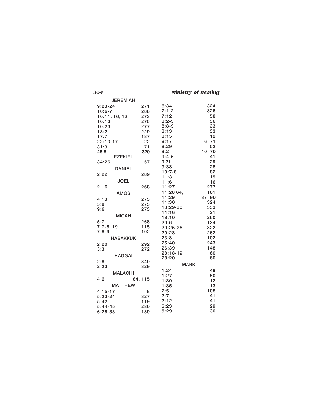| <b>JEREMIAH</b> |         |            |       |
|-----------------|---------|------------|-------|
| $9:23-24$       | 271     | 6:34       | 324   |
| $10:6 - 7$      | 288     | $7:1 - 2$  | 326   |
| 10:11, 16, 12   | 273     | 7:12       | 58    |
| 10:13           | 275     | $8:2 - 3$  | 36    |
| 10:23           | 277     | $8:8-9$    | 33    |
| 13:21           | 229     | 8:13       | 33    |
| 17:7            | 187     | 8:15       | 12    |
| $22:13-17$      | 22      | 8:17       | 6, 71 |
| 31:3            | 71      | 8:29       | 52    |
| 45:5            | 320     | 9:2        | 40,70 |
| <b>EZEKIEL</b>  |         | $9:4-6$    | 41    |
| 34:26           | 57      | 9:21       | 29    |
| <b>DANIEL</b>   |         | 9:38       | 28    |
| 2:22            |         | $10:7-8$   | 82    |
|                 | 289     | 11:3       | 15    |
| <b>JOEL</b>     |         | 11:6       | 16    |
| 2:16            | 268     | 11:27      | 277   |
| <b>AMOS</b>     |         | 11:28 64,  | 161   |
| 4:13            | 273     | 11:29      | 37,90 |
| 5:8             | 273     | 11:30      | 324   |
| 9:6             | 273     | 13:29-30   | 333   |
|                 |         | 14:16      | 21    |
| <b>MICAH</b>    |         | 18:10      | 260   |
| 5:7             | 268     | 20:6       | 124   |
| $7:7-8,19$      | 115     | 20:25-26   | 322   |
| $7:8-9$         | 102     | 20:28      | 262   |
| <b>HABAKKUK</b> |         | 23:8       | 102   |
| 2:20            | 292     | 25:40      | 243   |
| 3:3             | 272     | 26:39      | 148   |
| <b>HAGGAI</b>   |         | $28:18-19$ | 60    |
|                 |         | 28:20      | 60    |
| 2:8             | 340     | MARK       |       |
| 2:23            | 329     | 1:24       | 49    |
| <b>MALACHI</b>  |         | 1:27       | 50    |
| 4:2             | 64, 115 | 1:30       | 12    |
| <b>MATTHEW</b>  |         | 1:35       | 13    |
| $4:15-17$       | 8       | 2:5        | 108   |
| $5:23-24$       | 327     | 2:7        | 41    |
| 5:42            | 119     | 2:12       | 41    |
| $5:44-45$       | 280     | 5:23       | 29    |
| 6:28-33         | 189     | 5:29       | 30    |
|                 |         |            |       |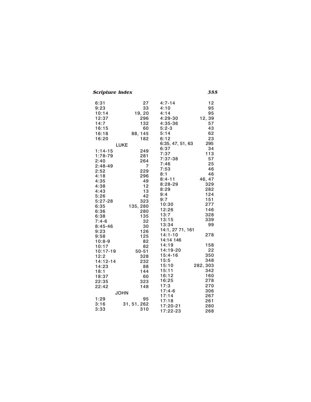# **Scripture Index**

#### **355**

| 6:31       | 27             | $4:7 - 14$       | 12       |
|------------|----------------|------------------|----------|
| 9:23       | 33             | 4:10             | 95       |
| 10:14      | 19, 20         | 4:14             | 95       |
| 12:37      | 296            | 4:29-30          | 12, 39   |
| 14:7       | 132            | 4:35-36          | 57       |
| 16:15      | 60             | $5:2-3$          | 43       |
| 16:18      | 88, 145        | 5:14             | 62       |
| 16:20      | 182            | 6:12             | 23       |
|            | LUKE           | 6:35, 47, 51, 63 | 295      |
| $1:14-15$  | 249            | 6:37             | 34       |
| 1:78-79    | 281            | 7:37             | 113      |
| 2:40       | 264            | $7:37-38$        | 57       |
| $2:48-49$  | $\overline{7}$ | 7:46             | 25       |
| 2:52       | 229            | 7:53             | 46       |
| 4:18       | 296            | 8:1              | 46       |
| 4:35       | 49             | $8:4 - 11$       | 46, 47   |
| 4:38       | 12             | 8:28-29          | 329      |
| 4:43       | 13             | 8:29             | 282      |
| 5:26       | 42             | 9:4              | 124      |
| $5:27-28$  | 323            | 9:7              | 151      |
| 6:35       | 135, 280       | 10:30            | 277      |
| 6:36       | 280            | 12:26            | 146      |
| 6:38       | 135            | 13:7             | 328      |
| $7:4-6$    | 32             | 13:15            | 339      |
| $8:45-46$  | 30             | 13:34            | 99       |
| 9:23       | 126            | 14:1, 27 71, 161 |          |
| 9:58       | 125            | $14:1 - 10$      | 278      |
| $10:8-9$   | 82             | 14:14 146        |          |
| 10:17      | 82             | 14:19            | 158      |
| 10:17-19   | $50 - 51$      | 14:19-20         | 22       |
| 12:2       | 328            | $15:4-16$        | 350      |
| $14:12-14$ | 232            | 15:5             | 348      |
| 14:23      | 88             | 15:10            | 282, 303 |
| 18:1       | 144            | 15:11            | 342      |
| 18:37      | 60             | 16:12            | 160      |
| 22:35      | 323            | 16:25            | 278      |
| 22:42      | 148            | 17:3             | 270      |
|            | <b>JOHN</b>    | $17:4-6$         | 306      |
| 1:29       | 95             | 17:14            | 267      |
| 3:16       | 31, 51, 262    | 17:18            | 261      |
| 3:33       | 310            | 17:20-21         | 280      |
|            |                | 17:22-23         | 268      |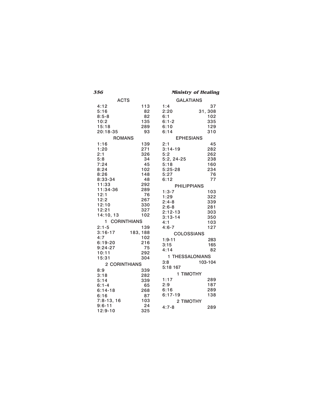| <b>ACTS</b>              |          |                 | <b>GALATIANS</b>       |
|--------------------------|----------|-----------------|------------------------|
| 4:12                     | 113      | 1:4             | 37                     |
| 5:16                     | 82       | 2:20            | 31,308                 |
| $8:5 - 8$                | 82       | 6:1             | 102                    |
| 10:2                     | 135      | $6:1 - 2$       | 335                    |
| 15:18                    | 289      | 6:10            | 129                    |
| $20:18-35$               | 93       | 6:14            | 310                    |
| <b>ROMANS</b>            |          |                 | <b>EPHESIANS</b>       |
| 1:16                     | 139      | 2:1             | 45                     |
| 1:20                     | 271      | $3:14-19$       | 282                    |
| 2:1                      | 326      | 5:2             | 262                    |
| 5:8                      | 34       | $5:2, 24-25$    | 238                    |
| 7:24                     | 45       | 5:18            | 160                    |
| 8:24                     | 102      | $5:25-28$       | 234                    |
| 8:26                     | 148      | 5:27            | 76                     |
| $8:33-34$                | 48       | 6:12            | 77                     |
| 11:33                    | 292      |                 | <b>PHILIPPIANS</b>     |
| 11:34-36                 | 289      | $1:3 - 7$       | 103                    |
| 12:1                     | 76       | 1:29            | 322                    |
| 12:2                     | 267      | $2:4 - 8$       | 339                    |
| 12:10                    | 330      | $2:6-8$         | 281                    |
| 12:21                    | 327      | $2:12-13$       | 303                    |
| 14:10.13                 | 102      | $3:13-14$       | 350                    |
| <b>CORINTHIANS</b><br>1. |          | 4:1             | 103                    |
| $2:1 - 5$                | 139      | $4:6 - 7$       | 127                    |
| $3:16-17$                | 183, 188 |                 | <b>COLOSSIANS</b>      |
| 4:7                      | 102      |                 |                        |
| $6:19-20$                | 216      | $1:9 - 11$      | 283                    |
| $9:24-27$                | 75       | 3:15            | 165                    |
| 10:11                    | 292      | 4:14            | 82                     |
| 15:31                    | 304      |                 | <b>1 THESSALONIANS</b> |
| 2 CORINTHIANS            |          | 3:8<br>5:18 167 | 103-104                |
| 8:9                      | 339      |                 |                        |
| 3:18                     | 282      |                 | <b>1 TIMOTHY</b>       |
| 5:14                     | 339      | 1:17            | 289                    |
| $6:1 - 4$                | 65       | 2:9             | 187                    |
| $6:14-18$                | 268      | 6:16            | 289                    |
| 6:16                     | 87       | $6:17-19$       | 138                    |
| $7:8-13.16$              | 103      |                 | 2 TIMOTHY              |
| $9:6 - 11$               | 24       | $4:7 - 8$       | 289                    |
| $12:9 - 10$              | 325      |                 |                        |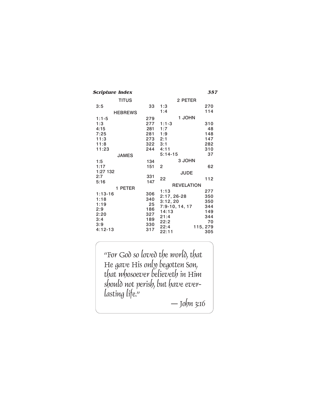### **Scripture Index 357**

| <b>TITUS</b>   |            | 2 PETER           |          |
|----------------|------------|-------------------|----------|
| 3:5            | 33         | 1:3               | 270      |
| <b>HEBREWS</b> |            | 1:4               | 114      |
| $1:1-5$        | 279        | 1 JOHN            |          |
| 1:3            | 277        | $1:1-3$           | 310      |
| 4:15           | 281        | 1:7               | 48       |
| 7:25           | 281        | 1:9               | 148      |
| 11:3           | 273        | 2:1               | 147      |
| 11:8           | 322        | 3:1               | 282      |
| 11:23          | 244        | 4:11              | 310      |
| <b>JAMES</b>   |            | $5:14-15$         | 37       |
| 1:5            | 134        | 3 JOHN            |          |
| 1:17           | 151        | $\overline{2}$    | 62       |
| 1:27 132       |            | <b>JUDE</b>       |          |
| 2:7            | 331        |                   |          |
| 5:16           | 147        | 22                | 112      |
| 1 PETER        |            | <b>REVELATION</b> |          |
| $1:13-16$      | 306        | 1:13              | 277      |
| 1:18           | 340        | $2:17,26-28$      | 350      |
| 1:19           | 25         | 3:12,20           | 350      |
| 2:9            | 186        | 7:9-10, 14, 17    | 344      |
| 2:20           | 327        | 14:13             | 149      |
| 3:4            | 189        | 21:4              | 344      |
| 3:9            |            | 22:2              | 70       |
| $4:12-13$      | 330<br>317 | 22:4              | 115, 279 |
|                |            | 22:11             | 305      |

"For God so loved the world, that He gave His only begotten Son, that whosoever believeth in Him should not perish, but have everlasting life."

 $-$  John 3:16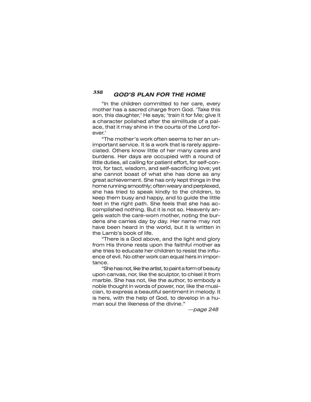# **GOD'S PLAN FOR THE HOME<sup>358</sup>**

"In the children committed to her care, every mother has a sacred charge from God. 'Take this son, this daughter,' He says; 'train it for Me; give it a character polished after the similitude of a palace, that it may shine in the courts of the Lord forever.'

"The mother's work often seems to her an unimportant service. It is a work that is rarely appreciated. Others know little of her many cares and burdens. Her days are occupied with a round of little duties, all calling for patient effort, for self-control, for tact, wisdom, and self-sacrificing love; yet she cannot boast of what she has done as any great achievement. She has only kept things in the home running smoothly; often weary and perplexed, she has tried to speak kindly to the children, to keep them busy and happy, and to guide the little feet in the right path. She feels that she has accomplished nothing. But it is not so. Heavenly angels watch the care-worn mother, noting the burdens she carries day by day. Her name may not have been heard in the world, but it is written in the Lamb's book of life.

"There is a God above, and the light and glory from His throne rests upon the faithful mother as she tries to educate her children to resist the influence of evil. No other work can equal hers in importance.

"She has not, like the artist, to paint a form of beauty upon canvas, nor, like the sculptor, to chisel it from marble. She has not, like the author, to embody a noble thought in words of power, nor, like the musician, to express a beautiful sentiment in melody. It is hers, with the help of God, to develop in a human soul the likeness of the divine."

—page 248